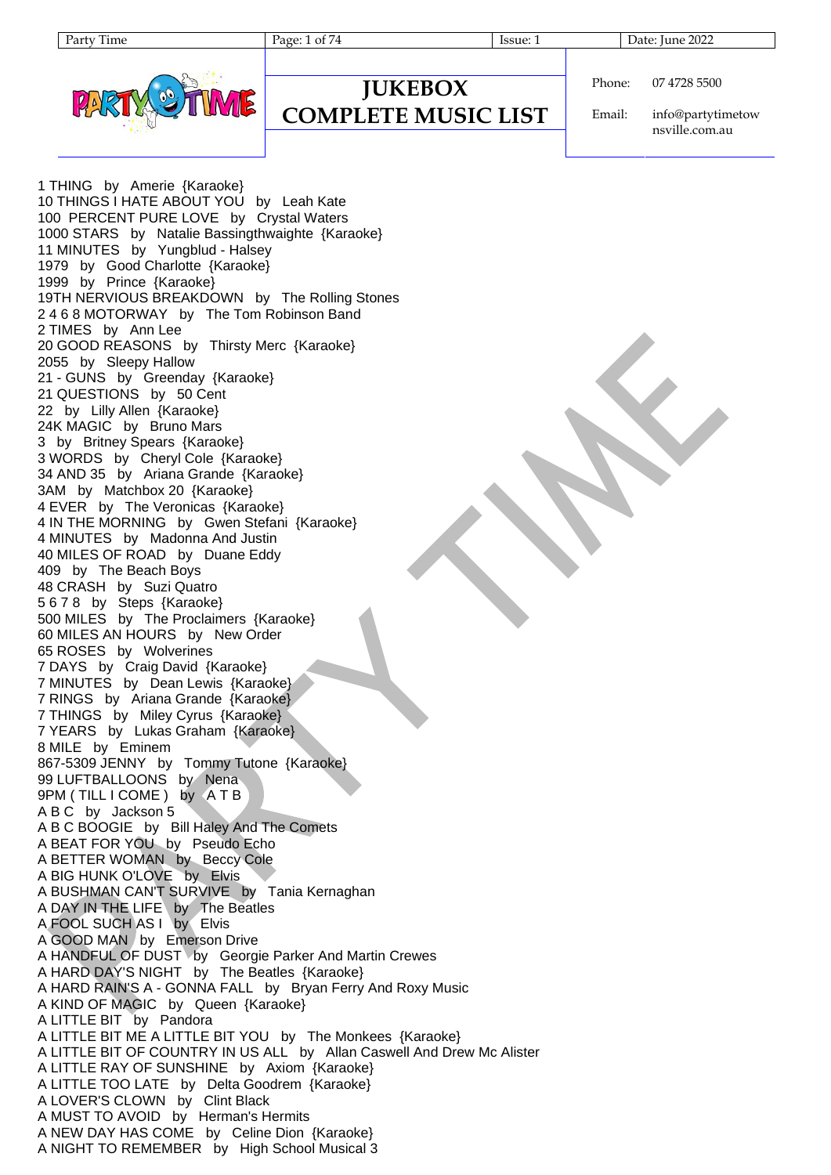Page: 1 of 74 Issue: 1 Issue: 1 Date: June 2022



#### **JUKEBOX COMPLETE MUSIC LIST**

Phone: 07 4728 5500

Email: info@partytimetow nsville.com.au

1 THING by Amerie {Karaoke} 10 THINGS I HATE ABOUT YOU by Leah Kate 100 PERCENT PURE LOVE by Crystal Waters 1000 STARS by Natalie Bassingthwaighte {Karaoke} 11 MINUTES by Yungblud - Halsey 1979 by Good Charlotte {Karaoke} 1999 by Prince {Karaoke} 19TH NERVIOUS BREAKDOWN by The Rolling Stones 2 4 6 8 MOTORWAY by The Tom Robinson Band 2 TIMES by Ann Lee 20 GOOD REASONS by Thirsty Merc {Karaoke} 2055 by Sleepy Hallow 21 - GUNS by Greenday {Karaoke} 21 QUESTIONS by 50 Cent 22 by Lilly Allen {Karaoke} 24K MAGIC by Bruno Mars 3 by Britney Spears {Karaoke} 3 WORDS by Cheryl Cole {Karaoke} 34 AND 35 by Ariana Grande {Karaoke} 3AM by Matchbox 20 {Karaoke} 4 EVER by The Veronicas {Karaoke} 4 IN THE MORNING by Gwen Stefani {Karaoke} 4 MINUTES by Madonna And Justin 40 MILES OF ROAD by Duane Eddy 409 by The Beach Boys 48 CRASH by Suzi Quatro 5 6 7 8 by Steps {Karaoke} 500 MILES by The Proclaimers {Karaoke} 60 MILES AN HOURS by New Order 65 ROSES by Wolverines 7 DAYS by Craig David {Karaoke} 7 MINUTES by Dean Lewis {Karaoke} 7 RINGS by Ariana Grande {Karaoke} 7 THINGS by Miley Cyrus {Karaoke} 7 YEARS by Lukas Graham {Karaoke} 8 MILE by Eminem 867-5309 JENNY by Tommy Tutone {Karaoke} 99 LUFTBALLOONS by Nena 9PM (TILL I COME) by A T B A B C by Jackson 5 A B C BOOGIE by Bill Haley And The Comets A BEAT FOR YOU by Pseudo Echo A BETTER WOMAN by Beccy Cole A BIG HUNK O'LOVE by Elvis A BUSHMAN CAN'T SURVIVE by Tania Kernaghan A DAY IN THE LIFE by The Beatles A FOOL SUCH AS I by Elvis A GOOD MAN by Emerson Drive A HANDFUL OF DUST by Georgie Parker And Martin Crewes A HARD DAY'S NIGHT by The Beatles {Karaoke} A HARD RAIN'S A - GONNA FALL by Bryan Ferry And Roxy Music A KIND OF MAGIC by Queen {Karaoke} A LITTLE BIT by Pandora A LITTLE BIT ME A LITTLE BIT YOU by The Monkees {Karaoke} A LITTLE BIT OF COUNTRY IN US ALL by Allan Caswell And Drew Mc Alister A LITTLE RAY OF SUNSHINE by Axiom {Karaoke} A LITTLE TOO LATE by Delta Goodrem {Karaoke} A LOVER'S CLOWN by Clint Black A MUST TO AVOID by Herman's Hermits A NEW DAY HAS COME by Celine Dion {Karaoke} A NIGHT TO REMEMBER by High School Musical 3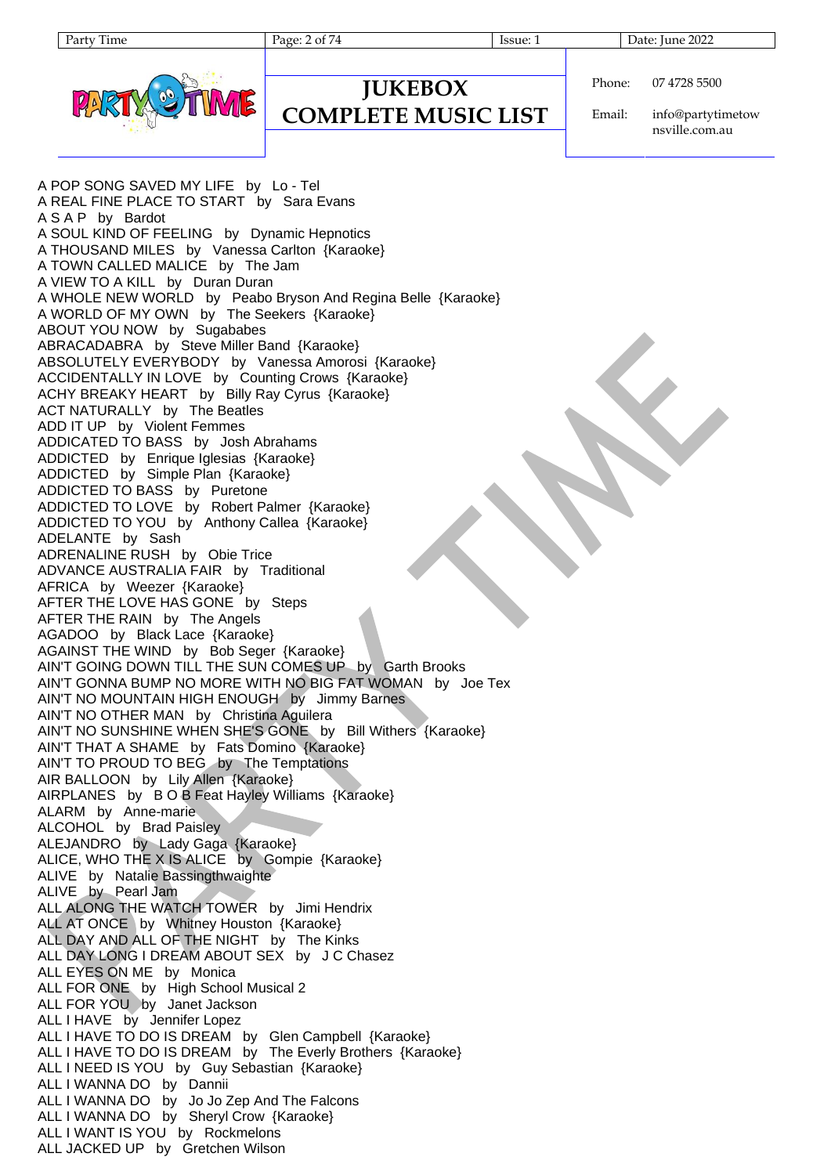Page: 2 of 74 Issue: 1 Issue: 1 Date: June 2022



#### Phone: 07 4728 5500

### **JUKEBOX COMPLETE MUSIC LIST**

Email: info@partytimetow nsville.com.au

A POP SONG SAVED MY LIFE by Lo - Tel A REAL FINE PLACE TO START by Sara Evans A S A P by Bardot A SOUL KIND OF FEELING by Dynamic Hepnotics A THOUSAND MILES by Vanessa Carlton {Karaoke} A TOWN CALLED MALICE by The Jam A VIEW TO A KILL by Duran Duran A WHOLE NEW WORLD by Peabo Bryson And Regina Belle {Karaoke} A WORLD OF MY OWN by The Seekers {Karaoke} ABOUT YOU NOW by Sugababes ABRACADABRA by Steve Miller Band {Karaoke} ABSOLUTELY EVERYBODY by Vanessa Amorosi {Karaoke} ACCIDENTALLY IN LOVE by Counting Crows {Karaoke} ACHY BREAKY HEART by Billy Ray Cyrus {Karaoke} ACT NATURALLY by The Beatles ADD IT UP by Violent Femmes ADDICATED TO BASS by Josh Abrahams ADDICTED by Enrique Iglesias {Karaoke} ADDICTED by Simple Plan {Karaoke} ADDICTED TO BASS by Puretone ADDICTED TO LOVE by Robert Palmer {Karaoke} ADDICTED TO YOU by Anthony Callea {Karaoke} ADELANTE by Sash ADRENALINE RUSH by Obie Trice ADVANCE AUSTRALIA FAIR by Traditional AFRICA by Weezer {Karaoke} AFTER THE LOVE HAS GONE by Steps AFTER THE RAIN by The Angels AGADOO by Black Lace {Karaoke} AGAINST THE WIND by Bob Seger {Karaoke} AIN'T GOING DOWN TILL THE SUN COMES UP by Garth Brooks AIN'T GONNA BUMP NO MORE WITH NO BIG FAT WOMAN by Joe Tex AIN'T NO MOUNTAIN HIGH ENOUGH by Jimmy Barnes AIN'T NO OTHER MAN by Christina Aguilera AIN'T NO SUNSHINE WHEN SHE'S GONE by Bill Withers {Karaoke} AIN'T THAT A SHAME by Fats Domino {Karaoke} AIN'T TO PROUD TO BEG by The Temptations AIR BALLOON by Lily Allen {Karaoke} AIRPLANES by B O B Feat Hayley Williams {Karaoke} ALARM by Anne-marie ALCOHOL by Brad Paisley ALEJANDRO by Lady Gaga {Karaoke} ALICE, WHO THE X IS ALICE by Gompie {Karaoke} ALIVE by Natalie Bassingthwaighte ALIVE by Pearl Jam ALL ALONG THE WATCH TOWER by Jimi Hendrix ALL AT ONCE by Whitney Houston {Karaoke} ALL DAY AND ALL OF THE NIGHT by The Kinks ALL DAY LONG I DREAM ABOUT SEX by J C Chasez ALL EYES ON ME by Monica ALL FOR ONE by High School Musical 2 ALL FOR YOU by Janet Jackson ALL I HAVE by Jennifer Lopez ALL I HAVE TO DO IS DREAM by Glen Campbell {Karaoke} ALL I HAVE TO DO IS DREAM by The Everly Brothers {Karaoke} ALL I NEED IS YOU by Guy Sebastian {Karaoke} ALL I WANNA DO by Dannii ALL I WANNA DO by Jo Jo Zep And The Falcons ALL I WANNA DO by Sheryl Crow {Karaoke} ALL I WANT IS YOU by Rockmelons ALL JACKED UP by Gretchen Wilson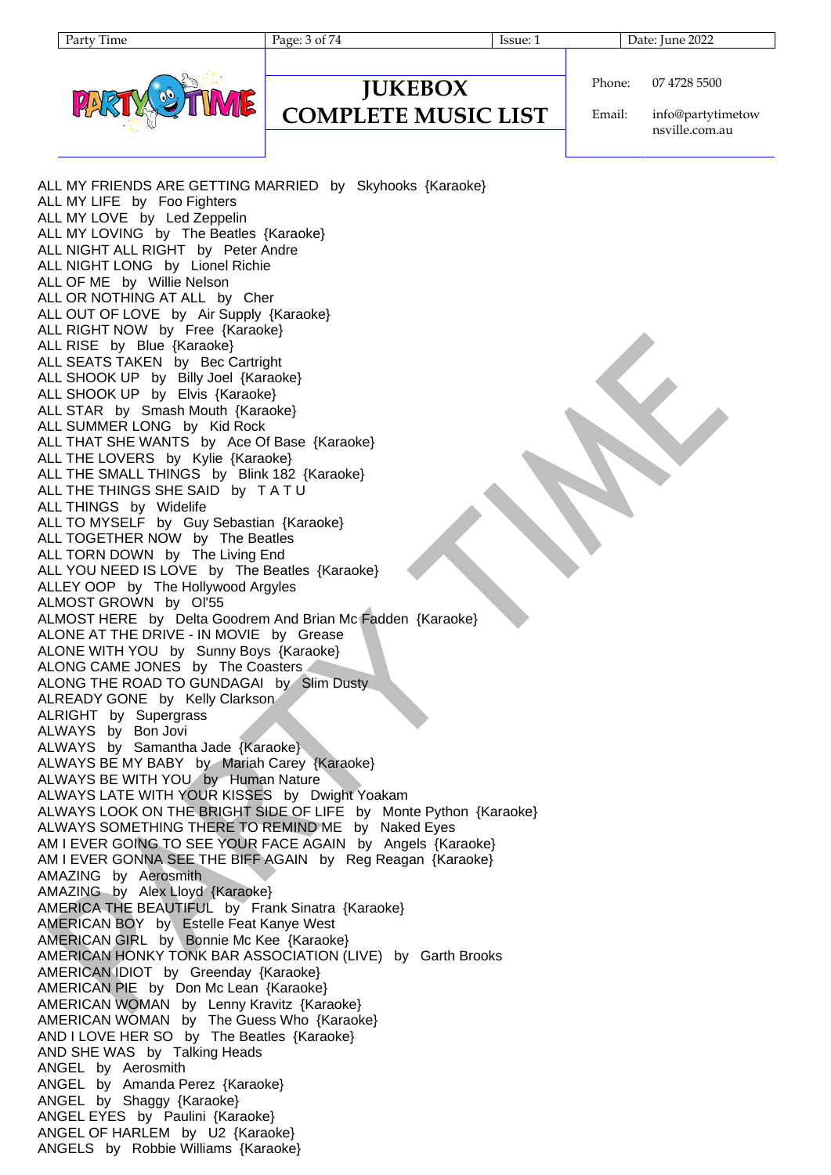| п | ۰<br>п<br>ı<br>16<br>H |
|---|------------------------|
|   |                        |

Page: 3 of 74 Issue: 1 Issue: 1 Date: June 2022

#### **JUKEBOX COMPLETE MUSIC LIST**

Phone: 07 4728 5500

Email: info@partytimetow nsville.com.au

ALL MY FRIENDS ARE GETTING MARRIED by Skyhooks {Karaoke} ALL MY LIFE by Foo Fighters ALL MY LOVE by Led Zeppelin ALL MY LOVING by The Beatles {Karaoke} ALL NIGHT ALL RIGHT by Peter Andre ALL NIGHT LONG by Lionel Richie ALL OF ME by Willie Nelson ALL OR NOTHING AT ALL by Cher ALL OUT OF LOVE by Air Supply {Karaoke} ALL RIGHT NOW by Free {Karaoke} ALL RISE by Blue {Karaoke} ALL SEATS TAKEN by Bec Cartright ALL SHOOK UP by Billy Joel {Karaoke} ALL SHOOK UP by Elvis {Karaoke} ALL STAR by Smash Mouth {Karaoke} ALL SUMMER LONG by Kid Rock ALL THAT SHE WANTS by Ace Of Base {Karaoke} ALL THE LOVERS by Kylie {Karaoke} ALL THE SMALL THINGS by Blink 182 {Karaoke} ALL THE THINGS SHE SAID by T A T U ALL THINGS by Widelife ALL TO MYSELF by Guy Sebastian {Karaoke} ALL TOGETHER NOW by The Beatles ALL TORN DOWN by The Living End ALL YOU NEED IS LOVE by The Beatles {Karaoke} ALLEY OOP by The Hollywood Argyles ALMOST GROWN by Ol'55 ALMOST HERE by Delta Goodrem And Brian Mc Fadden {Karaoke} ALONE AT THE DRIVE - IN MOVIE by Grease ALONE WITH YOU by Sunny Boys {Karaoke} ALONG CAME JONES by The Coasters ALONG THE ROAD TO GUNDAGAI by Slim Dusty ALREADY GONE by Kelly Clarkson ALRIGHT by Supergrass ALWAYS by Bon Jovi ALWAYS by Samantha Jade {Karaoke} ALWAYS BE MY BABY by Mariah Carey {Karaoke} ALWAYS BE WITH YOU by Human Nature ALWAYS LATE WITH YOUR KISSES by Dwight Yoakam ALWAYS LOOK ON THE BRIGHT SIDE OF LIFE by Monte Python {Karaoke} ALWAYS SOMETHING THERE TO REMIND ME by Naked Eyes AM I EVER GOING TO SEE YOUR FACE AGAIN by Angels {Karaoke} AM I EVER GONNA SEE THE BIFF AGAIN by Reg Reagan {Karaoke} AMAZING by Aerosmith AMAZING by Alex Lloyd {Karaoke} AMERICA THE BEAUTIFUL by Frank Sinatra {Karaoke} AMERICAN BOY by Estelle Feat Kanye West AMERICAN GIRL by Bonnie Mc Kee {Karaoke} AMERICAN HONKY TONK BAR ASSOCIATION (LIVE) by Garth Brooks AMERICAN IDIOT by Greenday {Karaoke} AMERICAN PIE by Don Mc Lean {Karaoke} AMERICAN WOMAN by Lenny Kravitz {Karaoke} AMERICAN WOMAN by The Guess Who {Karaoke} AND I LOVE HER SO by The Beatles {Karaoke} AND SHE WAS by Talking Heads ANGEL by Aerosmith ANGEL by Amanda Perez {Karaoke} ANGEL by Shaggy {Karaoke} ANGEL EYES by Paulini {Karaoke} ANGEL OF HARLEM by U2 {Karaoke} ANGELS by Robbie Williams {Karaoke}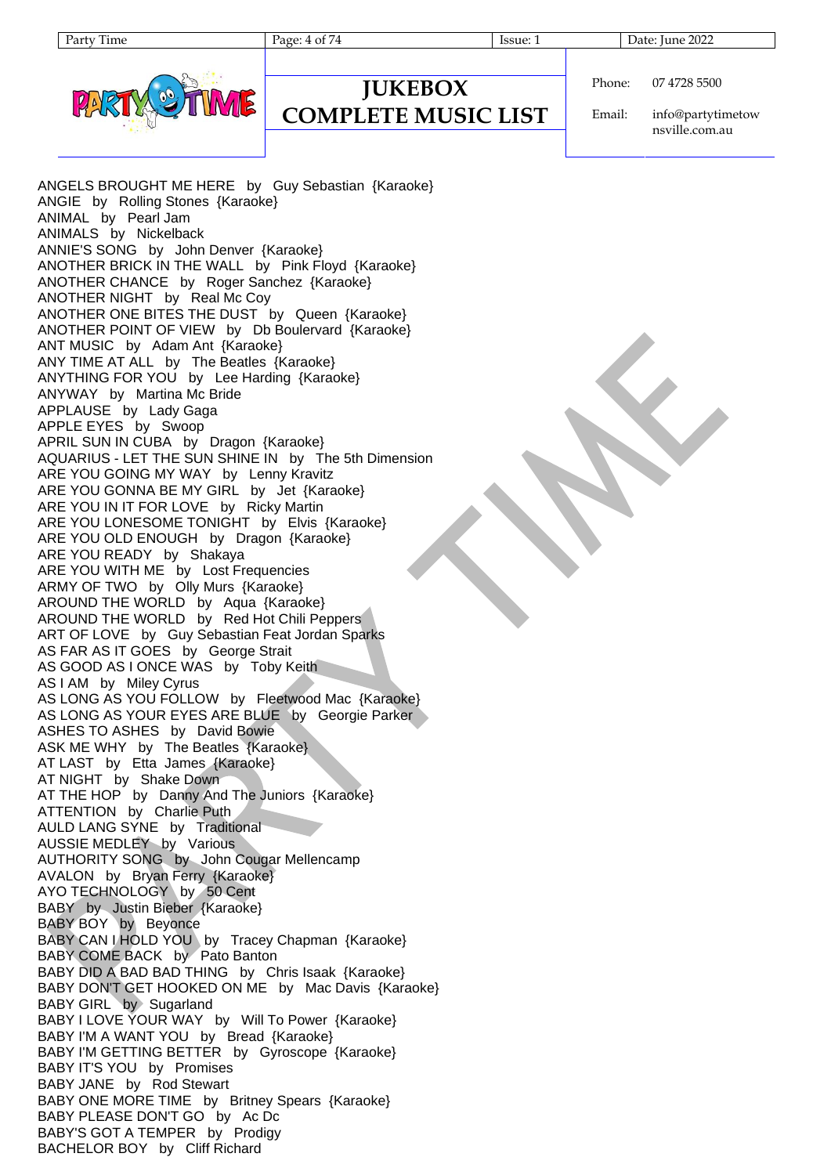#### Phone: 07 4728 5500

#### **JUKEBOX COMPLETE MUSIC LIST**

Party Time Page: 4 of 74 Issue: 1 Date: June 2022

Email:

info@partytimetow nsville.com.au

ANGELS BROUGHT ME HERE by Guy Sebastian {Karaoke} ANGIE by Rolling Stones {Karaoke} ANIMAL by Pearl Jam ANIMALS by Nickelback ANNIE'S SONG by John Denver {Karaoke} ANOTHER BRICK IN THE WALL by Pink Floyd {Karaoke} ANOTHER CHANCE by Roger Sanchez {Karaoke} ANOTHER NIGHT by Real Mc Coy ANOTHER ONE BITES THE DUST by Queen {Karaoke} ANOTHER POINT OF VIEW by Db Boulervard {Karaoke} ANT MUSIC by Adam Ant {Karaoke} ANY TIME AT ALL by The Beatles {Karaoke} ANYTHING FOR YOU by Lee Harding {Karaoke} ANYWAY by Martina Mc Bride APPLAUSE by Lady Gaga APPLE EYES by Swoop APRIL SUN IN CUBA by Dragon {Karaoke} AQUARIUS - LET THE SUN SHINE IN by The 5th Dimension ARE YOU GOING MY WAY by Lenny Kravitz ARE YOU GONNA BE MY GIRL by Jet {Karaoke} ARE YOU IN IT FOR LOVE by Ricky Martin ARE YOU LONESOME TONIGHT by Elvis {Karaoke} ARE YOU OLD ENOUGH by Dragon {Karaoke} ARE YOU READY by Shakaya ARE YOU WITH ME by Lost Frequencies ARMY OF TWO by Olly Murs {Karaoke} AROUND THE WORLD by Aqua {Karaoke} AROUND THE WORLD by Red Hot Chili Peppers ART OF LOVE by Guy Sebastian Feat Jordan Sparks AS FAR AS IT GOES by George Strait AS GOOD AS I ONCE WAS by Toby Keith AS I AM by Miley Cyrus AS LONG AS YOU FOLLOW by Fleetwood Mac {Karaoke} AS LONG AS YOUR EYES ARE BLUE by Georgie Parker ASHES TO ASHES by David Bowie ASK ME WHY by The Beatles {Karaoke} AT LAST by Etta James {Karaoke} AT NIGHT by Shake Down AT THE HOP by Danny And The Juniors {Karaoke} ATTENTION by Charlie Puth AULD LANG SYNE by Traditional AUSSIE MEDLEY by Various AUTHORITY SONG by John Cougar Mellencamp AVALON by Bryan Ferry {Karaoke} AYO TECHNOLOGY by 50 Cent BABY by Justin Bieber {Karaoke} BABY BOY by Beyonce BABY CAN I HOLD YOU by Tracey Chapman {Karaoke} BABY COME BACK by Pato Banton BABY DID A BAD BAD THING by Chris Isaak {Karaoke} BABY DON'T GET HOOKED ON ME by Mac Davis {Karaoke} BABY GIRL by Sugarland BABY I LOVE YOUR WAY by Will To Power {Karaoke} BABY I'M A WANT YOU by Bread {Karaoke} BABY I'M GETTING BETTER by Gyroscope {Karaoke} BABY IT'S YOU by Promises BABY JANE by Rod Stewart BABY ONE MORE TIME by Britney Spears {Karaoke} BABY PLEASE DON'T GO by Ac Dc BABY'S GOT A TEMPER by Prodigy BACHELOR BOY by Cliff Richard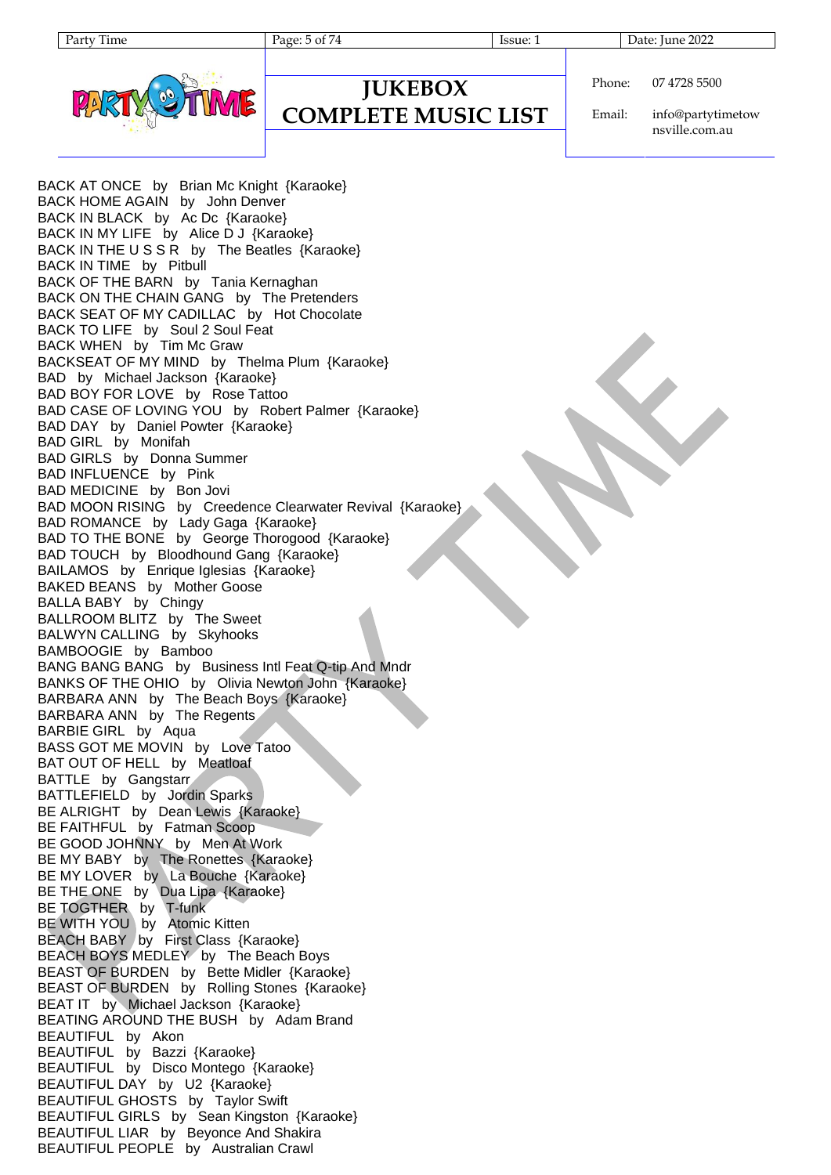Page: 5 of 74 Issue: 1 Issue: 1 Date: June 2022



#### **JUKEBOX COMPLETE MUSIC LIST**

Phone: 07 4728 5500

Email: info@partytimetow nsville.com.au

BACK AT ONCE by Brian Mc Knight {Karaoke} BACK HOME AGAIN by John Denver BACK IN BLACK by Ac Dc {Karaoke} BACK IN MY LIFE by Alice D J {Karaoke} BACK IN THE U S S R by The Beatles {Karaoke} BACK IN TIME by Pitbull BACK OF THE BARN by Tania Kernaghan BACK ON THE CHAIN GANG by The Pretenders BACK SEAT OF MY CADILLAC by Hot Chocolate BACK TO LIFE by Soul 2 Soul Feat BACK WHEN by Tim Mc Graw BACKSEAT OF MY MIND by Thelma Plum {Karaoke} BAD by Michael Jackson {Karaoke} BAD BOY FOR LOVE by Rose Tattoo BAD CASE OF LOVING YOU by Robert Palmer {Karaoke} BAD DAY by Daniel Powter {Karaoke} BAD GIRL by Monifah BAD GIRLS by Donna Summer BAD INFLUENCE by Pink BAD MEDICINE by Bon Jovi BAD MOON RISING by Creedence Clearwater Revival {Karaoke} BAD ROMANCE by Lady Gaga {Karaoke} BAD TO THE BONE by George Thorogood {Karaoke} BAD TOUCH by Bloodhound Gang {Karaoke} BAILAMOS by Enrique Iglesias {Karaoke} BAKED BEANS by Mother Goose BALLA BABY by Chingy BALLROOM BLITZ by The Sweet BALWYN CALLING by Skyhooks BAMBOOGIE by Bamboo BANG BANG BANG by Business Intl Feat Q-tip And Mndr BANKS OF THE OHIO by Olivia Newton John {Karaoke} BARBARA ANN by The Beach Boys {Karaoke} BARBARA ANN by The Regents BARBIE GIRL by Aqua BASS GOT ME MOVIN by Love Tatoo BAT OUT OF HELL by Meatloaf BATTLE by Gangstarr BATTLEFIELD by Jordin Sparks BE ALRIGHT by Dean Lewis {Karaoke} BE FAITHFUL by Fatman Scoop BE GOOD JOHNNY by Men At Work BE MY BABY by The Ronettes {Karaoke} BE MY LOVER by La Bouche {Karaoke} BE THE ONE by Dua Lipa {Karaoke} BE TOGTHER by T-funk BE WITH YOU by Atomic Kitten BEACH BABY by First Class {Karaoke} BEACH BOYS MEDLEY by The Beach Boys BEAST OF BURDEN by Bette Midler {Karaoke} BEAST OF BURDEN by Rolling Stones {Karaoke} BEAT IT by Michael Jackson {Karaoke} BEATING AROUND THE BUSH by Adam Brand BEAUTIFUL by Akon BEAUTIFUL by Bazzi {Karaoke} BEAUTIFUL by Disco Montego {Karaoke} BEAUTIFUL DAY by U2 {Karaoke} BEAUTIFUL GHOSTS by Taylor Swift BEAUTIFUL GIRLS by Sean Kingston {Karaoke} BEAUTIFUL LIAR by Beyonce And Shakira BEAUTIFUL PEOPLE by Australian Crawl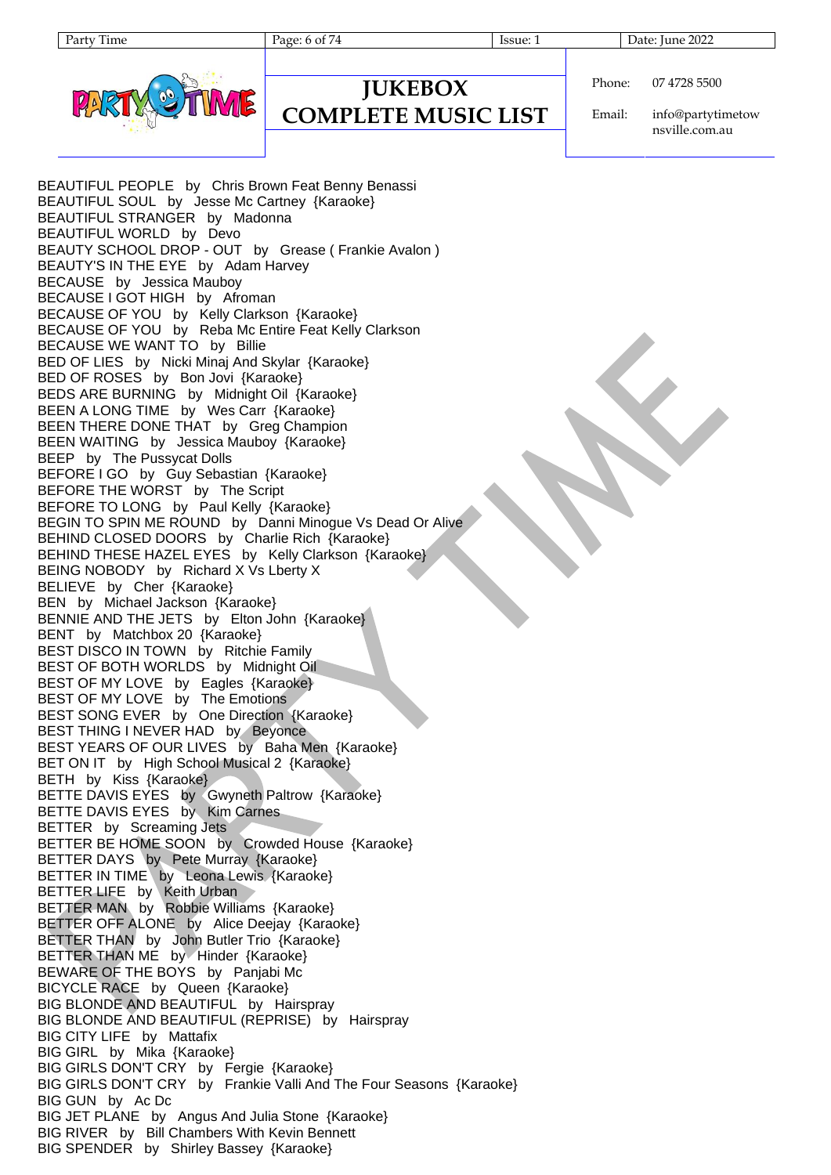

### **JUKEBOX**

## **COMPLETE MUSIC LIST**

Party Time Page: 6 of 74 Issue: 1 Date: June 2022

Phone: 07 4728 5500

Email: info@partytimetow nsville.com.au

BEAUTIFUL PEOPLE by Chris Brown Feat Benny Benassi BEAUTIFUL SOUL by Jesse Mc Cartney {Karaoke} BEAUTIFUL STRANGER by Madonna BEAUTIFUL WORLD by Devo BEAUTY SCHOOL DROP - OUT by Grease ( Frankie Avalon ) BEAUTY'S IN THE EYE by Adam Harvey BECAUSE by Jessica Mauboy BECAUSE I GOT HIGH by Afroman BECAUSE OF YOU by Kelly Clarkson {Karaoke} BECAUSE OF YOU by Reba Mc Entire Feat Kelly Clarkson BECAUSE WE WANT TO by Billie BED OF LIES by Nicki Minaj And Skylar {Karaoke} BED OF ROSES by Bon Jovi {Karaoke} BEDS ARE BURNING by Midnight Oil {Karaoke} BEEN A LONG TIME by Wes Carr {Karaoke} BEEN THERE DONE THAT by Greg Champion BEEN WAITING by Jessica Mauboy {Karaoke} BEEP by The Pussycat Dolls BEFORE I GO by Guy Sebastian {Karaoke} BEFORE THE WORST by The Script BEFORE TO LONG by Paul Kelly {Karaoke} BEGIN TO SPIN ME ROUND by Danni Minogue Vs Dead Or Alive BEHIND CLOSED DOORS by Charlie Rich {Karaoke} BEHIND THESE HAZEL EYES by Kelly Clarkson {Karaoke} BEING NOBODY by Richard X Vs Lberty X BELIEVE by Cher {Karaoke} BEN by Michael Jackson {Karaoke} BENNIE AND THE JETS by Elton John {Karaoke} BENT by Matchbox 20 {Karaoke} BEST DISCO IN TOWN by Ritchie Family BEST OF BOTH WORLDS by Midnight Oil BEST OF MY LOVE by Eagles {Karaoke} BEST OF MY LOVE by The Emotions BEST SONG EVER by One Direction {Karaoke} BEST THING I NEVER HAD by Beyonce BEST YEARS OF OUR LIVES by Baha Men {Karaoke} BET ON IT by High School Musical 2 {Karaoke} BETH by Kiss {Karaoke} BETTE DAVIS EYES by Gwyneth Paltrow {Karaoke} BETTE DAVIS EYES by Kim Carnes BETTER by Screaming Jets BETTER BE HOME SOON by Crowded House {Karaoke} BETTER DAYS by Pete Murray {Karaoke} BETTER IN TIME by Leona Lewis {Karaoke} BETTER LIFE by Keith Urban BETTER MAN by Robbie Williams {Karaoke} BETTER OFF ALONE by Alice Deejay {Karaoke} BETTER THAN by John Butler Trio {Karaoke} BETTER THAN ME by Hinder {Karaoke} BEWARE OF THE BOYS by Panjabi Mc BICYCLE RACE by Queen {Karaoke} BIG BLONDE AND BEAUTIFUL by Hairspray BIG BLONDE AND BEAUTIFUL (REPRISE) by Hairspray BIG CITY LIFE by Mattafix BIG GIRL by Mika {Karaoke} BIG GIRLS DON'T CRY by Fergie {Karaoke} BIG GIRLS DON'T CRY by Frankie Valli And The Four Seasons {Karaoke} BIG GUN by Ac Dc BIG JET PLANE by Angus And Julia Stone {Karaoke} BIG RIVER by Bill Chambers With Kevin Bennett BIG SPENDER by Shirley Bassey {Karaoke}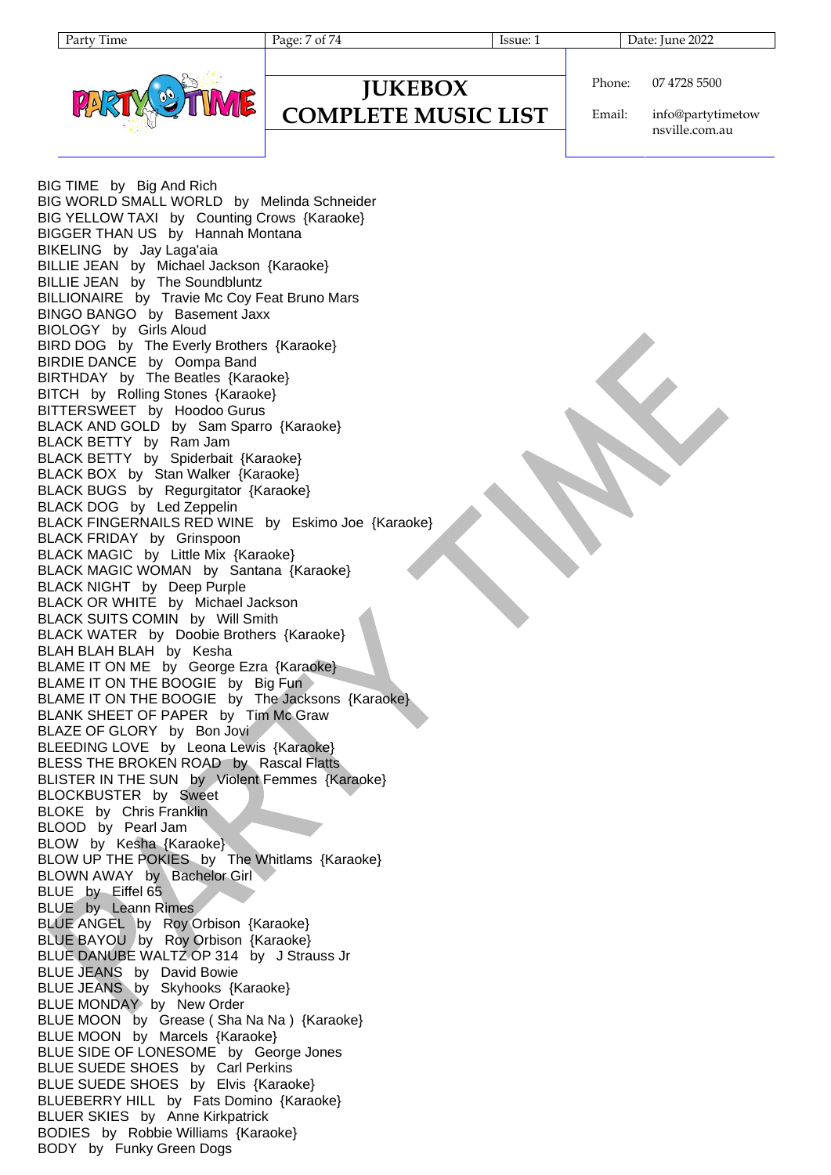Page: 7 of 74 Issue: 1 Issue: 1 Date: June 2022



#### **JUKEBOX COMPLETE MUSIC LIST**

Phone: 07 4728 5500

Email: info@partytimetow nsville.com.au

BIG TIME by Big And Rich BIG WORLD SMALL WORLD by Melinda Schneider BIG YELLOW TAXI by Counting Crows {Karaoke} BIGGER THAN US by Hannah Montana BIKELING by Jay Laga'aia BILLIE JEAN by Michael Jackson {Karaoke} BILLIE JEAN by The Soundbluntz BILLIONAIRE by Travie Mc Coy Feat Bruno Mars BINGO BANGO by Basement Jaxx BIOLOGY by Girls Aloud BIRD DOG by The Everly Brothers {Karaoke} BIRDIE DANCE by Oompa Band BIRTHDAY by The Beatles {Karaoke} BITCH by Rolling Stones {Karaoke} BITTERSWEET by Hoodoo Gurus BLACK AND GOLD by Sam Sparro {Karaoke} BLACK BETTY by Ram Jam BLACK BETTY by Spiderbait {Karaoke} BLACK BOX by Stan Walker {Karaoke} BLACK BUGS by Regurgitator {Karaoke} BLACK DOG by Led Zeppelin BLACK FINGERNAILS RED WINE by Eskimo Joe {Karaoke} BLACK FRIDAY by Grinspoon BLACK MAGIC by Little Mix {Karaoke} BLACK MAGIC WOMAN by Santana {Karaoke} BLACK NIGHT by Deep Purple BLACK OR WHITE by Michael Jackson BLACK SUITS COMIN by Will Smith BLACK WATER by Doobie Brothers {Karaoke} BLAH BLAH BLAH by Kesha BLAME IT ON ME by George Ezra {Karaoke} BLAME IT ON THE BOOGIE by Big Fun BLAME IT ON THE BOOGIE by The Jacksons {Karaoke} BLANK SHEET OF PAPER by Tim Mc Graw BLAZE OF GLORY by Bon Jovi BLEEDING LOVE by Leona Lewis {Karaoke} BLESS THE BROKEN ROAD by Rascal Flatts BLISTER IN THE SUN by Violent Femmes {Karaoke} BLOCKBUSTER by Sweet BLOKE by Chris Franklin BLOOD by Pearl Jam BLOW by Kesha {Karaoke} BLOW UP THE POKIES by The Whitlams {Karaoke} BLOWN AWAY by Bachelor Girl BLUE by Eiffel 65 BLUE by Leann Rimes BLUE ANGEL by Roy Orbison {Karaoke} BLUE BAYOU by Roy Orbison {Karaoke} BLUE DANUBE WALTZ OP 314 by J Strauss Jr BLUE JEANS by David Bowie BLUE JEANS by Skyhooks {Karaoke} BLUE MONDAY by New Order BLUE MOON by Grease ( Sha Na Na ) {Karaoke} BLUE MOON by Marcels {Karaoke} BLUE SIDE OF LONESOME by George Jones BLUE SUEDE SHOES by Carl Perkins BLUE SUEDE SHOES by Elvis {Karaoke} BLUEBERRY HILL by Fats Domino {Karaoke} BLUER SKIES by Anne Kirkpatrick BODIES by Robbie Williams {Karaoke} BODY by Funky Green Dogs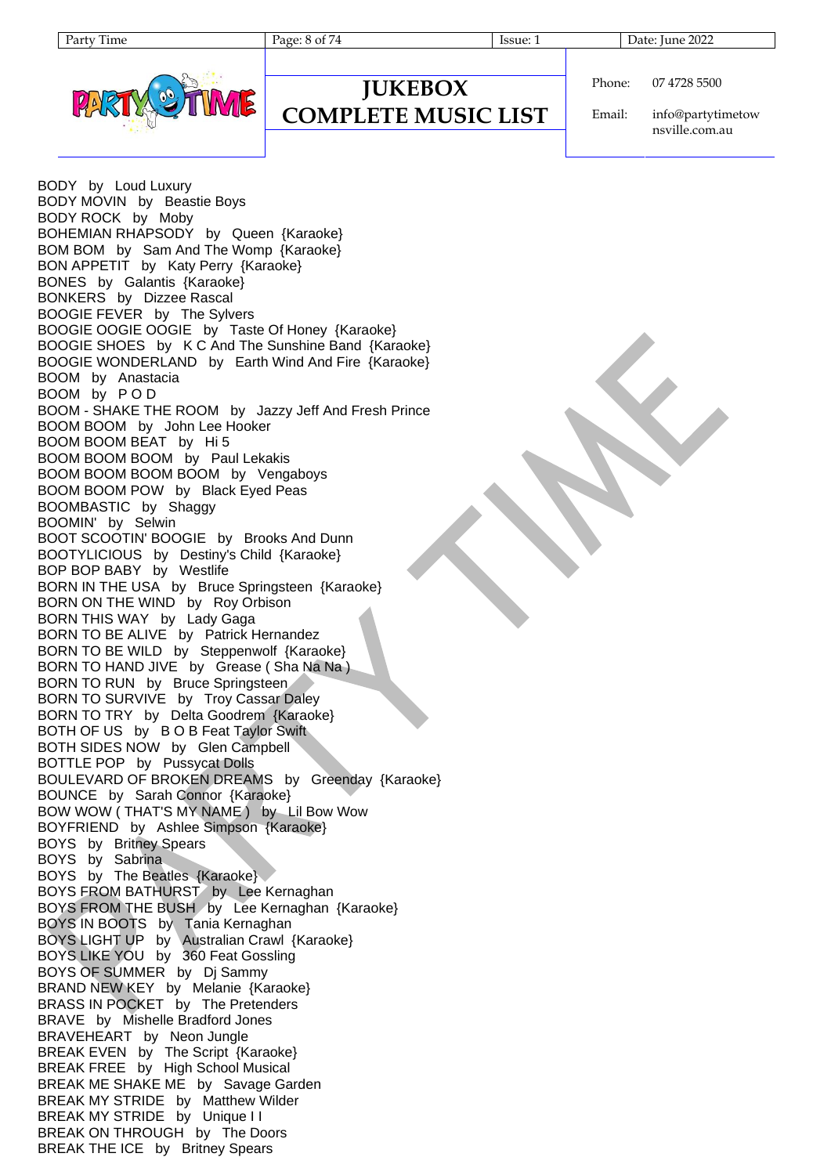

#### **JUKEBOX COMPLETE MUSIC LIST**

Phone: 07 4728 5500

Email: info@partytimetow nsville.com.au

BODY by Loud Luxury BODY MOVIN by Beastie Boys BODY ROCK by Moby BOHEMIAN RHAPSODY by Queen {Karaoke} BOM BOM by Sam And The Womp {Karaoke} BON APPETIT by Katy Perry {Karaoke} BONES by Galantis {Karaoke} BONKERS by Dizzee Rascal BOOGIE FEVER by The Sylvers BOOGIE OOGIE OOGIE by Taste Of Honey {Karaoke} BOOGIE SHOES by K C And The Sunshine Band {Karaoke} BOOGIE WONDERLAND by Earth Wind And Fire {Karaoke} BOOM by Anastacia BOOM by P O D BOOM - SHAKE THE ROOM by Jazzy Jeff And Fresh Prince BOOM BOOM by John Lee Hooker BOOM BOOM BEAT by Hi 5 BOOM BOOM BOOM by Paul Lekakis BOOM BOOM BOOM BOOM by Vengaboys BOOM BOOM POW by Black Eyed Peas BOOMBASTIC by Shaggy BOOMIN' by Selwin BOOT SCOOTIN' BOOGIE by Brooks And Dunn BOOTYLICIOUS by Destiny's Child {Karaoke} BOP BOP BABY by Westlife BORN IN THE USA by Bruce Springsteen {Karaoke} BORN ON THE WIND by Roy Orbison BORN THIS WAY by Lady Gaga BORN TO BE ALIVE by Patrick Hernandez BORN TO BE WILD by Steppenwolf {Karaoke} BORN TO HAND JIVE by Grease ( Sha Na Na ) BORN TO RUN by Bruce Springsteen BORN TO SURVIVE by Troy Cassar Daley BORN TO TRY by Delta Goodrem {Karaoke} BOTH OF US by B O B Feat Taylor Swift BOTH SIDES NOW by Glen Campbell BOTTLE POP by Pussycat Dolls BOULEVARD OF BROKEN DREAMS by Greenday {Karaoke} BOUNCE by Sarah Connor {Karaoke} BOW WOW ( THAT'S MY NAME ) by Lil Bow Wow BOYFRIEND by Ashlee Simpson {Karaoke} BOYS by Britney Spears BOYS by Sabrina BOYS by The Beatles {Karaoke} BOYS FROM BATHURST by Lee Kernaghan BOYS FROM THE BUSH by Lee Kernaghan {Karaoke} BOYS IN BOOTS by Tania Kernaghan BOYS LIGHT UP by Australian Crawl {Karaoke} BOYS LIKE YOU by 360 Feat Gossling BOYS OF SUMMER by Dj Sammy BRAND NEW KEY by Melanie {Karaoke} BRASS IN POCKET by The Pretenders BRAVE by Mishelle Bradford Jones BRAVEHEART by Neon Jungle BREAK EVEN by The Script {Karaoke} BREAK FREE by High School Musical BREAK ME SHAKE ME by Savage Garden BREAK MY STRIDE by Matthew Wilder BREAK MY STRIDE by Unique I I BREAK ON THROUGH by The Doors BREAK THE ICE by Britney Spears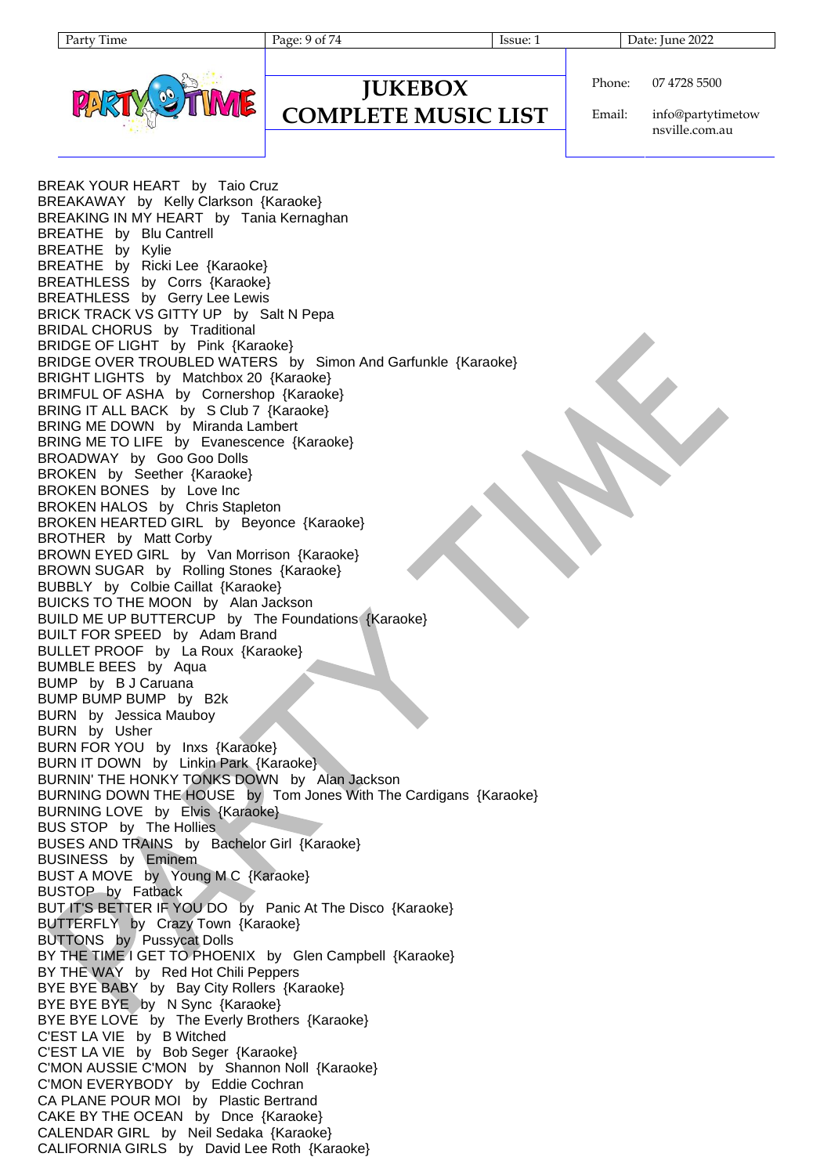Page: 9 of 74 Issue: 1 Issue: 1 Date: June 2022



# **JUKEBOX**

**COMPLETE MUSIC LIST**

Phone: 07 4728 5500

Email: info@partytimetow nsville.com.au

BREAK YOUR HEART by Taio Cruz BREAKAWAY by Kelly Clarkson {Karaoke} BREAKING IN MY HEART by Tania Kernaghan BREATHE by Blu Cantrell BREATHE by Kylie BREATHE by Ricki Lee {Karaoke} BREATHLESS by Corrs {Karaoke} BREATHLESS by Gerry Lee Lewis BRICK TRACK VS GITTY UP by Salt N Pepa BRIDAL CHORUS by Traditional BRIDGE OF LIGHT by Pink {Karaoke} BRIDGE OVER TROUBLED WATERS by Simon And Garfunkle {Karaoke} BRIGHT LIGHTS by Matchbox 20 {Karaoke} BRIMFUL OF ASHA by Cornershop {Karaoke} BRING IT ALL BACK by S Club 7 {Karaoke} BRING ME DOWN by Miranda Lambert BRING ME TO LIFE by Evanescence {Karaoke} BROADWAY by Goo Goo Dolls BROKEN by Seether {Karaoke} BROKEN BONES by Love Inc BROKEN HALOS by Chris Stapleton BROKEN HEARTED GIRL by Beyonce {Karaoke} BROTHER by Matt Corby BROWN EYED GIRL by Van Morrison {Karaoke} BROWN SUGAR by Rolling Stones {Karaoke} BUBBLY by Colbie Caillat {Karaoke} BUICKS TO THE MOON by Alan Jackson BUILD ME UP BUTTERCUP by The Foundations {Karaoke} BUILT FOR SPEED by Adam Brand BULLET PROOF by La Roux {Karaoke} BUMBLE BEES by Aqua BUMP by B J Caruana BUMP BUMP BUMP by B2k BURN by Jessica Mauboy BURN by Usher BURN FOR YOU by Inxs {Karaoke} BURN IT DOWN by Linkin Park {Karaoke} BURNIN' THE HONKY TONKS DOWN by Alan Jackson BURNING DOWN THE HOUSE by Tom Jones With The Cardigans {Karaoke} BURNING LOVE by Elvis {Karaoke} BUS STOP by The Hollies BUSES AND TRAINS by Bachelor Girl {Karaoke} BUSINESS by Eminem BUST A MOVE by Young M C {Karaoke} BUSTOP by Fatback BUT IT'S BETTER IF YOU DO by Panic At The Disco {Karaoke} BUTTERFLY by Crazy Town {Karaoke} BUTTONS by Pussycat Dolls BY THE TIME I GET TO PHOENIX by Glen Campbell {Karaoke} BY THE WAY by Red Hot Chili Peppers BYE BYE BABY by Bay City Rollers {Karaoke} BYE BYE BYE by N Sync {Karaoke} BYE BYE LOVE by The Everly Brothers {Karaoke} C'EST LA VIE by B Witched C'EST LA VIE by Bob Seger {Karaoke} C'MON AUSSIE C'MON by Shannon Noll {Karaoke} C'MON EVERYBODY by Eddie Cochran CA PLANE POUR MOI by Plastic Bertrand CAKE BY THE OCEAN by Dnce {Karaoke} CALENDAR GIRL by Neil Sedaka {Karaoke} CALIFORNIA GIRLS by David Lee Roth {Karaoke}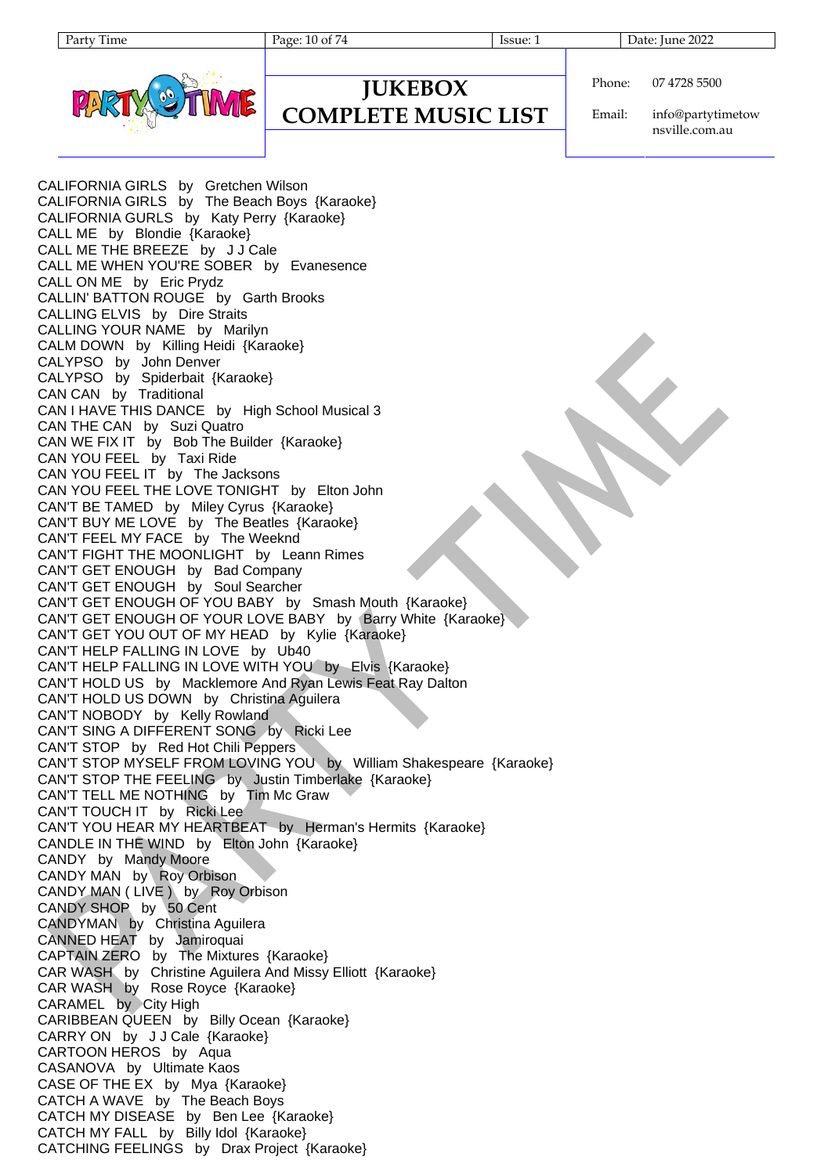Page: 10 of 74 Issue: 1 Issue: 1 Date: June 2022



Phone: 07 4728 5500

**JUKEBOX COMPLETE MUSIC LIST**

Email: info@partytimetow nsville.com.au

CALIFORNIA GIRLS by Gretchen Wilson CALIFORNIA GIRLS by The Beach Boys {Karaoke} CALIFORNIA GURLS by Katy Perry {Karaoke} CALL ME by Blondie {Karaoke} CALL ME THE BREEZE by J J Cale CALL ME WHEN YOU'RE SOBER by Evanesence CALL ON ME by Eric Prydz CALLIN' BATTON ROUGE by Garth Brooks CALLING ELVIS by Dire Straits CALLING YOUR NAME by Marilyn CALM DOWN by Killing Heidi {Karaoke} CALYPSO by John Denver CALYPSO by Spiderbait {Karaoke} CAN CAN by Traditional CAN I HAVE THIS DANCE by High School Musical 3 CAN THE CAN by Suzi Quatro CAN WE FIX IT by Bob The Builder {Karaoke} CAN YOU FEEL by Taxi Ride CAN YOU FEEL IT by The Jacksons CAN YOU FEEL THE LOVE TONIGHT by Elton John CAN'T BE TAMED by Miley Cyrus {Karaoke} CAN'T BUY ME LOVE by The Beatles {Karaoke} CAN'T FEEL MY FACE by The Weeknd CAN'T FIGHT THE MOONLIGHT by Leann Rimes CAN'T GET ENOUGH by Bad Company CAN'T GET ENOUGH by Soul Searcher CAN'T GET ENOUGH OF YOU BABY by Smash Mouth {Karaoke} CAN'T GET ENOUGH OF YOUR LOVE BABY by Barry White {Karaoke} CAN'T GET YOU OUT OF MY HEAD by Kylie {Karaoke} CAN'T HELP FALLING IN LOVE by Ub40 CAN'T HELP FALLING IN LOVE WITH YOU by Elvis {Karaoke} CAN'T HOLD US by Macklemore And Ryan Lewis Feat Ray Dalton CAN'T HOLD US DOWN by Christina Aguilera CAN'T NOBODY by Kelly Rowland CAN'T SING A DIFFERENT SONG by Ricki Lee CAN'T STOP by Red Hot Chili Peppers CAN'T STOP MYSELF FROM LOVING YOU by William Shakespeare {Karaoke} CAN'T STOP THE FEELING by Justin Timberlake {Karaoke} CAN'T TELL ME NOTHING by Tim Mc Graw CAN'T TOUCH IT by Ricki Lee CAN'T YOU HEAR MY HEARTBEAT by Herman's Hermits {Karaoke} CANDLE IN THE WIND by Elton John {Karaoke} CANDY by Mandy Moore CANDY MAN by Roy Orbison CANDY MAN ( LIVE ) by Roy Orbison CANDY SHOP by 50 Cent CANDYMAN by Christina Aguilera CANNED HEAT by Jamiroquai CAPTAIN ZERO by The Mixtures {Karaoke} CAR WASH by Christine Aguilera And Missy Elliott {Karaoke} CAR WASH by Rose Royce {Karaoke} CARAMEL by City High CARIBBEAN QUEEN by Billy Ocean {Karaoke} CARRY ON by J J Cale {Karaoke} CARTOON HEROS by Aqua CASANOVA by Ultimate Kaos CASE OF THE EX by Mya {Karaoke} CATCH A WAVE by The Beach Boys CATCH MY DISEASE by Ben Lee {Karaoke} CATCH MY FALL by Billy Idol {Karaoke} CATCHING FEELINGS by Drax Project {Karaoke}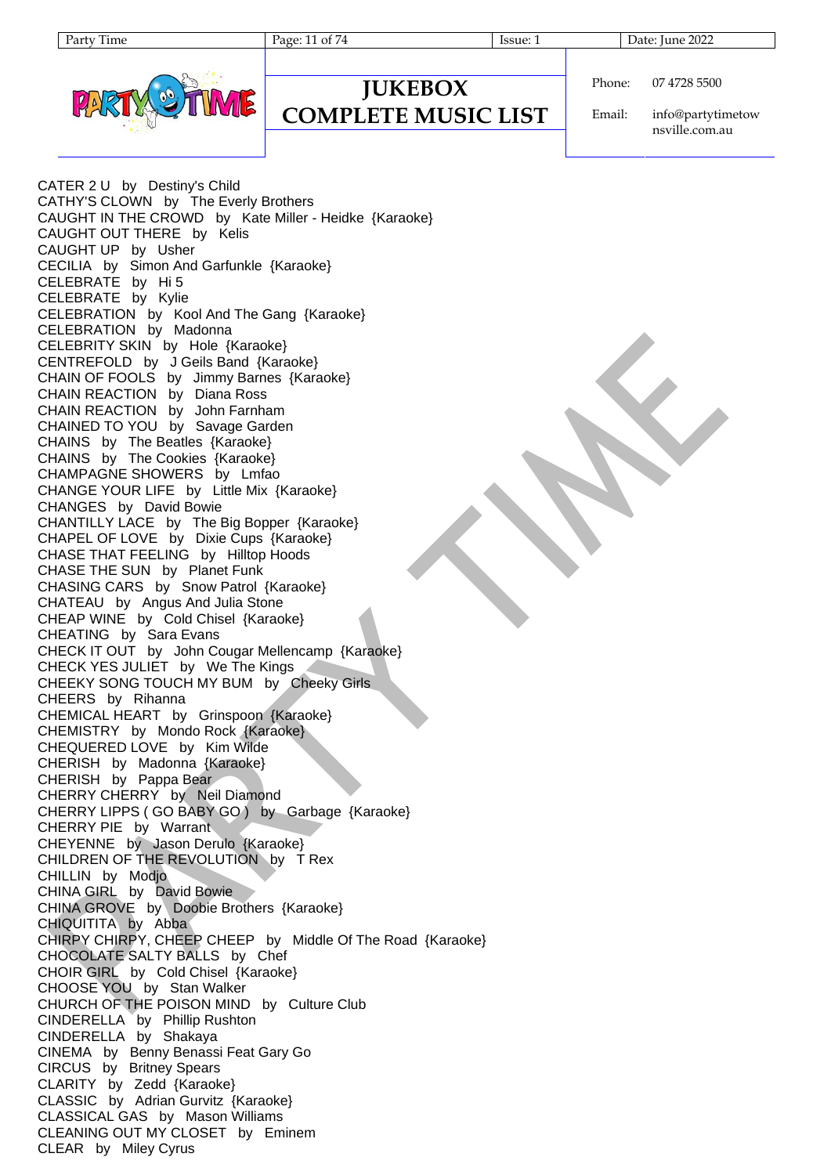Page: 11 of 74 Issue: 1 Issue: 1 Date: June 2022



Phone: 07 4728 5500

**COMPLETE MUSIC LIST**

**JUKEBOX**

Email: info@partytimetow nsville.com.au

CATER 2 U by Destiny's Child CATHY'S CLOWN by The Everly Brothers CAUGHT IN THE CROWD by Kate Miller - Heidke {Karaoke} CAUGHT OUT THERE by Kelis CAUGHT UP by Usher CECILIA by Simon And Garfunkle {Karaoke} CELEBRATE by Hi 5 CELEBRATE by Kylie CELEBRATION by Kool And The Gang {Karaoke} CELEBRATION by Madonna CELEBRITY SKIN by Hole {Karaoke} CENTREFOLD by J Geils Band {Karaoke} CHAIN OF FOOLS by Jimmy Barnes {Karaoke} CHAIN REACTION by Diana Ross CHAIN REACTION by John Farnham CHAINED TO YOU by Savage Garden CHAINS by The Beatles {Karaoke} CHAINS by The Cookies {Karaoke} CHAMPAGNE SHOWERS by Lmfao CHANGE YOUR LIFE by Little Mix {Karaoke} CHANGES by David Bowie CHANTILLY LACE by The Big Bopper {Karaoke} CHAPEL OF LOVE by Dixie Cups {Karaoke} CHASE THAT FEELING by Hilltop Hoods CHASE THE SUN by Planet Funk CHASING CARS by Snow Patrol {Karaoke} CHATEAU by Angus And Julia Stone CHEAP WINE by Cold Chisel {Karaoke} CHEATING by Sara Evans CHECK IT OUT by John Cougar Mellencamp {Karaoke} CHECK YES JULIET by We The Kings CHEEKY SONG TOUCH MY BUM by Cheeky Girls CHEERS by Rihanna CHEMICAL HEART by Grinspoon {Karaoke} CHEMISTRY by Mondo Rock {Karaoke} CHEQUERED LOVE by Kim Wilde CHERISH by Madonna {Karaoke} CHERISH by Pappa Bear CHERRY CHERRY by Neil Diamond CHERRY LIPPS ( GO BABY GO ) by Garbage {Karaoke} CHERRY PIE by Warrant CHEYENNE by Jason Derulo {Karaoke} CHILDREN OF THE REVOLUTION by T Rex CHILLIN by Modjo CHINA GIRL by David Bowie CHINA GROVE by Doobie Brothers {Karaoke} CHIQUITITA by Abba CHIRPY CHIRPY, CHEEP CHEEP by Middle Of The Road {Karaoke} CHOCOLATE SALTY BALLS by Chef CHOIR GIRL by Cold Chisel {Karaoke} CHOOSE YOU by Stan Walker CHURCH OF THE POISON MIND by Culture Club CINDERELLA by Phillip Rushton CINDERELLA by Shakaya CINEMA by Benny Benassi Feat Gary Go CIRCUS by Britney Spears CLARITY by Zedd {Karaoke} CLASSIC by Adrian Gurvitz {Karaoke} CLASSICAL GAS by Mason Williams CLEANING OUT MY CLOSET by Eminem CLEAR by Miley Cyrus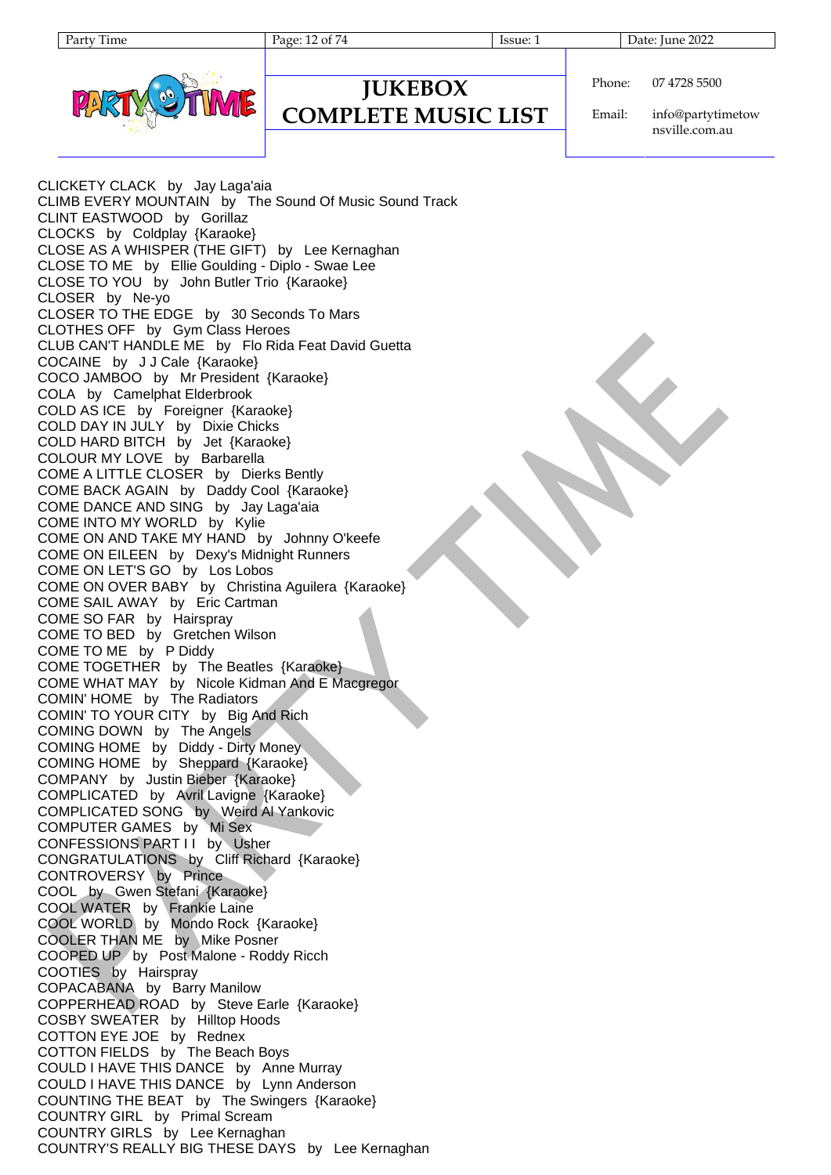Page: 12 of 74 Issue: 1 Issue: 1 Date: June 2022



#### **JUKEBOX COMPLETE MUSIC LIST**

Phone: 07 4728 5500

Email: info@partytimetow nsville.com.au

CLICKETY CLACK by Jay Laga'aia CLIMB EVERY MOUNTAIN by The Sound Of Music Sound Track CLINT EASTWOOD by Gorillaz CLOCKS by Coldplay {Karaoke} CLOSE AS A WHISPER (THE GIFT) by Lee Kernaghan CLOSE TO ME by Ellie Goulding - Diplo - Swae Lee CLOSE TO YOU by John Butler Trio {Karaoke} CLOSER by Ne-yo CLOSER TO THE EDGE by 30 Seconds To Mars CLOTHES OFF by Gym Class Heroes CLUB CAN'T HANDLE ME by Flo Rida Feat David Guetta COCAINE by J J Cale {Karaoke} COCO JAMBOO by Mr President {Karaoke} COLA by Camelphat Elderbrook COLD AS ICE by Foreigner {Karaoke} COLD DAY IN JULY by Dixie Chicks COLD HARD BITCH by Jet {Karaoke} COLOUR MY LOVE by Barbarella COME A LITTLE CLOSER by Dierks Bently COME BACK AGAIN by Daddy Cool {Karaoke} COME DANCE AND SING by Jay Laga'aia COME INTO MY WORLD by Kylie COME ON AND TAKE MY HAND by Johnny O'keefe COME ON EILEEN by Dexy's Midnight Runners COME ON LET'S GO by Los Lobos COME ON OVER BABY by Christina Aguilera {Karaoke} COME SAIL AWAY by Eric Cartman COME SO FAR by Hairspray COME TO BED by Gretchen Wilson COME TO ME by P Diddy COME TOGETHER by The Beatles {Karaoke} COME WHAT MAY by Nicole Kidman And E Macgregor COMIN' HOME by The Radiators COMIN' TO YOUR CITY by Big And Rich COMING DOWN by The Angels COMING HOME by Diddy - Dirty Money COMING HOME by Sheppard {Karaoke} COMPANY by Justin Bieber {Karaoke} COMPLICATED by Avril Lavigne {Karaoke} COMPLICATED SONG by Weird Al Yankovic COMPUTER GAMES by Mi Sex CONFESSIONS PART I I by Usher CONGRATULATIONS by Cliff Richard {Karaoke} CONTROVERSY by Prince COOL by Gwen Stefani {Karaoke} COOL WATER by Frankie Laine COOL WORLD by Mondo Rock {Karaoke} COOLER THAN ME by Mike Posner COOPED UP by Post Malone - Roddy Ricch COOTIES by Hairspray COPACABANA by Barry Manilow COPPERHEAD ROAD by Steve Earle {Karaoke} COSBY SWEATER by Hilltop Hoods COTTON EYE JOE by Rednex COTTON FIELDS by The Beach Boys COULD I HAVE THIS DANCE by Anne Murray COULD I HAVE THIS DANCE by Lynn Anderson COUNTING THE BEAT by The Swingers {Karaoke} COUNTRY GIRL by Primal Scream COUNTRY GIRLS by Lee Kernaghan COUNTRY'S REALLY BIG THESE DAYS by Lee Kernaghan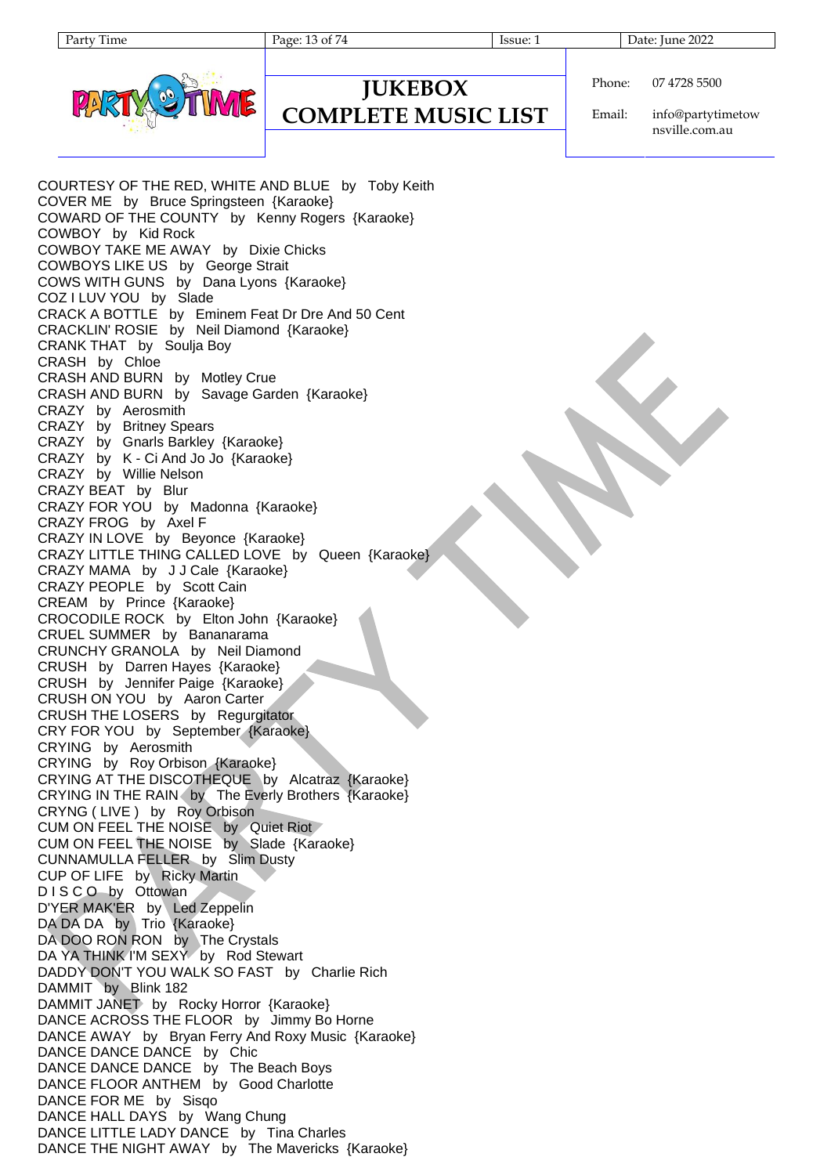| Phone: | 07 4728 5500 |
|--------|--------------|

### **JUKEBOX COMPLETE MUSIC LIST**

Email: info@partytimetow nsville.com.au

COURTESY OF THE RED, WHITE AND BLUE by Toby Keith COVER ME by Bruce Springsteen {Karaoke} COWARD OF THE COUNTY by Kenny Rogers {Karaoke} COWBOY by Kid Rock COWBOY TAKE ME AWAY by Dixie Chicks COWBOYS LIKE US by George Strait COWS WITH GUNS by Dana Lyons {Karaoke} COZ I LUV YOU by Slade CRACK A BOTTLE by Eminem Feat Dr Dre And 50 Cent CRACKLIN' ROSIE by Neil Diamond {Karaoke} CRANK THAT by Soulja Boy CRASH by Chloe CRASH AND BURN by Motley Crue CRASH AND BURN by Savage Garden {Karaoke} CRAZY by Aerosmith CRAZY by Britney Spears CRAZY by Gnarls Barkley {Karaoke} CRAZY by K - Ci And Jo Jo {Karaoke} CRAZY by Willie Nelson CRAZY BEAT by Blur CRAZY FOR YOU by Madonna {Karaoke} CRAZY FROG by Axel F CRAZY IN LOVE by Beyonce {Karaoke} CRAZY LITTLE THING CALLED LOVE by Queen {Karaoke} CRAZY MAMA by J J Cale {Karaoke} CRAZY PEOPLE by Scott Cain CREAM by Prince {Karaoke} CROCODILE ROCK by Elton John {Karaoke} CRUEL SUMMER by Bananarama CRUNCHY GRANOLA by Neil Diamond CRUSH by Darren Hayes {Karaoke} CRUSH by Jennifer Paige {Karaoke} CRUSH ON YOU by Aaron Carter CRUSH THE LOSERS by Regurgitator CRY FOR YOU by September {Karaoke} CRYING by Aerosmith CRYING by Roy Orbison {Karaoke} CRYING AT THE DISCOTHEQUE by Alcatraz {Karaoke} CRYING IN THE RAIN by The Everly Brothers {Karaoke} CRYNG ( LIVE ) by Roy Orbison CUM ON FEEL THE NOISE by Quiet Riot CUM ON FEEL THE NOISE by Slade {Karaoke} CUNNAMULLA FELLER by Slim Dusty CUP OF LIFE by Ricky Martin D I S C O by Ottowan D'YER MAK'ER by Led Zeppelin DA DA DA by Trio {Karaoke} DA DOO RON RON by The Crystals DA YA THINK I'M SEXY by Rod Stewart DADDY DON'T YOU WALK SO FAST by Charlie Rich DAMMIT by Blink 182 DAMMIT JANET by Rocky Horror {Karaoke} DANCE ACROSS THE FLOOR by Jimmy Bo Horne DANCE AWAY by Bryan Ferry And Roxy Music {Karaoke} DANCE DANCE DANCE by Chic DANCE DANCE DANCE by The Beach Boys DANCE FLOOR ANTHEM by Good Charlotte DANCE FOR ME by Sisqo DANCE HALL DAYS by Wang Chung DANCE LITTLE LADY DANCE by Tina Charles DANCE THE NIGHT AWAY by The Mavericks {Karaoke}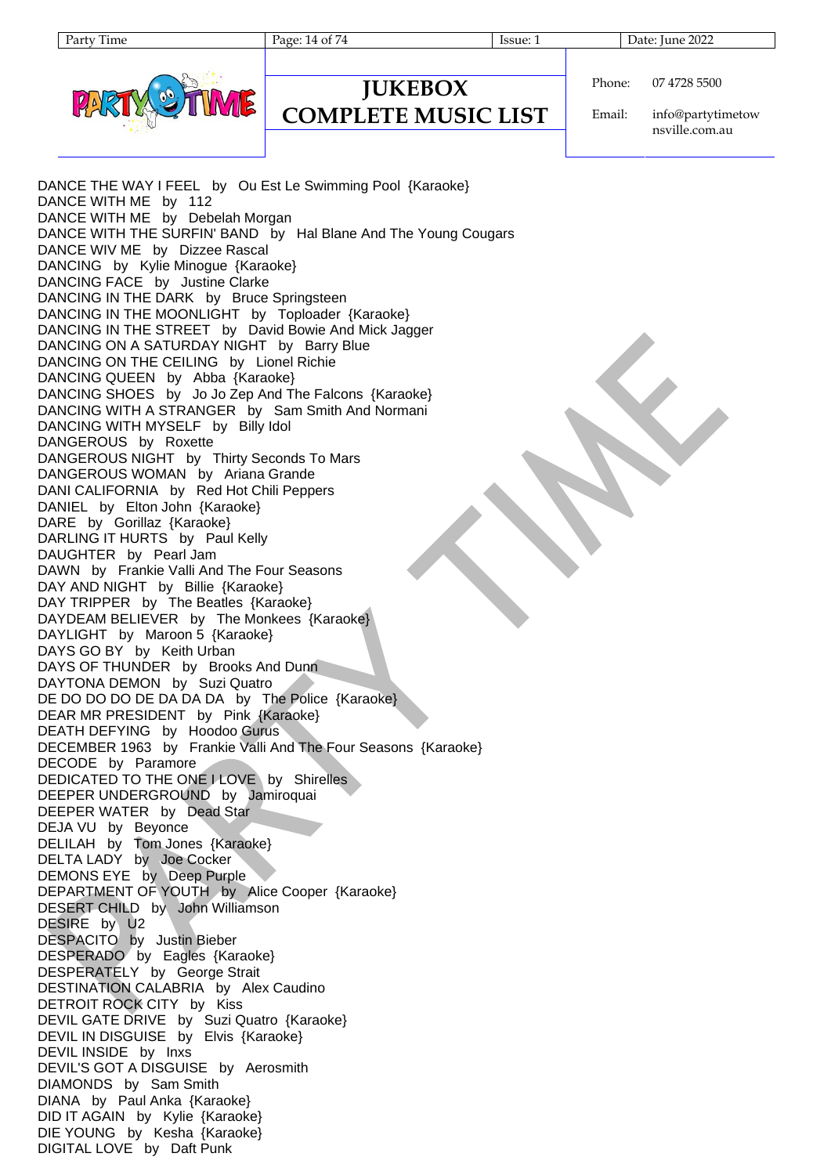Page: 14 of 74 Issue: 1 Issue: 1 Date: June 2022



**JUKEBOX COMPLETE MUSIC LIST**

Phone: 07 4728 5500

Email: info@partytimetow nsville.com.au

DANCE THE WAY I FEEL by Ou Est Le Swimming Pool {Karaoke} DANCE WITH ME by 112 DANCE WITH ME by Debelah Morgan DANCE WITH THE SURFIN' BAND by Hal Blane And The Young Cougars DANCE WIV ME by Dizzee Rascal DANCING by Kylie Minogue {Karaoke} DANCING FACE by Justine Clarke DANCING IN THE DARK by Bruce Springsteen DANCING IN THE MOONLIGHT by Toploader {Karaoke} DANCING IN THE STREET by David Bowie And Mick Jagger DANCING ON A SATURDAY NIGHT by Barry Blue DANCING ON THE CEILING by Lionel Richie DANCING QUEEN by Abba {Karaoke} DANCING SHOES by Jo Jo Zep And The Falcons {Karaoke} DANCING WITH A STRANGER by Sam Smith And Normani DANCING WITH MYSELF by Billy Idol DANGEROUS by Roxette DANGEROUS NIGHT by Thirty Seconds To Mars DANGEROUS WOMAN by Ariana Grande DANI CALIFORNIA by Red Hot Chili Peppers DANIEL by Elton John {Karaoke} DARE by Gorillaz {Karaoke} DARLING IT HURTS by Paul Kelly DAUGHTER by Pearl Jam DAWN by Frankie Valli And The Four Seasons DAY AND NIGHT by Billie {Karaoke} DAY TRIPPER by The Beatles {Karaoke} DAYDEAM BELIEVER by The Monkees {Karaoke} DAYLIGHT by Maroon 5 {Karaoke} DAYS GO BY by Keith Urban DAYS OF THUNDER by Brooks And Dunn DAYTONA DEMON by Suzi Quatro DE DO DO DO DE DA DA DA by The Police {Karaoke} DEAR MR PRESIDENT by Pink {Karaoke} DEATH DEFYING by Hoodoo Gurus DECEMBER 1963 by Frankie Valli And The Four Seasons {Karaoke} DECODE by Paramore DEDICATED TO THE ONE I LOVE by Shirelles DEEPER UNDERGROUND by Jamiroquai DEEPER WATER by Dead Star DEJA VU by Beyonce DELILAH by Tom Jones {Karaoke} DELTA LADY by Joe Cocker DEMONS EYE by Deep Purple DEPARTMENT OF YOUTH by Alice Cooper {Karaoke} DESERT CHILD by John Williamson DESIRE by U2 DESPACITO by Justin Bieber DESPERADO by Eagles {Karaoke} DESPERATELY by George Strait DESTINATION CALABRIA by Alex Caudino DETROIT ROCK CITY by Kiss DEVIL GATE DRIVE by Suzi Quatro {Karaoke} DEVIL IN DISGUISE by Elvis {Karaoke} DEVIL INSIDE by Inxs DEVIL'S GOT A DISGUISE by Aerosmith DIAMONDS by Sam Smith DIANA by Paul Anka {Karaoke} DID IT AGAIN by Kylie {Karaoke} DIE YOUNG by Kesha {Karaoke} DIGITAL LOVE by Daft Punk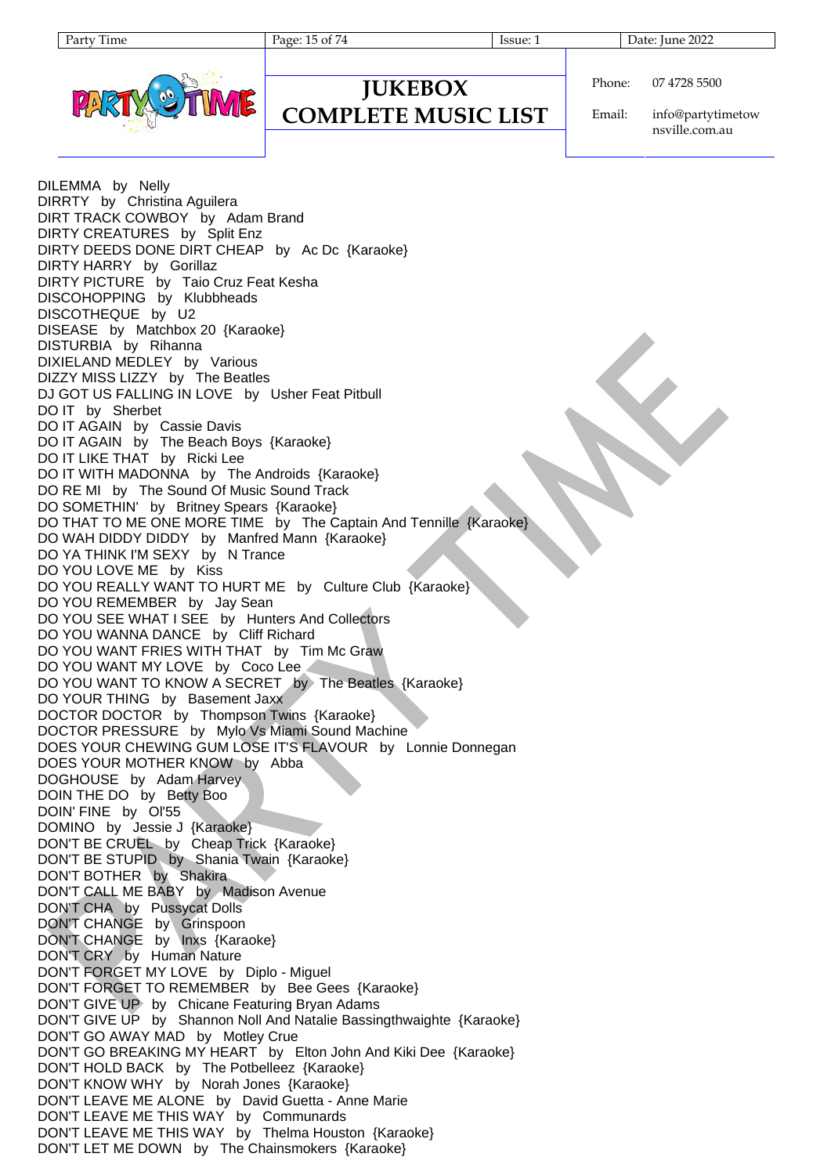Page: 15 of 74 Issue: 1 Issue: 1 Date: June 2022



| Phone: | 07 |
|--------|----|
|        |    |

#### **JUKEBOX COMPLETE MUSIC LIST**

Email: info@partytimetow nsville.com.au

4728 5500

DILEMMA by Nelly DIRRTY by Christina Aguilera DIRT TRACK COWBOY by Adam Brand DIRTY CREATURES by Split Enz DIRTY DEEDS DONE DIRT CHEAP by Ac Dc {Karaoke} DIRTY HARRY by Gorillaz DIRTY PICTURE by Taio Cruz Feat Kesha DISCOHOPPING by Klubbheads DISCOTHEQUE by U2 DISEASE by Matchbox 20 {Karaoke} DISTURBIA by Rihanna DIXIELAND MEDLEY by Various DIZZY MISS LIZZY by The Beatles DJ GOT US FALLING IN LOVE by Usher Feat Pitbull DO IT by Sherbet DO IT AGAIN by Cassie Davis DO IT AGAIN by The Beach Boys {Karaoke} DO IT LIKE THAT by Ricki Lee DO IT WITH MADONNA by The Androids {Karaoke} DO RE MI by The Sound Of Music Sound Track DO SOMETHIN' by Britney Spears {Karaoke} DO THAT TO ME ONE MORE TIME by The Captain And Tennille {Karaoke} DO WAH DIDDY DIDDY by Manfred Mann {Karaoke} DO YA THINK I'M SEXY by N Trance DO YOU LOVE ME by Kiss DO YOU REALLY WANT TO HURT ME by Culture Club {Karaoke} DO YOU REMEMBER by Jay Sean DO YOU SEE WHAT I SEE by Hunters And Collectors DO YOU WANNA DANCE by Cliff Richard DO YOU WANT FRIES WITH THAT by Tim Mc Graw DO YOU WANT MY LOVE by Coco Lee DO YOU WANT TO KNOW A SECRET by The Beatles {Karaoke} DO YOUR THING by Basement Jaxx DOCTOR DOCTOR by Thompson Twins {Karaoke} DOCTOR PRESSURE by Mylo Vs Miami Sound Machine DOES YOUR CHEWING GUM LOSE IT'S FLAVOUR by Lonnie Donnegan DOES YOUR MOTHER KNOW by Abba DOGHOUSE by Adam Harvey DOIN THE DO by Betty Boo DOIN' FINE by Ol'55 DOMINO by Jessie J {Karaoke} DON'T BE CRUEL by Cheap Trick {Karaoke} DON'T BE STUPID by Shania Twain {Karaoke} DON'T BOTHER by Shakira DON'T CALL ME BABY by Madison Avenue DON'T CHA by Pussycat Dolls DON'T CHANGE by Grinspoon DON'T CHANGE by Inxs {Karaoke} DON'T CRY by Human Nature DON'T FORGET MY LOVE by Diplo - Miguel DON'T FORGET TO REMEMBER by Bee Gees {Karaoke} DON'T GIVE UP by Chicane Featuring Bryan Adams DON'T GIVE UP by Shannon Noll And Natalie Bassingthwaighte {Karaoke} DON'T GO AWAY MAD by Motley Crue DON'T GO BREAKING MY HEART by Elton John And Kiki Dee {Karaoke} DON'T HOLD BACK by The Potbelleez {Karaoke} DON'T KNOW WHY by Norah Jones {Karaoke} DON'T LEAVE ME ALONE by David Guetta - Anne Marie DON'T LEAVE ME THIS WAY by Communards DON'T LEAVE ME THIS WAY by Thelma Houston {Karaoke} DON'T LET ME DOWN by The Chainsmokers {Karaoke}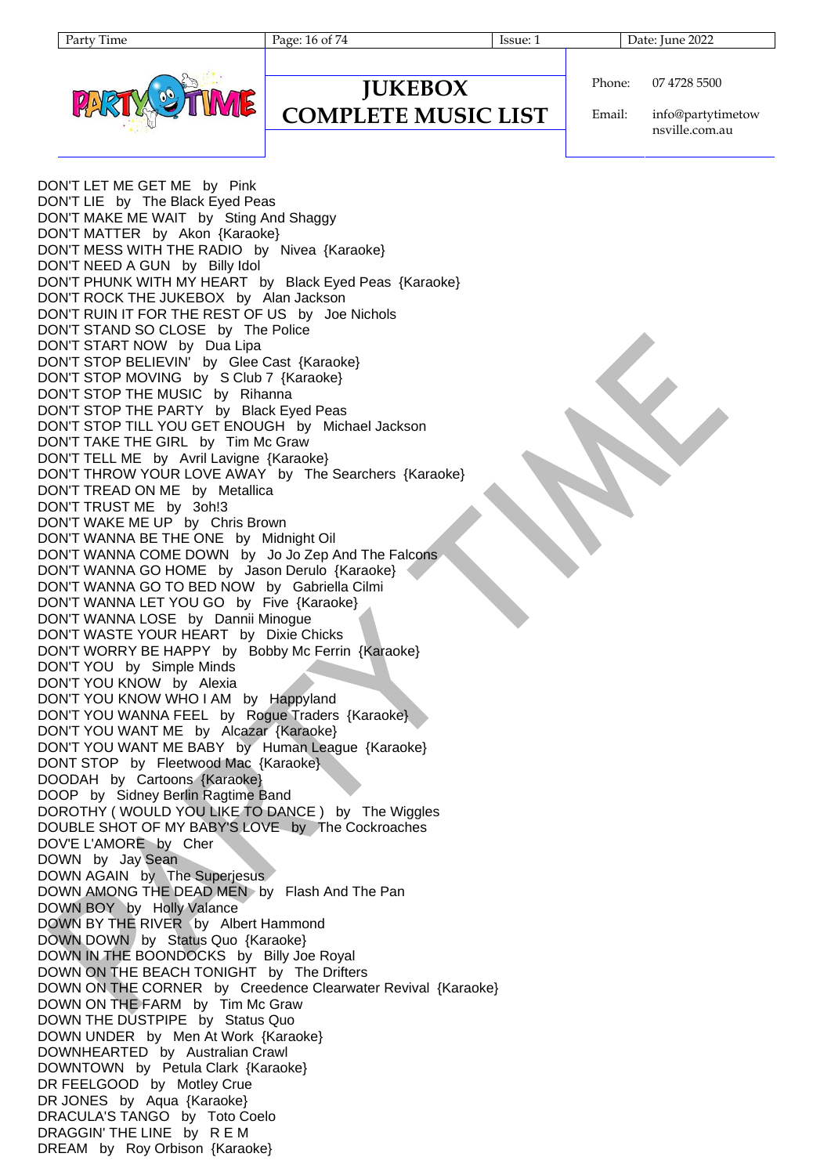Page: 16 of 74 Issue: 1 Issue: 1 Date: June 2022



#### **JUKEBOX COMPLETE MUSIC LIST**

Phone: 07 4728 5500

Email: info@partytimetow nsville.com.au

DON'T LET ME GET ME by Pink DON'T LIE by The Black Eyed Peas DON'T MAKE ME WAIT by Sting And Shaggy DON'T MATTER by Akon {Karaoke} DON'T MESS WITH THE RADIO by Nivea {Karaoke} DON'T NEED A GUN by Billy Idol DON'T PHUNK WITH MY HEART by Black Eyed Peas {Karaoke} DON'T ROCK THE JUKEBOX by Alan Jackson DON'T RUIN IT FOR THE REST OF US by Joe Nichols DON'T STAND SO CLOSE by The Police DON'T START NOW by Dua Lipa DON'T STOP BELIEVIN' by Glee Cast {Karaoke} DON'T STOP MOVING by S Club 7 {Karaoke} DON'T STOP THE MUSIC by Rihanna DON'T STOP THE PARTY by Black Eyed Peas DON'T STOP TILL YOU GET ENOUGH by Michael Jackson DON'T TAKE THE GIRL by Tim Mc Graw DON'T TELL ME by Avril Lavigne {Karaoke} DON'T THROW YOUR LOVE AWAY by The Searchers {Karaoke} DON'T TREAD ON ME by Metallica DON'T TRUST ME by 3oh!3 DON'T WAKE ME UP by Chris Brown DON'T WANNA BE THE ONE by Midnight Oil DON'T WANNA COME DOWN by Jo Jo Zep And The Falcons DON'T WANNA GO HOME by Jason Derulo {Karaoke} DON'T WANNA GO TO BED NOW by Gabriella Cilmi DON'T WANNA LET YOU GO by Five {Karaoke} DON'T WANNA LOSE by Dannii Minogue DON'T WASTE YOUR HEART by Dixie Chicks DON'T WORRY BE HAPPY by Bobby Mc Ferrin {Karaoke} DON'T YOU by Simple Minds DON'T YOU KNOW by Alexia DON'T YOU KNOW WHO I AM by Happyland DON'T YOU WANNA FEEL by Rogue Traders {Karaoke} DON'T YOU WANT ME by Alcazar {Karaoke} DON'T YOU WANT ME BABY by Human League {Karaoke} DONT STOP by Fleetwood Mac {Karaoke} DOODAH by Cartoons {Karaoke} DOOP by Sidney Berlin Ragtime Band DOROTHY ( WOULD YOU LIKE TO DANCE ) by The Wiggles DOUBLE SHOT OF MY BABY'S LOVE by The Cockroaches DOV'E L'AMORE by Cher DOWN by Jay Sean DOWN AGAIN by The Superjesus DOWN AMONG THE DEAD MEN by Flash And The Pan DOWN BOY by Holly Valance DOWN BY THE RIVER by Albert Hammond DOWN DOWN by Status Quo {Karaoke} DOWN IN THE BOONDOCKS by Billy Joe Royal DOWN ON THE BEACH TONIGHT by The Drifters DOWN ON THE CORNER by Creedence Clearwater Revival {Karaoke} DOWN ON THE FARM by Tim Mc Graw DOWN THE DUSTPIPE by Status Quo DOWN UNDER by Men At Work {Karaoke} DOWNHEARTED by Australian Crawl DOWNTOWN by Petula Clark {Karaoke} DR FEELGOOD by Motley Crue DR JONES by Aqua {Karaoke} DRACULA'S TANGO by Toto Coelo DRAGGIN' THE LINE by R E M DREAM by Roy Orbison {Karaoke}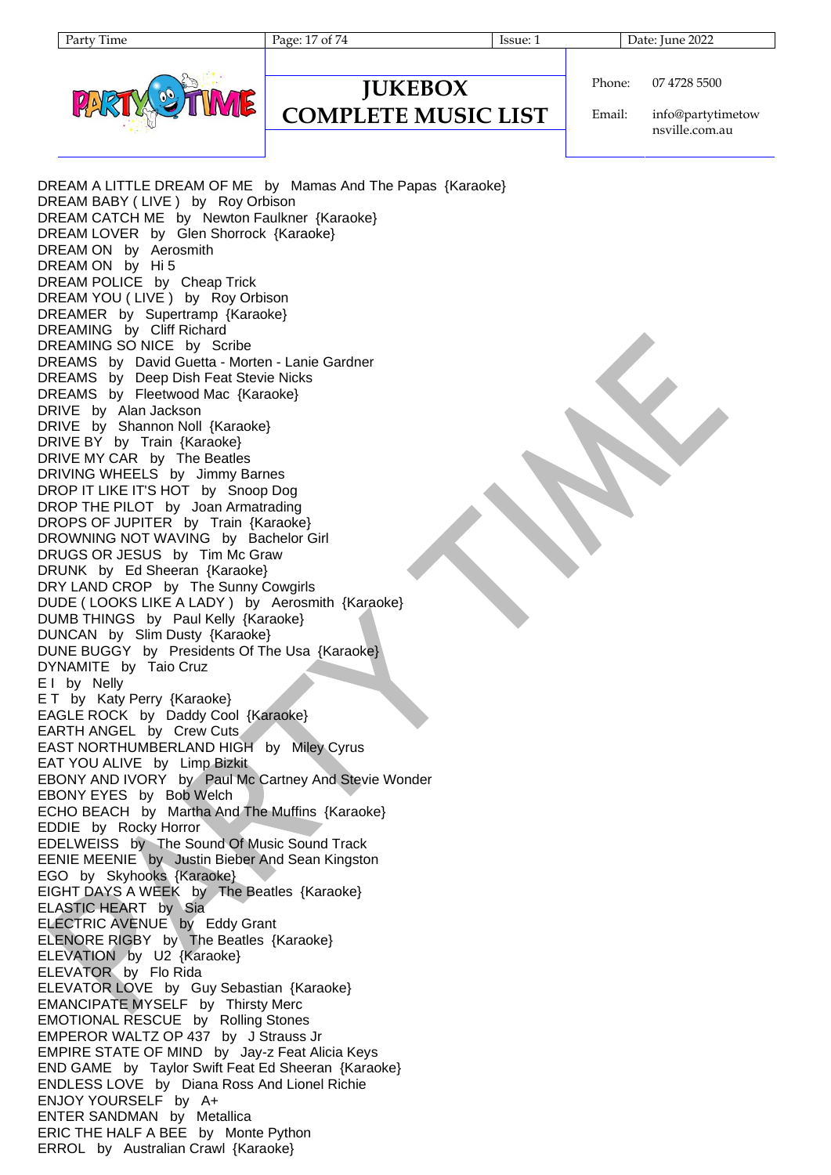Page: 17 of 74 Issue: 1 Issue: 1 Date: June 2022

**JUKEBOX**

**COMPLETE MUSIC LIST**

#### Phone: 07 4728 5500

Email: info@partytimetow nsville.com.au

DREAM A LITTLE DREAM OF ME by Mamas And The Papas {Karaoke} DREAM BABY ( LIVE ) by Roy Orbison DREAM CATCH ME by Newton Faulkner {Karaoke} DREAM LOVER by Glen Shorrock {Karaoke} DREAM ON by Aerosmith DREAM ON by Hi 5 DREAM POLICE by Cheap Trick DREAM YOU (LIVE) by Roy Orbison DREAMER by Supertramp {Karaoke} DREAMING by Cliff Richard DREAMING SO NICE by Scribe DREAMS by David Guetta - Morten - Lanie Gardner DREAMS by Deep Dish Feat Stevie Nicks DREAMS by Fleetwood Mac {Karaoke} DRIVE by Alan Jackson DRIVE by Shannon Noll {Karaoke} DRIVE BY by Train {Karaoke} DRIVE MY CAR by The Beatles DRIVING WHEELS by Jimmy Barnes DROP IT LIKE IT'S HOT by Snoop Dog DROP THE PILOT by Joan Armatrading DROPS OF JUPITER by Train {Karaoke} DROWNING NOT WAVING by Bachelor Girl DRUGS OR JESUS by Tim Mc Graw DRUNK by Ed Sheeran {Karaoke} DRY LAND CROP by The Sunny Cowgirls DUDE ( LOOKS LIKE A LADY ) by Aerosmith {Karaoke} DUMB THINGS by Paul Kelly {Karaoke} DUNCAN by Slim Dusty {Karaoke} DUNE BUGGY by Presidents Of The Usa {Karaoke} DYNAMITE by Taio Cruz E I by Nelly E T by Katy Perry {Karaoke} EAGLE ROCK by Daddy Cool {Karaoke} EARTH ANGEL by Crew Cuts EAST NORTHUMBERLAND HIGH by Miley Cyrus EAT YOU ALIVE by Limp Bizkit EBONY AND IVORY by Paul Mc Cartney And Stevie Wonder EBONY EYES by Bob Welch ECHO BEACH by Martha And The Muffins {Karaoke} EDDIE by Rocky Horror EDELWEISS by The Sound Of Music Sound Track EENIE MEENIE by Justin Bieber And Sean Kingston EGO by Skyhooks {Karaoke} EIGHT DAYS A WEEK by The Beatles {Karaoke} ELASTIC HEART by Sia ELECTRIC AVENUE by Eddy Grant ELENORE RIGBY by The Beatles {Karaoke} ELEVATION by U2 {Karaoke} ELEVATOR by Flo Rida ELEVATOR LOVE by Guy Sebastian {Karaoke} EMANCIPATE MYSELF by Thirsty Merc EMOTIONAL RESCUE by Rolling Stones EMPEROR WALTZ OP 437 by J Strauss Jr EMPIRE STATE OF MIND by Jay-z Feat Alicia Keys END GAME by Taylor Swift Feat Ed Sheeran {Karaoke} ENDLESS LOVE by Diana Ross And Lionel Richie ENJOY YOURSELF by A+ ENTER SANDMAN by Metallica ERIC THE HALF A BEE by Monte Python ERROL by Australian Crawl {Karaoke}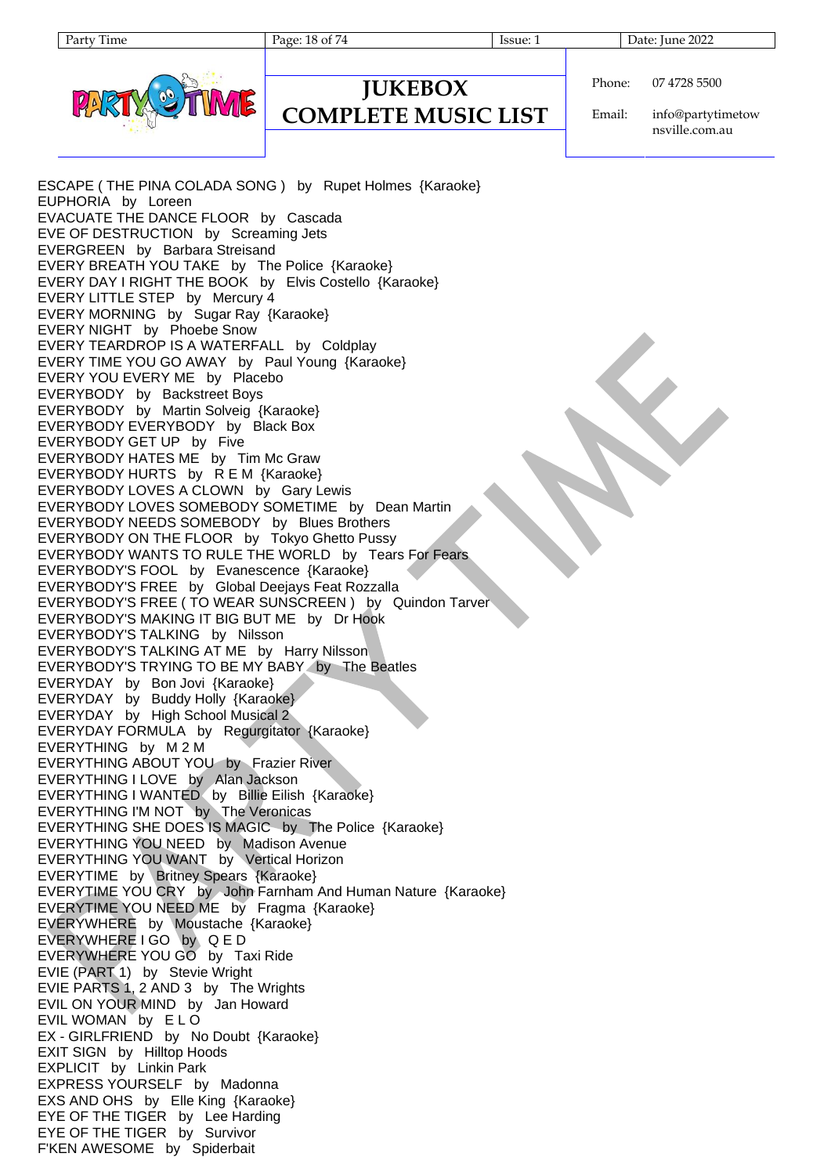Page: 18 of 74 Issue: 1 Issue: 1 Date: June 2022

**JUKEBOX COMPLETE MUSIC LIST** Phone: 07 4728 5500

Email: info@partytimetow nsville.com.au

ESCAPE ( THE PINA COLADA SONG ) by Rupet Holmes {Karaoke} EUPHORIA by Loreen EVACUATE THE DANCE FLOOR by Cascada EVE OF DESTRUCTION by Screaming Jets EVERGREEN by Barbara Streisand EVERY BREATH YOU TAKE by The Police {Karaoke} EVERY DAY I RIGHT THE BOOK by Elvis Costello {Karaoke} EVERY LITTLE STEP by Mercury 4 EVERY MORNING by Sugar Ray {Karaoke} EVERY NIGHT by Phoebe Snow EVERY TEARDROP IS A WATERFALL by Coldplay EVERY TIME YOU GO AWAY by Paul Young {Karaoke} EVERY YOU EVERY ME by Placebo EVERYBODY by Backstreet Boys EVERYBODY by Martin Solveig {Karaoke} EVERYBODY EVERYBODY by Black Box EVERYBODY GET UP by Five EVERYBODY HATES ME by Tim Mc Graw EVERYBODY HURTS by R E M {Karaoke} EVERYBODY LOVES A CLOWN by Gary Lewis EVERYBODY LOVES SOMEBODY SOMETIME by Dean Martin EVERYBODY NEEDS SOMEBODY by Blues Brothers EVERYBODY ON THE FLOOR by Tokyo Ghetto Pussy EVERYBODY WANTS TO RULE THE WORLD by Tears For Fears EVERYBODY'S FOOL by Evanescence {Karaoke} EVERYBODY'S FREE by Global Deejays Feat Rozzalla EVERYBODY'S FREE ( TO WEAR SUNSCREEN ) by Quindon Tarver EVERYBODY'S MAKING IT BIG BUT ME by Dr Hook EVERYBODY'S TALKING by Nilsson EVERYBODY'S TALKING AT ME by Harry Nilsson EVERYBODY'S TRYING TO BE MY BABY by The Beatles EVERYDAY by Bon Jovi {Karaoke} EVERYDAY by Buddy Holly {Karaoke} EVERYDAY by High School Musical 2 EVERYDAY FORMULA by Regurgitator {Karaoke} EVERYTHING by M 2 M EVERYTHING ABOUT YOU by Frazier River EVERYTHING I LOVE by Alan Jackson EVERYTHING I WANTED by Billie Eilish {Karaoke} EVERYTHING I'M NOT by The Veronicas EVERYTHING SHE DOES IS MAGIC by The Police {Karaoke} EVERYTHING YOU NEED by Madison Avenue EVERYTHING YOU WANT by Vertical Horizon EVERYTIME by Britney Spears {Karaoke} EVERYTIME YOU CRY by John Farnham And Human Nature {Karaoke} EVERYTIME YOU NEED ME by Fragma {Karaoke} EVERYWHERE by Moustache {Karaoke} EVERYWHERE I GO by Q E D EVERYWHERE YOU GO by Taxi Ride EVIE (PART 1) by Stevie Wright EVIE PARTS 1, 2 AND 3 by The Wrights EVIL ON YOUR MIND by Jan Howard EVIL WOMAN by E L O EX - GIRLFRIEND by No Doubt {Karaoke} EXIT SIGN by Hilltop Hoods EXPLICIT by Linkin Park EXPRESS YOURSELF by Madonna EXS AND OHS by Elle King {Karaoke} EYE OF THE TIGER by Lee Harding EYE OF THE TIGER by Survivor F'KEN AWESOME by Spiderbait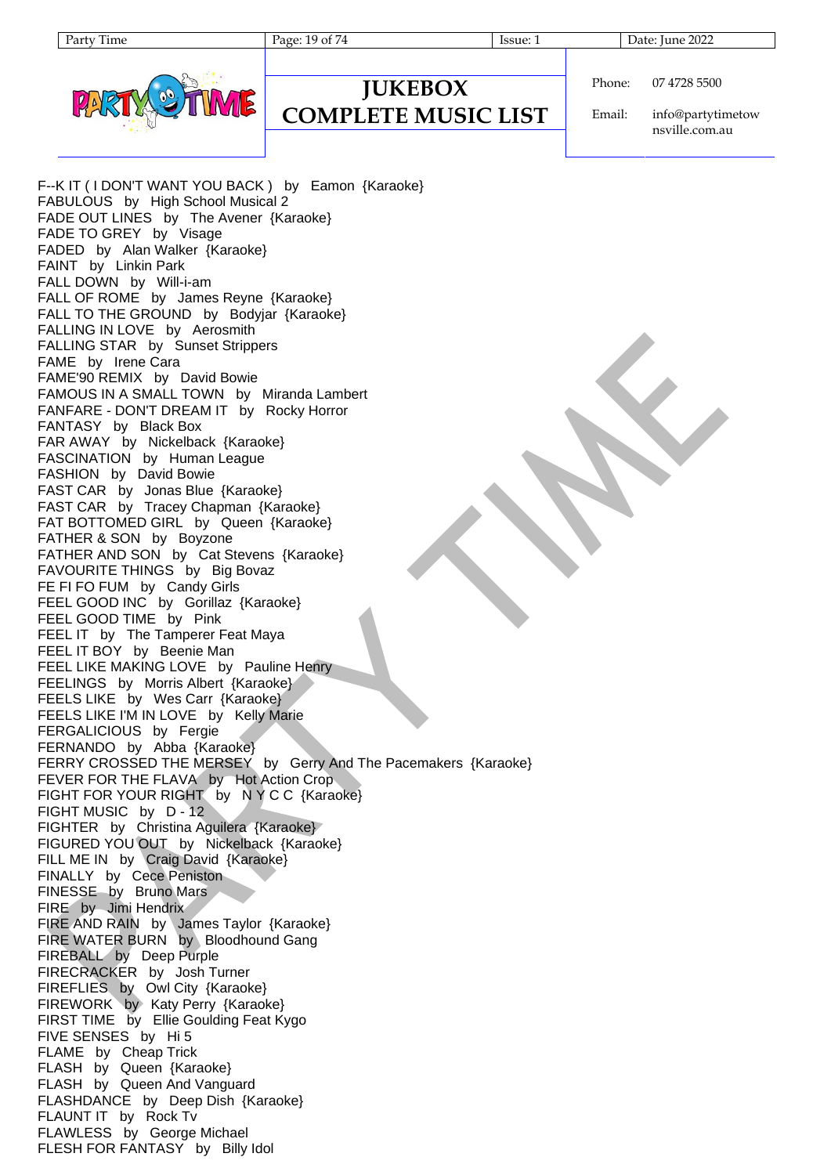Page: 19 of 74 Issue: 1 Issue: 1 Date: June 2022

| Phone: | 07 4728 |
|--------|---------|

### **JUKEBOX COMPLETE MUSIC LIST**

Email: info@partytimetow nsville.com.au

5500

F--K IT ( I DON'T WANT YOU BACK ) by Eamon {Karaoke} FABULOUS by High School Musical 2 FADE OUT LINES by The Avener {Karaoke} FADE TO GREY by Visage FADED by Alan Walker {Karaoke} FAINT by Linkin Park FALL DOWN by Will-i-am FALL OF ROME by James Reyne {Karaoke} FALL TO THE GROUND by Bodyjar {Karaoke} FALLING IN LOVE by Aerosmith FALLING STAR by Sunset Strippers FAME by Irene Cara FAME'90 REMIX by David Bowie FAMOUS IN A SMALL TOWN by Miranda Lambert FANFARE - DON'T DREAM IT by Rocky Horror FANTASY by Black Box FAR AWAY by Nickelback {Karaoke} FASCINATION by Human League FASHION by David Bowie FAST CAR by Jonas Blue {Karaoke} FAST CAR by Tracey Chapman {Karaoke} FAT BOTTOMED GIRL by Queen {Karaoke} FATHER & SON by Boyzone FATHER AND SON by Cat Stevens {Karaoke} FAVOURITE THINGS by Big Bovaz FE FI FO FUM by Candy Girls FEEL GOOD INC by Gorillaz {Karaoke} FEEL GOOD TIME by Pink FEEL IT by The Tamperer Feat Maya FEEL IT BOY by Beenie Man FEEL LIKE MAKING LOVE by Pauline Henry FEELINGS by Morris Albert {Karaoke} FEELS LIKE by Wes Carr {Karaoke} FEELS LIKE I'M IN LOVE by Kelly Marie FERGALICIOUS by Fergie FERNANDO by Abba {Karaoke} FERRY CROSSED THE MERSEY by Gerry And The Pacemakers {Karaoke} FEVER FOR THE FLAVA by Hot Action Crop FIGHT FOR YOUR RIGHT by N Y C C {Karaoke} FIGHT MUSIC by D - 12 FIGHTER by Christina Aguilera {Karaoke} FIGURED YOU OUT by Nickelback {Karaoke} FILL ME IN by Craig David {Karaoke} FINALLY by Cece Peniston FINESSE by Bruno Mars FIRE by Jimi Hendrix FIRE AND RAIN by James Taylor {Karaoke} FIRE WATER BURN by Bloodhound Gang FIREBALL by Deep Purple FIRECRACKER by Josh Turner FIREFLIES by Owl City {Karaoke} FIREWORK by Katy Perry {Karaoke} FIRST TIME by Ellie Goulding Feat Kygo FIVE SENSES by Hi 5 FLAME by Cheap Trick FLASH by Queen {Karaoke} FLASH by Queen And Vanguard FLASHDANCE by Deep Dish {Karaoke} FLAUNT IT by Rock Tv FLAWLESS by George Michael FLESH FOR FANTASY by Billy Idol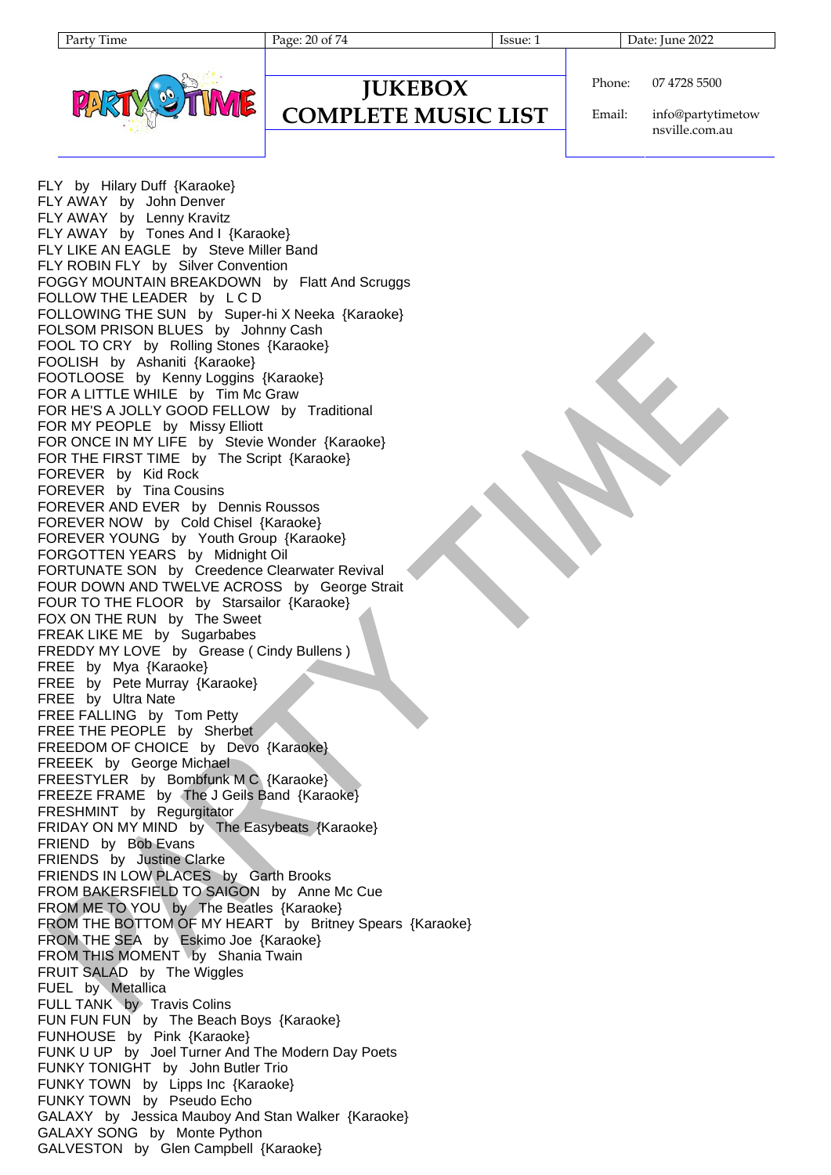

#### **JUKEBOX COMPLETE MUSIC LIST**

Phone: 07 4728 5500

Email: info@partytimetow nsville.com.au

FLY by Hilary Duff {Karaoke} FLY AWAY by John Denver FLY AWAY by Lenny Kravitz FLY AWAY by Tones And I {Karaoke} FLY LIKE AN EAGLE by Steve Miller Band FLY ROBIN FLY by Silver Convention FOGGY MOUNTAIN BREAKDOWN by Flatt And Scruggs FOLLOW THE LEADER by L C D FOLLOWING THE SUN by Super-hi X Neeka {Karaoke} FOLSOM PRISON BLUES by Johnny Cash FOOL TO CRY by Rolling Stones {Karaoke} FOOLISH by Ashaniti {Karaoke} FOOTLOOSE by Kenny Loggins {Karaoke} FOR A LITTLE WHILE by Tim Mc Graw FOR HE'S A JOLLY GOOD FELLOW by Traditional FOR MY PEOPLE by Missy Elliott FOR ONCE IN MY LIFE by Stevie Wonder {Karaoke} FOR THE FIRST TIME by The Script {Karaoke} FOREVER by Kid Rock FOREVER by Tina Cousins FOREVER AND EVER by Dennis Roussos FOREVER NOW by Cold Chisel {Karaoke} FOREVER YOUNG by Youth Group {Karaoke} FORGOTTEN YEARS by Midnight Oil FORTUNATE SON by Creedence Clearwater Revival FOUR DOWN AND TWELVE ACROSS by George Strait FOUR TO THE FLOOR by Starsailor {Karaoke} FOX ON THE RUN by The Sweet FREAK LIKE ME by Sugarbabes FREDDY MY LOVE by Grease ( Cindy Bullens ) FREE by Mya {Karaoke} FREE by Pete Murray {Karaoke} FREE by Ultra Nate FREE FALLING by Tom Petty FREE THE PEOPLE by Sherbet FREEDOM OF CHOICE by Devo {Karaoke} FREEEK by George Michael FREESTYLER by Bombfunk M C {Karaoke} FREEZE FRAME by The J Geils Band {Karaoke} FRESHMINT by Regurgitator FRIDAY ON MY MIND by The Easybeats {Karaoke} FRIEND by Bob Evans FRIENDS by Justine Clarke FRIENDS IN LOW PLACES by Garth Brooks FROM BAKERSFIELD TO SAIGON by Anne Mc Cue FROM ME TO YOU by The Beatles {Karaoke} FROM THE BOTTOM OF MY HEART by Britney Spears {Karaoke} FROM THE SEA by Eskimo Joe {Karaoke} FROM THIS MOMENT by Shania Twain FRUIT SALAD by The Wiggles FUEL by Metallica FULL TANK by Travis Colins FUN FUN FUN by The Beach Boys {Karaoke} FUNHOUSE by Pink {Karaoke} FUNK U UP by Joel Turner And The Modern Day Poets FUNKY TONIGHT by John Butler Trio FUNKY TOWN by Lipps Inc {Karaoke} FUNKY TOWN by Pseudo Echo GALAXY by Jessica Mauboy And Stan Walker {Karaoke} GALAXY SONG by Monte Python GALVESTON by Glen Campbell {Karaoke}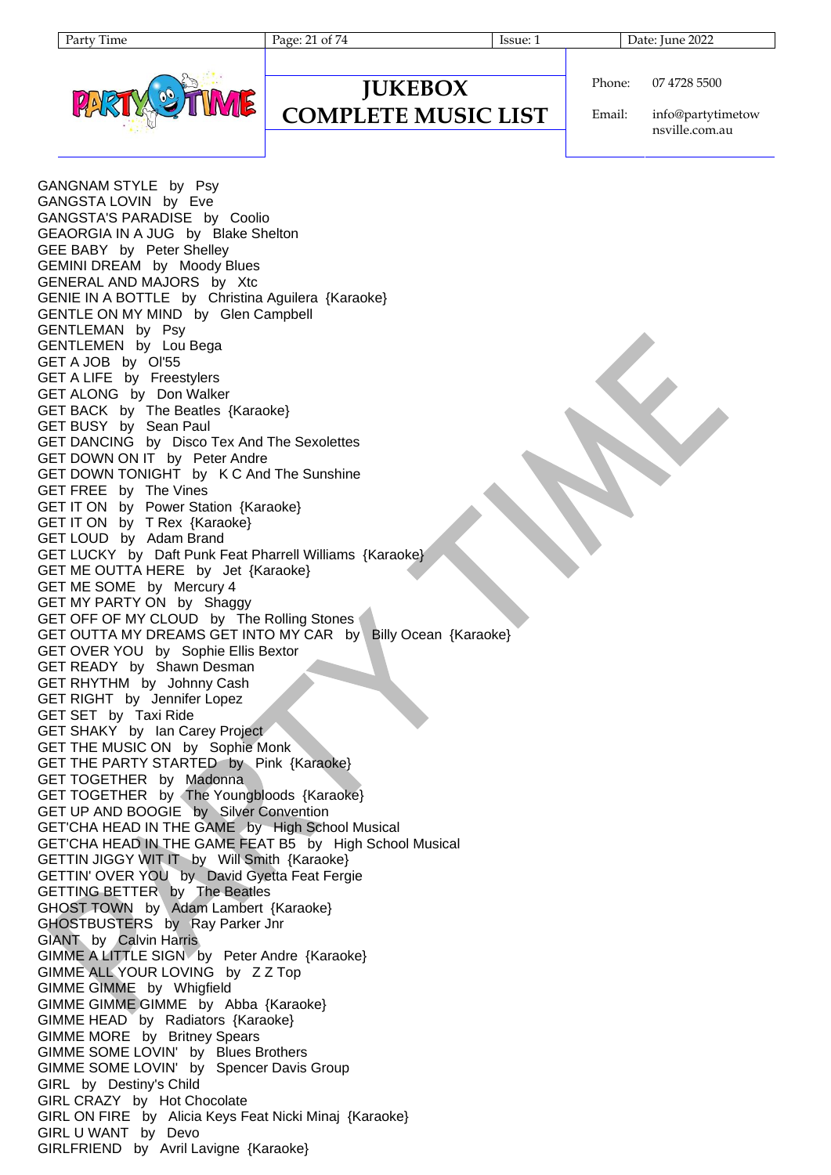| aг | 11me |
|----|------|
|----|------|



#### **JUKEBOX COMPLETE MUSIC LIST**

Phone: 07 4728 5500

Email: info@partytimetow nsville.com.au

GANGNAM STYLE by Psy GANGSTA LOVIN by Eve GANGSTA'S PARADISE by Coolio GEAORGIA IN A JUG by Blake Shelton GEE BABY by Peter Shelley GEMINI DREAM by Moody Blues GENERAL AND MAJORS by Xtc GENIE IN A BOTTLE by Christina Aguilera {Karaoke} GENTLE ON MY MIND by Glen Campbell GENTLEMAN by Psy GENTLEMEN by Lou Bega GET A JOB by Ol'55 GET A LIFE by Freestylers GET ALONG by Don Walker GET BACK by The Beatles {Karaoke} GET BUSY by Sean Paul GET DANCING by Disco Tex And The Sexolettes GET DOWN ON IT by Peter Andre GET DOWN TONIGHT by K C And The Sunshine GET FREE by The Vines GET IT ON by Power Station {Karaoke} GET IT ON by T Rex {Karaoke} GET LOUD by Adam Brand GET LUCKY by Daft Punk Feat Pharrell Williams {Karaoke} GET ME OUTTA HERE by Jet {Karaoke} GET ME SOME by Mercury 4 GET MY PARTY ON by Shaggy GET OFF OF MY CLOUD by The Rolling Stones GET OUTTA MY DREAMS GET INTO MY CAR by Billy Ocean {Karaoke} GET OVER YOU by Sophie Ellis Bextor GET READY by Shawn Desman GET RHYTHM by Johnny Cash GET RIGHT by Jennifer Lopez GET SET by Taxi Ride GET SHAKY by Ian Carey Project GET THE MUSIC ON by Sophie Monk GET THE PARTY STARTED by Pink {Karaoke} GET TOGETHER by Madonna GET TOGETHER by The Youngbloods {Karaoke} GET UP AND BOOGIE by Silver Convention GET'CHA HEAD IN THE GAME by High School Musical GET'CHA HEAD IN THE GAME FEAT B5 by High School Musical GETTIN JIGGY WIT IT by Will Smith {Karaoke} GETTIN' OVER YOU by David Gyetta Feat Fergie GETTING BETTER by The Beatles GHOST TOWN by Adam Lambert {Karaoke} GHOSTBUSTERS by Ray Parker Jnr GIANT by Calvin Harris GIMME A LITTLE SIGN by Peter Andre {Karaoke} GIMME ALL YOUR LOVING by Z Z Top GIMME GIMME by Whigfield GIMME GIMME GIMME by Abba {Karaoke} GIMME HEAD by Radiators {Karaoke} GIMME MORE by Britney Spears GIMME SOME LOVIN' by Blues Brothers GIMME SOME LOVIN' by Spencer Davis Group GIRL by Destiny's Child GIRL CRAZY by Hot Chocolate GIRL ON FIRE by Alicia Keys Feat Nicki Minaj {Karaoke} GIRL U WANT by Devo GIRLFRIEND by Avril Lavigne {Karaoke}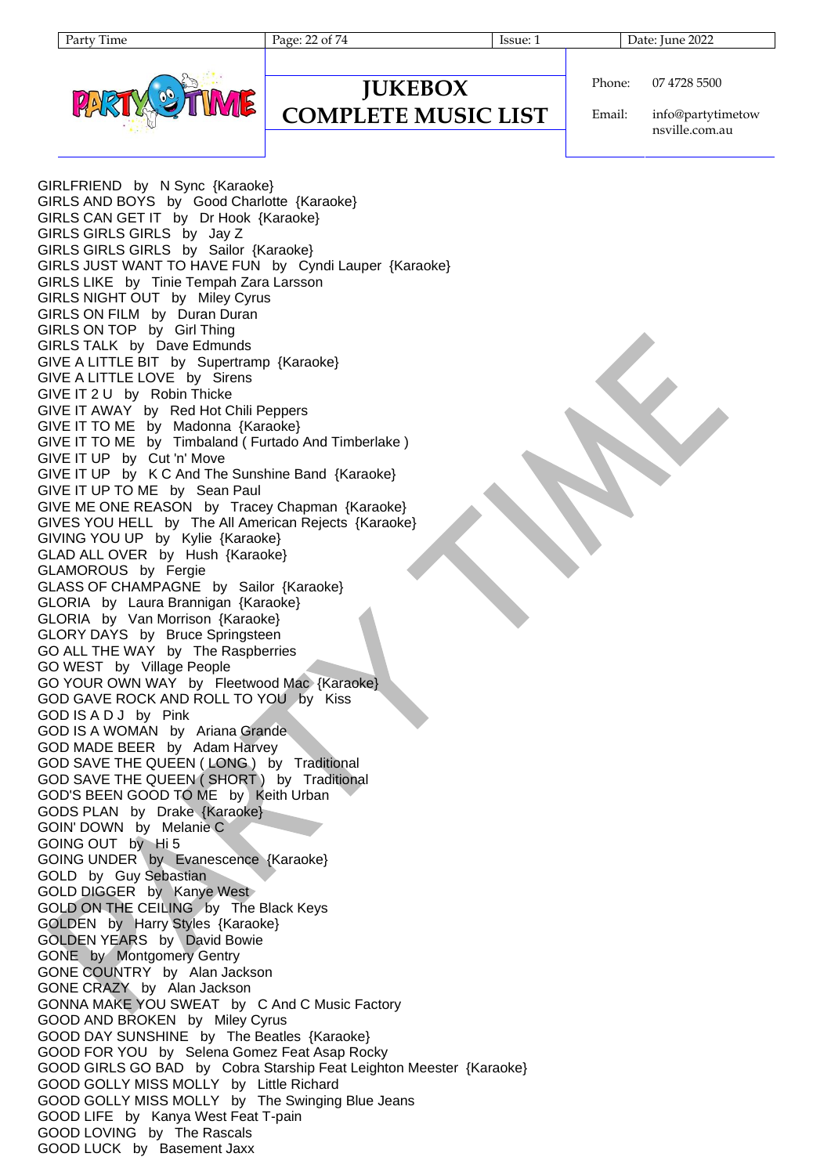Party Time Page: 22 of 74 Issue: 1 Date: June 2022



#### **JUKEBOX COMPLETE MUSIC LIST**

Phone: 07 4728 5500

Email: info@partytimetow nsville.com.au

GIRLFRIEND by N Sync {Karaoke} GIRLS AND BOYS by Good Charlotte {Karaoke} GIRLS CAN GET IT by Dr Hook {Karaoke} GIRLS GIRLS GIRLS by Jay Z GIRLS GIRLS GIRLS by Sailor {Karaoke} GIRLS JUST WANT TO HAVE FUN by Cyndi Lauper {Karaoke} GIRLS LIKE by Tinie Tempah Zara Larsson GIRLS NIGHT OUT by Miley Cyrus GIRLS ON FILM by Duran Duran GIRLS ON TOP by Girl Thing GIRLS TALK by Dave Edmunds GIVE A LITTLE BIT by Supertramp {Karaoke} GIVE A LITTLE LOVE by Sirens GIVE IT 2 U by Robin Thicke GIVE IT AWAY by Red Hot Chili Peppers GIVE IT TO ME by Madonna {Karaoke} GIVE IT TO ME by Timbaland ( Furtado And Timberlake ) GIVE IT UP by Cut 'n' Move GIVE IT UP by K C And The Sunshine Band {Karaoke} GIVE IT UP TO ME by Sean Paul GIVE ME ONE REASON by Tracey Chapman {Karaoke} GIVES YOU HELL by The All American Rejects {Karaoke} GIVING YOU UP by Kylie {Karaoke} GLAD ALL OVER by Hush {Karaoke} GLAMOROUS by Fergie GLASS OF CHAMPAGNE by Sailor {Karaoke} GLORIA by Laura Brannigan {Karaoke} GLORIA by Van Morrison {Karaoke} GLORY DAYS by Bruce Springsteen GO ALL THE WAY by The Raspberries GO WEST by Village People GO YOUR OWN WAY by Fleetwood Mac {Karaoke} GOD GAVE ROCK AND ROLL TO YOU by Kiss GOD IS A D J by Pink GOD IS A WOMAN by Ariana Grande GOD MADE BEER by Adam Harvey GOD SAVE THE QUEEN ( LONG ) by Traditional GOD SAVE THE QUEEN ( SHORT ) by Traditional GOD'S BEEN GOOD TO ME by Keith Urban GODS PLAN by Drake {Karaoke} GOIN' DOWN by Melanie C GOING OUT by Hi 5 GOING UNDER by Evanescence {Karaoke} GOLD by Guy Sebastian GOLD DIGGER by Kanye West GOLD ON THE CEILING by The Black Keys GOLDEN by Harry Styles {Karaoke} GOLDEN YEARS by David Bowie GONE by Montgomery Gentry GONE COUNTRY by Alan Jackson GONE CRAZY by Alan Jackson GONNA MAKE YOU SWEAT by C And C Music Factory GOOD AND BROKEN by Miley Cyrus GOOD DAY SUNSHINE by The Beatles {Karaoke} GOOD FOR YOU by Selena Gomez Feat Asap Rocky GOOD GIRLS GO BAD by Cobra Starship Feat Leighton Meester {Karaoke} GOOD GOLLY MISS MOLLY by Little Richard GOOD GOLLY MISS MOLLY by The Swinging Blue Jeans GOOD LIFE by Kanya West Feat T-pain GOOD LOVING by The Rascals GOOD LUCK by Basement Jaxx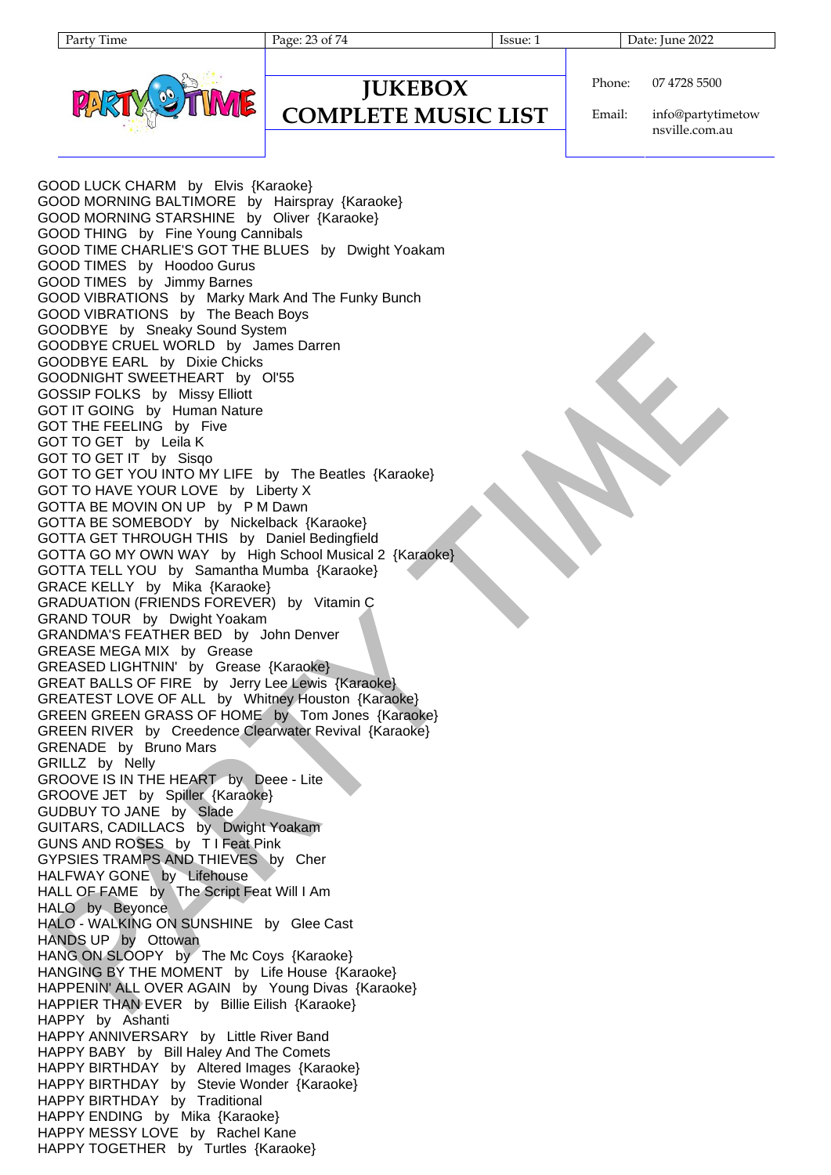Party Time Page: 23 of 74 Issue: 1 Date: June 2022



Phone: 07 4728 5500

**JUKEBOX COMPLETE MUSIC LIST**

Email: info@partytimetow nsville.com.au

GOOD LUCK CHARM by Elvis {Karaoke} GOOD MORNING BALTIMORE by Hairspray {Karaoke} GOOD MORNING STARSHINE by Oliver {Karaoke} GOOD THING by Fine Young Cannibals GOOD TIME CHARLIE'S GOT THE BLUES by Dwight Yoakam GOOD TIMES by Hoodoo Gurus GOOD TIMES by Jimmy Barnes GOOD VIBRATIONS by Marky Mark And The Funky Bunch GOOD VIBRATIONS by The Beach Boys GOODBYE by Sneaky Sound System GOODBYE CRUEL WORLD by James Darren GOODBYE EARL by Dixie Chicks GOODNIGHT SWEETHEART by Ol'55 GOSSIP FOLKS by Missy Elliott GOT IT GOING by Human Nature GOT THE FEELING by Five GOT TO GET by Leila K GOT TO GET IT by Sisqo GOT TO GET YOU INTO MY LIFE by The Beatles {Karaoke} GOT TO HAVE YOUR LOVE by Liberty X GOTTA BE MOVIN ON UP by P M Dawn GOTTA BE SOMEBODY by Nickelback {Karaoke} GOTTA GET THROUGH THIS by Daniel Bedingfield GOTTA GO MY OWN WAY by High School Musical 2 {Karaoke} GOTTA TELL YOU by Samantha Mumba {Karaoke} GRACE KELLY by Mika {Karaoke} GRADUATION (FRIENDS FOREVER) by Vitamin C GRAND TOUR by Dwight Yoakam GRANDMA'S FEATHER BED by John Denver GREASE MEGA MIX by Grease GREASED LIGHTNIN' by Grease {Karaoke} GREAT BALLS OF FIRE by Jerry Lee Lewis {Karaoke} GREATEST LOVE OF ALL by Whitney Houston {Karaoke} GREEN GREEN GRASS OF HOME by Tom Jones {Karaoke} GREEN RIVER by Creedence Clearwater Revival {Karaoke} GRENADE by Bruno Mars GRILLZ by Nelly GROOVE IS IN THE HEART by Deee - Lite GROOVE JET by Spiller {Karaoke} GUDBUY TO JANE by Slade GUITARS, CADILLACS by Dwight Yoakam GUNS AND ROSES by T I Feat Pink GYPSIES TRAMPS AND THIEVES by Cher HALFWAY GONE by Lifehouse HALL OF FAME by The Script Feat Will I Am HALO by Beyonce HALO - WALKING ON SUNSHINE by Glee Cast HANDS UP by Ottowan HANG ON SLOOPY by The Mc Coys {Karaoke} HANGING BY THE MOMENT by Life House {Karaoke} HAPPENIN' ALL OVER AGAIN by Young Divas {Karaoke} HAPPIER THAN EVER by Billie Eilish {Karaoke} HAPPY by Ashanti HAPPY ANNIVERSARY by Little River Band HAPPY BABY by Bill Haley And The Comets HAPPY BIRTHDAY by Altered Images {Karaoke} HAPPY BIRTHDAY by Stevie Wonder {Karaoke} HAPPY BIRTHDAY by Traditional HAPPY ENDING by Mika {Karaoke} HAPPY MESSY LOVE by Rachel Kane HAPPY TOGETHER by Turtles {Karaoke}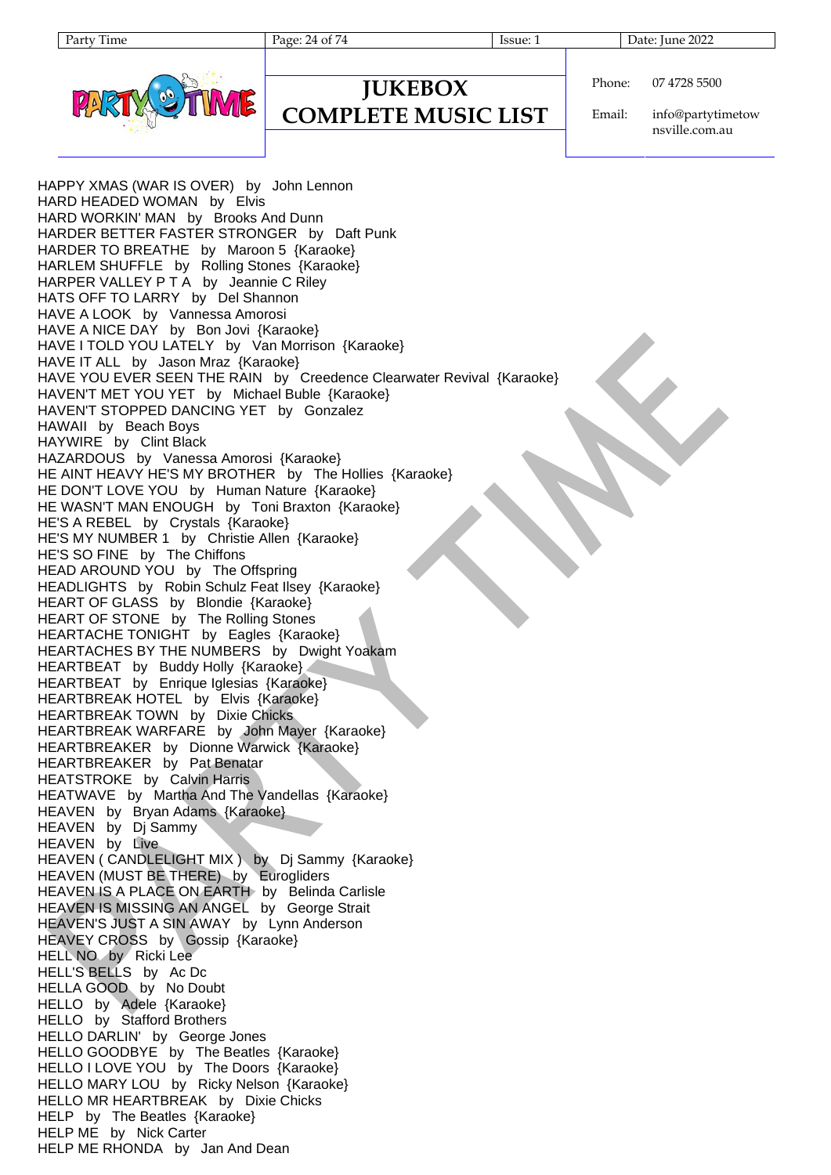Party Time Page: 24 of 74 Issue: 1 Date: June 2022



#### **JUKEBOX COMPLETE MUSIC LIST**

Phone: 07 4728 5500

Email: info@partytimetow nsville.com.au

HAPPY XMAS (WAR IS OVER) by John Lennon HARD HEADED WOMAN by Elvis HARD WORKIN' MAN by Brooks And Dunn HARDER BETTER FASTER STRONGER by Daft Punk HARDER TO BREATHE by Maroon 5 {Karaoke} HARLEM SHUFFLE by Rolling Stones {Karaoke} HARPER VALLEY P T A by Jeannie C Riley HATS OFF TO LARRY by Del Shannon HAVE A LOOK by Vannessa Amorosi HAVE A NICE DAY by Bon Jovi {Karaoke} HAVE I TOLD YOU LATELY by Van Morrison {Karaoke} HAVE IT ALL by Jason Mraz {Karaoke} HAVE YOU EVER SEEN THE RAIN by Creedence Clearwater Revival {Karaoke} HAVEN'T MET YOU YET by Michael Buble {Karaoke} HAVEN'T STOPPED DANCING YET by Gonzalez HAWAII by Beach Boys HAYWIRE by Clint Black HAZARDOUS by Vanessa Amorosi {Karaoke} HE AINT HEAVY HE'S MY BROTHER by The Hollies {Karaoke} HE DON'T LOVE YOU by Human Nature {Karaoke} HE WASN'T MAN ENOUGH by Toni Braxton {Karaoke} HE'S A REBEL by Crystals {Karaoke} HE'S MY NUMBER 1 by Christie Allen {Karaoke} HE'S SO FINE by The Chiffons HEAD AROUND YOU by The Offspring HEADLIGHTS by Robin Schulz Feat Ilsey {Karaoke} HEART OF GLASS by Blondie {Karaoke} HEART OF STONE by The Rolling Stones HEARTACHE TONIGHT by Eagles {Karaoke} HEARTACHES BY THE NUMBERS by Dwight Yoakam HEARTBEAT by Buddy Holly {Karaoke} HEARTBEAT by Enrique Iglesias {Karaoke} HEARTBREAK HOTEL by Elvis {Karaoke} HEARTBREAK TOWN by Dixie Chicks HEARTBREAK WARFARE by John Mayer {Karaoke} HEARTBREAKER by Dionne Warwick {Karaoke} HEARTBREAKER by Pat Benatar HEATSTROKE by Calvin Harris HEATWAVE by Martha And The Vandellas {Karaoke} HEAVEN by Bryan Adams {Karaoke} HEAVEN by Dj Sammy HEAVEN by Live HEAVEN ( CANDLELIGHT MIX ) by Dj Sammy {Karaoke} HEAVEN (MUST BE THERE) by Eurogliders HEAVEN IS A PLACE ON EARTH by Belinda Carlisle HEAVEN IS MISSING AN ANGEL by George Strait HEAVEN'S JUST A SIN AWAY by Lynn Anderson HEAVEY CROSS by Gossip {Karaoke} HELL NO by Ricki Lee HELL'S BELLS by Ac Dc HELLA GOOD by No Doubt HELLO by Adele {Karaoke} HELLO by Stafford Brothers HELLO DARLIN' by George Jones HELLO GOODBYE by The Beatles {Karaoke} HELLO I LOVE YOU by The Doors {Karaoke} HELLO MARY LOU by Ricky Nelson {Karaoke} HELLO MR HEARTBREAK by Dixie Chicks HELP by The Beatles {Karaoke} HELP ME by Nick Carter HELP ME RHONDA by Jan And Dean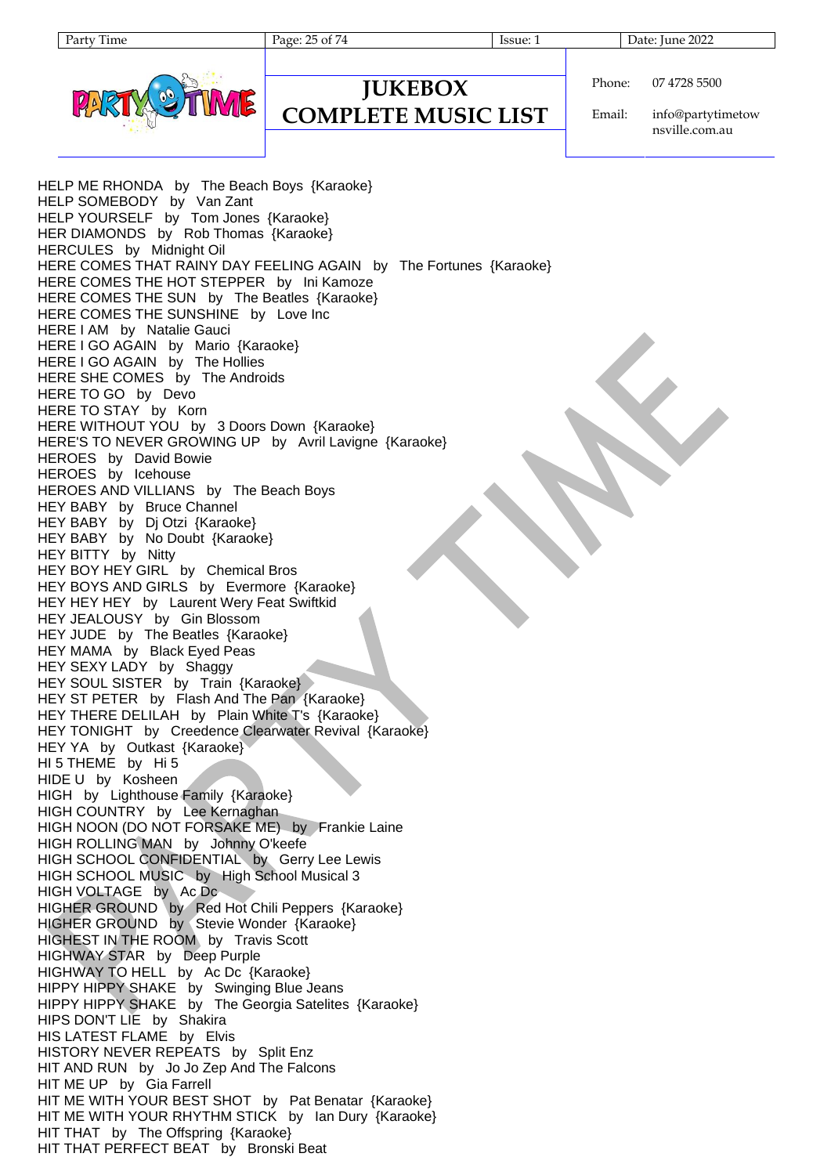Party Time Page: 25 of 74 Issue: 1 Date: June 2022



#### **JUKEBOX COMPLETE MUSIC LIST**

Phone: 07 4728 5500

Email: info@partytimetow nsville.com.au

HELP ME RHONDA by The Beach Boys {Karaoke} HELP SOMEBODY by Van Zant HELP YOURSELF by Tom Jones {Karaoke} HER DIAMONDS by Rob Thomas {Karaoke} HERCULES by Midnight Oil HERE COMES THAT RAINY DAY FEELING AGAIN by The Fortunes {Karaoke} HERE COMES THE HOT STEPPER by Ini Kamoze HERE COMES THE SUN by The Beatles {Karaoke} HERE COMES THE SUNSHINE by Love Inc HERE I AM by Natalie Gauci HERE I GO AGAIN by Mario {Karaoke} HERE I GO AGAIN by The Hollies HERE SHE COMES by The Androids HERE TO GO by Devo HERE TO STAY by Korn HERE WITHOUT YOU by 3 Doors Down {Karaoke} HERE'S TO NEVER GROWING UP by Avril Lavigne {Karaoke} HEROES by David Bowie HEROES by Icehouse HEROES AND VILLIANS by The Beach Boys HEY BABY by Bruce Channel HEY BABY by Dj Otzi {Karaoke} HEY BABY by No Doubt {Karaoke} HEY BITTY by Nitty HEY BOY HEY GIRL by Chemical Bros HEY BOYS AND GIRLS by Evermore {Karaoke} HEY HEY HEY by Laurent Wery Feat Swiftkid HEY JEALOUSY by Gin Blossom HEY JUDE by The Beatles {Karaoke} HEY MAMA by Black Eyed Peas HEY SEXY LADY by Shaggy HEY SOUL SISTER by Train {Karaoke} HEY ST PETER by Flash And The Pan {Karaoke} HEY THERE DELILAH by Plain White T's {Karaoke} HEY TONIGHT by Creedence Clearwater Revival {Karaoke} HEY YA by Outkast {Karaoke} HI 5 THEME by Hi 5 HIDE U by Kosheen HIGH by Lighthouse Family {Karaoke} HIGH COUNTRY by Lee Kernaghan HIGH NOON (DO NOT FORSAKE ME) by Frankie Laine HIGH ROLLING MAN by Johnny O'keefe HIGH SCHOOL CONFIDENTIAL by Gerry Lee Lewis HIGH SCHOOL MUSIC by High School Musical 3 HIGH VOLTAGE by Ac Dc HIGHER GROUND by Red Hot Chili Peppers {Karaoke} HIGHER GROUND by Stevie Wonder {Karaoke} HIGHEST IN THE ROOM by Travis Scott HIGHWAY STAR by Deep Purple HIGHWAY TO HELL by Ac Dc {Karaoke} HIPPY HIPPY SHAKE by Swinging Blue Jeans HIPPY HIPPY SHAKE by The Georgia Satelites {Karaoke} HIPS DON'T LIE by Shakira HIS LATEST FLAME by Elvis HISTORY NEVER REPEATS by Split Enz HIT AND RUN by Jo Jo Zep And The Falcons HIT ME UP by Gia Farrell HIT ME WITH YOUR BEST SHOT by Pat Benatar {Karaoke} HIT ME WITH YOUR RHYTHM STICK by Ian Dury {Karaoke} HIT THAT by The Offspring {Karaoke} HIT THAT PERFECT BEAT by Bronski Beat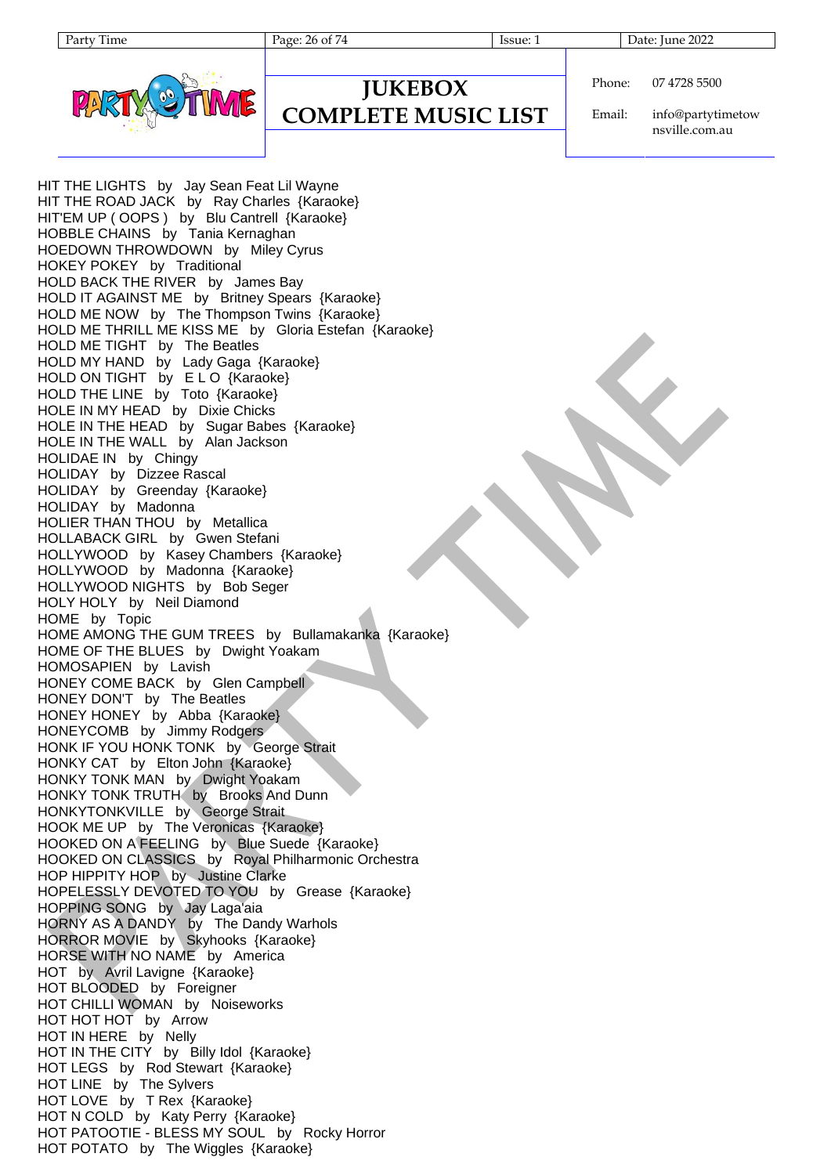Page: 26 of 74 Issue: 1 Issue: 1 Date: June 2022



**JUKEBOX COMPLETE MUSIC LIST** Phone: 07 4728 5500

Email: info@partytimetow nsville.com.au

HIT THE LIGHTS by Jay Sean Feat Lil Wayne HIT THE ROAD JACK by Ray Charles {Karaoke} HIT'EM UP ( OOPS ) by Blu Cantrell {Karaoke} HOBBLE CHAINS by Tania Kernaghan HOEDOWN THROWDOWN by Miley Cyrus HOKEY POKEY by Traditional HOLD BACK THE RIVER by James Bay HOLD IT AGAINST ME by Britney Spears {Karaoke} HOLD ME NOW by The Thompson Twins {Karaoke} HOLD ME THRILL ME KISS ME by Gloria Estefan {Karaoke} HOLD ME TIGHT by The Beatles HOLD MY HAND by Lady Gaga {Karaoke} HOLD ON TIGHT by ELO {Karaoke} HOLD THE LINE by Toto {Karaoke} HOLE IN MY HEAD by Dixie Chicks HOLE IN THE HEAD by Sugar Babes {Karaoke} HOLE IN THE WALL by Alan Jackson HOLIDAE IN by Chingy HOLIDAY by Dizzee Rascal HOLIDAY by Greenday {Karaoke} HOLIDAY by Madonna HOLIER THAN THOU by Metallica HOLLABACK GIRL by Gwen Stefani HOLLYWOOD by Kasey Chambers {Karaoke} HOLLYWOOD by Madonna {Karaoke} HOLLYWOOD NIGHTS by Bob Seger HOLY HOLY by Neil Diamond HOME by Topic HOME AMONG THE GUM TREES by Bullamakanka {Karaoke} HOME OF THE BLUES by Dwight Yoakam HOMOSAPIEN by Lavish HONEY COME BACK by Glen Campbell HONEY DON'T by The Beatles HONEY HONEY by Abba {Karaoke} HONEYCOMB by Jimmy Rodgers HONK IF YOU HONK TONK by George Strait HONKY CAT by Elton John {Karaoke} HONKY TONK MAN by Dwight Yoakam HONKY TONK TRUTH by Brooks And Dunn HONKYTONKVILLE by George Strait HOOK ME UP by The Veronicas {Karaoke} HOOKED ON A FEELING by Blue Suede {Karaoke} HOOKED ON CLASSICS by Royal Philharmonic Orchestra HOP HIPPITY HOP by Justine Clarke HOPELESSLY DEVOTED TO YOU by Grease {Karaoke} HOPPING SONG by Jay Laga'aia HORNY AS A DANDY by The Dandy Warhols HORROR MOVIE by Skyhooks {Karaoke} HORSE WITH NO NAME by America HOT by Avril Lavigne {Karaoke} HOT BLOODED by Foreigner HOT CHILLI WOMAN by Noiseworks HOT HOT HOT by Arrow HOT IN HERE by Nelly HOT IN THE CITY by Billy Idol {Karaoke} HOT LEGS by Rod Stewart {Karaoke} HOT LINE by The Sylvers HOT LOVE by T Rex {Karaoke} HOT N COLD by Katy Perry {Karaoke} HOT PATOOTIE - BLESS MY SOUL by Rocky Horror HOT POTATO by The Wiggles {Karaoke}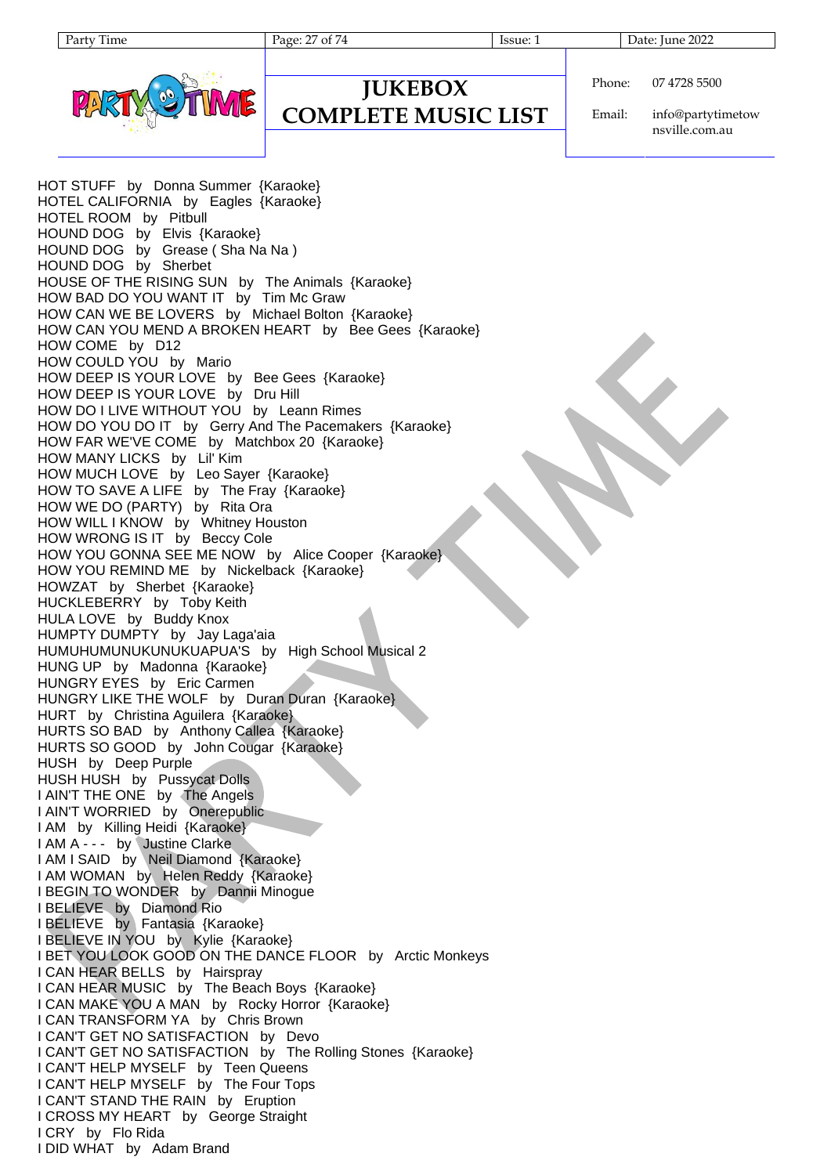Page: 27 of 74 Issue: 1 Date: June 2022



#### **JUKEBOX COMPLETE MUSIC LIST**

Phone: 07 4728 5500

Email: info@partytimetow nsville.com.au

HOT STUFF by Donna Summer {Karaoke} HOTEL CALIFORNIA by Eagles {Karaoke} HOTEL ROOM by Pitbull HOUND DOG by Elvis {Karaoke} HOUND DOG by Grease ( Sha Na Na ) HOUND DOG by Sherbet HOUSE OF THE RISING SUN by The Animals {Karaoke} HOW BAD DO YOU WANT IT by Tim Mc Graw HOW CAN WE BE LOVERS by Michael Bolton {Karaoke} HOW CAN YOU MEND A BROKEN HEART by Bee Gees {Karaoke} HOW COME by D12 HOW COULD YOU by Mario HOW DEEP IS YOUR LOVE by Bee Gees {Karaoke} HOW DEEP IS YOUR LOVE by Dru Hill HOW DO I LIVE WITHOUT YOU by Leann Rimes HOW DO YOU DO IT by Gerry And The Pacemakers {Karaoke} HOW FAR WE'VE COME by Matchbox 20 {Karaoke} HOW MANY LICKS by Lil' Kim HOW MUCH LOVE by Leo Sayer {Karaoke} HOW TO SAVE A LIFE by The Fray {Karaoke} HOW WE DO (PARTY) by Rita Ora HOW WILL I KNOW by Whitney Houston HOW WRONG IS IT by Beccy Cole HOW YOU GONNA SEE ME NOW by Alice Cooper {Karaoke} HOW YOU REMIND ME by Nickelback {Karaoke} HOWZAT by Sherbet {Karaoke} HUCKLEBERRY by Toby Keith HULA LOVE by Buddy Knox HUMPTY DUMPTY by Jay Laga'aia HUMUHUMUNUKUNUKUAPUA'S by High School Musical 2 HUNG UP by Madonna {Karaoke} HUNGRY EYES by Eric Carmen HUNGRY LIKE THE WOLF by Duran Duran {Karaoke} HURT by Christina Aguilera {Karaoke} HURTS SO BAD by Anthony Callea {Karaoke} HURTS SO GOOD by John Cougar {Karaoke} HUSH by Deep Purple HUSH HUSH by Pussycat Dolls I AIN'T THE ONE by The Angels I AIN'T WORRIED by Onerepublic I AM by Killing Heidi {Karaoke} I AM A - - - by Justine Clarke I AM I SAID by Neil Diamond {Karaoke} I AM WOMAN by Helen Reddy {Karaoke} I BEGIN TO WONDER by Dannii Minogue I BELIEVE by Diamond Rio I BELIEVE by Fantasia {Karaoke} I BELIEVE IN YOU by Kylie {Karaoke} I BET YOU LOOK GOOD ON THE DANCE FLOOR by Arctic Monkeys I CAN HEAR BELLS by Hairspray I CAN HEAR MUSIC by The Beach Boys {Karaoke} I CAN MAKE YOU A MAN by Rocky Horror {Karaoke} I CAN TRANSFORM YA by Chris Brown I CAN'T GET NO SATISFACTION by Devo I CAN'T GET NO SATISFACTION by The Rolling Stones {Karaoke} I CAN'T HELP MYSELF by Teen Queens I CAN'T HELP MYSELF by The Four Tops I CAN'T STAND THE RAIN by Eruption I CROSS MY HEART by George Straight I CRY by Flo Rida I DID WHAT by Adam Brand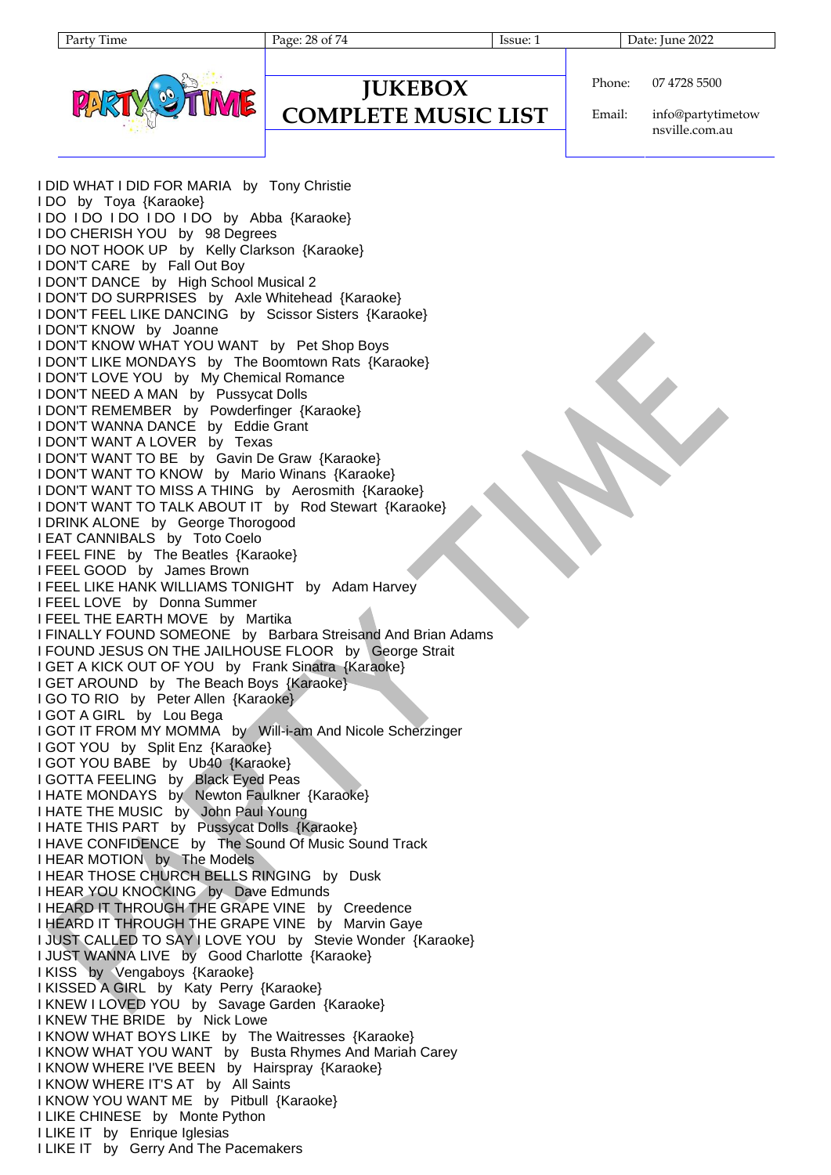| ume |
|-----|
|     |

Page: 28 of 74 Issue: 1 Issue: 1 Date: June 2022



#### **JUKEBOX COMPLETE MUSIC LIST**

Phone: 07 4728 5500

Email: info@partytimetow nsville.com.au

I DID WHAT I DID FOR MARIA by Tony Christie I DO by Toya {Karaoke} I DO I DO I DO I DO I DO by Abba {Karaoke} I DO CHERISH YOU by 98 Degrees I DO NOT HOOK UP by Kelly Clarkson {Karaoke} I DON'T CARE by Fall Out Boy I DON'T DANCE by High School Musical 2 I DON'T DO SURPRISES by Axle Whitehead {Karaoke} I DON'T FEEL LIKE DANCING by Scissor Sisters {Karaoke} I DON'T KNOW by Joanne I DON'T KNOW WHAT YOU WANT by Pet Shop Boys I DON'T LIKE MONDAYS by The Boomtown Rats {Karaoke} I DON'T LOVE YOU by My Chemical Romance I DON'T NEED A MAN by Pussycat Dolls I DON'T REMEMBER by Powderfinger {Karaoke} I DON'T WANNA DANCE by Eddie Grant I DON'T WANT A LOVER by Texas I DON'T WANT TO BE by Gavin De Graw {Karaoke} I DON'T WANT TO KNOW by Mario Winans {Karaoke} I DON'T WANT TO MISS A THING by Aerosmith {Karaoke} I DON'T WANT TO TALK ABOUT IT by Rod Stewart {Karaoke} I DRINK ALONE by George Thorogood I EAT CANNIBALS by Toto Coelo I FEEL FINE by The Beatles {Karaoke} I FEEL GOOD by James Brown I FEEL LIKE HANK WILLIAMS TONIGHT by Adam Harvey I FEEL LOVE by Donna Summer I FEEL THE EARTH MOVE by Martika I FINALLY FOUND SOMEONE by Barbara Streisand And Brian Adams I FOUND JESUS ON THE JAILHOUSE FLOOR by George Strait I GET A KICK OUT OF YOU by Frank Sinatra {Karaoke} I GET AROUND by The Beach Boys {Karaoke} I GO TO RIO by Peter Allen {Karaoke} I GOT A GIRL by Lou Bega I GOT IT FROM MY MOMMA by Will-i-am And Nicole Scherzinger I GOT YOU by Split Enz {Karaoke} I GOT YOU BABE by Ub40 {Karaoke} I GOTTA FEELING by Black Eyed Peas I HATE MONDAYS by Newton Faulkner {Karaoke} I HATE THE MUSIC by John Paul Young I HATE THIS PART by Pussycat Dolls {Karaoke} I HAVE CONFIDENCE by The Sound Of Music Sound Track I HEAR MOTION by The Models I HEAR THOSE CHURCH BELLS RINGING by Dusk I HEAR YOU KNOCKING by Dave Edmunds I HEARD IT THROUGH THE GRAPE VINE by Creedence I HEARD IT THROUGH THE GRAPE VINE by Marvin Gaye I JUST CALLED TO SAY I LOVE YOU by Stevie Wonder {Karaoke} I JUST WANNA LIVE by Good Charlotte {Karaoke} I KISS by Vengaboys {Karaoke} I KISSED A GIRL by Katy Perry {Karaoke} I KNEW I LOVED YOU by Savage Garden {Karaoke} I KNEW THE BRIDE by Nick Lowe I KNOW WHAT BOYS LIKE by The Waitresses {Karaoke} I KNOW WHAT YOU WANT by Busta Rhymes And Mariah Carey I KNOW WHERE I'VE BEEN by Hairspray {Karaoke} I KNOW WHERE IT'S AT by All Saints I KNOW YOU WANT ME by Pitbull {Karaoke} I LIKE CHINESE by Monte Python I LIKE IT by Enrique Iglesias I LIKE IT by Gerry And The Pacemakers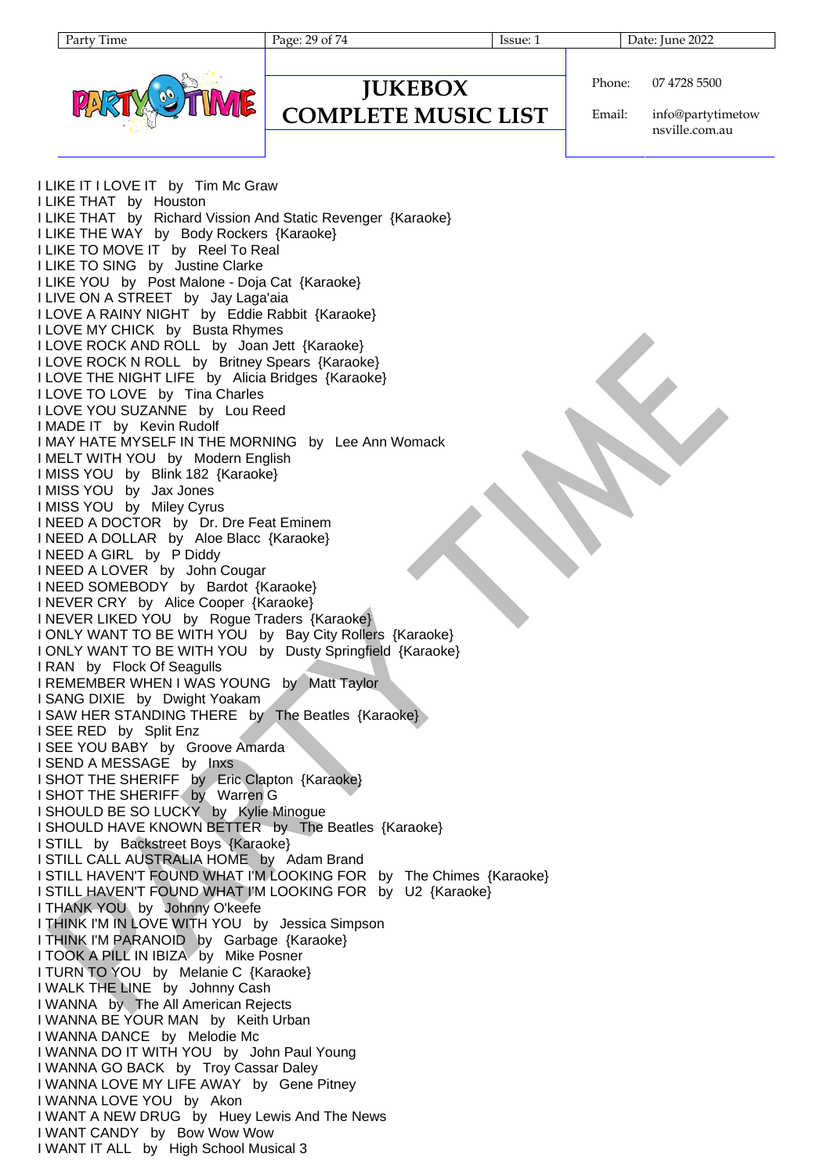Page: 29 of 74 Issue: 1 Date: June 2022



| Phone: | 07 4728 5500 |
|--------|--------------|
|--------|--------------|

**JUKEBOX COMPLETE MUSIC LIST**

Email: info@partytimetow nsville.com.au

I LIKE IT I LOVE IT by Tim Mc Graw I LIKE THAT by Houston I LIKE THAT by Richard Vission And Static Revenger {Karaoke} I LIKE THE WAY by Body Rockers {Karaoke} I LIKE TO MOVE IT by Reel To Real I LIKE TO SING by Justine Clarke I LIKE YOU by Post Malone - Doja Cat {Karaoke} I LIVE ON A STREET by Jay Laga'aia I LOVE A RAINY NIGHT by Eddie Rabbit {Karaoke} I LOVE MY CHICK by Busta Rhymes I LOVE ROCK AND ROLL by Joan Jett {Karaoke} I LOVE ROCK N ROLL by Britney Spears {Karaoke} I LOVE THE NIGHT LIFE by Alicia Bridges {Karaoke} I LOVE TO LOVE by Tina Charles I LOVE YOU SUZANNE by Lou Reed I MADE IT by Kevin Rudolf I MAY HATE MYSELF IN THE MORNING by Lee Ann Womack I MELT WITH YOU by Modern English I MISS YOU by Blink 182 {Karaoke} I MISS YOU by Jax Jones I MISS YOU by Miley Cyrus I NEED A DOCTOR by Dr. Dre Feat Eminem I NEED A DOLLAR by Aloe Blacc {Karaoke} I NEED A GIRL by P Diddy I NEED A LOVER by John Cougar I NEED SOMEBODY by Bardot {Karaoke} I NEVER CRY by Alice Cooper {Karaoke} I NEVER LIKED YOU by Rogue Traders {Karaoke} I ONLY WANT TO BE WITH YOU by Bay City Rollers {Karaoke} I ONLY WANT TO BE WITH YOU by Dusty Springfield {Karaoke} I RAN by Flock Of Seagulls I REMEMBER WHEN I WAS YOUNG by Matt Taylor I SANG DIXIE by Dwight Yoakam I SAW HER STANDING THERE by The Beatles {Karaoke} I SEE RED by Split Enz I SEE YOU BABY by Groove Amarda I SEND A MESSAGE by Inxs I SHOT THE SHERIFF by Eric Clapton {Karaoke} I SHOT THE SHERIFF by Warren G I SHOULD BE SO LUCKY by Kylie Minogue I SHOULD HAVE KNOWN BETTER by The Beatles {Karaoke} I STILL by Backstreet Boys {Karaoke} I STILL CALL AUSTRALIA HOME by Adam Brand I STILL HAVEN'T FOUND WHAT I'M LOOKING FOR by The Chimes {Karaoke} I STILL HAVEN'T FOUND WHAT I'M LOOKING FOR by U2 {Karaoke} I THANK YOU by Johnny O'keefe I THINK I'M IN LOVE WITH YOU by Jessica Simpson I THINK I'M PARANOID by Garbage {Karaoke} I TOOK A PILL IN IBIZA by Mike Posner I TURN TO YOU by Melanie C {Karaoke} I WALK THE LINE by Johnny Cash I WANNA by The All American Rejects I WANNA BE YOUR MAN by Keith Urban I WANNA DANCE by Melodie Mc I WANNA DO IT WITH YOU by John Paul Young I WANNA GO BACK by Troy Cassar Daley I WANNA LOVE MY LIFE AWAY by Gene Pitney I WANNA LOVE YOU by Akon I WANT A NEW DRUG by Huey Lewis And The News I WANT CANDY by Bow Wow Wow I WANT IT ALL by High School Musical 3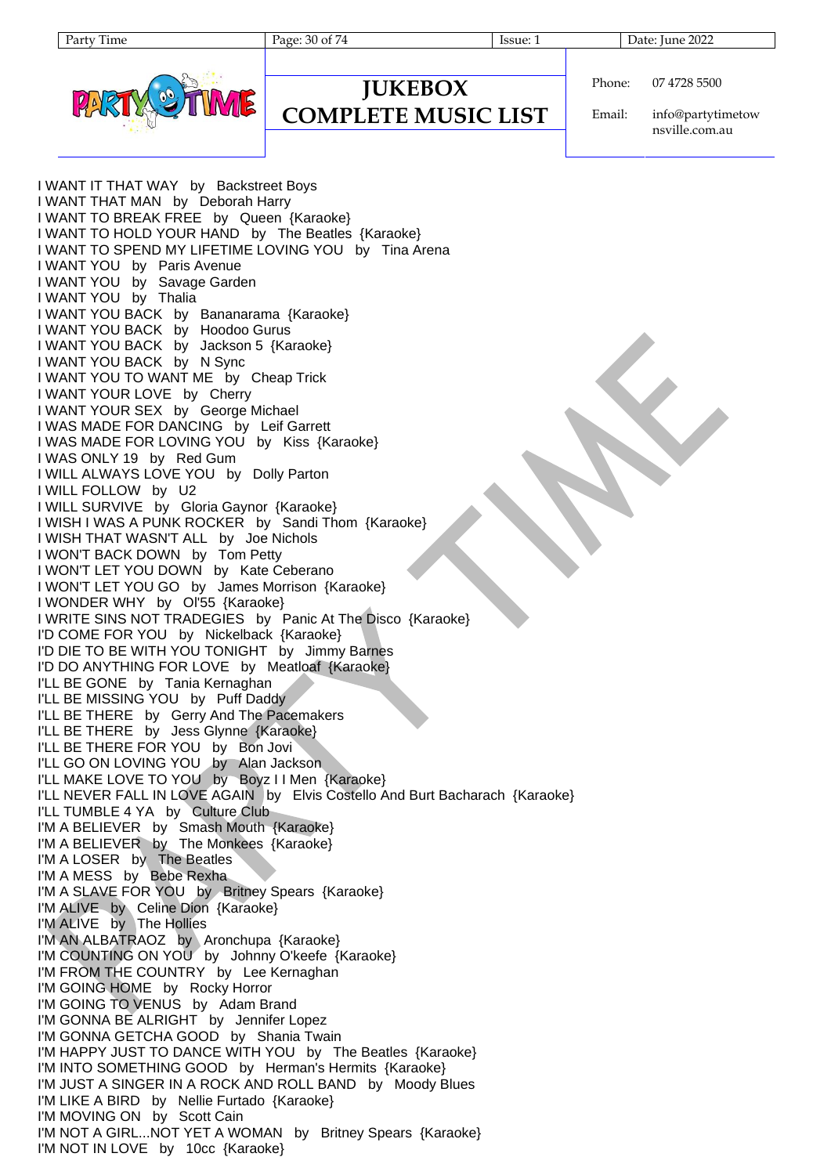Page: 30 of 74 Issue: 1 Issue: 1 Date: June 2022



#### **JUKEBOX COMPLETE MUSIC LIST**

Phone: 07 4728 5500

Email: info@partytimetow nsville.com.au

I WANT IT THAT WAY by Backstreet Boys I WANT THAT MAN by Deborah Harry I WANT TO BREAK FREE by Queen {Karaoke} I WANT TO HOLD YOUR HAND by The Beatles {Karaoke} I WANT TO SPEND MY LIFETIME LOVING YOU by Tina Arena I WANT YOU by Paris Avenue I WANT YOU by Savage Garden I WANT YOU by Thalia I WANT YOU BACK by Bananarama {Karaoke} I WANT YOU BACK by Hoodoo Gurus I WANT YOU BACK by Jackson 5 {Karaoke} I WANT YOU BACK by N Sync I WANT YOU TO WANT ME by Cheap Trick I WANT YOUR LOVE by Cherry I WANT YOUR SEX by George Michael I WAS MADE FOR DANCING by Leif Garrett I WAS MADE FOR LOVING YOU by Kiss {Karaoke} I WAS ONLY 19 by Red Gum I WILL ALWAYS LOVE YOU by Dolly Parton I WILL FOLLOW by U2 I WILL SURVIVE by Gloria Gaynor {Karaoke} I WISH I WAS A PUNK ROCKER by Sandi Thom {Karaoke} I WISH THAT WASN'T ALL by Joe Nichols I WON'T BACK DOWN by Tom Petty I WON'T LET YOU DOWN by Kate Ceberano I WON'T LET YOU GO by James Morrison {Karaoke} I WONDER WHY by Ol'55 {Karaoke} I WRITE SINS NOT TRADEGIES by Panic At The Disco {Karaoke} I'D COME FOR YOU by Nickelback {Karaoke} I'D DIE TO BE WITH YOU TONIGHT by Jimmy Barnes I'D DO ANYTHING FOR LOVE by Meatloaf {Karaoke} I'LL BE GONE by Tania Kernaghan I'LL BE MISSING YOU by Puff Daddy I'LL BE THERE by Gerry And The Pacemakers I'LL BE THERE by Jess Glynne {Karaoke} I'LL BE THERE FOR YOU by Bon Jovi I'LL GO ON LOVING YOU by Alan Jackson I'LL MAKE LOVE TO YOU by Boyz I I Men {Karaoke} I'LL NEVER FALL IN LOVE AGAIN by Elvis Costello And Burt Bacharach {Karaoke} I'LL TUMBLE 4 YA by Culture Club I'M A BELIEVER by Smash Mouth {Karaoke} I'M A BELIEVER by The Monkees {Karaoke} I'M A LOSER by The Beatles I'M A MESS by Bebe Rexha I'M A SLAVE FOR YOU by Britney Spears {Karaoke} I'M ALIVE by Celine Dion {Karaoke} I'M ALIVE by The Hollies I'M AN ALBATRAOZ by Aronchupa {Karaoke} I'M COUNTING ON YOU by Johnny O'keefe {Karaoke} I'M FROM THE COUNTRY by Lee Kernaghan I'M GOING HOME by Rocky Horror I'M GOING TO VENUS by Adam Brand I'M GONNA BE ALRIGHT by Jennifer Lopez I'M GONNA GETCHA GOOD by Shania Twain I'M HAPPY JUST TO DANCE WITH YOU by The Beatles {Karaoke} I'M INTO SOMETHING GOOD by Herman's Hermits {Karaoke} I'M JUST A SINGER IN A ROCK AND ROLL BAND by Moody Blues I'M LIKE A BIRD by Nellie Furtado {Karaoke} I'M MOVING ON by Scott Cain I'M NOT A GIRL...NOT YET A WOMAN by Britney Spears {Karaoke} I'M NOT IN LOVE by 10cc {Karaoke}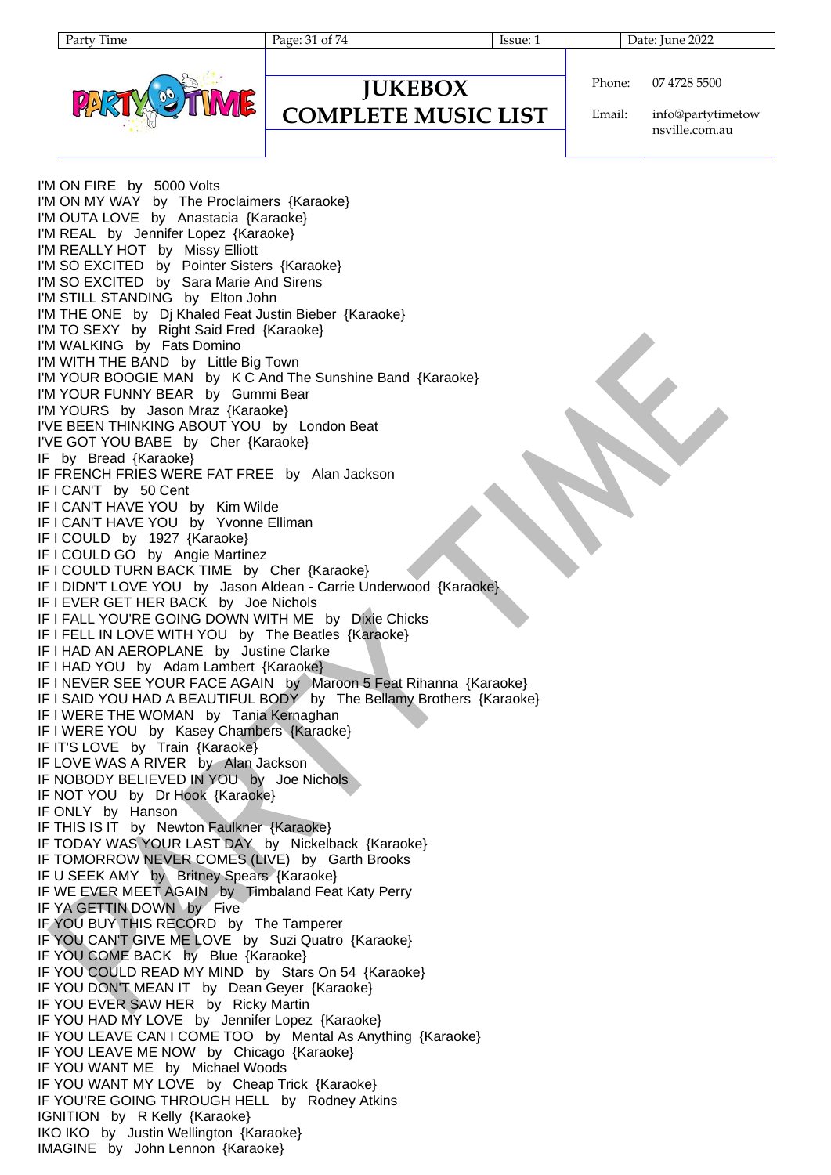Page: 31 of 74 Issue: 1 Issue: 1 Date: June 2022



Phone: 07 4728 5500

**COMPLETE MUSIC LIST**

**JUKEBOX**

Email: info@partytimetow nsville.com.au

I'M ON FIRE by 5000 Volts I'M ON MY WAY by The Proclaimers {Karaoke} I'M OUTA LOVE by Anastacia {Karaoke} I'M REAL by Jennifer Lopez {Karaoke} I'M REALLY HOT by Missy Elliott I'M SO EXCITED by Pointer Sisters {Karaoke} I'M SO EXCITED by Sara Marie And Sirens I'M STILL STANDING by Elton John I'M THE ONE by Dj Khaled Feat Justin Bieber {Karaoke} I'M TO SEXY by Right Said Fred {Karaoke} I'M WALKING by Fats Domino I'M WITH THE BAND by Little Big Town I'M YOUR BOOGIE MAN by K C And The Sunshine Band {Karaoke} I'M YOUR FUNNY BEAR by Gummi Bear I'M YOURS by Jason Mraz {Karaoke} I'VE BEEN THINKING ABOUT YOU by London Beat I'VE GOT YOU BABE by Cher {Karaoke} IF by Bread {Karaoke} IF FRENCH FRIES WERE FAT FREE by Alan Jackson IF I CAN'T by 50 Cent IF I CAN'T HAVE YOU by Kim Wilde IF I CAN'T HAVE YOU by Yvonne Elliman IF I COULD by 1927 {Karaoke} IF I COULD GO by Angie Martinez IF I COULD TURN BACK TIME by Cher {Karaoke} IF I DIDN'T LOVE YOU by Jason Aldean - Carrie Underwood {Karaoke} IF I EVER GET HER BACK by Joe Nichols IF I FALL YOU'RE GOING DOWN WITH ME by Dixie Chicks IF I FELL IN LOVE WITH YOU by The Beatles {Karaoke} IF I HAD AN AEROPLANE by Justine Clarke IF I HAD YOU by Adam Lambert {Karaoke} IF I NEVER SEE YOUR FACE AGAIN by Maroon 5 Feat Rihanna {Karaoke} IF I SAID YOU HAD A BEAUTIFUL BODY by The Bellamy Brothers {Karaoke} IF I WERE THE WOMAN by Tania Kernaghan IF I WERE YOU by Kasey Chambers {Karaoke} IF IT'S LOVE by Train {Karaoke} IF LOVE WAS A RIVER by Alan Jackson IF NOBODY BELIEVED IN YOU by Joe Nichols IF NOT YOU by Dr Hook {Karaoke} IF ONLY by Hanson IF THIS IS IT by Newton Faulkner {Karaoke} IF TODAY WAS YOUR LAST DAY by Nickelback {Karaoke} IF TOMORROW NEVER COMES (LIVE) by Garth Brooks IF U SEEK AMY by Britney Spears {Karaoke} IF WE EVER MEET AGAIN by Timbaland Feat Katy Perry IF YA GETTIN DOWN by Five IF YOU BUY THIS RECORD by The Tamperer IF YOU CAN'T GIVE ME LOVE by Suzi Quatro {Karaoke} IF YOU COME BACK by Blue {Karaoke} IF YOU COULD READ MY MIND by Stars On 54 {Karaoke} IF YOU DON'T MEAN IT by Dean Geyer {Karaoke} IF YOU EVER SAW HER by Ricky Martin IF YOU HAD MY LOVE by Jennifer Lopez {Karaoke} IF YOU LEAVE CAN I COME TOO by Mental As Anything {Karaoke} IF YOU LEAVE ME NOW by Chicago {Karaoke} IF YOU WANT ME by Michael Woods IF YOU WANT MY LOVE by Cheap Trick {Karaoke} IF YOU'RE GOING THROUGH HELL by Rodney Atkins IGNITION by R Kelly {Karaoke} IKO IKO by Justin Wellington {Karaoke} IMAGINE by John Lennon {Karaoke}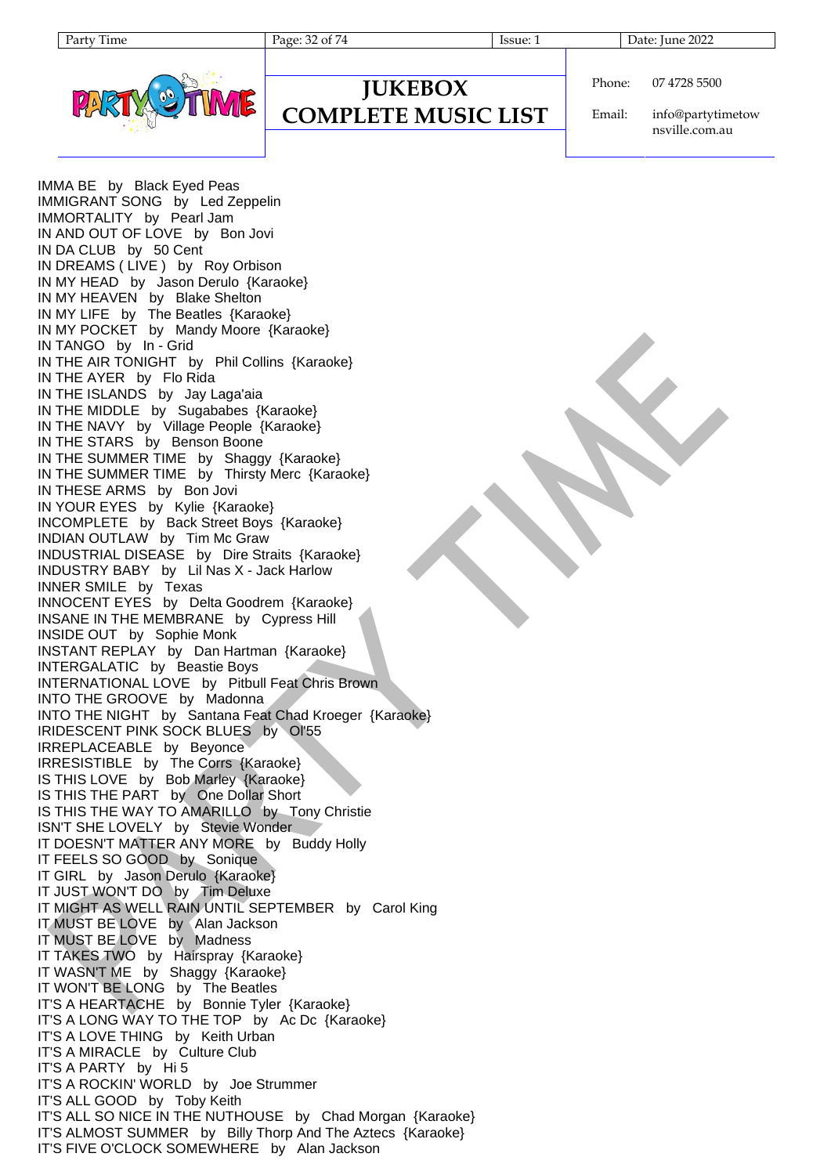| v<br>aтт | ume. |
|----------|------|
|          |      |



#### **JUKEBOX COMPLETE MUSIC LIST**

Phone: 07 4728 5500

Email: info@partytimetow nsville.com.au

IMMA BE by Black Eyed Peas IMMIGRANT SONG by Led Zeppelin IMMORTALITY by Pearl Jam IN AND OUT OF LOVE by Bon Jovi IN DA CLUB by 50 Cent IN DREAMS ( LIVE ) by Roy Orbison IN MY HEAD by Jason Derulo {Karaoke} IN MY HEAVEN by Blake Shelton IN MY LIFE by The Beatles {Karaoke} IN MY POCKET by Mandy Moore {Karaoke} IN TANGO by In - Grid IN THE AIR TONIGHT by Phil Collins {Karaoke} IN THE AYER by Flo Rida IN THE ISLANDS by Jay Laga'aia IN THE MIDDLE by Sugababes {Karaoke} IN THE NAVY by Village People {Karaoke} IN THE STARS by Benson Boone IN THE SUMMER TIME by Shaggy {Karaoke} IN THE SUMMER TIME by Thirsty Merc {Karaoke} IN THESE ARMS by Bon Jovi IN YOUR EYES by Kylie {Karaoke} INCOMPLETE by Back Street Boys {Karaoke} INDIAN OUTLAW by Tim Mc Graw INDUSTRIAL DISEASE by Dire Straits {Karaoke} INDUSTRY BABY by Lil Nas X - Jack Harlow INNER SMILE by Texas INNOCENT EYES by Delta Goodrem {Karaoke} INSANE IN THE MEMBRANE by Cypress Hill INSIDE OUT by Sophie Monk INSTANT REPLAY by Dan Hartman {Karaoke} INTERGALATIC by Beastie Boys INTERNATIONAL LOVE by Pitbull Feat Chris Brown INTO THE GROOVE by Madonna INTO THE NIGHT by Santana Feat Chad Kroeger {Karaoke} IRIDESCENT PINK SOCK BLUES by Ol'55 IRREPLACEABLE by Beyonce IRRESISTIBLE by The Corrs {Karaoke} IS THIS LOVE by Bob Marley {Karaoke} IS THIS THE PART by One Dollar Short IS THIS THE WAY TO AMARILLO by Tony Christie ISN'T SHE LOVELY by Stevie Wonder IT DOESN'T MATTER ANY MORE by Buddy Holly IT FEELS SO GOOD by Sonique IT GIRL by Jason Derulo {Karaoke} IT JUST WON'T DO by Tim Deluxe IT MIGHT AS WELL RAIN UNTIL SEPTEMBER by Carol King IT MUST BE LOVE by Alan Jackson IT MUST BE LOVE by Madness IT TAKES TWO by Hairspray {Karaoke} IT WASN'T ME by Shaggy {Karaoke} IT WON'T BE LONG by The Beatles IT'S A HEARTACHE by Bonnie Tyler {Karaoke} IT'S A LONG WAY TO THE TOP by Ac Dc {Karaoke} IT'S A LOVE THING by Keith Urban IT'S A MIRACLE by Culture Club IT'S A PARTY by Hi 5 IT'S A ROCKIN' WORLD by Joe Strummer IT'S ALL GOOD by Toby Keith IT'S ALL SO NICE IN THE NUTHOUSE by Chad Morgan {Karaoke} IT'S ALMOST SUMMER by Billy Thorp And The Aztecs {Karaoke} IT'S FIVE O'CLOCK SOMEWHERE by Alan Jackson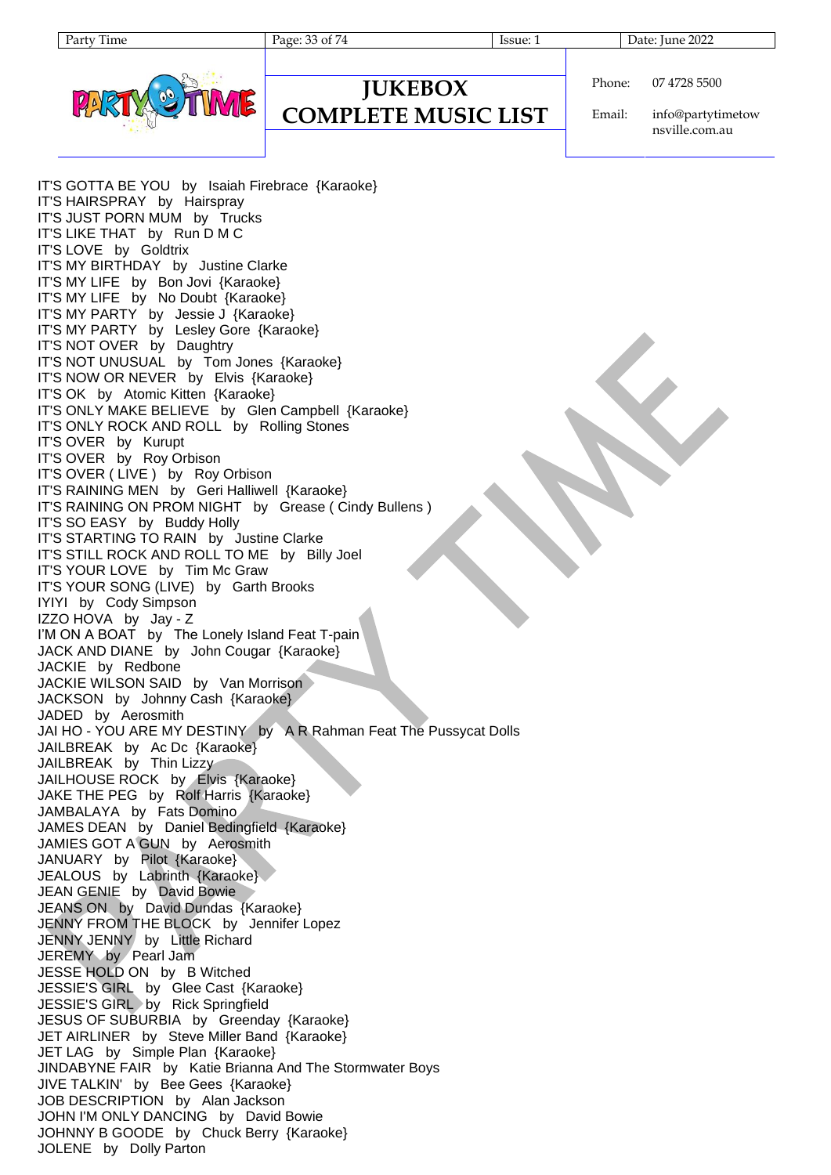| v<br>arг | 11me |
|----------|------|
|          |      |

Page: 33 of 74 Issue: 1 Date: June 2022



#### **JUKEBOX COMPLETE MUSIC LIST**

Phone: 07 4728 5500

Email: info@partytimetow nsville.com.au

IT'S GOTTA BE YOU by Isaiah Firebrace {Karaoke} IT'S HAIRSPRAY by Hairspray IT'S JUST PORN MUM by Trucks IT'S LIKE THAT by Run D M C IT'S LOVE by Goldtrix IT'S MY BIRTHDAY by Justine Clarke IT'S MY LIFE by Bon Jovi {Karaoke} IT'S MY LIFE by No Doubt {Karaoke} IT'S MY PARTY by Jessie J {Karaoke} IT'S MY PARTY by Lesley Gore {Karaoke} IT'S NOT OVER by Daughtry IT'S NOT UNUSUAL by Tom Jones {Karaoke} IT'S NOW OR NEVER by Elvis {Karaoke} IT'S OK by Atomic Kitten {Karaoke} IT'S ONLY MAKE BELIEVE by Glen Campbell {Karaoke} IT'S ONLY ROCK AND ROLL by Rolling Stones IT'S OVER by Kurupt IT'S OVER by Roy Orbison IT'S OVER ( LIVE ) by Roy Orbison IT'S RAINING MEN by Geri Halliwell {Karaoke} IT'S RAINING ON PROM NIGHT by Grease ( Cindy Bullens ) IT'S SO EASY by Buddy Holly IT'S STARTING TO RAIN by Justine Clarke IT'S STILL ROCK AND ROLL TO ME by Billy Joel IT'S YOUR LOVE by Tim Mc Graw IT'S YOUR SONG (LIVE) by Garth Brooks IYIYI by Cody Simpson IZZO HOVA by Jay - Z I'M ON A BOAT by The Lonely Island Feat T-pain JACK AND DIANE by John Cougar {Karaoke} JACKIE by Redbone JACKIE WILSON SAID by Van Morrison JACKSON by Johnny Cash {Karaoke} JADED by Aerosmith JAI HO - YOU ARE MY DESTINY by A R Rahman Feat The Pussycat Dolls JAILBREAK by Ac Dc {Karaoke} JAILBREAK by Thin Lizzy JAILHOUSE ROCK by Elvis {Karaoke} JAKE THE PEG by Rolf Harris {Karaoke} JAMBALAYA by Fats Domino JAMES DEAN by Daniel Bedingfield {Karaoke} JAMIES GOT A GUN by Aerosmith JANUARY by Pilot {Karaoke} JEALOUS by Labrinth {Karaoke} JEAN GENIE by David Bowie JEANS ON by David Dundas {Karaoke} JENNY FROM THE BLOCK by Jennifer Lopez JENNY JENNY by Little Richard JEREMY by Pearl Jam JESSE HOLD ON by B Witched JESSIE'S GIRL by Glee Cast {Karaoke} JESSIE'S GIRL by Rick Springfield JESUS OF SUBURBIA by Greenday {Karaoke} JET AIRLINER by Steve Miller Band {Karaoke} JET LAG by Simple Plan {Karaoke} JINDABYNE FAIR by Katie Brianna And The Stormwater Boys JIVE TALKIN' by Bee Gees {Karaoke} JOB DESCRIPTION by Alan Jackson JOHN I'M ONLY DANCING by David Bowie JOHNNY B GOODE by Chuck Berry {Karaoke} JOLENE by Dolly Parton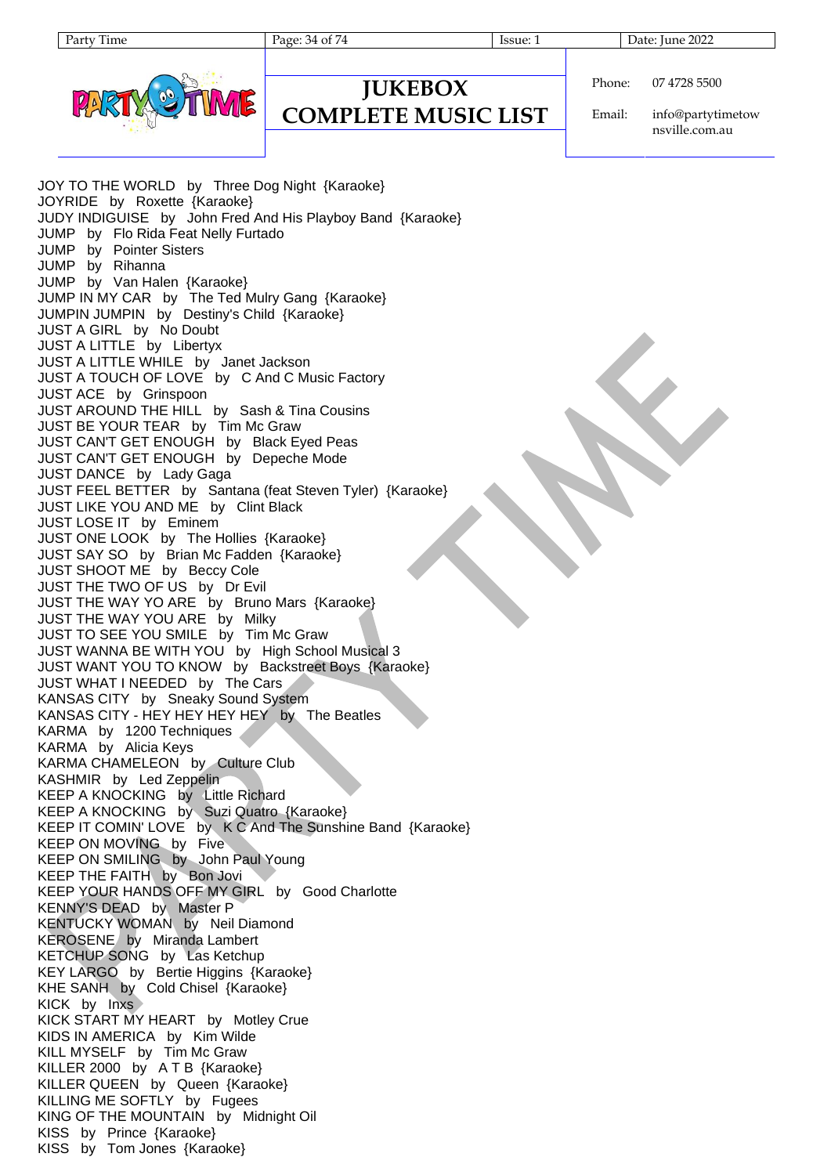Page: 34 of 74 Issue: 1 Issue: 1 Date: June 2022

**COMPLETE MUSIC LIST**



| <b>IUKEBOX</b> | Phone |
|----------------|-------|

 $\mathsf{e}:$ 07 4728 5500

Email: info@partytimetow nsville.com.au

JOY TO THE WORLD by Three Dog Night {Karaoke} JOYRIDE by Roxette {Karaoke} JUDY INDIGUISE by John Fred And His Playboy Band {Karaoke} JUMP by Flo Rida Feat Nelly Furtado JUMP by Pointer Sisters JUMP by Rihanna JUMP by Van Halen {Karaoke} JUMP IN MY CAR by The Ted Mulry Gang {Karaoke} JUMPIN JUMPIN by Destiny's Child {Karaoke} JUST A GIRL by No Doubt JUST A LITTLE by Libertyx JUST A LITTLE WHILE by Janet Jackson JUST A TOUCH OF LOVE by C And C Music Factory JUST ACE by Grinspoon JUST AROUND THE HILL by Sash & Tina Cousins JUST BE YOUR TEAR by Tim Mc Graw JUST CAN'T GET ENOUGH by Black Eyed Peas JUST CAN'T GET ENOUGH by Depeche Mode JUST DANCE by Lady Gaga JUST FEEL BETTER by Santana (feat Steven Tyler) {Karaoke} JUST LIKE YOU AND ME by Clint Black JUST LOSE IT by Eminem JUST ONE LOOK by The Hollies {Karaoke} JUST SAY SO by Brian Mc Fadden {Karaoke} JUST SHOOT ME by Beccy Cole JUST THE TWO OF US by Dr Evil JUST THE WAY YO ARE by Bruno Mars {Karaoke} JUST THE WAY YOU ARE by Milky JUST TO SEE YOU SMILE by Tim Mc Graw JUST WANNA BE WITH YOU by High School Musical 3 JUST WANT YOU TO KNOW by Backstreet Boys {Karaoke} JUST WHAT I NEEDED by The Cars KANSAS CITY by Sneaky Sound System KANSAS CITY - HEY HEY HEY HEY by The Beatles KARMA by 1200 Techniques KARMA by Alicia Keys KARMA CHAMELEON by Culture Club KASHMIR by Led Zeppelin KEEP A KNOCKING by Little Richard KEEP A KNOCKING by Suzi Quatro {Karaoke} KEEP IT COMIN' LOVE by K C And The Sunshine Band {Karaoke} KEEP ON MOVING by Five KEEP ON SMILING by John Paul Young KEEP THE FAITH by Bon Jovi KEEP YOUR HANDS OFF MY GIRL by Good Charlotte KENNY'S DEAD by Master P KENTUCKY WOMAN by Neil Diamond KEROSENE by Miranda Lambert KETCHUP SONG by Las Ketchup KEY LARGO by Bertie Higgins {Karaoke} KHE SANH by Cold Chisel {Karaoke} KICK by Inxs KICK START MY HEART by Motley Crue KIDS IN AMERICA by Kim Wilde KILL MYSELF by Tim Mc Graw KILLER 2000 by A T B {Karaoke} KILLER QUEEN by Queen {Karaoke} KILLING ME SOFTLY by Fugees KING OF THE MOUNTAIN by Midnight Oil KISS by Prince {Karaoke} KISS by Tom Jones {Karaoke}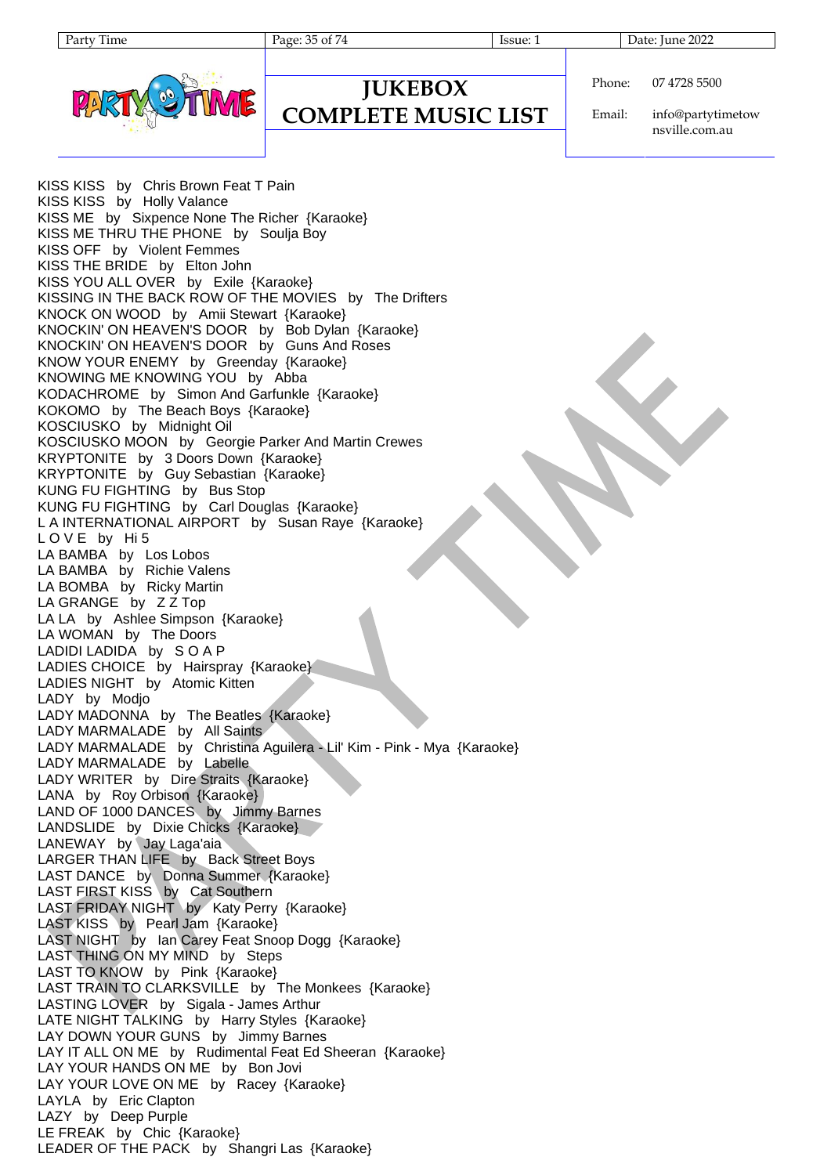Page: 35 of 74 Issue: 1 Issue: 1 Date: June 2022



**JUKEBOX COMPLETE MUSIC LIST**

Email: info@partytimetow nsville.com.au

KISS KISS by Chris Brown Feat T Pain KISS KISS by Holly Valance KISS ME by Sixpence None The Richer {Karaoke} KISS ME THRU THE PHONE by Soulja Boy KISS OFF by Violent Femmes KISS THE BRIDE by Elton John KISS YOU ALL OVER by Exile {Karaoke} KISSING IN THE BACK ROW OF THE MOVIES by The Drifters KNOCK ON WOOD by Amii Stewart {Karaoke} KNOCKIN' ON HEAVEN'S DOOR by Bob Dylan {Karaoke} KNOCKIN' ON HEAVEN'S DOOR by Guns And Roses KNOW YOUR ENEMY by Greenday {Karaoke} KNOWING ME KNOWING YOU by Abba KODACHROME by Simon And Garfunkle {Karaoke} KOKOMO by The Beach Boys {Karaoke} KOSCIUSKO by Midnight Oil KOSCIUSKO MOON by Georgie Parker And Martin Crewes KRYPTONITE by 3 Doors Down {Karaoke} KRYPTONITE by Guy Sebastian {Karaoke} KUNG FU FIGHTING by Bus Stop KUNG FU FIGHTING by Carl Douglas {Karaoke} L A INTERNATIONAL AIRPORT by Susan Raye {Karaoke} L O V E by Hi 5 LA BAMBA by Los Lobos LA BAMBA by Richie Valens LA BOMBA by Ricky Martin LA GRANGE by Z Z Top LA LA by Ashlee Simpson {Karaoke} LA WOMAN by The Doors LADIDI LADIDA by S O A P LADIES CHOICE by Hairspray {Karaoke} LADIES NIGHT by Atomic Kitten LADY by Modjo LADY MADONNA by The Beatles {Karaoke} LADY MARMALADE by All Saints LADY MARMALADE by Christina Aguilera - Lil' Kim - Pink - Mya {Karaoke} LADY MARMALADE by Labelle LADY WRITER by Dire Straits {Karaoke} LANA by Roy Orbison {Karaoke} LAND OF 1000 DANCES by Jimmy Barnes LANDSLIDE by Dixie Chicks {Karaoke} LANEWAY by Jay Laga'aia LARGER THAN LIFE by Back Street Boys LAST DANCE by Donna Summer {Karaoke} LAST FIRST KISS by Cat Southern LAST FRIDAY NIGHT by Katy Perry {Karaoke} LAST KISS by Pearl Jam {Karaoke} LAST NIGHT by Ian Carey Feat Snoop Dogg {Karaoke} LAST THING ON MY MIND by Steps LAST TO KNOW by Pink {Karaoke} LAST TRAIN TO CLARKSVILLE by The Monkees {Karaoke} LASTING LOVER by Sigala - James Arthur LATE NIGHT TALKING by Harry Styles {Karaoke} LAY DOWN YOUR GUNS by Jimmy Barnes LAY IT ALL ON ME by Rudimental Feat Ed Sheeran {Karaoke} LAY YOUR HANDS ON ME by Bon Jovi LAY YOUR LOVE ON ME by Racey {Karaoke} LAYLA by Eric Clapton LAZY by Deep Purple LE FREAK by Chic {Karaoke} LEADER OF THE PACK by Shangri Las {Karaoke}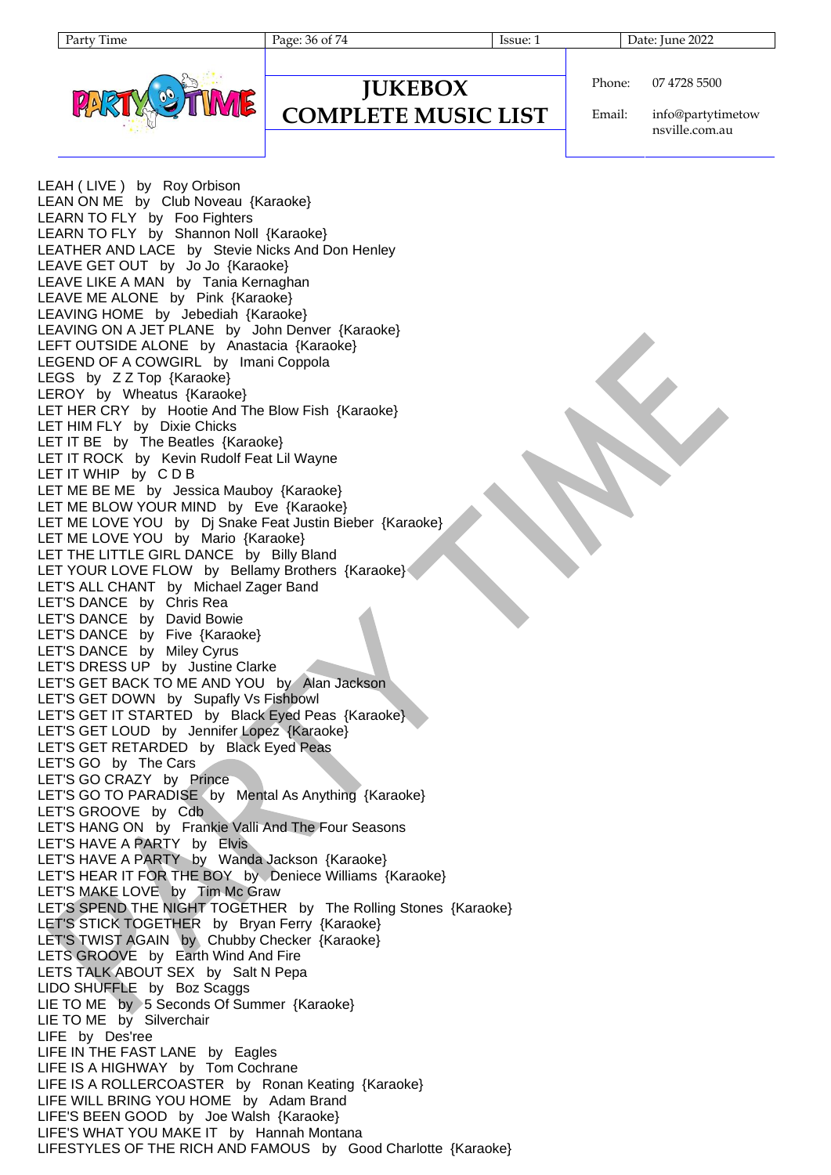Page: 36 of 74 Issue: 1 Issue: 1 Date: June 2022



#### **JUKEBOX COMPLETE MUSIC LIST**

Phone: 07 4728 5500

Email: info@partytimetow nsville.com.au

LEAH (LIVE) by Roy Orbison LEAN ON ME by Club Noveau {Karaoke} LEARN TO FLY by Foo Fighters LEARN TO FLY by Shannon Noll {Karaoke} LEATHER AND LACE by Stevie Nicks And Don Henley LEAVE GET OUT by Jo Jo {Karaoke} LEAVE LIKE A MAN by Tania Kernaghan LEAVE ME ALONE by Pink {Karaoke} LEAVING HOME by Jebediah {Karaoke} LEAVING ON A JET PLANE by John Denver {Karaoke} LEFT OUTSIDE ALONE by Anastacia {Karaoke} LEGEND OF A COWGIRL by Imani Coppola LEGS by Z Z Top {Karaoke} LEROY by Wheatus {Karaoke} LET HER CRY by Hootie And The Blow Fish {Karaoke} LET HIM FLY by Dixie Chicks LET IT BE by The Beatles {Karaoke} LET IT ROCK by Kevin Rudolf Feat Lil Wayne LET IT WHIP by C D B LET ME BE ME by Jessica Mauboy {Karaoke} LET ME BLOW YOUR MIND by Eve {Karaoke} LET ME LOVE YOU by Dj Snake Feat Justin Bieber {Karaoke} LET ME LOVE YOU by Mario {Karaoke} LET THE LITTLE GIRL DANCE by Billy Bland LET YOUR LOVE FLOW by Bellamy Brothers {Karaoke} LET'S ALL CHANT by Michael Zager Band LET'S DANCE by Chris Rea LET'S DANCE by David Bowie LET'S DANCE by Five {Karaoke} LET'S DANCE by Miley Cyrus LET'S DRESS UP by Justine Clarke LET'S GET BACK TO ME AND YOU by Alan Jackson LET'S GET DOWN by Supafly Vs Fishbowl LET'S GET IT STARTED by Black Eyed Peas {Karaoke} LET'S GET LOUD by Jennifer Lopez {Karaoke} LET'S GET RETARDED by Black Eyed Peas LET'S GO by The Cars LET'S GO CRAZY by Prince LET'S GO TO PARADISE (by Mental As Anything {Karaoke} LET'S GROOVE by Cdb LET'S HANG ON by Frankie Valli And The Four Seasons LET'S HAVE A PARTY by Elvis LET'S HAVE A PARTY by Wanda Jackson {Karaoke} LET'S HEAR IT FOR THE BOY by Deniece Williams {Karaoke} LET'S MAKE LOVE by Tim Mc Graw LET'S SPEND THE NIGHT TOGETHER by The Rolling Stones {Karaoke} LET'S STICK TOGETHER by Bryan Ferry {Karaoke} LET'S TWIST AGAIN by Chubby Checker {Karaoke} LETS GROOVE by Earth Wind And Fire LETS TALK ABOUT SEX by Salt N Pepa LIDO SHUFFLE by Boz Scaggs LIE TO ME by 5 Seconds Of Summer {Karaoke} LIE TO ME by Silverchair LIFE by Des'ree LIFE IN THE FAST LANE by Eagles LIFE IS A HIGHWAY by Tom Cochrane LIFE IS A ROLLERCOASTER by Ronan Keating {Karaoke} LIFE WILL BRING YOU HOME by Adam Brand LIFE'S BEEN GOOD by Joe Walsh {Karaoke} LIFE'S WHAT YOU MAKE IT by Hannah Montana LIFESTYLES OF THE RICH AND FAMOUS by Good Charlotte {Karaoke}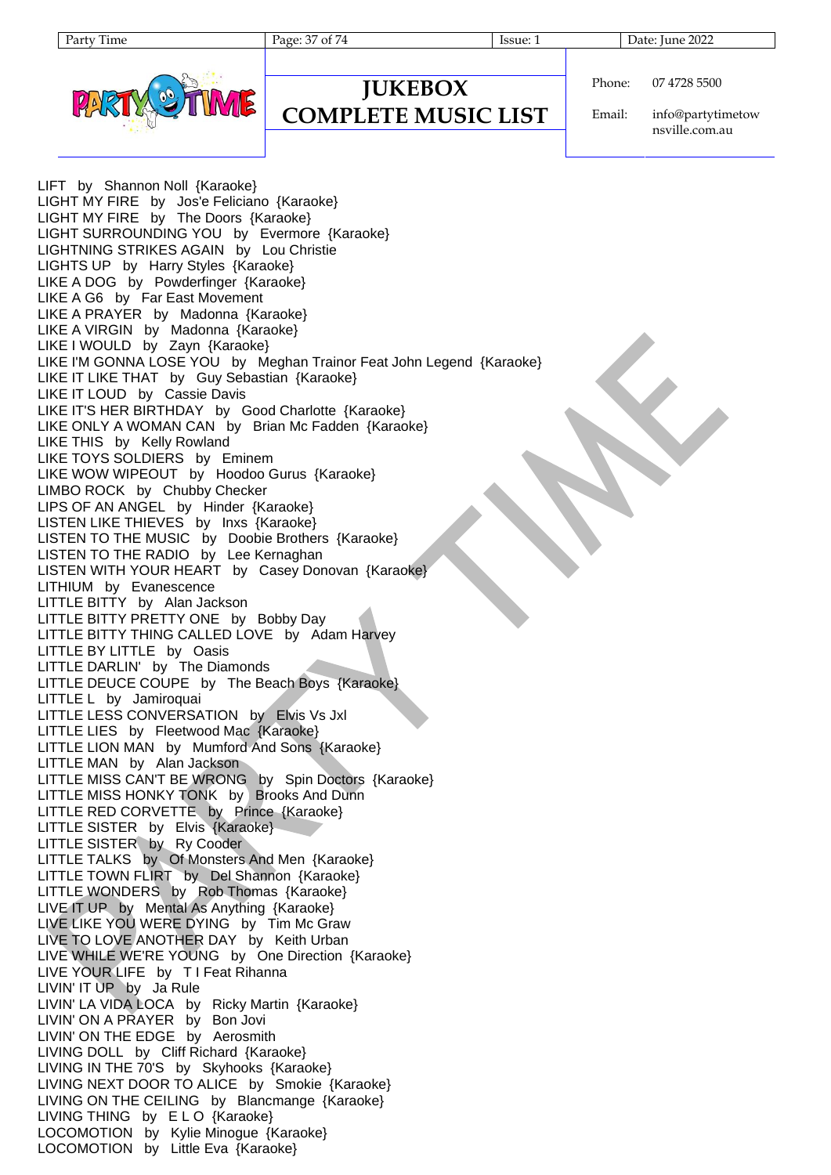**JUKEBOX COMPLETE MUSIC LIST**

Page: 37 of 74 Issue: 1 Date: June 2022



Phone: 07 4728 5500

Email: info@partytimetow nsville.com.au

LIFT by Shannon Noll {Karaoke} LIGHT MY FIRE by Jos'e Feliciano {Karaoke} LIGHT MY FIRE by The Doors {Karaoke} LIGHT SURROUNDING YOU by Evermore {Karaoke} LIGHTNING STRIKES AGAIN by Lou Christie LIGHTS UP by Harry Styles {Karaoke} LIKE A DOG by Powderfinger {Karaoke} LIKE A G6 by Far East Movement LIKE A PRAYER by Madonna {Karaoke} LIKE A VIRGIN by Madonna {Karaoke} LIKE I WOULD by Zayn {Karaoke} LIKE I'M GONNA LOSE YOU by Meghan Trainor Feat John Legend {Karaoke} LIKE IT LIKE THAT by Guy Sebastian {Karaoke} LIKE IT LOUD by Cassie Davis LIKE IT'S HER BIRTHDAY by Good Charlotte {Karaoke} LIKE ONLY A WOMAN CAN by Brian Mc Fadden {Karaoke} LIKE THIS by Kelly Rowland LIKE TOYS SOLDIERS by Eminem LIKE WOW WIPEOUT by Hoodoo Gurus {Karaoke} LIMBO ROCK by Chubby Checker LIPS OF AN ANGEL by Hinder {Karaoke} LISTEN LIKE THIEVES by Inxs {Karaoke} LISTEN TO THE MUSIC by Doobie Brothers {Karaoke} LISTEN TO THE RADIO by Lee Kernaghan LISTEN WITH YOUR HEART by Casey Donovan {Karaoke} LITHIUM by Evanescence LITTLE BITTY by Alan Jackson LITTLE BITTY PRETTY ONE by Bobby Day LITTLE BITTY THING CALLED LOVE by Adam Harvey LITTLE BY LITTLE by Oasis LITTLE DARLIN' by The Diamonds LITTLE DEUCE COUPE by The Beach Boys {Karaoke} LITTLE L by Jamiroquai LITTLE LESS CONVERSATION by Elvis Vs Jxl LITTLE LIES by Fleetwood Mac {Karaoke} LITTLE LION MAN by Mumford And Sons {Karaoke} LITTLE MAN by Alan Jackson LITTLE MISS CAN'T BE WRONG by Spin Doctors {Karaoke} LITTLE MISS HONKY TONK by Brooks And Dunn LITTLE RED CORVETTE by Prince {Karaoke} LITTLE SISTER by Elvis {Karaoke} LITTLE SISTER by Ry Cooder LITTLE TALKS by Of Monsters And Men {Karaoke} LITTLE TOWN FLIRT by Del Shannon {Karaoke} LITTLE WONDERS by Rob Thomas {Karaoke} LIVE IT UP by Mental As Anything {Karaoke} LIVE LIKE YOU WERE DYING by Tim Mc Graw LIVE TO LOVE ANOTHER DAY by Keith Urban LIVE WHILE WE'RE YOUNG by One Direction {Karaoke} LIVE YOUR LIFE by T I Feat Rihanna LIVIN' IT UP by Ja Rule LIVIN' LA VIDA LOCA by Ricky Martin {Karaoke} LIVIN' ON A PRAYER by Bon Jovi LIVIN' ON THE EDGE by Aerosmith LIVING DOLL by Cliff Richard {Karaoke} LIVING IN THE 70'S by Skyhooks {Karaoke} LIVING NEXT DOOR TO ALICE by Smokie {Karaoke} LIVING ON THE CEILING by Blancmange {Karaoke} LIVING THING by E L O {Karaoke} LOCOMOTION by Kylie Minogue {Karaoke} LOCOMOTION by Little Eva {Karaoke}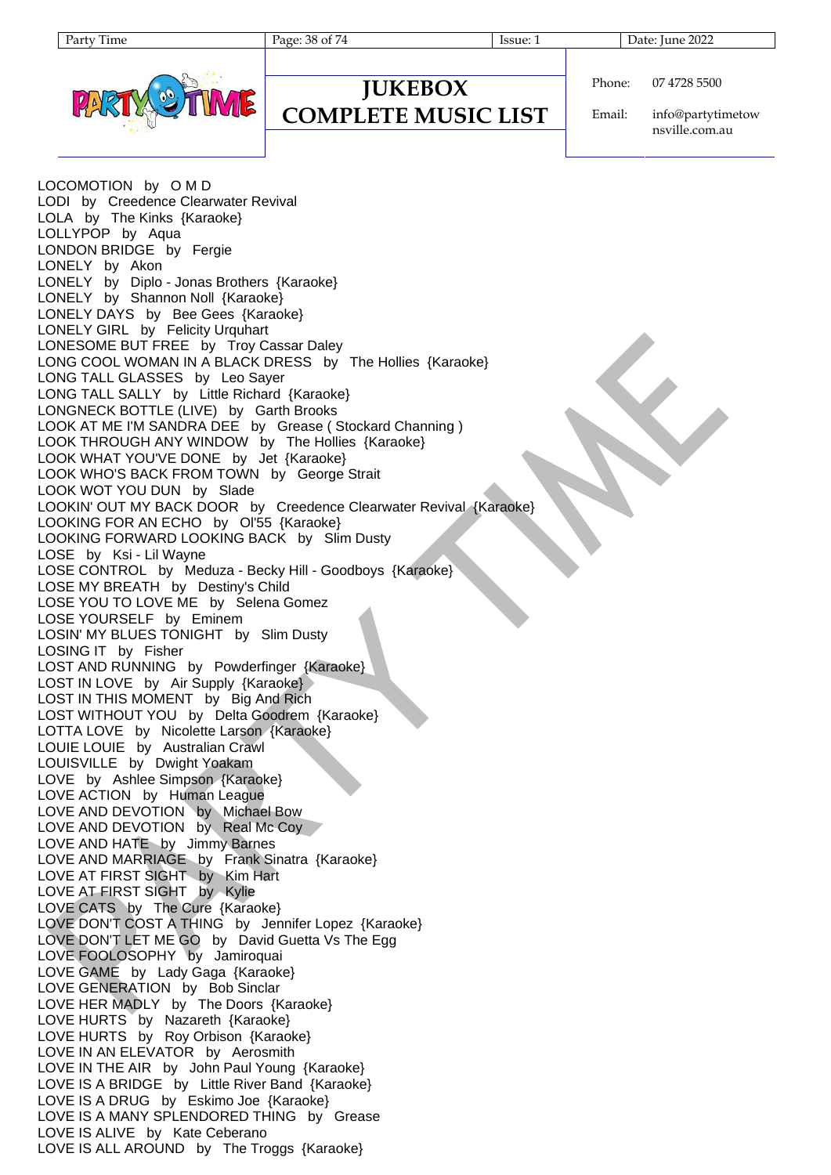### **JUKEBOX COMPLETE MUSIC LIST**

Page: 38 of 74 Issue: 1 Issue: 1 Date: June 2022

Phone: 07 4728 5500

Email: info@partytimetow nsville.com.au

LOCOMOTION by O M D LODI by Creedence Clearwater Revival LOLA by The Kinks {Karaoke} LOLLYPOP by Aqua LONDON BRIDGE by Fergie LONELY by Akon LONELY by Diplo - Jonas Brothers {Karaoke} LONELY by Shannon Noll {Karaoke} LONELY DAYS by Bee Gees {Karaoke} LONELY GIRL by Felicity Urquhart LONESOME BUT FREE by Troy Cassar Daley LONG COOL WOMAN IN A BLACK DRESS by The Hollies {Karaoke} LONG TALL GLASSES by Leo Sayer LONG TALL SALLY by Little Richard {Karaoke} LONGNECK BOTTLE (LIVE) by Garth Brooks LOOK AT ME I'M SANDRA DEE by Grease ( Stockard Channing ) LOOK THROUGH ANY WINDOW by The Hollies {Karaoke} LOOK WHAT YOU'VE DONE by Jet {Karaoke} LOOK WHO'S BACK FROM TOWN by George Strait LOOK WOT YOU DUN by Slade LOOKIN' OUT MY BACK DOOR by Creedence Clearwater Revival {Karaoke} LOOKING FOR AN ECHO by Ol'55 {Karaoke} LOOKING FORWARD LOOKING BACK by Slim Dusty LOSE by Ksi - Lil Wayne LOSE CONTROL by Meduza - Becky Hill - Goodboys {Karaoke} LOSE MY BREATH by Destiny's Child LOSE YOU TO LOVE ME by Selena Gomez LOSE YOURSELF by Eminem LOSIN' MY BLUES TONIGHT by Slim Dusty LOSING IT by Fisher LOST AND RUNNING by Powderfinger {Karaoke} LOST IN LOVE by Air Supply {Karaoke} LOST IN THIS MOMENT by Big And Rich LOST WITHOUT YOU by Delta Goodrem {Karaoke} LOTTA LOVE by Nicolette Larson {Karaoke} LOUIE LOUIE by Australian Crawl LOUISVILLE by Dwight Yoakam LOVE by Ashlee Simpson {Karaoke} LOVE ACTION by Human League LOVE AND DEVOTION by Michael Bow LOVE AND DEVOTION by Real Mc Coy LOVE AND HATE by Jimmy Barnes LOVE AND MARRIAGE by Frank Sinatra {Karaoke} LOVE AT FIRST SIGHT by Kim Hart LOVE AT FIRST SIGHT by Kylie LOVE CATS by The Cure {Karaoke} LOVE DON'T COST A THING by Jennifer Lopez {Karaoke} LOVE DON'T LET ME GO by David Guetta Vs The Egg LOVE FOOLOSOPHY by Jamiroquai LOVE GAME by Lady Gaga {Karaoke} LOVE GENERATION by Bob Sinclar LOVE HER MADLY by The Doors {Karaoke} LOVE HURTS by Nazareth {Karaoke} LOVE HURTS by Roy Orbison {Karaoke} LOVE IN AN ELEVATOR by Aerosmith LOVE IN THE AIR by John Paul Young {Karaoke} LOVE IS A BRIDGE by Little River Band {Karaoke} LOVE IS A DRUG by Eskimo Joe {Karaoke} LOVE IS A MANY SPLENDORED THING by Grease LOVE IS ALIVE by Kate Ceberano LOVE IS ALL AROUND by The Troggs {Karaoke}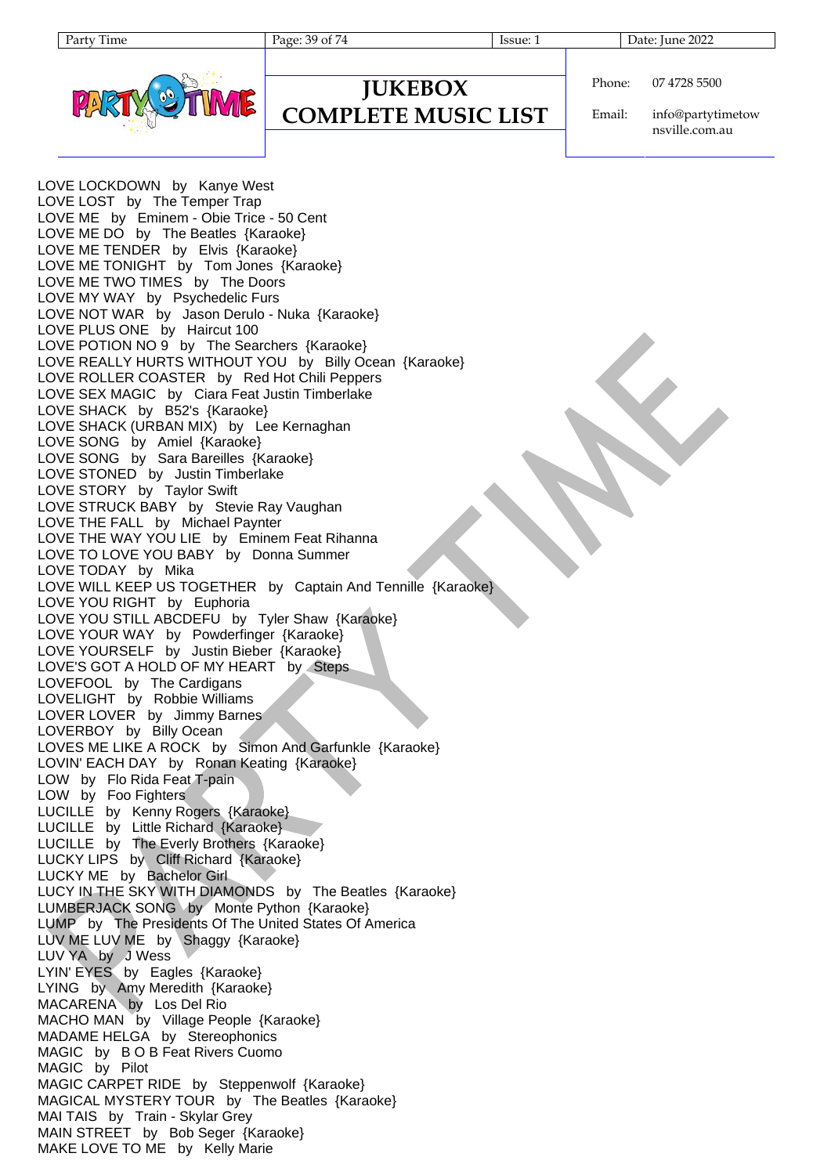| 1 O 6 |
|-------|
|       |

Page: 39 of 74 Issue: 1 Date: June 2022



### **JUKEBOX COMPLETE MUSIC LIST**

Phone: 07 4728 5500

Email: info@partytimetow nsville.com.au

LOVE LOCKDOWN by Kanye West LOVE LOST by The Temper Trap LOVE ME by Eminem - Obie Trice - 50 Cent LOVE ME DO by The Beatles {Karaoke} LOVE ME TENDER by Elvis {Karaoke} LOVE ME TONIGHT by Tom Jones {Karaoke} LOVE ME TWO TIMES by The Doors LOVE MY WAY by Psychedelic Furs LOVE NOT WAR by Jason Derulo - Nuka {Karaoke} LOVE PLUS ONE by Haircut 100 LOVE POTION NO 9 by The Searchers {Karaoke} LOVE REALLY HURTS WITHOUT YOU by Billy Ocean {Karaoke} LOVE ROLLER COASTER by Red Hot Chili Peppers LOVE SEX MAGIC by Ciara Feat Justin Timberlake LOVE SHACK by B52's {Karaoke} LOVE SHACK (URBAN MIX) by Lee Kernaghan LOVE SONG by Amiel {Karaoke} LOVE SONG by Sara Bareilles {Karaoke} LOVE STONED by Justin Timberlake LOVE STORY by Taylor Swift LOVE STRUCK BABY by Stevie Ray Vaughan LOVE THE FALL by Michael Paynter LOVE THE WAY YOU LIE by Eminem Feat Rihanna LOVE TO LOVE YOU BABY by Donna Summer LOVE TODAY by Mika LOVE WILL KEEP US TOGETHER by Captain And Tennille {Karaoke} LOVE YOU RIGHT by Euphoria LOVE YOU STILL ABCDEFU by Tyler Shaw {Karaoke} LOVE YOUR WAY by Powderfinger {Karaoke} LOVE YOURSELF by Justin Bieber {Karaoke} LOVE'S GOT A HOLD OF MY HEART by Steps LOVEFOOL by The Cardigans LOVELIGHT by Robbie Williams LOVER LOVER by Jimmy Barnes LOVERBOY by Billy Ocean LOVES ME LIKE A ROCK by Simon And Garfunkle {Karaoke} LOVIN' EACH DAY by Ronan Keating {Karaoke} LOW by Flo Rida Feat T-pain LOW by Foo Fighters LUCILLE by Kenny Rogers {Karaoke} LUCILLE by Little Richard {Karaoke} LUCILLE by The Everly Brothers {Karaoke} LUCKY LIPS by Cliff Richard {Karaoke} LUCKY ME by Bachelor Girl LUCY IN THE SKY WITH DIAMONDS by The Beatles {Karaoke} LUMBERJACK SONG by Monte Python {Karaoke} LUMP by The Presidents Of The United States Of America LUV ME LUV ME by Shaggy {Karaoke} LUV YA by J Wess LYIN' EYES by Eagles {Karaoke} LYING by Amy Meredith {Karaoke} MACARENA by Los Del Rio MACHO MAN by Village People {Karaoke} MADAME HELGA by Stereophonics MAGIC by B O B Feat Rivers Cuomo MAGIC by Pilot MAGIC CARPET RIDE by Steppenwolf {Karaoke} MAGICAL MYSTERY TOUR by The Beatles {Karaoke} MAI TAIS by Train - Skylar Grey MAIN STREET by Bob Seger {Karaoke} MAKE LOVE TO ME by Kelly Marie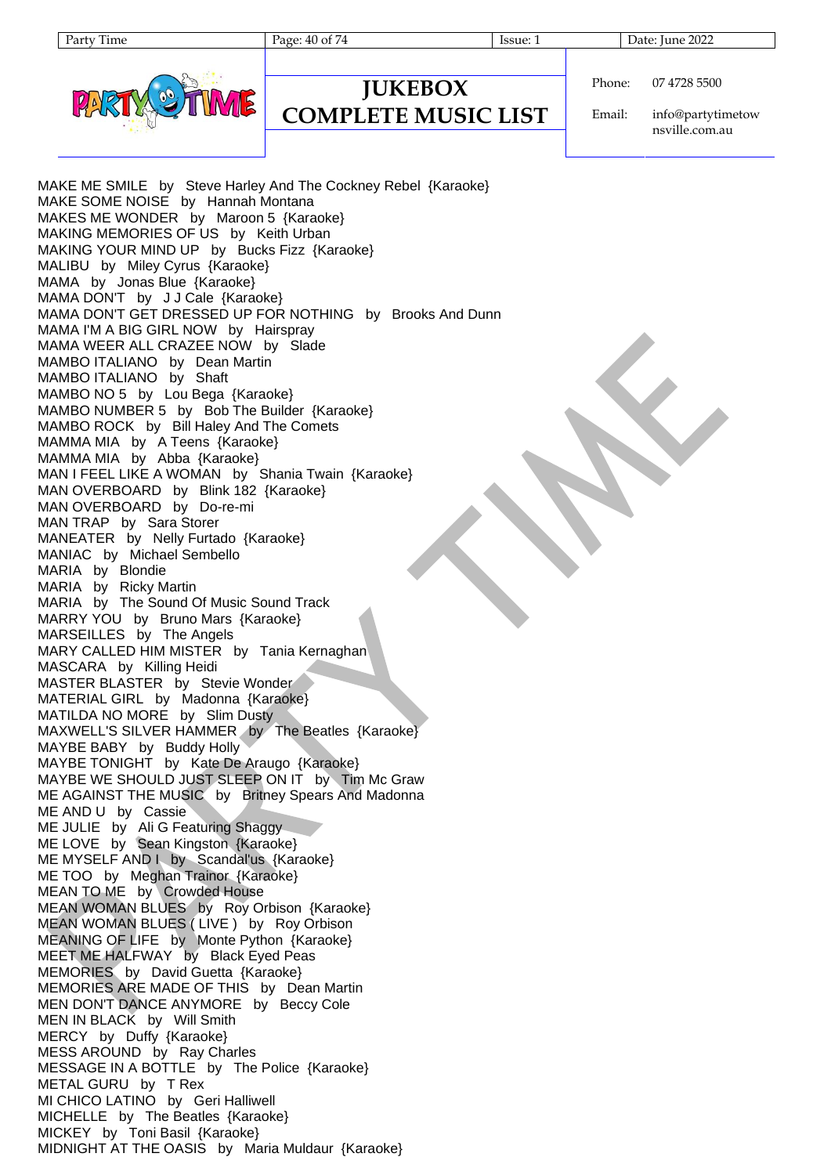Page: 40 of 74 Issue: 1 Issue: 1 Date: June 2022



### **JUKEBOX COMPLETE MUSIC LIST**

Phone: 07 4728 5500

Email: info@partytimetow nsville.com.au

MAKE ME SMILE by Steve Harley And The Cockney Rebel {Karaoke} MAKE SOME NOISE by Hannah Montana MAKES ME WONDER by Maroon 5 {Karaoke} MAKING MEMORIES OF US by Keith Urban MAKING YOUR MIND UP by Bucks Fizz {Karaoke} MALIBU by Miley Cyrus {Karaoke} MAMA by Jonas Blue {Karaoke} MAMA DON'T by J J Cale {Karaoke} MAMA DON'T GET DRESSED UP FOR NOTHING by Brooks And Dunn MAMA I'M A BIG GIRL NOW by Hairspray MAMA WEER ALL CRAZEE NOW by Slade MAMBO ITALIANO by Dean Martin MAMBO ITALIANO by Shaft MAMBO NO 5 by Lou Bega {Karaoke} MAMBO NUMBER 5 by Bob The Builder {Karaoke} MAMBO ROCK by Bill Haley And The Comets MAMMA MIA by A Teens {Karaoke} MAMMA MIA by Abba {Karaoke} MAN I FEEL LIKE A WOMAN by Shania Twain {Karaoke} MAN OVERBOARD by Blink 182 {Karaoke} MAN OVERBOARD by Do-re-mi MAN TRAP by Sara Storer MANEATER by Nelly Furtado {Karaoke} MANIAC by Michael Sembello MARIA by Blondie MARIA by Ricky Martin MARIA by The Sound Of Music Sound Track MARRY YOU by Bruno Mars {Karaoke} MARSEILLES by The Angels MARY CALLED HIM MISTER by Tania Kernaghan MASCARA by Killing Heidi MASTER BLASTER by Stevie Wonder MATERIAL GIRL by Madonna {Karaoke} MATILDA NO MORE by Slim Dusty MAXWELL'S SILVER HAMMER by The Beatles {Karaoke} MAYBE BABY by Buddy Holly MAYBE TONIGHT by Kate De Araugo {Karaoke} MAYBE WE SHOULD JUST SLEEP ON IT by Tim Mc Graw ME AGAINST THE MUSIC by Britney Spears And Madonna ME AND U by Cassie ME JULIE by Ali G Featuring Shaggy ME LOVE by Sean Kingston {Karaoke} ME MYSELF AND I by Scandal'us {Karaoke} ME TOO by Meghan Trainor {Karaoke} MEAN TO ME by Crowded House MEAN WOMAN BLUES by Roy Orbison {Karaoke} MEAN WOMAN BLUES ( LIVE ) by Roy Orbison MEANING OF LIFE by Monte Python {Karaoke} MEET ME HALFWAY by Black Eyed Peas MEMORIES by David Guetta {Karaoke} MEMORIES ARE MADE OF THIS by Dean Martin MEN DON'T DANCE ANYMORE by Beccy Cole MEN IN BLACK by Will Smith MERCY by Duffy {Karaoke} MESS AROUND by Ray Charles MESSAGE IN A BOTTLE by The Police {Karaoke} METAL GURU by T Rex MI CHICO LATINO by Geri Halliwell MICHELLE by The Beatles {Karaoke} MICKEY by Toni Basil {Karaoke} MIDNIGHT AT THE OASIS by Maria Muldaur {Karaoke}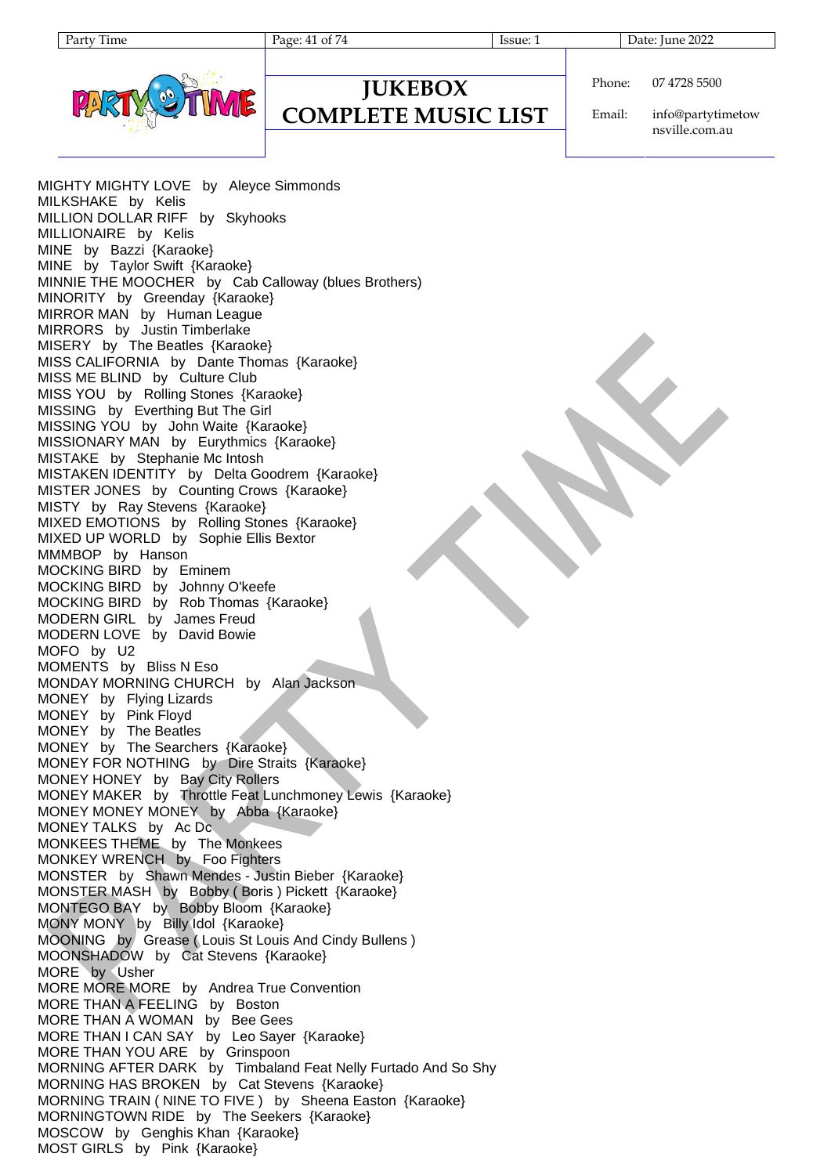Page: 41 of 74 Issue: 1 Issue: 1 Date: June 2022



### **JUKEBOX COMPLETE MUSIC LIST**

Phone: 07 4728 5500

Email: info@partytimetow nsville.com.au

MIGHTY MIGHTY LOVE by Aleyce Simmonds MILKSHAKE by Kelis MILLION DOLLAR RIFF by Skyhooks MILLIONAIRE by Kelis MINE by Bazzi {Karaoke} MINE by Taylor Swift {Karaoke} MINNIE THE MOOCHER by Cab Calloway (blues Brothers) MINORITY by Greenday {Karaoke} MIRROR MAN by Human League MIRRORS by Justin Timberlake MISERY by The Beatles {Karaoke} MISS CALIFORNIA by Dante Thomas {Karaoke} MISS ME BLIND by Culture Club MISS YOU by Rolling Stones {Karaoke} MISSING by Everthing But The Girl MISSING YOU by John Waite {Karaoke} MISSIONARY MAN by Eurythmics {Karaoke} MISTAKE by Stephanie Mc Intosh MISTAKEN IDENTITY by Delta Goodrem {Karaoke} MISTER JONES by Counting Crows {Karaoke} MISTY by Ray Stevens {Karaoke} MIXED EMOTIONS by Rolling Stones {Karaoke} MIXED UP WORLD by Sophie Ellis Bextor MMMBOP by Hanson MOCKING BIRD by Eminem MOCKING BIRD by Johnny O'keefe MOCKING BIRD by Rob Thomas {Karaoke} MODERN GIRL by James Freud MODERN LOVE by David Bowie MOFO by U2 MOMENTS by Bliss N Eso MONDAY MORNING CHURCH by Alan Jackson MONEY by Flying Lizards MONEY by Pink Floyd MONEY by The Beatles MONEY by The Searchers {Karaoke} MONEY FOR NOTHING by Dire Straits {Karaoke} MONEY HONEY by Bay City Rollers MONEY MAKER by Throttle Feat Lunchmoney Lewis {Karaoke} MONEY MONEY MONEY by Abba {Karaoke} MONEY TALKS by Ac Dc MONKEES THEME by The Monkees MONKEY WRENCH by Foo Fighters MONSTER by Shawn Mendes - Justin Bieber {Karaoke} MONSTER MASH by Bobby ( Boris ) Pickett {Karaoke} MONTEGO BAY by Bobby Bloom {Karaoke} MONY MONY by Billy Idol {Karaoke} MOONING by Grease ( Louis St Louis And Cindy Bullens ) MOONSHADOW by Cat Stevens {Karaoke} MORE by Usher MORE MORE MORE by Andrea True Convention MORE THAN A FEELING by Boston MORE THAN A WOMAN by Bee Gees MORE THAN I CAN SAY by Leo Sayer {Karaoke} MORE THAN YOU ARE by Grinspoon MORNING AFTER DARK by Timbaland Feat Nelly Furtado And So Shy MORNING HAS BROKEN by Cat Stevens {Karaoke} MORNING TRAIN ( NINE TO FIVE ) by Sheena Easton {Karaoke} MORNINGTOWN RIDE by The Seekers {Karaoke} MOSCOW by Genghis Khan {Karaoke} MOST GIRLS by Pink {Karaoke}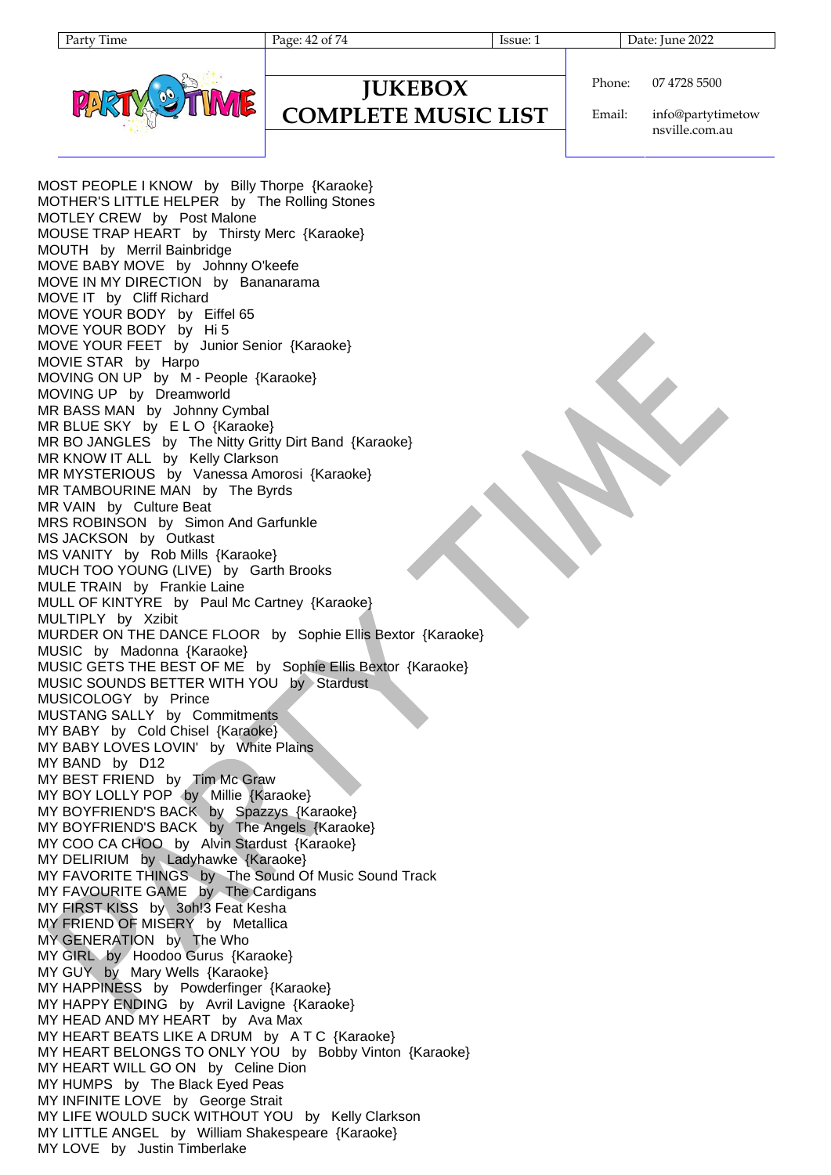Page: 42 of 74 Issue: 1 Issue: 1 Date: June 2022



### **JUKEBOX COMPLETE MUSIC LIST**

Phone: 07 4728 5500

Email: info@partytimetow nsville.com.au

MOST PEOPLE I KNOW by Billy Thorpe {Karaoke} MOTHER'S LITTLE HELPER by The Rolling Stones MOTLEY CREW by Post Malone MOUSE TRAP HEART by Thirsty Merc {Karaoke} MOUTH by Merril Bainbridge MOVE BABY MOVE by Johnny O'keefe MOVE IN MY DIRECTION by Bananarama MOVE IT by Cliff Richard MOVE YOUR BODY by Eiffel 65 MOVE YOUR BODY by Hi 5 MOVE YOUR FEET by Junior Senior {Karaoke} MOVIE STAR by Harpo MOVING ON UP by M - People {Karaoke} MOVING UP by Dreamworld MR BASS MAN by Johnny Cymbal MR BLUE SKY by ELO {Karaoke} MR BO JANGLES by The Nitty Gritty Dirt Band {Karaoke} MR KNOW IT ALL by Kelly Clarkson MR MYSTERIOUS by Vanessa Amorosi {Karaoke} MR TAMBOURINE MAN by The Byrds MR VAIN by Culture Beat MRS ROBINSON by Simon And Garfunkle MS JACKSON by Outkast MS VANITY by Rob Mills {Karaoke} MUCH TOO YOUNG (LIVE) by Garth Brooks MULE TRAIN by Frankie Laine MULL OF KINTYRE by Paul Mc Cartney {Karaoke} MULTIPLY by Xzibit MURDER ON THE DANCE FLOOR by Sophie Ellis Bextor {Karaoke} MUSIC by Madonna {Karaoke} MUSIC GETS THE BEST OF ME by Sophie Ellis Bextor {Karaoke} MUSIC SOUNDS BETTER WITH YOU by Stardust MUSICOLOGY by Prince MUSTANG SALLY by Commitments MY BABY by Cold Chisel {Karaoke} MY BABY LOVES LOVIN' by White Plains MY BAND by D12 MY BEST FRIEND by Tim Mc Graw MY BOY LOLLY POP by Millie {Karaoke} MY BOYFRIEND'S BACK by Spazzys {Karaoke} MY BOYFRIEND'S BACK by The Angels {Karaoke} MY COO CA CHOO by Alvin Stardust {Karaoke} MY DELIRIUM by Ladyhawke {Karaoke} MY FAVORITE THINGS by The Sound Of Music Sound Track MY FAVOURITE GAME by The Cardigans MY FIRST KISS by 3oh!3 Feat Kesha MY FRIEND OF MISERY by Metallica MY GENERATION by The Who MY GIRL by Hoodoo Gurus {Karaoke} MY GUY by Mary Wells {Karaoke} MY HAPPINESS by Powderfinger {Karaoke} MY HAPPY ENDING by Avril Lavigne {Karaoke} MY HEAD AND MY HEART by Ava Max MY HEART BEATS LIKE A DRUM by A T C {Karaoke} MY HEART BELONGS TO ONLY YOU by Bobby Vinton {Karaoke} MY HEART WILL GO ON by Celine Dion MY HUMPS by The Black Eyed Peas MY INFINITE LOVE by George Strait MY LIFE WOULD SUCK WITHOUT YOU by Kelly Clarkson MY LITTLE ANGEL by William Shakespeare {Karaoke} MY LOVE by Justin Timberlake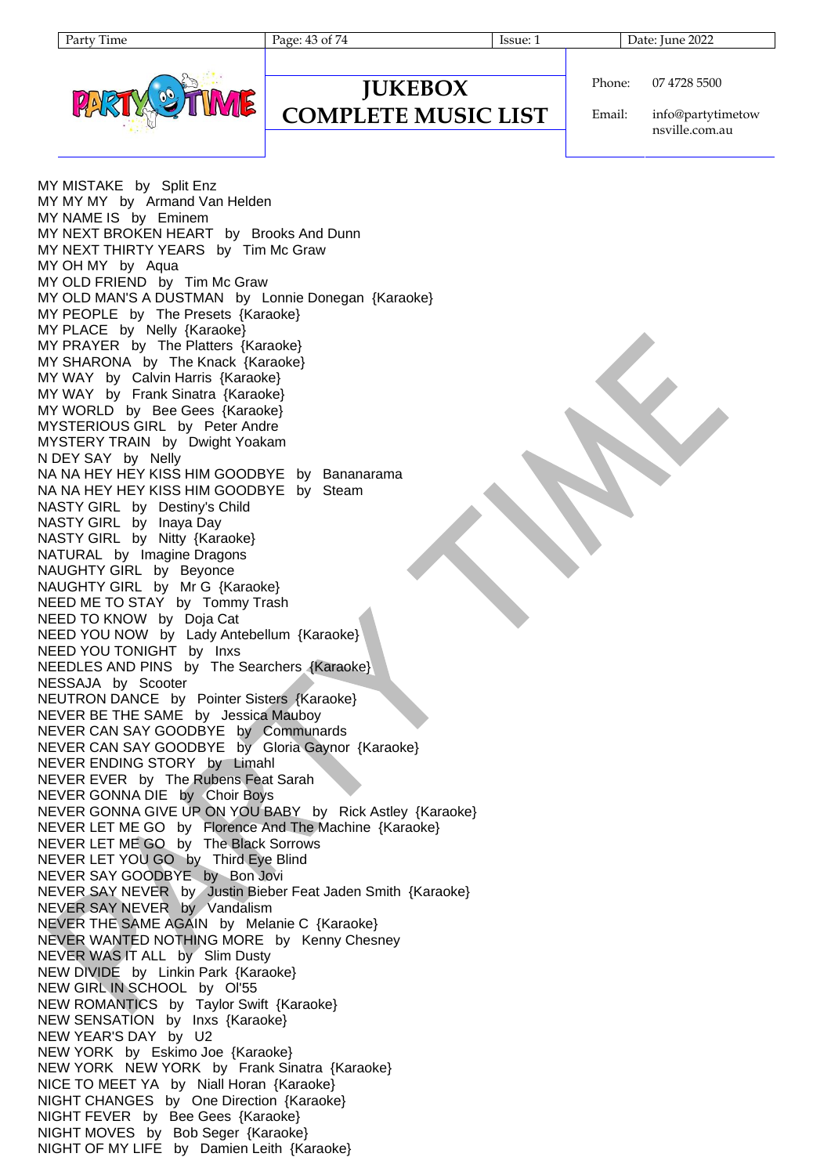Page: 43 of 74 Issue: 1 Issue: 1 Date: June 2022



### **JUKEBOX COMPLETE MUSIC LIST**

Phone: 07 4728 5500

Email: info@partytimetow nsville.com.au

MY MISTAKE by Split Enz MY MY MY by Armand Van Helden MY NAME IS by Eminem MY NEXT BROKEN HEART by Brooks And Dunn MY NEXT THIRTY YEARS by Tim Mc Graw MY OH MY by Aqua MY OLD FRIEND by Tim Mc Graw MY OLD MAN'S A DUSTMAN by Lonnie Donegan {Karaoke} MY PEOPLE by The Presets {Karaoke} MY PLACE by Nelly {Karaoke} MY PRAYER by The Platters {Karaoke} MY SHARONA by The Knack {Karaoke} MY WAY by Calvin Harris {Karaoke} MY WAY by Frank Sinatra {Karaoke} MY WORLD by Bee Gees {Karaoke} MYSTERIOUS GIRL by Peter Andre MYSTERY TRAIN by Dwight Yoakam N DEY SAY by Nelly NA NA HEY HEY KISS HIM GOODBYE by Bananarama NA NA HEY HEY KISS HIM GOODBYE by Steam NASTY GIRL by Destiny's Child NASTY GIRL by Inaya Day NASTY GIRL by Nitty {Karaoke} NATURAL by Imagine Dragons NAUGHTY GIRL by Beyonce NAUGHTY GIRL by Mr G {Karaoke} NEED ME TO STAY by Tommy Trash NEED TO KNOW by Doja Cat NEED YOU NOW by Lady Antebellum {Karaoke} NEED YOU TONIGHT by Inxs NEEDLES AND PINS by The Searchers {Karaoke} NESSAJA by Scooter NEUTRON DANCE by Pointer Sisters {Karaoke} NEVER BE THE SAME by Jessica Mauboy NEVER CAN SAY GOODBYE by Communards NEVER CAN SAY GOODBYE by Gloria Gaynor {Karaoke} NEVER ENDING STORY by Limahl NEVER EVER by The Rubens Feat Sarah NEVER GONNA DIE by Choir Boys NEVER GONNA GIVE UP ON YOU BABY by Rick Astley {Karaoke} NEVER LET ME GO by Florence And The Machine {Karaoke} NEVER LET ME GO by The Black Sorrows NEVER LET YOU GO by Third Eye Blind NEVER SAY GOODBYE by Bon Jovi NEVER SAY NEVER by Justin Bieber Feat Jaden Smith {Karaoke} NEVER SAY NEVER by Vandalism NEVER THE SAME AGAIN by Melanie C {Karaoke} NEVER WANTED NOTHING MORE by Kenny Chesney NEVER WAS IT ALL by Slim Dusty NEW DIVIDE by Linkin Park {Karaoke} NEW GIRL IN SCHOOL by Ol'55 NEW ROMANTICS by Taylor Swift {Karaoke} NEW SENSATION by Inxs {Karaoke} NEW YEAR'S DAY by U2 NEW YORK by Eskimo Joe {Karaoke} NEW YORK NEW YORK by Frank Sinatra {Karaoke} NICE TO MEET YA by Niall Horan {Karaoke} NIGHT CHANGES by One Direction {Karaoke} NIGHT FEVER by Bee Gees {Karaoke} NIGHT MOVES by Bob Seger {Karaoke} NIGHT OF MY LIFE by Damien Leith {Karaoke}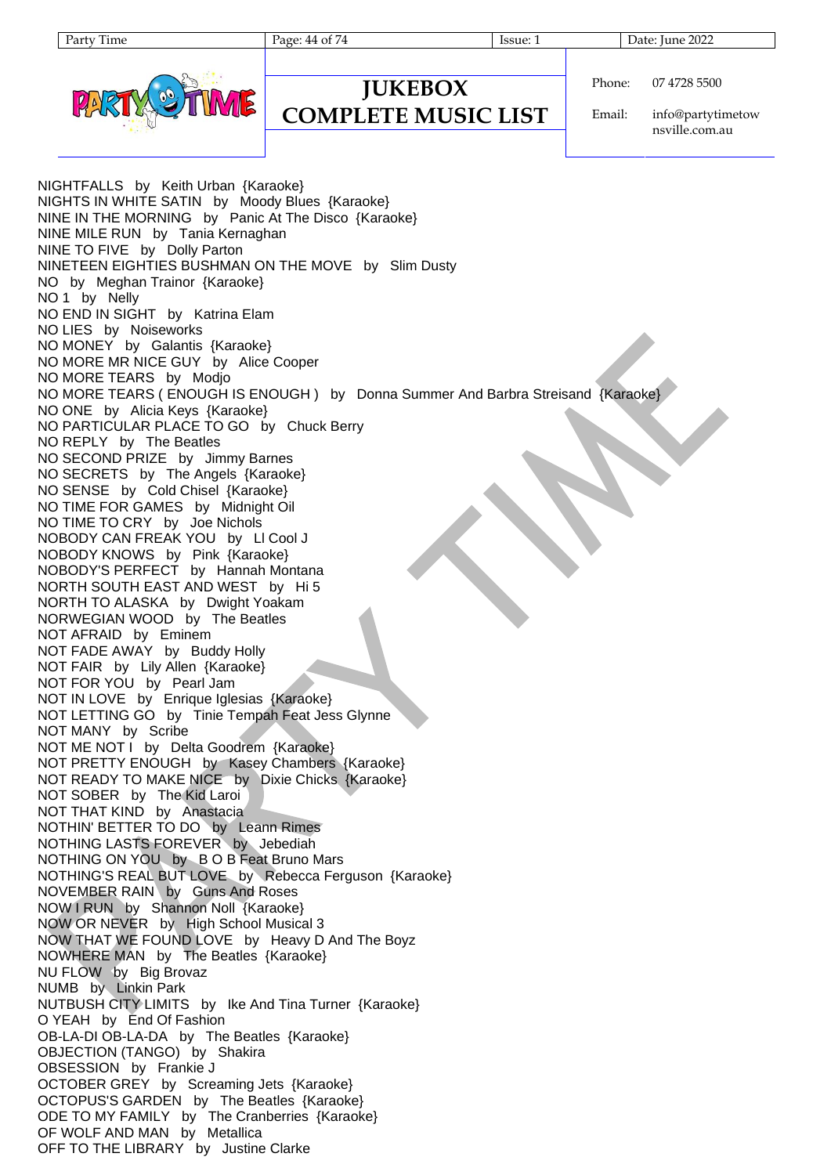| arty<br>11me |
|--------------|
|--------------|

Page: 44 of 74 Issue: 1 Issue: 1 Date: June 2022

Phone:



OFF TO THE LIBRARY by Justine Clarke

# **JUKEBOX**

**COMPLETE MUSIC LIST**

Email: info@partytimetow

07 4728 5500

nsville.com.au

NIGHTFALLS by Keith Urban {Karaoke} NIGHTS IN WHITE SATIN by Moody Blues {Karaoke} NINE IN THE MORNING by Panic At The Disco {Karaoke} NINE MILE RUN by Tania Kernaghan NINE TO FIVE by Dolly Parton NINETEEN EIGHTIES BUSHMAN ON THE MOVE by Slim Dusty NO by Meghan Trainor {Karaoke} NO 1 by Nelly NO END IN SIGHT by Katrina Elam NO LIES by Noiseworks NO MONEY by Galantis {Karaoke} NO MORE MR NICE GUY by Alice Cooper NO MORE TEARS by Modjo NO MORE TEARS ( ENOUGH IS ENOUGH ) by Donna Summer And Barbra Streisand {Karaoke} NO ONE by Alicia Keys {Karaoke} NO PARTICULAR PLACE TO GO by Chuck Berry NO REPLY by The Beatles NO SECOND PRIZE by Jimmy Barnes NO SECRETS by The Angels {Karaoke} NO SENSE by Cold Chisel {Karaoke} NO TIME FOR GAMES by Midnight Oil NO TIME TO CRY by Joe Nichols NOBODY CAN FREAK YOU by Ll Cool J NOBODY KNOWS by Pink {Karaoke} NOBODY'S PERFECT by Hannah Montana NORTH SOUTH EAST AND WEST by Hi 5 NORTH TO ALASKA by Dwight Yoakam NORWEGIAN WOOD by The Beatles NOT AFRAID by Eminem NOT FADE AWAY by Buddy Holly NOT FAIR by Lily Allen {Karaoke} NOT FOR YOU by Pearl Jam NOT IN LOVE by Enrique Iglesias {Karaoke} NOT LETTING GO by Tinie Tempah Feat Jess Glynne NOT MANY by Scribe NOT ME NOT I by Delta Goodrem {Karaoke} NOT PRETTY ENOUGH by Kasey Chambers {Karaoke} NOT READY TO MAKE NICE by Dixie Chicks {Karaoke} NOT SOBER by The Kid Laroi NOT THAT KIND by Anastacia NOTHIN' BETTER TO DO by Leann Rimes NOTHING LASTS FOREVER by Jebediah NOTHING ON YOU by B O B Feat Bruno Mars NOTHING'S REAL BUT LOVE by Rebecca Ferguson {Karaoke} NOVEMBER RAIN by Guns And Roses NOW I RUN by Shannon Noll {Karaoke} NOW OR NEVER by High School Musical 3 NOW THAT WE FOUND LOVE by Heavy D And The Boyz NOWHERE MAN by The Beatles {Karaoke} NU FLOW by Big Brovaz NUMB by Linkin Park NUTBUSH CITY LIMITS by Ike And Tina Turner {Karaoke} O YEAH by End Of Fashion OB-LA-DI OB-LA-DA by The Beatles {Karaoke} OBJECTION (TANGO) by Shakira OBSESSION by Frankie J OCTOBER GREY by Screaming Jets {Karaoke} OCTOPUS'S GARDEN by The Beatles {Karaoke} ODE TO MY FAMILY by The Cranberries {Karaoke} OF WOLF AND MAN by Metallica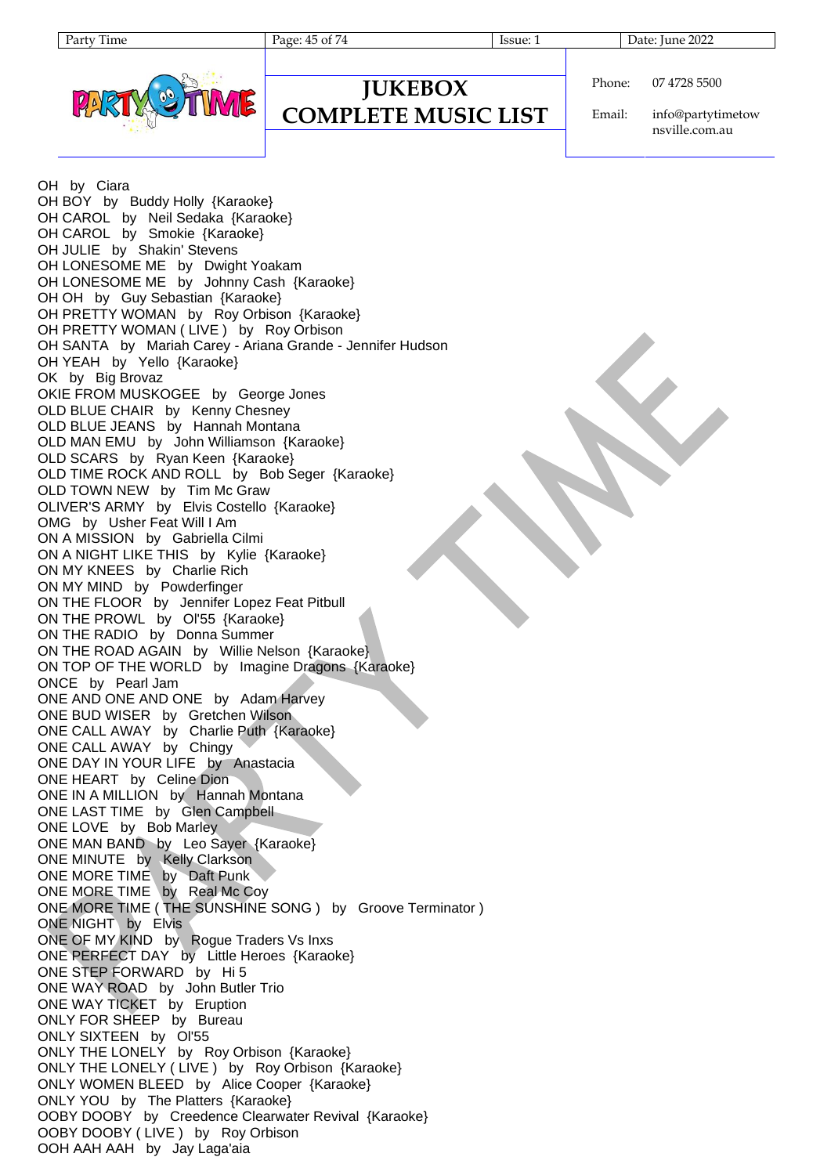| v<br>ı ime<br>arг |
|-------------------|
|-------------------|

Page: 45 of 74 Issue: 1 Issue: 1 Date: June 2022

**JUKEBOX COMPLETE MUSIC LIST** Phone: 07 4728 5500

Email: info@partytimetow nsville.com.au

OH by Ciara OH BOY by Buddy Holly {Karaoke} OH CAROL by Neil Sedaka {Karaoke} OH CAROL by Smokie {Karaoke} OH JULIE by Shakin' Stevens OH LONESOME ME by Dwight Yoakam OH LONESOME ME by Johnny Cash {Karaoke} OH OH by Guy Sebastian {Karaoke} OH PRETTY WOMAN by Roy Orbison {Karaoke} OH PRETTY WOMAN (LIVE ) by Roy Orbison OH SANTA by Mariah Carey - Ariana Grande - Jennifer Hudson OH YEAH by Yello {Karaoke} OK by Big Brovaz OKIE FROM MUSKOGEE by George Jones OLD BLUE CHAIR by Kenny Chesney OLD BLUE JEANS by Hannah Montana OLD MAN EMU by John Williamson {Karaoke} OLD SCARS by Ryan Keen {Karaoke} OLD TIME ROCK AND ROLL by Bob Seger {Karaoke} OLD TOWN NEW by Tim Mc Graw OLIVER'S ARMY by Elvis Costello {Karaoke} OMG by Usher Feat Will I Am ON A MISSION by Gabriella Cilmi ON A NIGHT LIKE THIS by Kylie {Karaoke} ON MY KNEES by Charlie Rich ON MY MIND by Powderfinger ON THE FLOOR by Jennifer Lopez Feat Pitbull ON THE PROWL by Ol'55 {Karaoke} ON THE RADIO by Donna Summer ON THE ROAD AGAIN by Willie Nelson {Karaoke} ON TOP OF THE WORLD by Imagine Dragons {Karaoke} ONCE by Pearl Jam ONE AND ONE AND ONE by Adam Harvey ONE BUD WISER by Gretchen Wilson ONE CALL AWAY by Charlie Puth {Karaoke} ONE CALL AWAY by Chingy ONE DAY IN YOUR LIFE by Anastacia ONE HEART by Celine Dion ONE IN A MILLION by Hannah Montana ONE LAST TIME by Glen Campbell ONE LOVE by Bob Marley ONE MAN BAND by Leo Sayer {Karaoke} ONE MINUTE by Kelly Clarkson ONE MORE TIME by Daft Punk ONE MORE TIME by Real Mc Coy ONE MORE TIME ( THE SUNSHINE SONG ) by Groove Terminator ) ONE NIGHT by Elvis ONE OF MY KIND by Rogue Traders Vs Inxs ONE PERFECT DAY by Little Heroes {Karaoke} ONE STEP FORWARD by Hi 5 ONE WAY ROAD by John Butler Trio ONE WAY TICKET by Eruption ONLY FOR SHEEP by Bureau ONLY SIXTEEN by Ol'55 ONLY THE LONELY by Roy Orbison {Karaoke} ONLY THE LONELY ( LIVE ) by Roy Orbison {Karaoke} ONLY WOMEN BLEED by Alice Cooper {Karaoke} ONLY YOU by The Platters {Karaoke} OOBY DOOBY by Creedence Clearwater Revival {Karaoke} OOBY DOOBY ( LIVE ) by Roy Orbison OOH AAH AAH by Jay Laga'aia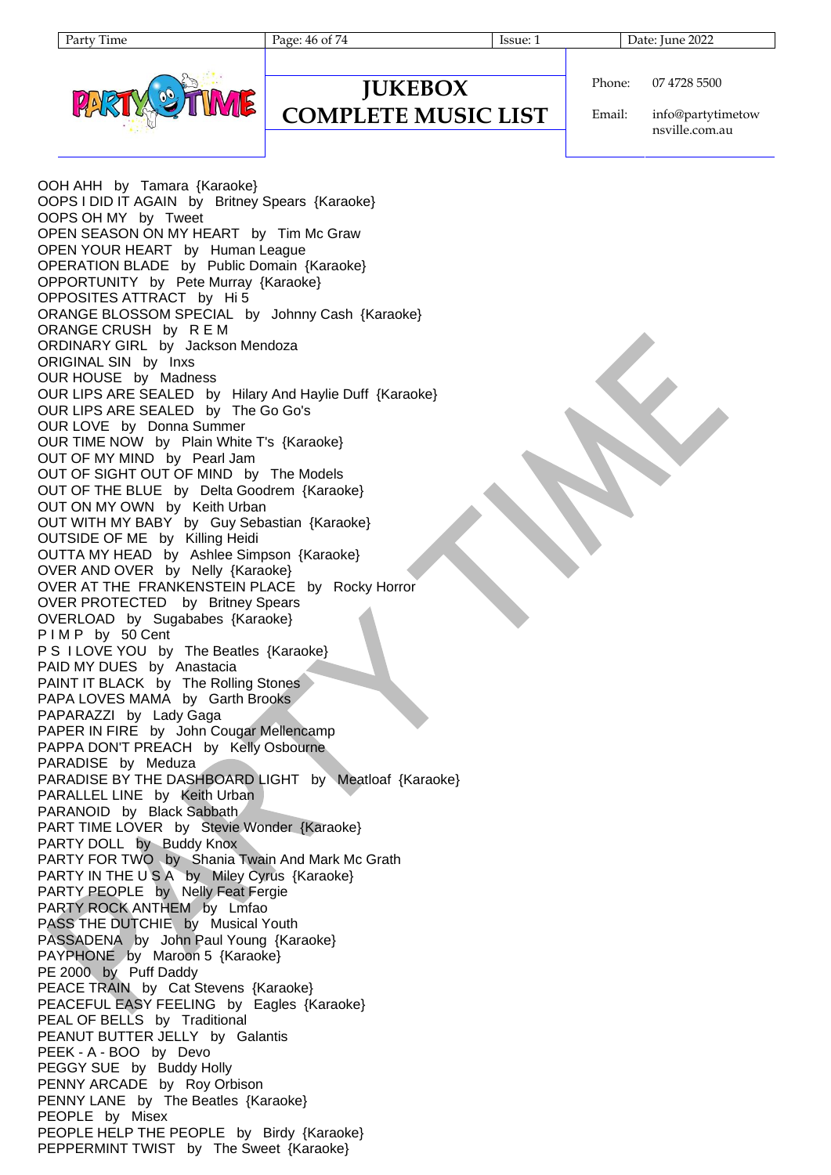| 1 une<br>aг |  |
|-------------|--|
|-------------|--|

**JUKEBOX COMPLETE MUSIC LIST**

Page: 46 of 74 Issue: 1 Issue: 1 Date: June 2022



Phone: 07 4728 5500

Email: info@partytimetow nsville.com.au

OOH AHH by Tamara {Karaoke} OOPS I DID IT AGAIN by Britney Spears {Karaoke} OOPS OH MY by Tweet OPEN SEASON ON MY HEART by Tim Mc Graw OPEN YOUR HEART by Human League OPERATION BLADE by Public Domain {Karaoke} OPPORTUNITY by Pete Murray {Karaoke} OPPOSITES ATTRACT by Hi 5 ORANGE BLOSSOM SPECIAL by Johnny Cash {Karaoke} ORANGE CRUSH by R E M ORDINARY GIRL by Jackson Mendoza ORIGINAL SIN by Inxs OUR HOUSE by Madness OUR LIPS ARE SEALED by Hilary And Haylie Duff {Karaoke} OUR LIPS ARE SEALED by The Go Go's OUR LOVE by Donna Summer OUR TIME NOW by Plain White T's {Karaoke} OUT OF MY MIND by Pearl Jam OUT OF SIGHT OUT OF MIND by The Models OUT OF THE BLUE by Delta Goodrem {Karaoke} OUT ON MY OWN by Keith Urban OUT WITH MY BABY by Guy Sebastian {Karaoke} OUTSIDE OF ME by Killing Heidi OUTTA MY HEAD by Ashlee Simpson {Karaoke} OVER AND OVER by Nelly {Karaoke} OVER AT THE FRANKENSTEIN PLACE by Rocky Horror OVER PROTECTED by Britney Spears OVERLOAD by Sugababes {Karaoke} P I M P by 50 Cent P S I LOVE YOU by The Beatles {Karaoke} PAID MY DUES by Anastacia PAINT IT BLACK by The Rolling Stones PAPA LOVES MAMA by Garth Brooks PAPARAZZI by Lady Gaga PAPER IN FIRE by John Cougar Mellencamp PAPPA DON'T PREACH by Kelly Osbourne PARADISE by Meduza PARADISE BY THE DASHBOARD LIGHT by Meatloaf {Karaoke} PARALLEL LINE by Keith Urban PARANOID by Black Sabbath PART TIME LOVER by Stevie Wonder {Karaoke} PARTY DOLL by Buddy Knox PARTY FOR TWO by Shania Twain And Mark Mc Grath PARTY IN THE U S A by Miley Cyrus {Karaoke} PARTY PEOPLE by Nelly Feat Fergie PARTY ROCK ANTHEM by Lmfao PASS THE DUTCHIE by Musical Youth PASSADENA by John Paul Young {Karaoke} PAYPHONE by Maroon 5 {Karaoke} PE 2000 by Puff Daddy PEACE TRAIN by Cat Stevens {Karaoke} PEACEFUL EASY FEELING by Eagles {Karaoke} PEAL OF BELLS by Traditional PEANUT BUTTER JELLY by Galantis PEEK - A - BOO by Devo PEGGY SUE by Buddy Holly PENNY ARCADE by Roy Orbison PENNY LANE by The Beatles {Karaoke} PEOPLE by Misex PEOPLE HELP THE PEOPLE by Birdy {Karaoke} PEPPERMINT TWIST by The Sweet {Karaoke}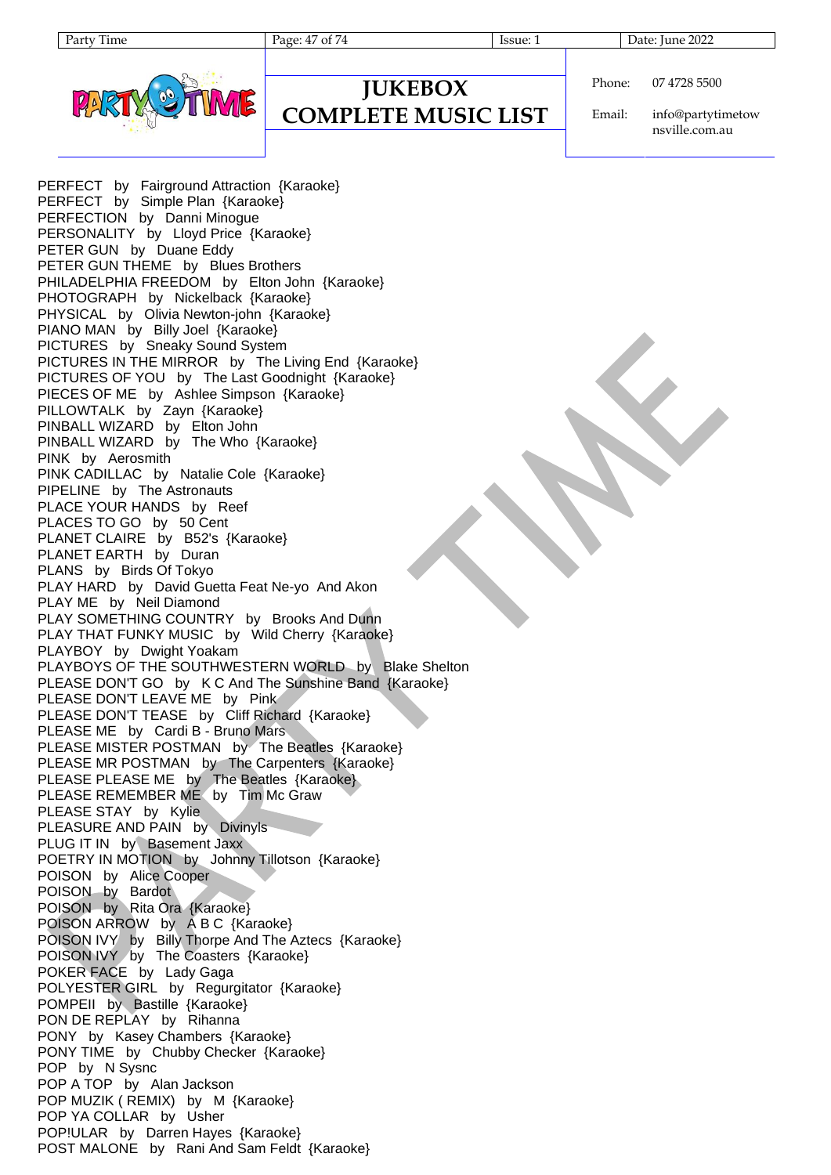Page: 47 of 74 Issue: 1 Date: June 2022



### **JUKEBOX COMPLETE MUSIC LIST**

Phone: 07 4728 5500

Email: info@partytimetow nsville.com.au

PERFECT by Fairground Attraction {Karaoke} PERFECT by Simple Plan {Karaoke} PERFECTION by Danni Minogue PERSONALITY by Lloyd Price {Karaoke} PETER GUN by Duane Eddy PETER GUN THEME by Blues Brothers PHILADELPHIA FREEDOM by Elton John {Karaoke} PHOTOGRAPH by Nickelback {Karaoke} PHYSICAL by Olivia Newton-john {Karaoke} PIANO MAN by Billy Joel {Karaoke} PICTURES by Sneaky Sound System PICTURES IN THE MIRROR by The Living End {Karaoke} PICTURES OF YOU by The Last Goodnight {Karaoke} PIECES OF ME by Ashlee Simpson {Karaoke} PILLOWTALK by Zayn {Karaoke} PINBALL WIZARD by Elton John PINBALL WIZARD by The Who {Karaoke} PINK by Aerosmith PINK CADILLAC by Natalie Cole {Karaoke} PIPELINE by The Astronauts PLACE YOUR HANDS by Reef PLACES TO GO by 50 Cent PLANET CLAIRE by B52's {Karaoke} PLANET EARTH by Duran PLANS by Birds Of Tokyo PLAY HARD by David Guetta Feat Ne-yo And Akon PLAY ME by Neil Diamond PLAY SOMETHING COUNTRY by Brooks And Dunn PLAY THAT FUNKY MUSIC by Wild Cherry {Karaoke} PLAYBOY by Dwight Yoakam PLAYBOYS OF THE SOUTHWESTERN WORLD by Blake Shelton PLEASE DON'T GO by K C And The Sunshine Band {Karaoke} PLEASE DON'T LEAVE ME by Pink PLEASE DON'T TEASE by Cliff Richard {Karaoke} PLEASE ME by Cardi B - Bruno Mars PLEASE MISTER POSTMAN by The Beatles {Karaoke} PLEASE MR POSTMAN by The Carpenters {Karaoke} PLEASE PLEASE ME by The Beatles {Karaoke} PLEASE REMEMBER ME by Tim Mc Graw PLEASE STAY by Kylie PLEASURE AND PAIN by Divinyls PLUG IT IN by Basement Jaxx POETRY IN MOTION by Johnny Tillotson {Karaoke} POISON by Alice Cooper POISON by Bardot POISON by Rita Ora {Karaoke} POISON ARROW by A B C {Karaoke} POISON IVY by Billy Thorpe And The Aztecs {Karaoke} POISON IVY by The Coasters {Karaoke} POKER FACE by Lady Gaga POLYESTER GIRL by Regurgitator {Karaoke} POMPEII by Bastille {Karaoke} PON DE REPLAY by Rihanna PONY by Kasey Chambers {Karaoke} PONY TIME by Chubby Checker {Karaoke} POP by N Sysnc POP A TOP by Alan Jackson POP MUZIK ( REMIX) by M {Karaoke} POP YA COLLAR by Usher POP!ULAR by Darren Hayes {Karaoke} POST MALONE by Rani And Sam Feldt {Karaoke}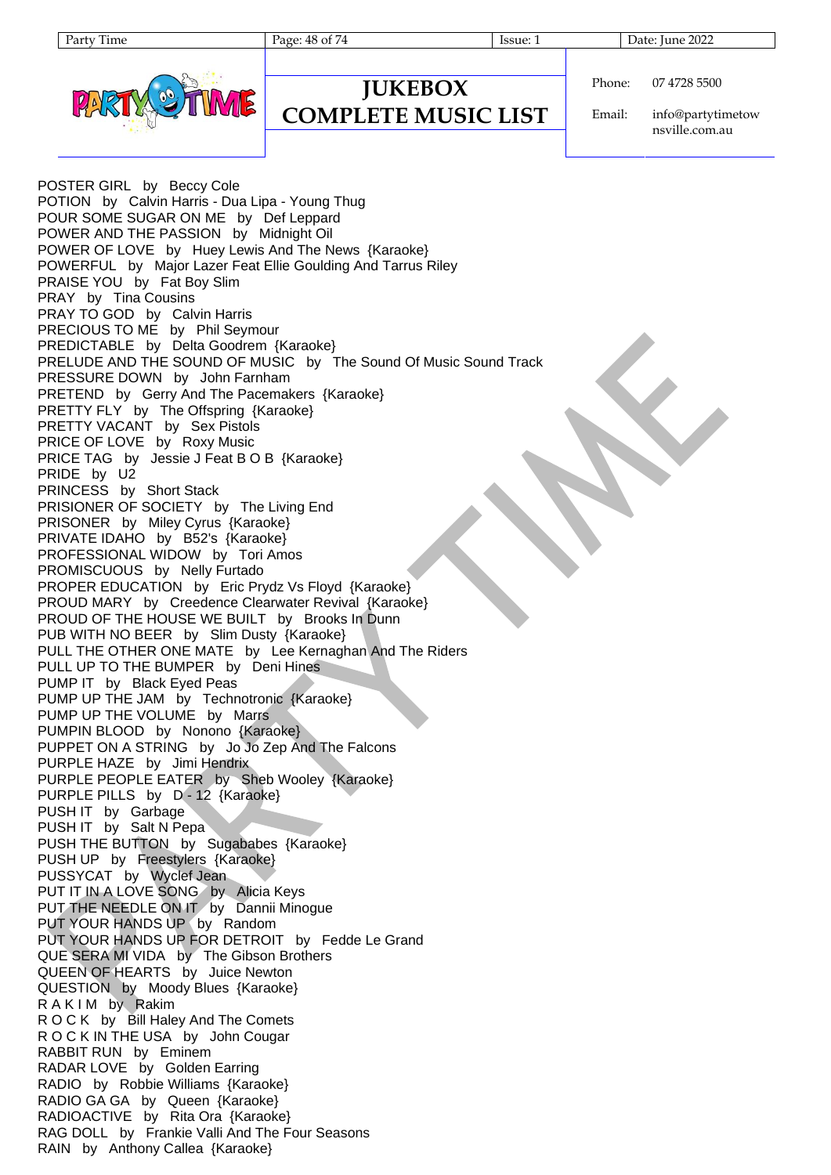| artv | 11me |
|------|------|
|------|------|

**JUKEBOX COMPLETE MUSIC LIST**

Page: 48 of 74 Issue: 1 Issue: 1 Date: June 2022



Phone: 07 4728 5500

Email: info@partytimetow nsville.com.au

POSTER GIRL by Beccy Cole POTION by Calvin Harris - Dua Lipa - Young Thug POUR SOME SUGAR ON ME by Def Leppard POWER AND THE PASSION by Midnight Oil POWER OF LOVE by Huey Lewis And The News {Karaoke} POWERFUL by Major Lazer Feat Ellie Goulding And Tarrus Riley PRAISE YOU by Fat Boy Slim PRAY by Tina Cousins PRAY TO GOD by Calvin Harris PRECIOUS TO ME by Phil Seymour PREDICTABLE by Delta Goodrem {Karaoke} PRELUDE AND THE SOUND OF MUSIC by The Sound Of Music Sound Track PRESSURE DOWN by John Farnham PRETEND by Gerry And The Pacemakers {Karaoke} PRETTY FLY by The Offspring {Karaoke} PRETTY VACANT by Sex Pistols PRICE OF LOVE by Roxy Music PRICE TAG by Jessie J Feat B O B {Karaoke} PRIDE by U2 PRINCESS by Short Stack PRISIONER OF SOCIETY by The Living End PRISONER by Miley Cyrus {Karaoke} PRIVATE IDAHO by B52's {Karaoke} PROFESSIONAL WIDOW by Tori Amos PROMISCUOUS by Nelly Furtado PROPER EDUCATION by Eric Prydz Vs Floyd {Karaoke} PROUD MARY by Creedence Clearwater Revival {Karaoke} PROUD OF THE HOUSE WE BUILT by Brooks In Dunn PUB WITH NO BEER by Slim Dusty {Karaoke} PULL THE OTHER ONE MATE by Lee Kernaghan And The Riders PULL UP TO THE BUMPER by Deni Hines PUMP IT by Black Eyed Peas PUMP UP THE JAM by Technotronic {Karaoke} PUMP UP THE VOLUME by Marrs PUMPIN BLOOD by Nonono {Karaoke} PUPPET ON A STRING by Jo Jo Zep And The Falcons PURPLE HAZE by Jimi Hendrix PURPLE PEOPLE EATER by Sheb Wooley {Karaoke} PURPLE PILLS by D - 12 {Karaoke} PUSH IT by Garbage PUSH IT by Salt N Pepa PUSH THE BUTTON by Sugababes {Karaoke} PUSH UP by Freestylers {Karaoke} PUSSYCAT by Wyclef Jean PUT IT IN A LOVE SONG by Alicia Keys PUT THE NEEDLE ON IT by Dannii Minogue PUT YOUR HANDS UP by Random PUT YOUR HANDS UP FOR DETROIT by Fedde Le Grand QUE SERA MI VIDA by The Gibson Brothers QUEEN OF HEARTS by Juice Newton QUESTION by Moody Blues {Karaoke} RAKIM by Rakim R O C K by Bill Haley And The Comets R O C K IN THE USA by John Cougar RABBIT RUN by Eminem RADAR LOVE by Golden Earring RADIO by Robbie Williams {Karaoke} RADIO GA GA by Queen {Karaoke} RADIOACTIVE by Rita Ora {Karaoke} RAG DOLL by Frankie Valli And The Four Seasons RAIN by Anthony Callea {Karaoke}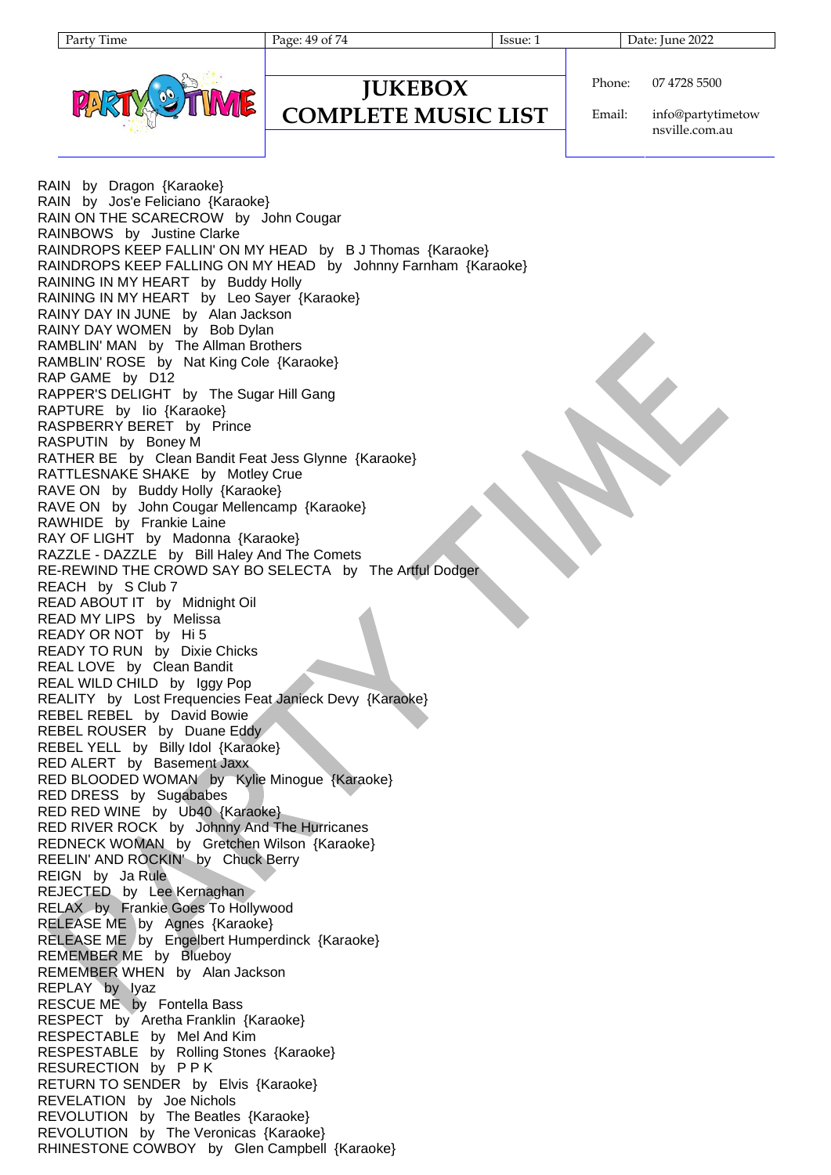| aтт | i ime |
|-----|-------|
|     |       |

Page: 49 of 74 Issue: 1 Issue: 1 Date: June 2022



| <b>IUKEBOX</b> | Phone: |
|----------------|--------|
|----------------|--------|

Email: info@partytimetow

07 4728 5500

nsville.com.au

RAIN by Dragon {Karaoke} RAIN by Jos'e Feliciano {Karaoke} RAIN ON THE SCARECROW by John Cougar RAINBOWS by Justine Clarke RAINDROPS KEEP FALLIN' ON MY HEAD by B J Thomas {Karaoke} RAINDROPS KEEP FALLING ON MY HEAD by Johnny Farnham {Karaoke} RAINING IN MY HEART by Buddy Holly RAINING IN MY HEART by Leo Sayer {Karaoke} RAINY DAY IN JUNE by Alan Jackson RAINY DAY WOMEN by Bob Dylan RAMBLIN' MAN by The Allman Brothers RAMBLIN' ROSE by Nat King Cole {Karaoke} RAP GAME by D12 RAPPER'S DELIGHT by The Sugar Hill Gang RAPTURE by Iio {Karaoke} RASPBERRY BERET by Prince RASPUTIN by Boney M RATHER BE by Clean Bandit Feat Jess Glynne {Karaoke} RATTLESNAKE SHAKE by Motley Crue RAVE ON by Buddy Holly {Karaoke} RAVE ON by John Cougar Mellencamp {Karaoke} RAWHIDE by Frankie Laine RAY OF LIGHT by Madonna {Karaoke} RAZZLE - DAZZLE by Bill Haley And The Comets RE-REWIND THE CROWD SAY BO SELECTA by The Artful Dodger REACH by S Club 7 READ ABOUT IT by Midnight Oil READ MY LIPS by Melissa READY OR NOT by Hi 5 READY TO RUN by Dixie Chicks REAL LOVE by Clean Bandit REAL WILD CHILD by Iggy Pop REALITY by Lost Frequencies Feat Janieck Devy {Karaoke} REBEL REBEL by David Bowie REBEL ROUSER by Duane Eddy REBEL YELL by Billy Idol {Karaoke} RED ALERT by Basement Jaxx RED BLOODED WOMAN by Kylie Minogue {Karaoke} RED DRESS by Sugababes RED RED WINE by Ub40 {Karaoke} RED RIVER ROCK by Johnny And The Hurricanes REDNECK WOMAN by Gretchen Wilson {Karaoke} REELIN' AND ROCKIN' by Chuck Berry REIGN by Ja Rule REJECTED by Lee Kernaghan RELAX by Frankie Goes To Hollywood RELEASE ME by Agnes {Karaoke} RELEASE ME by Engelbert Humperdinck {Karaoke} REMEMBER ME by Blueboy REMEMBER WHEN by Alan Jackson REPLAY by Iyaz RESCUE ME by Fontella Bass RESPECT by Aretha Franklin {Karaoke} RESPECTABLE by Mel And Kim RESPESTABLE by Rolling Stones {Karaoke} RESURECTION by P P K RETURN TO SENDER by Elvis {Karaoke} REVELATION by Joe Nichols REVOLUTION by The Beatles {Karaoke} REVOLUTION by The Veronicas {Karaoke} RHINESTONE COWBOY by Glen Campbell {Karaoke}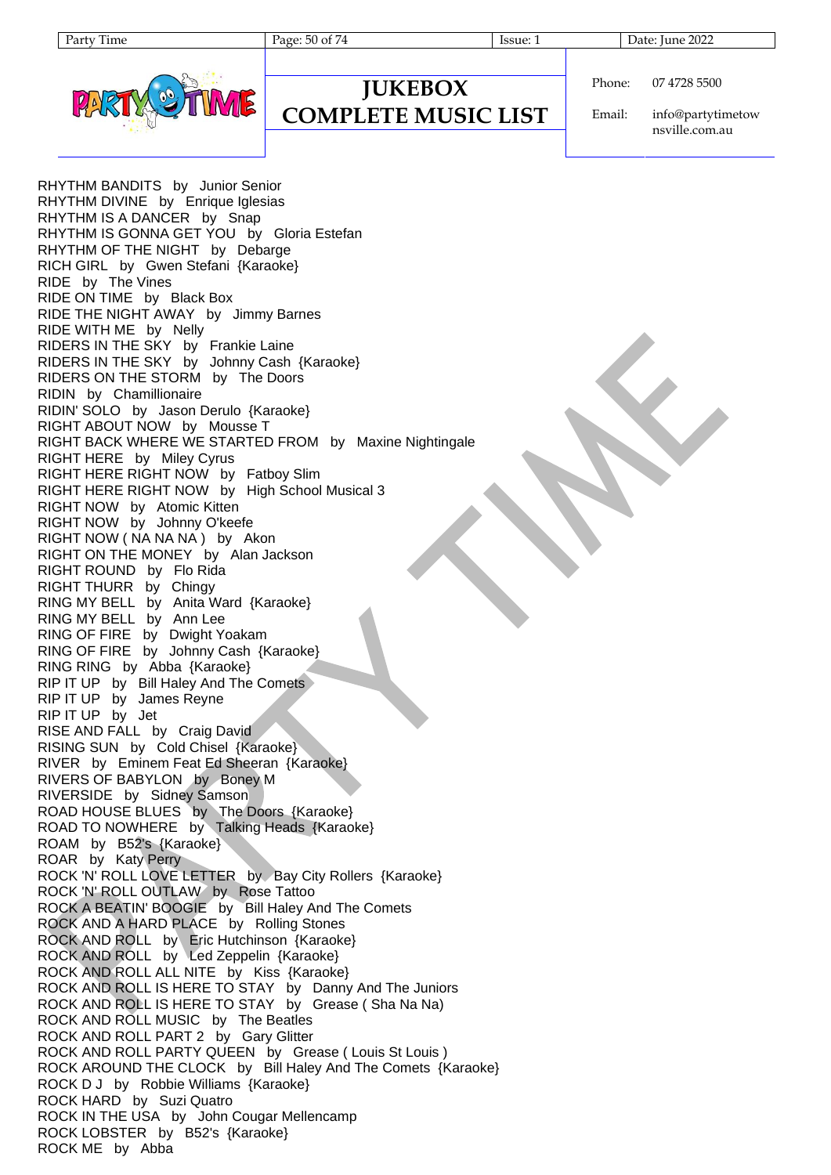Page: 50 of 74 Issue: 1 Issue: 1 Date: June 2022



### **JUKEBOX COMPLETE MUSIC LIST**

Phone: 07 4728 5500

Email: info@partytimetow nsville.com.au

RHYTHM BANDITS by Junior Senior RHYTHM DIVINE by Enrique Iglesias RHYTHM IS A DANCER by Snap RHYTHM IS GONNA GET YOU by Gloria Estefan RHYTHM OF THE NIGHT by Debarge RICH GIRL by Gwen Stefani {Karaoke} RIDE by The Vines RIDE ON TIME by Black Box RIDE THE NIGHT AWAY by Jimmy Barnes RIDE WITH ME by Nelly RIDERS IN THE SKY by Frankie Laine RIDERS IN THE SKY by Johnny Cash {Karaoke} RIDERS ON THE STORM by The Doors RIDIN by Chamillionaire RIDIN' SOLO by Jason Derulo {Karaoke} RIGHT ABOUT NOW by Mousse T RIGHT BACK WHERE WE STARTED FROM by Maxine Nightingale RIGHT HERE by Miley Cyrus RIGHT HERE RIGHT NOW by Fatboy Slim RIGHT HERE RIGHT NOW by High School Musical 3 RIGHT NOW by Atomic Kitten RIGHT NOW by Johnny O'keefe RIGHT NOW ( NA NA NA ) by Akon RIGHT ON THE MONEY by Alan Jackson RIGHT ROUND by Flo Rida RIGHT THURR by Chingy RING MY BELL by Anita Ward {Karaoke} RING MY BELL by Ann Lee RING OF FIRE by Dwight Yoakam RING OF FIRE by Johnny Cash {Karaoke} RING RING by Abba {Karaoke} RIP IT UP by Bill Haley And The Comets RIP IT UP by James Reyne RIP IT UP by Jet RISE AND FALL by Craig David RISING SUN by Cold Chisel {Karaoke} RIVER by Eminem Feat Ed Sheeran {Karaoke} RIVERS OF BABYLON by Boney M RIVERSIDE by Sidney Samson ROAD HOUSE BLUES by The Doors {Karaoke} ROAD TO NOWHERE by Talking Heads {Karaoke} ROAM by B52's {Karaoke} ROAR by Katy Perry ROCK 'N' ROLL LOVE LETTER by Bay City Rollers {Karaoke} ROCK 'N' ROLL OUTLAW by Rose Tattoo ROCK A BEATIN' BOOGIE by Bill Haley And The Comets ROCK AND A HARD PLACE by Rolling Stones ROCK AND ROLL by Eric Hutchinson {Karaoke} ROCK AND ROLL by Led Zeppelin {Karaoke} ROCK AND ROLL ALL NITE by Kiss {Karaoke} ROCK AND ROLL IS HERE TO STAY by Danny And The Juniors ROCK AND ROLL IS HERE TO STAY by Grease ( Sha Na Na) ROCK AND ROLL MUSIC by The Beatles ROCK AND ROLL PART 2 by Gary Glitter ROCK AND ROLL PARTY QUEEN by Grease ( Louis St Louis ) ROCK AROUND THE CLOCK by Bill Haley And The Comets {Karaoke} ROCK D J by Robbie Williams {Karaoke} ROCK HARD by Suzi Quatro ROCK IN THE USA by John Cougar Mellencamp ROCK LOBSTER by B52's {Karaoke} ROCK ME by Abba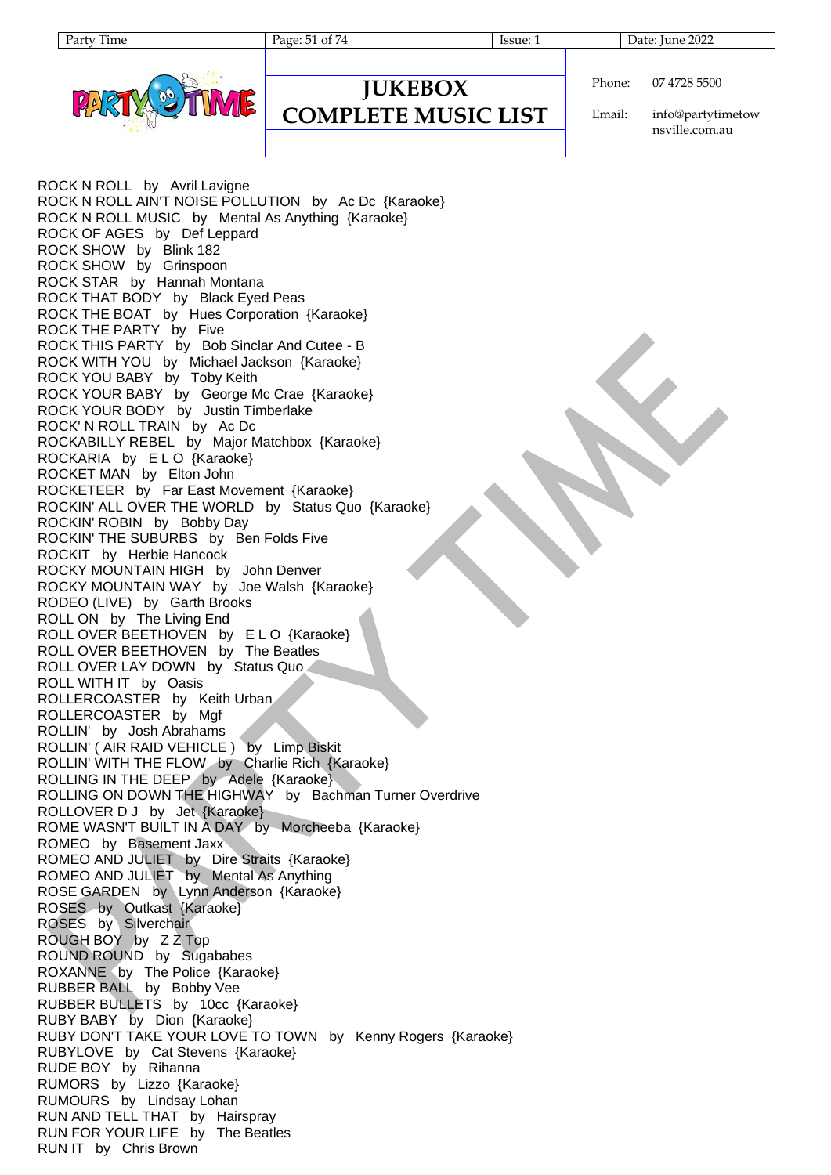Page: 51 of 74 Issue: 1 Issue: 1 Date: June 2022



| <b>JUNEDUA</b>             |  |
|----------------------------|--|
| <b>COMPLETE MUSIC LIST</b> |  |

**JUKEBOX**

Phone: 07 4728 5500

Email: info@partytimetow nsville.com.au

ROCK N ROLL by Avril Lavigne ROCK N ROLL AIN'T NOISE POLLUTION by Ac Dc {Karaoke} ROCK N ROLL MUSIC by Mental As Anything {Karaoke} ROCK OF AGES by Def Leppard ROCK SHOW by Blink 182 ROCK SHOW by Grinspoon ROCK STAR by Hannah Montana ROCK THAT BODY by Black Eyed Peas ROCK THE BOAT by Hues Corporation {Karaoke} ROCK THE PARTY by Five ROCK THIS PARTY by Bob Sinclar And Cutee - B ROCK WITH YOU by Michael Jackson {Karaoke} ROCK YOU BABY by Toby Keith ROCK YOUR BABY by George Mc Crae {Karaoke} ROCK YOUR BODY by Justin Timberlake ROCK' N ROLL TRAIN by Ac Dc ROCKABILLY REBEL by Major Matchbox {Karaoke} ROCKARIA by ELO {Karaoke} ROCKET MAN by Elton John ROCKETEER by Far East Movement {Karaoke} ROCKIN' ALL OVER THE WORLD by Status Quo {Karaoke} ROCKIN' ROBIN by Bobby Day ROCKIN' THE SUBURBS by Ben Folds Five ROCKIT by Herbie Hancock ROCKY MOUNTAIN HIGH by John Denver ROCKY MOUNTAIN WAY by Joe Walsh {Karaoke} RODEO (LIVE) by Garth Brooks ROLL ON by The Living End ROLL OVER BEETHOVEN by E L O {Karaoke} ROLL OVER BEETHOVEN by The Beatles ROLL OVER LAY DOWN by Status Quo ROLL WITH IT by Oasis ROLLERCOASTER by Keith Urban ROLLERCOASTER by Mgf ROLLIN' by Josh Abrahams ROLLIN' ( AIR RAID VEHICLE ) by Limp Biskit ROLLIN' WITH THE FLOW by Charlie Rich {Karaoke} ROLLING IN THE DEEP by Adele {Karaoke} ROLLING ON DOWN THE HIGHWAY by Bachman Turner Overdrive ROLLOVER D J by Jet {Karaoke} ROME WASN'T BUILT IN A DAY by Morcheeba {Karaoke} ROMEO by Basement Jaxx ROMEO AND JULIET by Dire Straits {Karaoke} ROMEO AND JULIET by Mental As Anything ROSE GARDEN by Lynn Anderson {Karaoke} ROSES by Outkast {Karaoke} ROSES by Silverchair ROUGH BOY by Z Z Top ROUND ROUND by Sugababes ROXANNE by The Police {Karaoke} RUBBER BALL by Bobby Vee RUBBER BULLETS by 10cc {Karaoke} RUBY BABY by Dion {Karaoke} RUBY DON'T TAKE YOUR LOVE TO TOWN by Kenny Rogers {Karaoke} RUBYLOVE by Cat Stevens {Karaoke} RUDE BOY by Rihanna RUMORS by Lizzo {Karaoke} RUMOURS by Lindsay Lohan RUN AND TELL THAT by Hairspray RUN FOR YOUR LIFE by The Beatles RUN IT by Chris Brown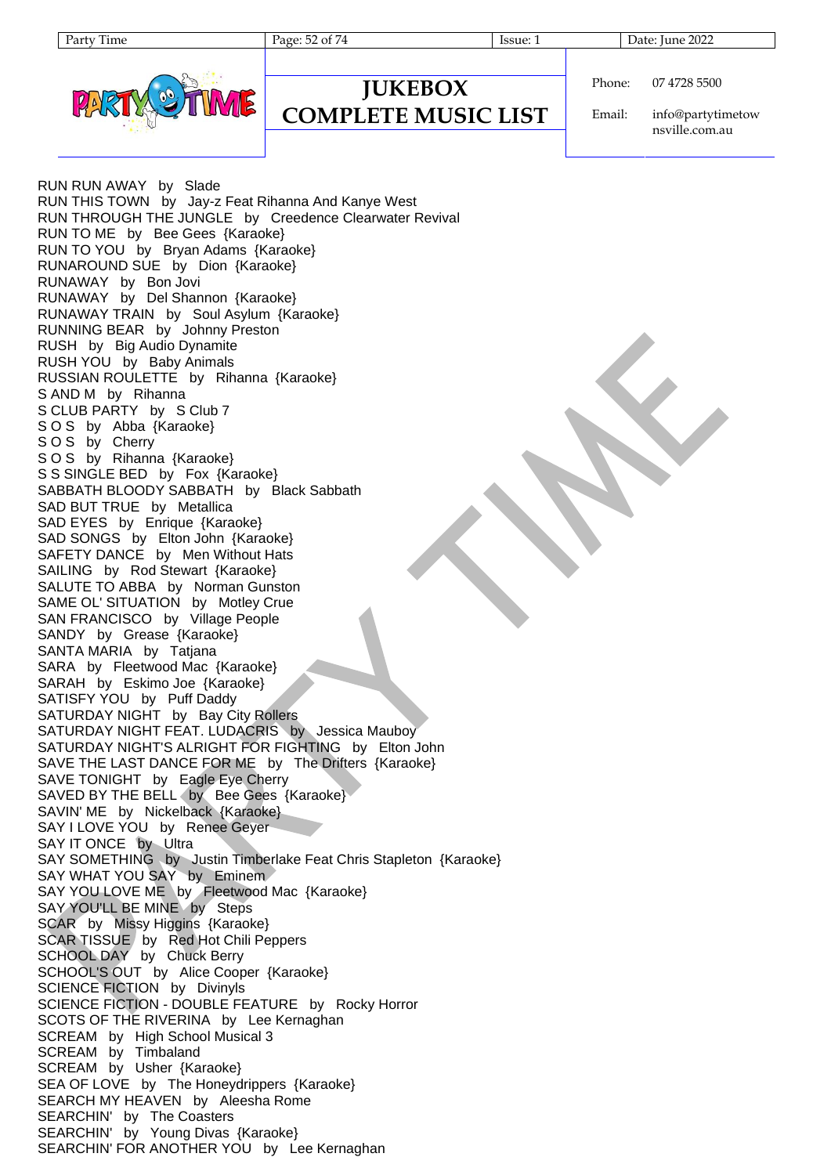Page: 52 of 74 Issue: 1 Issue: 1 Date: June 2022



Phone: 07 4728 5500

**COMPLETE MUSIC LIST**

**JUKEBOX**

Email: info@partytimetow nsville.com.au

RUN RUN AWAY by Slade RUN THIS TOWN by Jay-z Feat Rihanna And Kanye West RUN THROUGH THE JUNGLE by Creedence Clearwater Revival RUN TO ME by Bee Gees {Karaoke} RUN TO YOU by Bryan Adams {Karaoke} RUNAROUND SUE by Dion {Karaoke} RUNAWAY by Bon Jovi RUNAWAY by Del Shannon {Karaoke} RUNAWAY TRAIN by Soul Asylum {Karaoke} RUNNING BEAR by Johnny Preston RUSH by Big Audio Dynamite RUSH YOU by Baby Animals RUSSIAN ROULETTE by Rihanna {Karaoke} S AND M by Rihanna S CLUB PARTY by S Club 7 SOS by Abba {Karaoke} S O S by Cherry S O S by Rihanna {Karaoke} S S SINGLE BED by Fox {Karaoke} SABBATH BLOODY SABBATH by Black Sabbath SAD BUT TRUE by Metallica SAD EYES by Enrique {Karaoke} SAD SONGS by Elton John {Karaoke} SAFETY DANCE by Men Without Hats SAILING by Rod Stewart {Karaoke} SALUTE TO ABBA by Norman Gunston SAME OL' SITUATION by Motley Crue SAN FRANCISCO by Village People SANDY by Grease {Karaoke} SANTA MARIA by Tatjana SARA by Fleetwood Mac {Karaoke} SARAH by Eskimo Joe {Karaoke} SATISFY YOU by Puff Daddy SATURDAY NIGHT by Bay City Rollers SATURDAY NIGHT FEAT. LUDACRIS by Jessica Mauboy SATURDAY NIGHT'S ALRIGHT FOR FIGHTING by Elton John SAVE THE LAST DANCE FOR ME by The Drifters {Karaoke} SAVE TONIGHT by Eagle Eye Cherry SAVED BY THE BELL by Bee Gees {Karaoke} SAVIN' ME by Nickelback {Karaoke} SAY I LOVE YOU by Renee Geyer SAY IT ONCE by Ultra SAY SOMETHING by Justin Timberlake Feat Chris Stapleton {Karaoke} SAY WHAT YOU SAY by Eminem SAY YOU LOVE ME by Fleetwood Mac {Karaoke} SAY YOU'LL BE MINE by Steps SCAR by Missy Higgins {Karaoke} SCAR TISSUE by Red Hot Chili Peppers SCHOOL DAY by Chuck Berry SCHOOL'S OUT by Alice Cooper {Karaoke} SCIENCE FICTION by Divinyls SCIENCE FICTION - DOUBLE FEATURE by Rocky Horror SCOTS OF THE RIVERINA by Lee Kernaghan SCREAM by High School Musical 3 SCREAM by Timbaland SCREAM by Usher {Karaoke} SEA OF LOVE by The Honeydrippers {Karaoke} SEARCH MY HEAVEN by Aleesha Rome SEARCHIN' by The Coasters SEARCHIN' by Young Divas {Karaoke} SEARCHIN' FOR ANOTHER YOU by Lee Kernaghan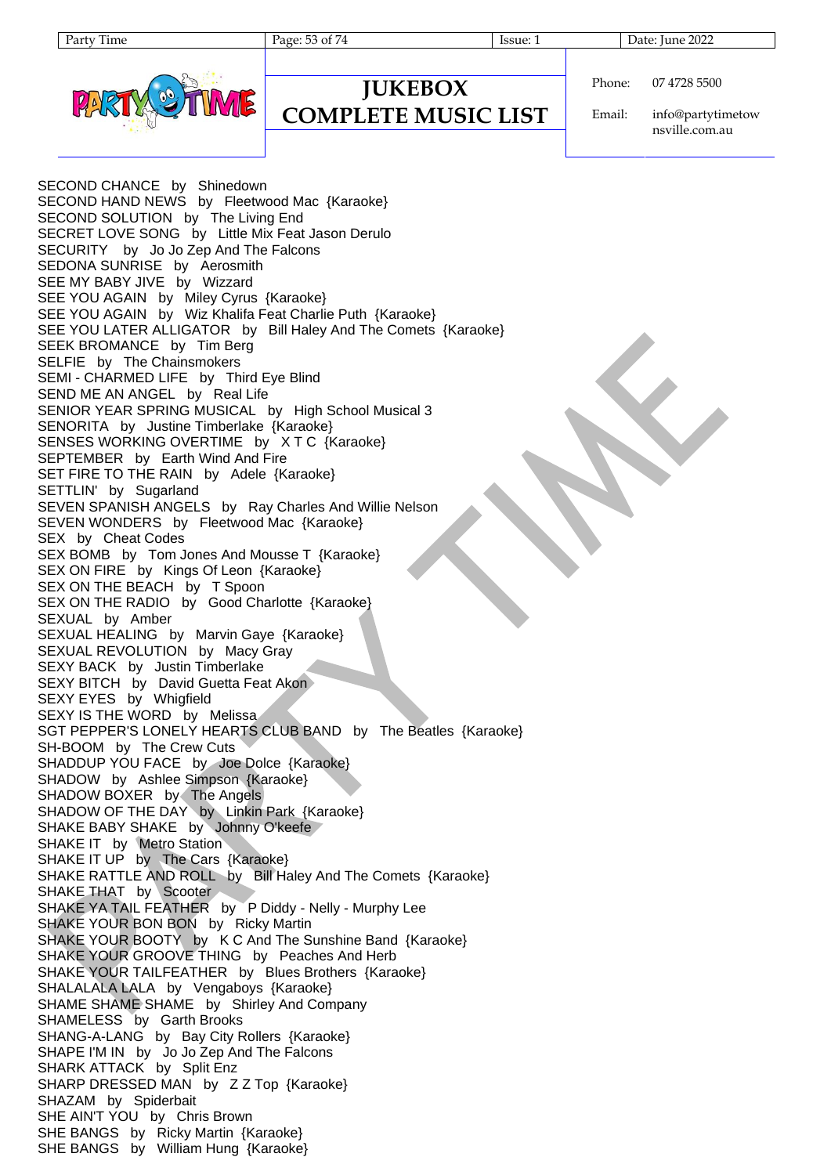| aг | 11me |
|----|------|
|----|------|

Page: 53 of 74 Issue: 1 Date: June 2022



### **JUKEBOX COMPLETE MUSIC LIST**

Phone: 07 4728 5500

Email: info@partytimetow nsville.com.au

SECOND CHANCE by Shinedown SECOND HAND NEWS by Fleetwood Mac {Karaoke} SECOND SOLUTION by The Living End SECRET LOVE SONG by Little Mix Feat Jason Derulo SECURITY by Jo Jo Zep And The Falcons SEDONA SUNRISE by Aerosmith SEE MY BABY JIVE by Wizzard SEE YOU AGAIN by Miley Cyrus {Karaoke} SEE YOU AGAIN by Wiz Khalifa Feat Charlie Puth {Karaoke} SEE YOU LATER ALLIGATOR by Bill Haley And The Comets {Karaoke} SEEK BROMANCE by Tim Berg SELFIE by The Chainsmokers SEMI - CHARMED LIFE by Third Eye Blind SEND ME AN ANGEL by Real Life SENIOR YEAR SPRING MUSICAL by High School Musical 3 SENORITA by Justine Timberlake {Karaoke} SENSES WORKING OVERTIME by X T C {Karaoke} SEPTEMBER by Earth Wind And Fire SET FIRE TO THE RAIN by Adele {Karaoke} SETTLIN' by Sugarland SEVEN SPANISH ANGELS by Ray Charles And Willie Nelson SEVEN WONDERS by Fleetwood Mac {Karaoke} SEX by Cheat Codes SEX BOMB by Tom Jones And Mousse T {Karaoke} SEX ON FIRE by Kings Of Leon {Karaoke} SEX ON THE BEACH by T Spoon SEX ON THE RADIO by Good Charlotte {Karaoke} SEXUAL by Amber SEXUAL HEALING by Marvin Gaye {Karaoke} SEXUAL REVOLUTION by Macy Gray SEXY BACK by Justin Timberlake SEXY BITCH by David Guetta Feat Akon SEXY EYES by Whigfield SEXY IS THE WORD by Melissa SGT PEPPER'S LONELY HEARTS CLUB BAND by The Beatles {Karaoke} SH-BOOM by The Crew Cuts SHADDUP YOU FACE by Joe Dolce {Karaoke} SHADOW by Ashlee Simpson {Karaoke} SHADOW BOXER by The Angels SHADOW OF THE DAY by Linkin Park {Karaoke} SHAKE BABY SHAKE by Johnny O'keefe SHAKE IT by Metro Station SHAKE IT UP by The Cars {Karaoke} SHAKE RATTLE AND ROLL by Bill Haley And The Comets {Karaoke} SHAKE THAT by Scooter SHAKE YA TAIL FEATHER by P Diddy - Nelly - Murphy Lee SHAKE YOUR BON BON by Ricky Martin SHAKE YOUR BOOTY by K C And The Sunshine Band {Karaoke} SHAKE YOUR GROOVE THING by Peaches And Herb SHAKE YOUR TAILFEATHER by Blues Brothers {Karaoke} SHALALALA LALA by Vengaboys {Karaoke} SHAME SHAME SHAME by Shirley And Company SHAMELESS by Garth Brooks SHANG-A-LANG by Bay City Rollers {Karaoke} SHAPE I'M IN by Jo Jo Zep And The Falcons SHARK ATTACK by Split Enz SHARP DRESSED MAN by Z Z Top {Karaoke} SHAZAM by Spiderbait SHE AIN'T YOU by Chris Brown SHE BANGS by Ricky Martin {Karaoke} SHE BANGS by William Hung {Karaoke}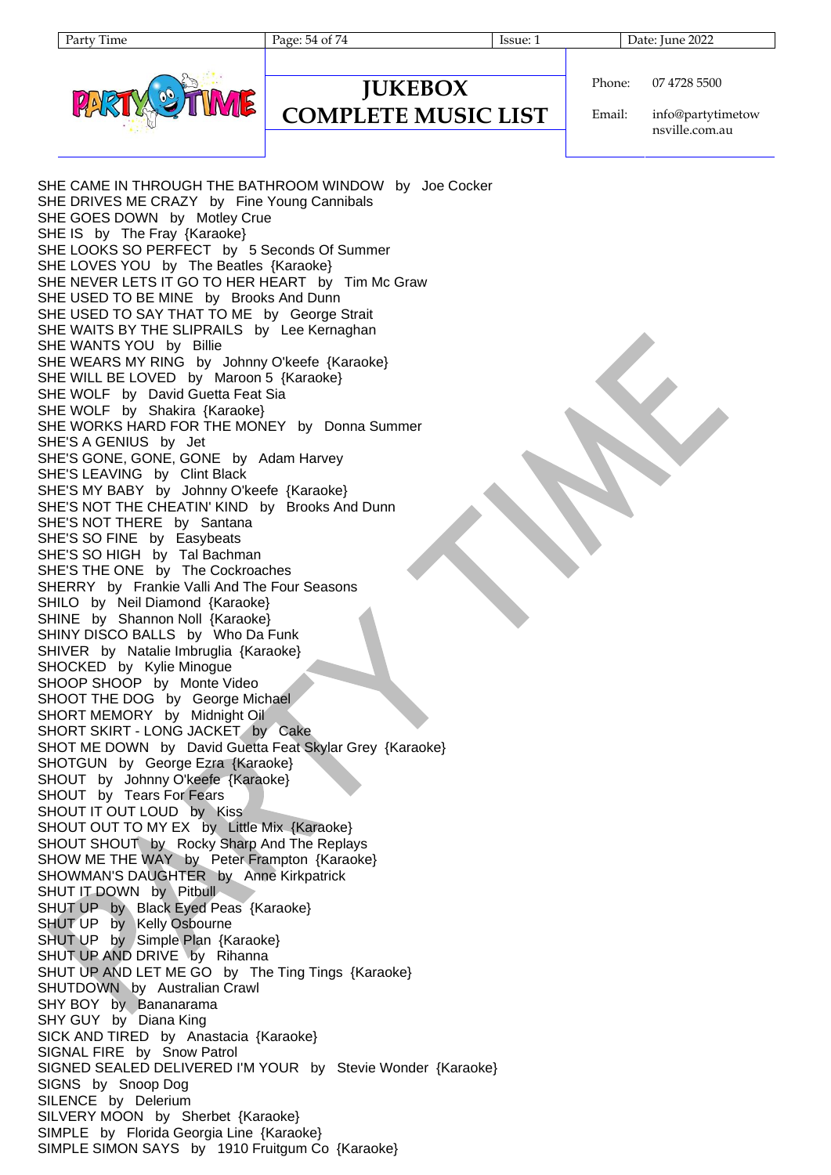Page: 54 of 74 Issue: 1 Issue: 1 Date: June 2022



### Phone: 07 4728 5500

**COMPLETE MUSIC LIST**

**JUKEBOX**

Email: info@partytimetow nsville.com.au

SHE CAME IN THROUGH THE BATHROOM WINDOW by Joe Cocker SHE DRIVES ME CRAZY by Fine Young Cannibals SHE GOES DOWN by Motley Crue SHE IS by The Fray {Karaoke} SHE LOOKS SO PERFECT by 5 Seconds Of Summer SHE LOVES YOU by The Beatles {Karaoke} SHE NEVER LETS IT GO TO HER HEART by Tim Mc Graw SHE USED TO BE MINE by Brooks And Dunn SHE USED TO SAY THAT TO ME by George Strait SHE WAITS BY THE SLIPRAILS by Lee Kernaghan SHE WANTS YOU by Billie SHE WEARS MY RING by Johnny O'keefe {Karaoke} SHE WILL BE LOVED by Maroon 5 {Karaoke} SHE WOLF by David Guetta Feat Sia SHE WOLF by Shakira {Karaoke} SHE WORKS HARD FOR THE MONEY by Donna Summer SHE'S A GENIUS by Jet SHE'S GONE, GONE, GONE by Adam Harvey SHE'S LEAVING by Clint Black SHE'S MY BABY by Johnny O'keefe {Karaoke} SHE'S NOT THE CHEATIN' KIND by Brooks And Dunn SHE'S NOT THERE by Santana SHE'S SO FINE by Easybeats SHE'S SO HIGH by Tal Bachman SHE'S THE ONE by The Cockroaches SHERRY by Frankie Valli And The Four Seasons SHILO by Neil Diamond {Karaoke} SHINE by Shannon Noll {Karaoke} SHINY DISCO BALLS by Who Da Funk SHIVER by Natalie Imbruglia {Karaoke} SHOCKED by Kylie Minogue SHOOP SHOOP by Monte Video SHOOT THE DOG by George Michael SHORT MEMORY by Midnight Oil SHORT SKIRT - LONG JACKET by Cake SHOT ME DOWN by David Guetta Feat Skylar Grey {Karaoke} SHOTGUN by George Ezra {Karaoke} SHOUT by Johnny O'keefe {Karaoke} SHOUT by Tears For Fears SHOUT IT OUT LOUD by Kiss SHOUT OUT TO MY EX by Little Mix {Karaoke} SHOUT SHOUT by Rocky Sharp And The Replays SHOW ME THE WAY by Peter Frampton {Karaoke} SHOWMAN'S DAUGHTER by Anne Kirkpatrick SHUT IT DOWN by Pitbull SHUT UP by Black Eyed Peas {Karaoke} SHUT UP by Kelly Osbourne SHUT UP by Simple Plan {Karaoke} SHUT UP AND DRIVE by Rihanna SHUT UP AND LET ME GO by The Ting Tings {Karaoke} SHUTDOWN by Australian Crawl SHY BOY by Bananarama SHY GUY by Diana King SICK AND TIRED by Anastacia {Karaoke} SIGNAL FIRE by Snow Patrol SIGNED SEALED DELIVERED I'M YOUR by Stevie Wonder {Karaoke} SIGNS by Snoop Dog SILENCE by Delerium SILVERY MOON by Sherbet {Karaoke} SIMPLE by Florida Georgia Line {Karaoke} SIMPLE SIMON SAYS by 1910 Fruitgum Co {Karaoke}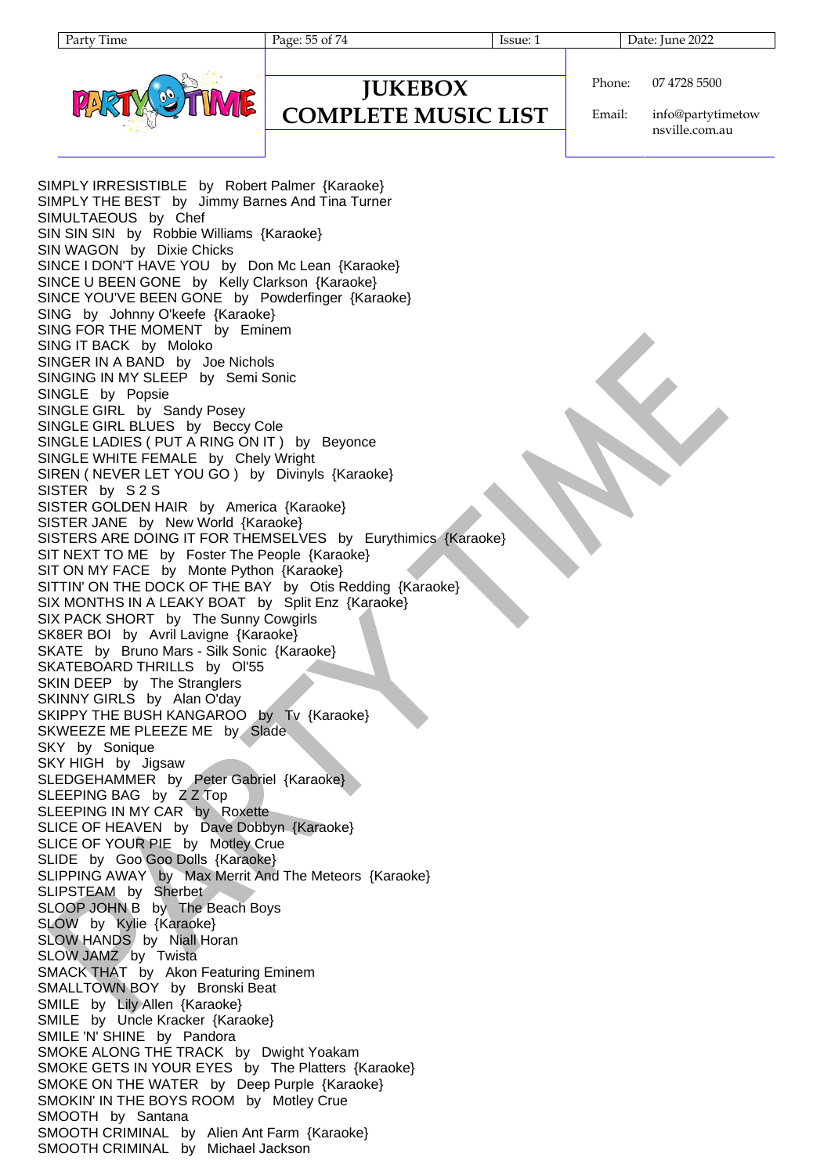| ٦<br>г |
|--------|
|        |



## **JUKEBOX COMPLETE MUSIC LIST**

Page: 55 of 74 Issue: 1 Date: June 2022

Phone: 07 4728 5500

Email: info@partytimetow nsville.com.au

SIMPLY IRRESISTIBLE by Robert Palmer {Karaoke} SIMPLY THE BEST by Jimmy Barnes And Tina Turner SIMULTAEOUS by Chef SIN SIN SIN by Robbie Williams {Karaoke} SIN WAGON by Dixie Chicks SINCE I DON'T HAVE YOU by Don Mc Lean {Karaoke} SINCE U BEEN GONE by Kelly Clarkson {Karaoke} SINCE YOU'VE BEEN GONE by Powderfinger {Karaoke} SING by Johnny O'keefe {Karaoke} SING FOR THE MOMENT by Eminem SING IT BACK by Moloko SINGER IN A BAND by Joe Nichols SINGING IN MY SLEEP by Semi Sonic SINGLE by Popsie SINGLE GIRL by Sandy Posey SINGLE GIRL BLUES by Beccy Cole SINGLE LADIES ( PUT A RING ON IT ) by Beyonce SINGLE WHITE FEMALE by Chely Wright SIREN ( NEVER LET YOU GO ) by Divinyls {Karaoke} SISTER by S 2 S SISTER GOLDEN HAIR by America {Karaoke} SISTER JANE by New World {Karaoke} SISTERS ARE DOING IT FOR THEMSELVES by Eurythimics {Karaoke} SIT NEXT TO ME by Foster The People {Karaoke} SIT ON MY FACE by Monte Python {Karaoke} SITTIN' ON THE DOCK OF THE BAY by Otis Redding {Karaoke} SIX MONTHS IN A LEAKY BOAT by Split Enz {Karaoke} SIX PACK SHORT by The Sunny Cowgirls SK8ER BOI by Avril Lavigne {Karaoke} SKATE by Bruno Mars - Silk Sonic {Karaoke} SKATEBOARD THRILLS by Ol'55 SKIN DEEP by The Stranglers SKINNY GIRLS by Alan O'day SKIPPY THE BUSH KANGAROO by Tv {Karaoke} SKWEEZE ME PLEEZE ME by Slade SKY by Sonique SKY HIGH by Jigsaw SLEDGEHAMMER by Peter Gabriel {Karaoke} SLEEPING BAG by Z Z Top SLEEPING IN MY CAR by Roxette SLICE OF HEAVEN by Dave Dobbyn {Karaoke} SLICE OF YOUR PIE by Motley Crue SLIDE by Goo Goo Dolls {Karaoke} SLIPPING AWAY by Max Merrit And The Meteors {Karaoke} SLIPSTEAM by Sherbet SLOOP JOHN B by The Beach Boys SLOW by Kylie {Karaoke} SLOW HANDS by Niall Horan SLOW JAMZ by Twista SMACK THAT by Akon Featuring Eminem SMALLTOWN BOY by Bronski Beat SMILE by Lily Allen {Karaoke} SMILE by Uncle Kracker {Karaoke} SMILE 'N' SHINE by Pandora SMOKE ALONG THE TRACK by Dwight Yoakam SMOKE GETS IN YOUR EYES by The Platters {Karaoke} SMOKE ON THE WATER by Deep Purple {Karaoke} SMOKIN' IN THE BOYS ROOM by Motley Crue SMOOTH by Santana SMOOTH CRIMINAL by Alien Ant Farm {Karaoke} SMOOTH CRIMINAL by Michael Jackson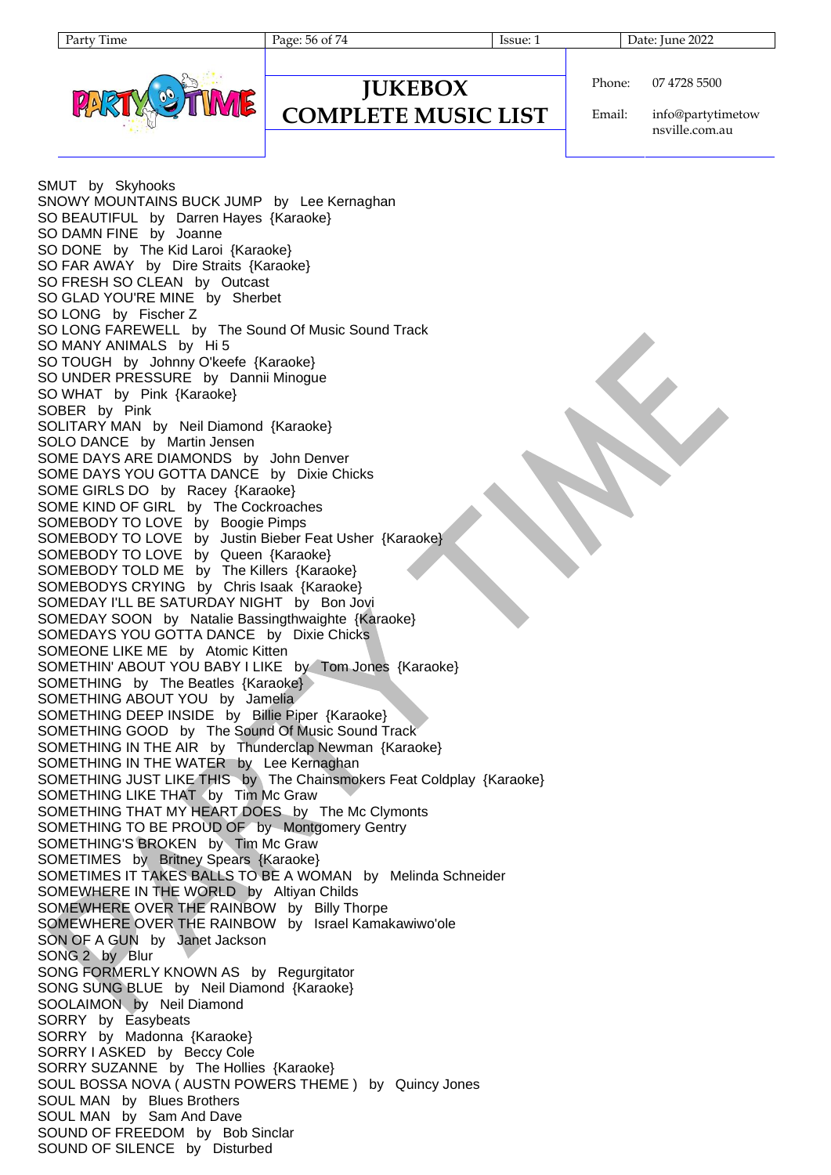Page: 56 of 74 Issue: 1 Date: June 2022



| Phone: | 07 4728 5500 |
|--------|--------------|

### **JUKEBOX COMPLETE MUSIC LIST**

Email:

info@partytimetow nsville.com.au

SMUT by Skyhooks SNOWY MOUNTAINS BUCK JUMP by Lee Kernaghan SO BEAUTIFUL by Darren Hayes {Karaoke} SO DAMN FINE by Joanne SO DONE by The Kid Laroi {Karaoke} SO FAR AWAY by Dire Straits {Karaoke} SO FRESH SO CLEAN by Outcast SO GLAD YOU'RE MINE by Sherbet SO LONG by Fischer Z SO LONG FAREWELL by The Sound Of Music Sound Track SO MANY ANIMALS by Hi 5 SO TOUGH by Johnny O'keefe {Karaoke} SO UNDER PRESSURE by Dannii Minogue SO WHAT by Pink {Karaoke} SOBER by Pink SOLITARY MAN by Neil Diamond {Karaoke} SOLO DANCE by Martin Jensen SOME DAYS ARE DIAMONDS by John Denver SOME DAYS YOU GOTTA DANCE by Dixie Chicks SOME GIRLS DO by Racey {Karaoke} SOME KIND OF GIRL by The Cockroaches SOMEBODY TO LOVE by Boogie Pimps SOMEBODY TO LOVE by Justin Bieber Feat Usher {Karaoke} SOMEBODY TO LOVE by Queen {Karaoke} SOMEBODY TOLD ME by The Killers {Karaoke} SOMEBODYS CRYING by Chris Isaak {Karaoke} SOMEDAY I'LL BE SATURDAY NIGHT by Bon Jovi SOMEDAY SOON by Natalie Bassingthwaighte {Karaoke} SOMEDAYS YOU GOTTA DANCE by Dixie Chicks SOMEONE LIKE ME by Atomic Kitten SOMETHIN' ABOUT YOU BABY I LIKE by Tom Jones {Karaoke} SOMETHING by The Beatles {Karaoke} SOMETHING ABOUT YOU by Jamelia SOMETHING DEEP INSIDE by Billie Piper {Karaoke} SOMETHING GOOD by The Sound Of Music Sound Track SOMETHING IN THE AIR by Thunderclap Newman {Karaoke} SOMETHING IN THE WATER by Lee Kernaghan SOMETHING JUST LIKE THIS by The Chainsmokers Feat Coldplay {Karaoke} SOMETHING LIKE THAT by Tim Mc Graw SOMETHING THAT MY HEART DOES by The Mc Clymonts SOMETHING TO BE PROUD OF by Montgomery Gentry SOMETHING'S BROKEN by Tim Mc Graw SOMETIMES by Britney Spears {Karaoke} SOMETIMES IT TAKES BALLS TO BE A WOMAN by Melinda Schneider SOMEWHERE IN THE WORLD by Altiyan Childs SOMEWHERE OVER THE RAINBOW by Billy Thorpe SOMEWHERE OVER THE RAINBOW by Israel Kamakawiwo'ole SON OF A GUN by Janet Jackson SONG 2 by Blur SONG FORMERLY KNOWN AS by Regurgitator SONG SUNG BLUE by Neil Diamond {Karaoke} SOOLAIMON by Neil Diamond SORRY by Easybeats SORRY by Madonna {Karaoke} SORRY I ASKED by Beccy Cole SORRY SUZANNE by The Hollies {Karaoke} SOUL BOSSA NOVA ( AUSTN POWERS THEME ) by Quincy Jones SOUL MAN by Blues Brothers SOUL MAN by Sam And Dave SOUND OF FREEDOM by Bob Sinclar SOUND OF SILENCE by Disturbed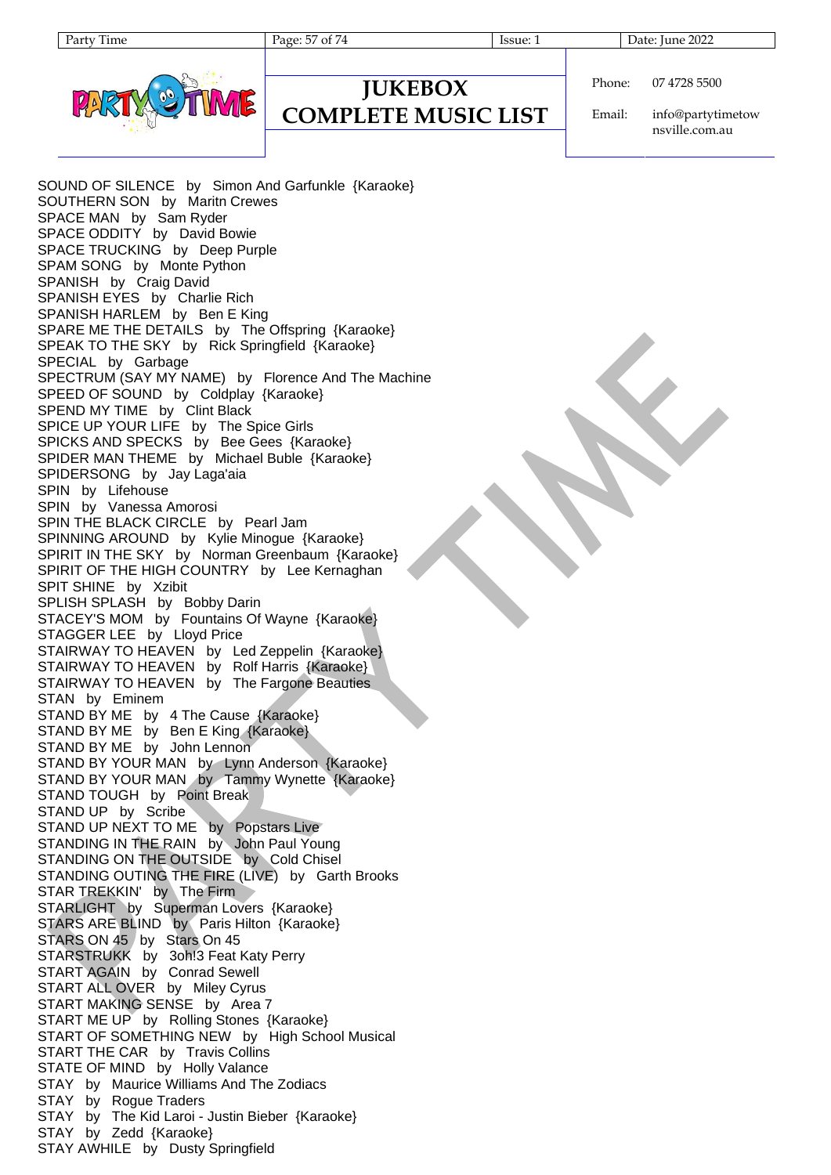| ume |
|-----|
|     |

Page: 57 of 74 Issue: 1 Date: June 2022

### **JUKEBOX COMPLETE MUSIC LIST**

Phone: 07 4728 5500

Email: info@partytimetow nsville.com.au

SOUND OF SILENCE by Simon And Garfunkle {Karaoke} SOUTHERN SON by Maritn Crewes SPACE MAN by Sam Ryder SPACE ODDITY by David Bowie SPACE TRUCKING by Deep Purple SPAM SONG by Monte Python SPANISH by Craig David SPANISH EYES by Charlie Rich SPANISH HARLEM by Ben E King SPARE ME THE DETAILS by The Offspring {Karaoke} SPEAK TO THE SKY by Rick Springfield {Karaoke} SPECIAL by Garbage SPECTRUM (SAY MY NAME) by Florence And The Machine SPEED OF SOUND by Coldplay {Karaoke} SPEND MY TIME by Clint Black SPICE UP YOUR LIFE by The Spice Girls SPICKS AND SPECKS by Bee Gees {Karaoke} SPIDER MAN THEME by Michael Buble {Karaoke} SPIDERSONG by Jay Laga'aia SPIN by Lifehouse SPIN by Vanessa Amorosi SPIN THE BLACK CIRCLE by Pearl Jam SPINNING AROUND by Kylie Minogue {Karaoke} SPIRIT IN THE SKY by Norman Greenbaum {Karaoke} SPIRIT OF THE HIGH COUNTRY by Lee Kernaghan SPIT SHINE by Xzibit SPLISH SPLASH by Bobby Darin STACEY'S MOM by Fountains Of Wayne {Karaoke} STAGGER LEE by Lloyd Price STAIRWAY TO HEAVEN by Led Zeppelin {Karaoke} STAIRWAY TO HEAVEN by Rolf Harris {Karaoke} STAIRWAY TO HEAVEN by The Fargone Beauties STAN by Eminem STAND BY ME by 4 The Cause {Karaoke} STAND BY ME by Ben E King {Karaoke} STAND BY ME by John Lennon STAND BY YOUR MAN by Lynn Anderson {Karaoke} STAND BY YOUR MAN by Tammy Wynette {Karaoke} STAND TOUGH by Point Break STAND UP by Scribe STAND UP NEXT TO ME by Popstars Live STANDING IN THE RAIN by John Paul Young STANDING ON THE OUTSIDE by Cold Chisel STANDING OUTING THE FIRE (LIVE) by Garth Brooks STAR TREKKIN' by The Firm STARLIGHT by Superman Lovers {Karaoke} STARS ARE BLIND by Paris Hilton {Karaoke} STARS ON 45 by Stars On 45 STARSTRUKK by 3oh!3 Feat Katy Perry START AGAIN by Conrad Sewell START ALL OVER by Miley Cyrus START MAKING SENSE by Area 7 START ME UP by Rolling Stones {Karaoke} START OF SOMETHING NEW by High School Musical START THE CAR by Travis Collins STATE OF MIND by Holly Valance STAY by Maurice Williams And The Zodiacs STAY by Roque Traders STAY by The Kid Laroi - Justin Bieber {Karaoke} STAY by Zedd {Karaoke} STAY AWHILE by Dusty Springfield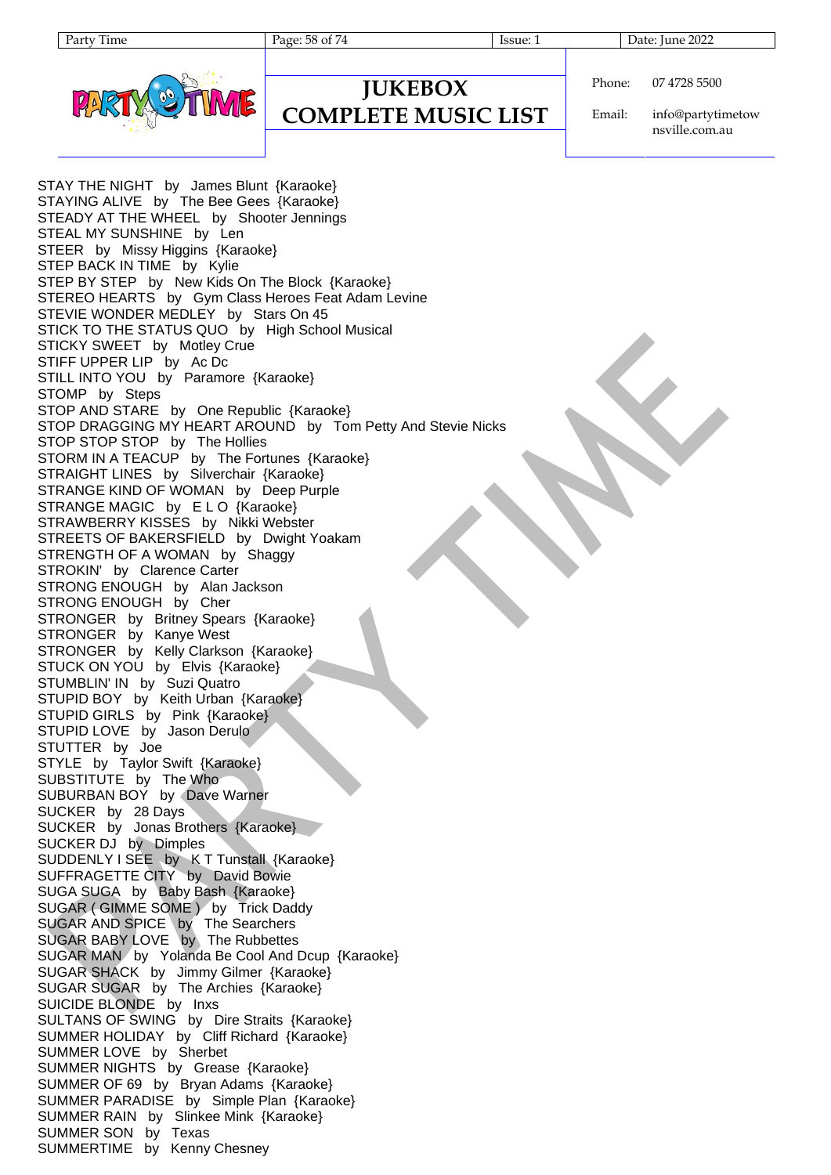Page: 58 of 74 Issue: 1 Date: June 2022



### **JUKEBOX COMPLETE MUSIC LIST**

Phone: 07 4728 5500

Email: info@partytimetow nsville.com.au

STAY THE NIGHT by James Blunt {Karaoke} STAYING ALIVE by The Bee Gees {Karaoke} STEADY AT THE WHEEL by Shooter Jennings STEAL MY SUNSHINE by Len STEER by Missy Higgins {Karaoke} STEP BACK IN TIME by Kylie STEP BY STEP by New Kids On The Block {Karaoke} STEREO HEARTS by Gym Class Heroes Feat Adam Levine STEVIE WONDER MEDLEY by Stars On 45 STICK TO THE STATUS QUO by High School Musical STICKY SWEET by Motley Crue STIFF UPPER LIP by Ac Dc STILL INTO YOU by Paramore {Karaoke} STOMP by Steps STOP AND STARE by One Republic {Karaoke} STOP DRAGGING MY HEART AROUND by Tom Petty And Stevie Nicks STOP STOP STOP by The Hollies STORM IN A TEACUP by The Fortunes {Karaoke} STRAIGHT LINES by Silverchair {Karaoke} STRANGE KIND OF WOMAN by Deep Purple STRANGE MAGIC by ELO {Karaoke} STRAWBERRY KISSES by Nikki Webster STREETS OF BAKERSFIELD by Dwight Yoakam STRENGTH OF A WOMAN by Shaggy STROKIN' by Clarence Carter STRONG ENOUGH by Alan Jackson STRONG ENOUGH by Cher STRONGER by Britney Spears {Karaoke} STRONGER by Kanye West STRONGER by Kelly Clarkson {Karaoke} STUCK ON YOU by Elvis {Karaoke} STUMBLIN' IN by Suzi Quatro STUPID BOY by Keith Urban {Karaoke} STUPID GIRLS by Pink {Karaoke} STUPID LOVE by Jason Derulo STUTTER by Joe STYLE by Taylor Swift {Karaoke} SUBSTITUTE by The Who SUBURBAN BOY by Dave Warner SUCKER by 28 Days SUCKER by Jonas Brothers {Karaoke} SUCKER DJ by Dimples SUDDENLY I SEE by K T Tunstall {Karaoke} SUFFRAGETTE CITY by David Bowie SUGA SUGA by Baby Bash {Karaoke} SUGAR ( GIMME SOME ) by Trick Daddy SUGAR AND SPICE by The Searchers SUGAR BABY LOVE by The Rubbettes SUGAR MAN by Yolanda Be Cool And Dcup {Karaoke} SUGAR SHACK by Jimmy Gilmer {Karaoke} SUGAR SUGAR by The Archies {Karaoke} SUICIDE BLONDE by Inxs SULTANS OF SWING by Dire Straits {Karaoke} SUMMER HOLIDAY by Cliff Richard {Karaoke} SUMMER LOVE by Sherbet SUMMER NIGHTS by Grease {Karaoke} SUMMER OF 69 by Bryan Adams {Karaoke} SUMMER PARADISE by Simple Plan {Karaoke} SUMMER RAIN by Slinkee Mink {Karaoke} SUMMER SON by Texas SUMMERTIME by Kenny Chesney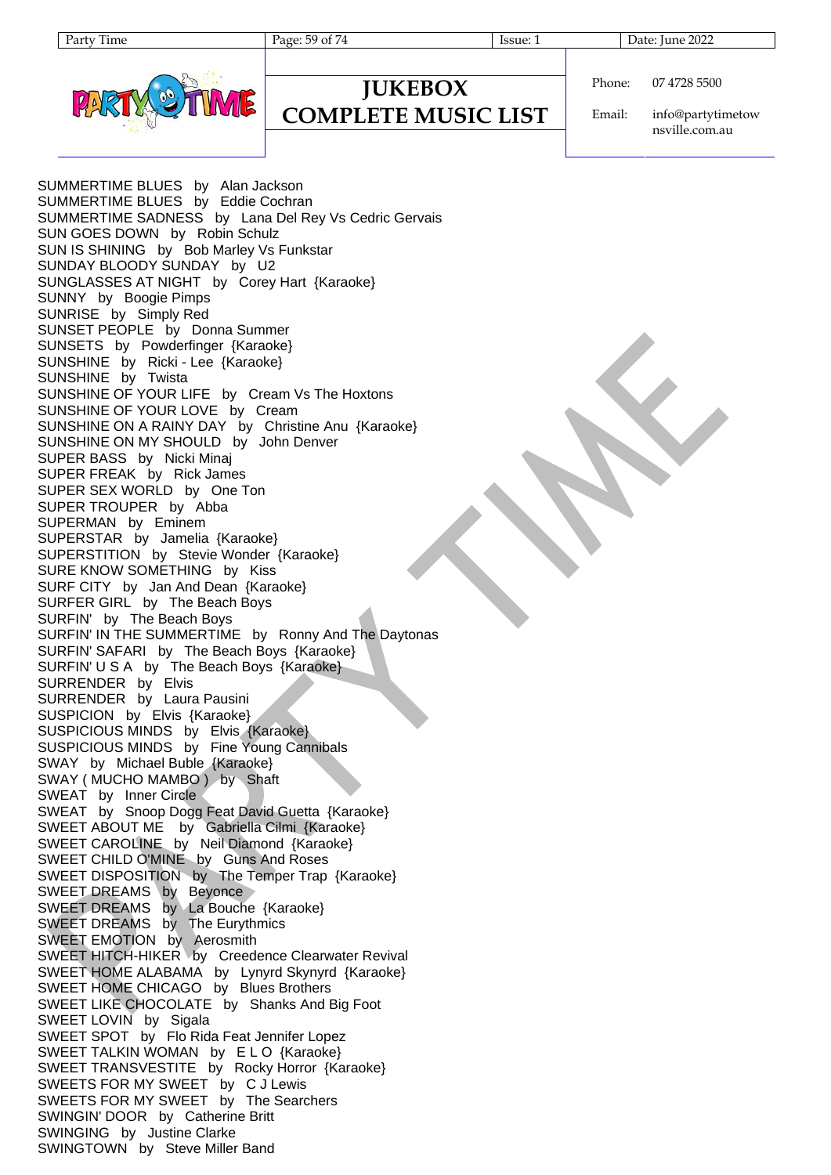Page: 59 of 74 Issue: 1 Date: June 2022

### **JUKEBOX COMPLETE MUSIC LIST**

Phone: 07 4728 5500

Email: info@partytimetow nsville.com.au

SUMMERTIME BLUES by Alan Jackson SUMMERTIME BLUES by Eddie Cochran SUMMERTIME SADNESS by Lana Del Rey Vs Cedric Gervais SUN GOES DOWN by Robin Schulz SUN IS SHINING by Bob Marley Vs Funkstar SUNDAY BLOODY SUNDAY by U2 SUNGLASSES AT NIGHT by Corey Hart {Karaoke} SUNNY by Boogie Pimps SUNRISE by Simply Red SUNSET PEOPLE by Donna Summer SUNSETS by Powderfinger {Karaoke} SUNSHINE by Ricki - Lee {Karaoke} SUNSHINE by Twista SUNSHINE OF YOUR LIFE by Cream Vs The Hoxtons SUNSHINE OF YOUR LOVE by Cream SUNSHINE ON A RAINY DAY by Christine Anu {Karaoke} SUNSHINE ON MY SHOULD by John Denver SUPER BASS by Nicki Minaj SUPER FREAK by Rick James SUPER SEX WORLD by One Ton SUPER TROUPER by Abba SUPERMAN by Eminem SUPERSTAR by Jamelia {Karaoke} SUPERSTITION by Stevie Wonder {Karaoke} SURE KNOW SOMETHING by Kiss SURF CITY by Jan And Dean {Karaoke} SURFER GIRL by The Beach Boys SURFIN' by The Beach Boys SURFIN' IN THE SUMMERTIME by Ronny And The Daytonas SURFIN' SAFARI by The Beach Boys {Karaoke} SURFIN' U S A by The Beach Boys {Karaoke} SURRENDER by Elvis SURRENDER by Laura Pausini SUSPICION by Elvis {Karaoke} SUSPICIOUS MINDS by Elvis {Karaoke} SUSPICIOUS MINDS by Fine Young Cannibals SWAY by Michael Buble {Karaoke} SWAY (MUCHO MAMBO) by Shaft SWEAT by Inner Circle SWEAT by Snoop Dogg Feat David Guetta {Karaoke} SWEET ABOUT ME by Gabriella Cilmi {Karaoke} SWEET CAROLINE by Neil Diamond {Karaoke} SWEET CHILD O'MINE by Guns And Roses SWEET DISPOSITION by The Temper Trap {Karaoke} SWEET DREAMS by Beyonce SWEET DREAMS by La Bouche {Karaoke} SWEET DREAMS by The Eurythmics SWEET EMOTION by Aerosmith SWEET HITCH-HIKER by Creedence Clearwater Revival SWEET HOME ALABAMA by Lynyrd Skynyrd {Karaoke} SWEET HOME CHICAGO by Blues Brothers SWEET LIKE CHOCOLATE by Shanks And Big Foot SWEET LOVIN by Sigala SWEET SPOT by Flo Rida Feat Jennifer Lopez SWEET TALKIN WOMAN by ELO {Karaoke} SWEET TRANSVESTITE by Rocky Horror {Karaoke} SWEETS FOR MY SWEET by C J Lewis SWEETS FOR MY SWEET by The Searchers SWINGIN' DOOR by Catherine Britt SWINGING by Justine Clarke SWINGTOWN by Steve Miller Band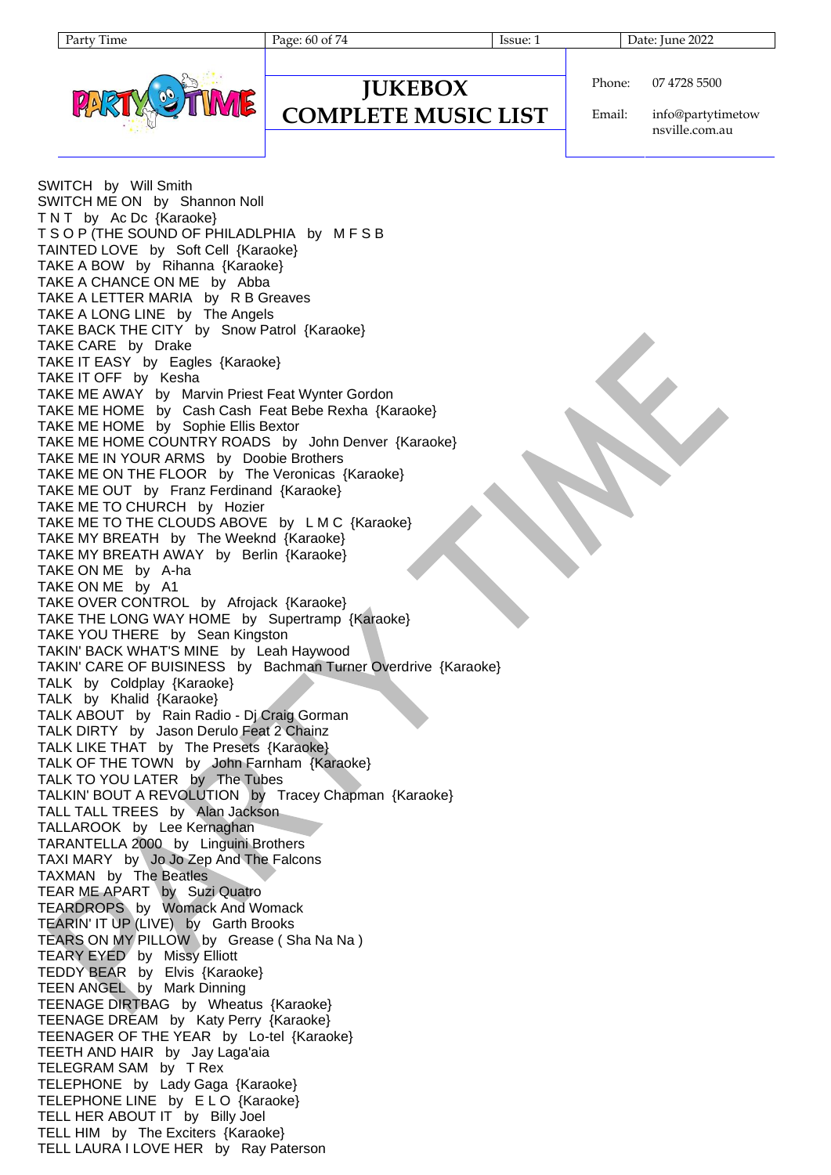| aтт | i ime |
|-----|-------|
|     |       |



### **JUKEBOX COMPLETE MUSIC LIST**

Phone: 07 4728 5500

Email: info@partytimetow nsville.com.au

SWITCH by Will Smith SWITCH ME ON by Shannon Noll TNT by Ac Dc {Karaoke} T S O P (THE SOUND OF PHILADLPHIA by M F S B TAINTED LOVE by Soft Cell {Karaoke} TAKE A BOW by Rihanna {Karaoke} TAKE A CHANCE ON ME by Abba TAKE A LETTER MARIA by R B Greaves TAKE A LONG LINE by The Angels TAKE BACK THE CITY by Snow Patrol {Karaoke} TAKE CARE by Drake TAKE IT EASY by Eagles {Karaoke} TAKE IT OFF by Kesha TAKE ME AWAY by Marvin Priest Feat Wynter Gordon TAKE ME HOME by Cash Cash Feat Bebe Rexha {Karaoke} TAKE ME HOME by Sophie Ellis Bextor TAKE ME HOME COUNTRY ROADS by John Denver {Karaoke} TAKE ME IN YOUR ARMS by Doobie Brothers TAKE ME ON THE FLOOR by The Veronicas {Karaoke} TAKE ME OUT by Franz Ferdinand {Karaoke} TAKE ME TO CHURCH by Hozier TAKE ME TO THE CLOUDS ABOVE by L M C {Karaoke} TAKE MY BREATH by The Weeknd {Karaoke} TAKE MY BREATH AWAY by Berlin {Karaoke} TAKE ON ME by A-ha TAKE ON ME by A1 TAKE OVER CONTROL by Afrojack {Karaoke} TAKE THE LONG WAY HOME by Supertramp {Karaoke} TAKE YOU THERE by Sean Kingston TAKIN' BACK WHAT'S MINE by Leah Haywood TAKIN' CARE OF BUISINESS by Bachman Turner Overdrive {Karaoke} TALK by Coldplay {Karaoke} TALK by Khalid {Karaoke} TALK ABOUT by Rain Radio - Dj Craig Gorman TALK DIRTY by Jason Derulo Feat 2 Chainz TALK LIKE THAT by The Presets {Karaoke} TALK OF THE TOWN by John Farnham {Karaoke} TALK TO YOU LATER by The Tubes TALKIN' BOUT A REVOLUTION by Tracey Chapman {Karaoke} TALL TALL TREES by Alan Jackson TALLAROOK by Lee Kernaghan TARANTELLA 2000 by Linguini Brothers TAXI MARY by Jo Jo Zep And The Falcons TAXMAN by The Beatles TEAR ME APART by Suzi Quatro TEARDROPS by Womack And Womack TEARIN' IT UP (LIVE) by Garth Brooks TEARS ON MY PILLOW by Grease (Sha Na Na) TEARY EYED by Missy Elliott TEDDY BEAR by Elvis {Karaoke} TEEN ANGEL by Mark Dinning TEENAGE DIRTBAG by Wheatus {Karaoke} TEENAGE DREAM by Katy Perry {Karaoke} TEENAGER OF THE YEAR by Lo-tel {Karaoke} TEETH AND HAIR by Jay Laga'aia TELEGRAM SAM by T Rex TELEPHONE by Lady Gaga {Karaoke} TELEPHONE LINE by E L O {Karaoke} TELL HER ABOUT IT by Billy Joel TELL HIM by The Exciters {Karaoke} TELL LAURA I LOVE HER by Ray Paterson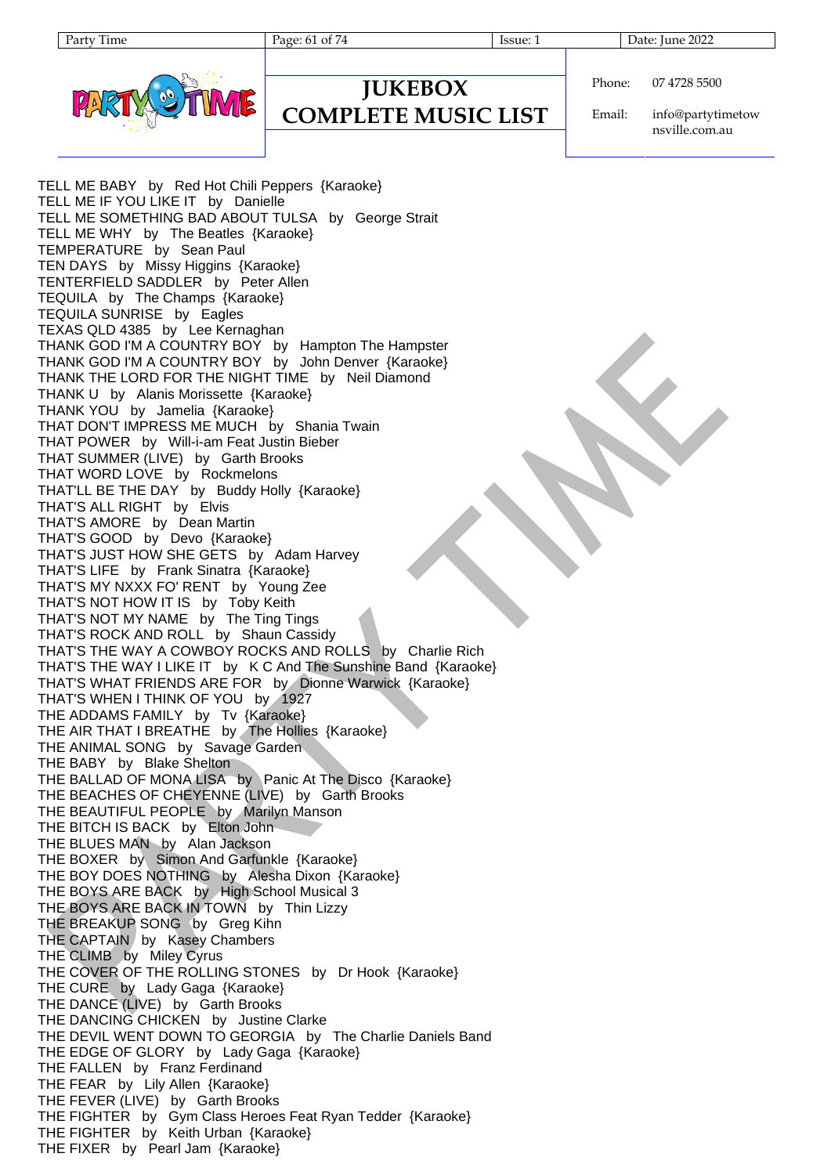Page: 61 of 74 Issue: 1 Date: June 2022



### **JUKEBOX COMPLETE MUSIC LIST**

Phone: 07 4728 5500

Email: info@partytimetow nsville.com.au

TELL ME BABY by Red Hot Chili Peppers {Karaoke} TELL ME IF YOU LIKE IT by Danielle TELL ME SOMETHING BAD ABOUT TULSA by George Strait TELL ME WHY by The Beatles {Karaoke} TEMPERATURE by Sean Paul TEN DAYS by Missy Higgins {Karaoke} TENTERFIELD SADDLER by Peter Allen TEQUILA by The Champs {Karaoke} TEQUILA SUNRISE by Eagles TEXAS QLD 4385 by Lee Kernaghan THANK GOD I'M A COUNTRY BOY by Hampton The Hampster THANK GOD I'M A COUNTRY BOY by John Denver {Karaoke} THANK THE LORD FOR THE NIGHT TIME by Neil Diamond THANK U by Alanis Morissette {Karaoke} THANK YOU by Jamelia {Karaoke} THAT DON'T IMPRESS ME MUCH by Shania Twain THAT POWER by Will-i-am Feat Justin Bieber THAT SUMMER (LIVE) by Garth Brooks THAT WORD LOVE by Rockmelons THAT'LL BE THE DAY by Buddy Holly {Karaoke} THAT'S ALL RIGHT by Elvis THAT'S AMORE by Dean Martin THAT'S GOOD by Devo {Karaoke} THAT'S JUST HOW SHE GETS by Adam Harvey THAT'S LIFE by Frank Sinatra {Karaoke} THAT'S MY NXXX FO' RENT by Young Zee THAT'S NOT HOW IT IS by Toby Keith THAT'S NOT MY NAME by The Ting Tings THAT'S ROCK AND ROLL by Shaun Cassidy THAT'S THE WAY A COWBOY ROCKS AND ROLLS by Charlie Rich THAT'S THE WAY I LIKE IT by K C And The Sunshine Band {Karaoke} THAT'S WHAT FRIENDS ARE FOR by Dionne Warwick {Karaoke} THAT'S WHEN I THINK OF YOU by 1927 THE ADDAMS FAMILY by Tv {Karaoke} THE AIR THAT I BREATHE by The Hollies {Karaoke} THE ANIMAL SONG by Savage Garden THE BABY by Blake Shelton THE BALLAD OF MONA LISA by Panic At The Disco {Karaoke} THE BEACHES OF CHEYENNE (LIVE) by Garth Brooks THE BEAUTIFUL PEOPLE by Marilyn Manson THE BITCH IS BACK by Elton John THE BLUES MAN by Alan Jackson THE BOXER by Simon And Garfunkle {Karaoke} THE BOY DOES NOTHING by Alesha Dixon {Karaoke} THE BOYS ARE BACK by High School Musical 3 THE BOYS ARE BACK IN TOWN by Thin Lizzy THE BREAKUP SONG by Greg Kihn THE CAPTAIN by Kasey Chambers THE CLIMB by Miley Cyrus THE COVER OF THE ROLLING STONES by Dr Hook {Karaoke} THE CURE by Lady Gaga {Karaoke} THE DANCE (LIVE) by Garth Brooks THE DANCING CHICKEN by Justine Clarke THE DEVIL WENT DOWN TO GEORGIA by The Charlie Daniels Band THE EDGE OF GLORY by Lady Gaga {Karaoke} THE FALLEN by Franz Ferdinand THE FEAR by Lily Allen {Karaoke} THE FEVER (LIVE) by Garth Brooks THE FIGHTER by Gym Class Heroes Feat Ryan Tedder {Karaoke} THE FIGHTER by Keith Urban {Karaoke} THE FIXER by Pearl Jam {Karaoke}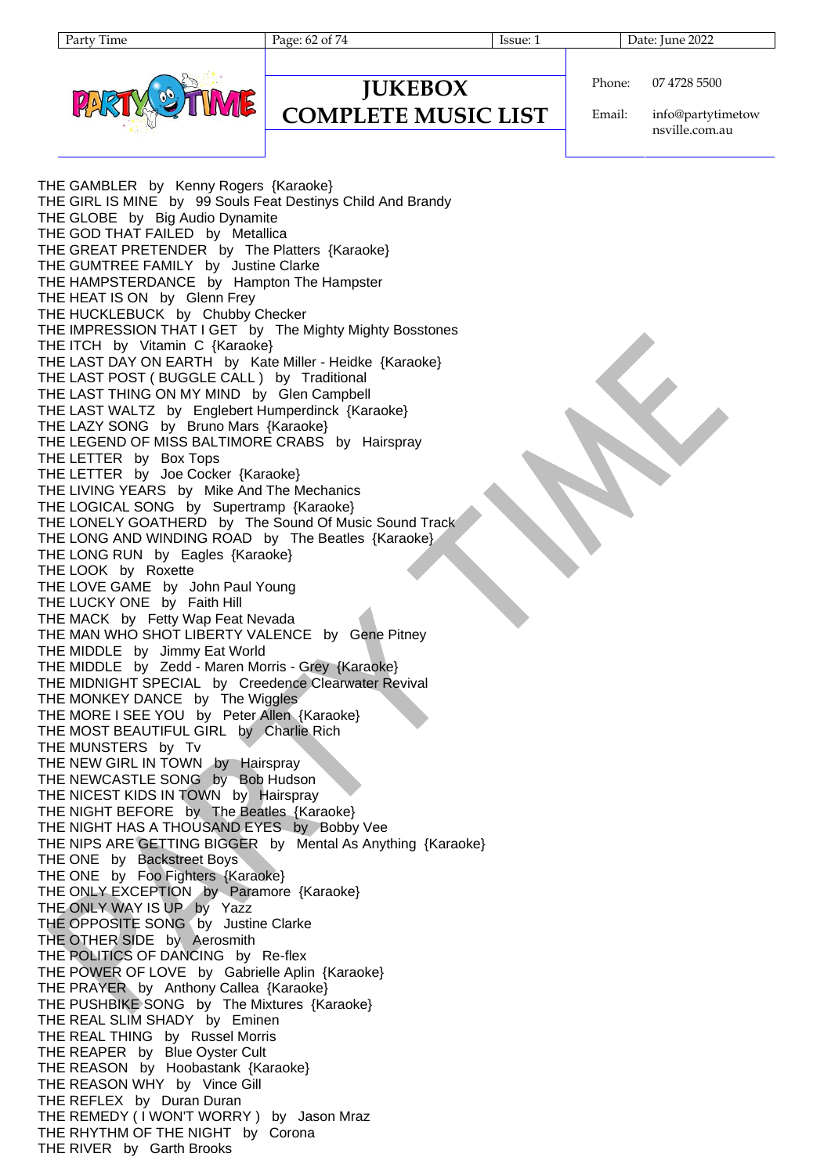Page: 62 of 74 Issue: 1 Date: June 2022

### **JUKEBOX COMPLETE MUSIC LIST**

Phone: 07 4728 5500

Email: info@partytimetow nsville.com.au

THE GAMBLER by Kenny Rogers {Karaoke} THE GIRL IS MINE by 99 Souls Feat Destinys Child And Brandy THE GLOBE by Big Audio Dynamite THE GOD THAT FAILED by Metallica THE GREAT PRETENDER by The Platters {Karaoke} THE GUMTREE FAMILY by Justine Clarke THE HAMPSTERDANCE by Hampton The Hampster THE HEAT IS ON by Glenn Frey THE HUCKLEBUCK by Chubby Checker THE IMPRESSION THAT I GET by The Mighty Mighty Bosstones THE ITCH by Vitamin C {Karaoke} THE LAST DAY ON EARTH by Kate Miller - Heidke {Karaoke} THE LAST POST ( BUGGLE CALL ) by Traditional THE LAST THING ON MY MIND by Glen Campbell THE LAST WALTZ by Englebert Humperdinck {Karaoke} THE LAZY SONG by Bruno Mars {Karaoke} THE LEGEND OF MISS BALTIMORE CRABS by Hairspray THE LETTER by Box Tops THE LETTER by Joe Cocker {Karaoke} THE LIVING YEARS by Mike And The Mechanics THE LOGICAL SONG by Supertramp {Karaoke} THE LONELY GOATHERD by The Sound Of Music Sound Track THE LONG AND WINDING ROAD by The Beatles {Karaoke} THE LONG RUN by Eagles {Karaoke} THE LOOK by Roxette THE LOVE GAME by John Paul Young THE LUCKY ONE by Faith Hill THE MACK by Fetty Wap Feat Nevada THE MAN WHO SHOT LIBERTY VALENCE by Gene Pitney THE MIDDLE by Jimmy Eat World THE MIDDLE by Zedd - Maren Morris - Grey {Karaoke} THE MIDNIGHT SPECIAL by Creedence Clearwater Revival THE MONKEY DANCE by The Wiggles THE MORE I SEE YOU by Peter Allen {Karaoke} THE MOST BEAUTIFUL GIRL by Charlie Rich THE MUNSTERS by Tv THE NEW GIRL IN TOWN by Hairspray THE NEWCASTLE SONG by Bob Hudson THE NICEST KIDS IN TOWN by Hairspray THE NIGHT BEFORE by The Beatles {Karaoke} THE NIGHT HAS A THOUSAND EYES by Bobby Vee THE NIPS ARE GETTING BIGGER by Mental As Anything {Karaoke} THE ONE by Backstreet Boys THE ONE by Foo Fighters {Karaoke} THE ONLY EXCEPTION by Paramore {Karaoke} THE ONLY WAY IS UP by Yazz THE OPPOSITE SONG by Justine Clarke THE OTHER SIDE by Aerosmith THE POLITICS OF DANCING by Re-flex THE POWER OF LOVE by Gabrielle Aplin {Karaoke} THE PRAYER by Anthony Callea {Karaoke} THE PUSHBIKE SONG by The Mixtures {Karaoke} THE REAL SLIM SHADY by Eminen THE REAL THING by Russel Morris THE REAPER by Blue Oyster Cult THE REASON by Hoobastank {Karaoke} THE REASON WHY by Vince Gill THE REFLEX by Duran Duran THE REMEDY (I WON'T WORRY ) by Jason Mraz THE RHYTHM OF THE NIGHT by Corona THE RIVER by Garth Brooks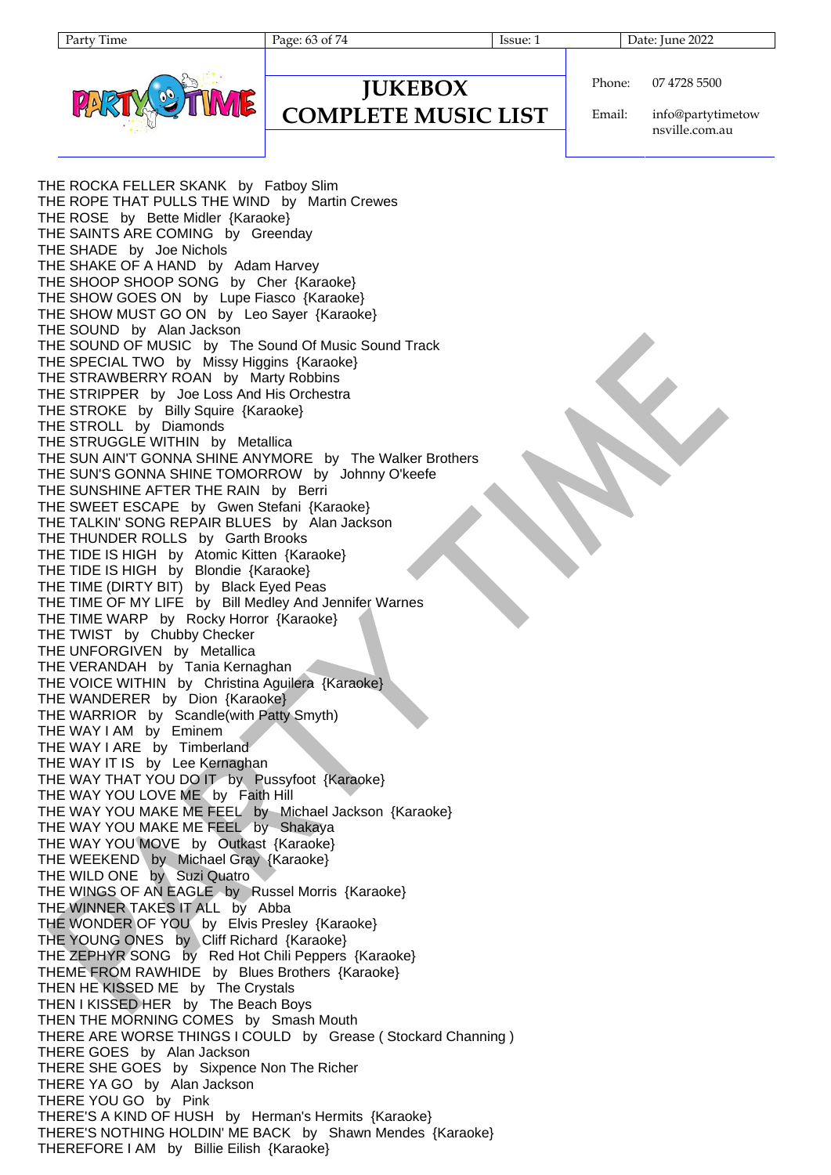| artv<br>11me |
|--------------|
|--------------|

Page: 63 of 74 Issue: 1 Date: June 2022



**JUKEBOX COMPLETE MUSIC LIST** Phone: 07 4728 5500

Email: info@partytimetow nsville.com.au

THE ROCKA FELLER SKANK by Fatboy Slim THE ROPE THAT PULLS THE WIND by Martin Crewes THE ROSE by Bette Midler {Karaoke} THE SAINTS ARE COMING by Greenday THE SHADE by Joe Nichols THE SHAKE OF A HAND by Adam Harvey THE SHOOP SHOOP SONG by Cher {Karaoke} THE SHOW GOES ON by Lupe Fiasco {Karaoke} THE SHOW MUST GO ON by Leo Sayer {Karaoke} THE SOUND by Alan Jackson THE SOUND OF MUSIC by The Sound Of Music Sound Track THE SPECIAL TWO by Missy Higgins {Karaoke} THE STRAWBERRY ROAN by Marty Robbins THE STRIPPER by Joe Loss And His Orchestra THE STROKE by Billy Squire {Karaoke} THE STROLL by Diamonds THE STRUGGLE WITHIN by Metallica THE SUN AIN'T GONNA SHINE ANYMORE by The Walker Brothers THE SUN'S GONNA SHINE TOMORROW by Johnny O'keefe THE SUNSHINE AFTER THE RAIN by Berri THE SWEET ESCAPE by Gwen Stefani {Karaoke} THE TALKIN' SONG REPAIR BLUES by Alan Jackson THE THUNDER ROLLS by Garth Brooks THE TIDE IS HIGH by Atomic Kitten {Karaoke} THE TIDE IS HIGH by Blondie {Karaoke} THE TIME (DIRTY BIT) by Black Eyed Peas THE TIME OF MY LIFE by Bill Medley And Jennifer Warnes THE TIME WARP by Rocky Horror {Karaoke} THE TWIST by Chubby Checker THE UNFORGIVEN by Metallica THE VERANDAH by Tania Kernaghan THE VOICE WITHIN by Christina Aguilera {Karaoke} THE WANDERER by Dion {Karaoke} THE WARRIOR by Scandle(with Patty Smyth) THE WAY I AM by Eminem THE WAY I ARE by Timberland THE WAY IT IS by Lee Kernaghan THE WAY THAT YOU DO IT by Pussyfoot {Karaoke} THE WAY YOU LOVE ME by Faith Hill THE WAY YOU MAKE ME FEEL by Michael Jackson {Karaoke} THE WAY YOU MAKE ME FEEL by Shakaya THE WAY YOU MOVE by Outkast {Karaoke} THE WEEKEND by Michael Gray {Karaoke} THE WILD ONE by Suzi Quatro THE WINGS OF AN EAGLE by Russel Morris {Karaoke} THE WINNER TAKES IT ALL by Abba THE WONDER OF YOU by Elvis Presley {Karaoke} THE YOUNG ONES by Cliff Richard {Karaoke} THE ZEPHYR SONG by Red Hot Chili Peppers {Karaoke} THEME FROM RAWHIDE by Blues Brothers {Karaoke} THEN HE KISSED ME by The Crystals THEN I KISSED HER by The Beach Boys THEN THE MORNING COMES by Smash Mouth THERE ARE WORSE THINGS I COULD by Grease ( Stockard Channing ) THERE GOES by Alan Jackson THERE SHE GOES by Sixpence Non The Richer THERE YA GO by Alan Jackson THERE YOU GO by Pink THERE'S A KIND OF HUSH by Herman's Hermits {Karaoke} THERE'S NOTHING HOLDIN' ME BACK by Shawn Mendes {Karaoke} THEREFORE I AM by Billie Eilish {Karaoke}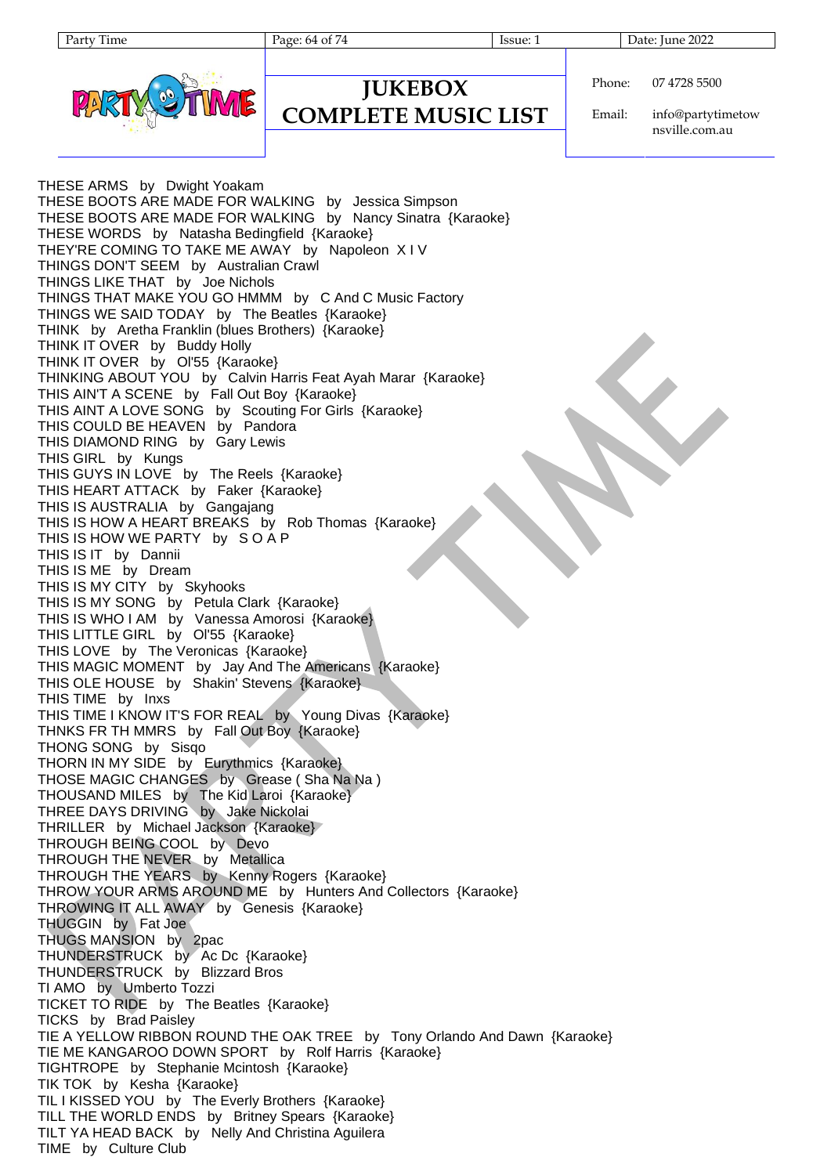Page: 64 of 74 Issue: 1 Issue: 1 Date: June 2022



```
Phone:
07 4728 5500
```
**COMPLETE MUSIC LIST**

**JUKEBOX**

Email: info@partytimetow nsville.com.au

THESE ARMS by Dwight Yoakam THESE BOOTS ARE MADE FOR WALKING by Jessica Simpson THESE BOOTS ARE MADE FOR WALKING by Nancy Sinatra {Karaoke} THESE WORDS by Natasha Bedingfield {Karaoke} THEY'RE COMING TO TAKE ME AWAY by Napoleon X I V THINGS DON'T SEEM by Australian Crawl THINGS LIKE THAT by Joe Nichols THINGS THAT MAKE YOU GO HMMM by C And C Music Factory THINGS WE SAID TODAY by The Beatles {Karaoke} THINK by Aretha Franklin (blues Brothers) {Karaoke} THINK IT OVER by Buddy Holly THINK IT OVER by Ol'55 {Karaoke} THINKING ABOUT YOU by Calvin Harris Feat Ayah Marar {Karaoke} THIS AIN'T A SCENE by Fall Out Boy {Karaoke} THIS AINT A LOVE SONG by Scouting For Girls {Karaoke} THIS COULD BE HEAVEN by Pandora THIS DIAMOND RING by Gary Lewis THIS GIRL by Kungs THIS GUYS IN LOVE by The Reels {Karaoke} THIS HEART ATTACK by Faker {Karaoke} THIS IS AUSTRALIA by Gangajang THIS IS HOW A HEART BREAKS by Rob Thomas {Karaoke} THIS IS HOW WE PARTY by S O A P THIS IS IT by Dannii THIS IS ME by Dream THIS IS MY CITY by Skyhooks THIS IS MY SONG by Petula Clark {Karaoke} THIS IS WHO I AM by Vanessa Amorosi {Karaoke} THIS LITTLE GIRL by Ol'55 {Karaoke} THIS LOVE by The Veronicas {Karaoke} THIS MAGIC MOMENT by Jay And The Americans {Karaoke} THIS OLE HOUSE by Shakin' Stevens {Karaoke} THIS TIME by Inxs THIS TIME I KNOW IT'S FOR REAL by Young Divas {Karaoke} THNKS FR TH MMRS by Fall Out Boy {Karaoke} THONG SONG by Sisqo THORN IN MY SIDE by Eurythmics {Karaoke} THOSE MAGIC CHANGES by Grease ( Sha Na Na ) THOUSAND MILES by The Kid Laroi {Karaoke} THREE DAYS DRIVING by Jake Nickolai THRILLER by Michael Jackson {Karaoke} THROUGH BEING COOL by Devo THROUGH THE NEVER by Metallica THROUGH THE YEARS by Kenny Rogers {Karaoke} THROW YOUR ARMS AROUND ME by Hunters And Collectors {Karaoke} THROWING IT ALL AWAY by Genesis {Karaoke} THUGGIN by Fat Joe THUGS MANSION by 2pac THUNDERSTRUCK by Ac Dc {Karaoke} THUNDERSTRUCK by Blizzard Bros TI AMO by Umberto Tozzi TICKET TO RIDE by The Beatles {Karaoke} TICKS by Brad Paisley TIE A YELLOW RIBBON ROUND THE OAK TREE by Tony Orlando And Dawn {Karaoke} TIE ME KANGAROO DOWN SPORT by Rolf Harris {Karaoke} TIGHTROPE by Stephanie Mcintosh {Karaoke} TIK TOK by Kesha {Karaoke} TIL I KISSED YOU by The Everly Brothers {Karaoke} TILL THE WORLD ENDS by Britney Spears {Karaoke} TILT YA HEAD BACK by Nelly And Christina Aguilera TIME by Culture Club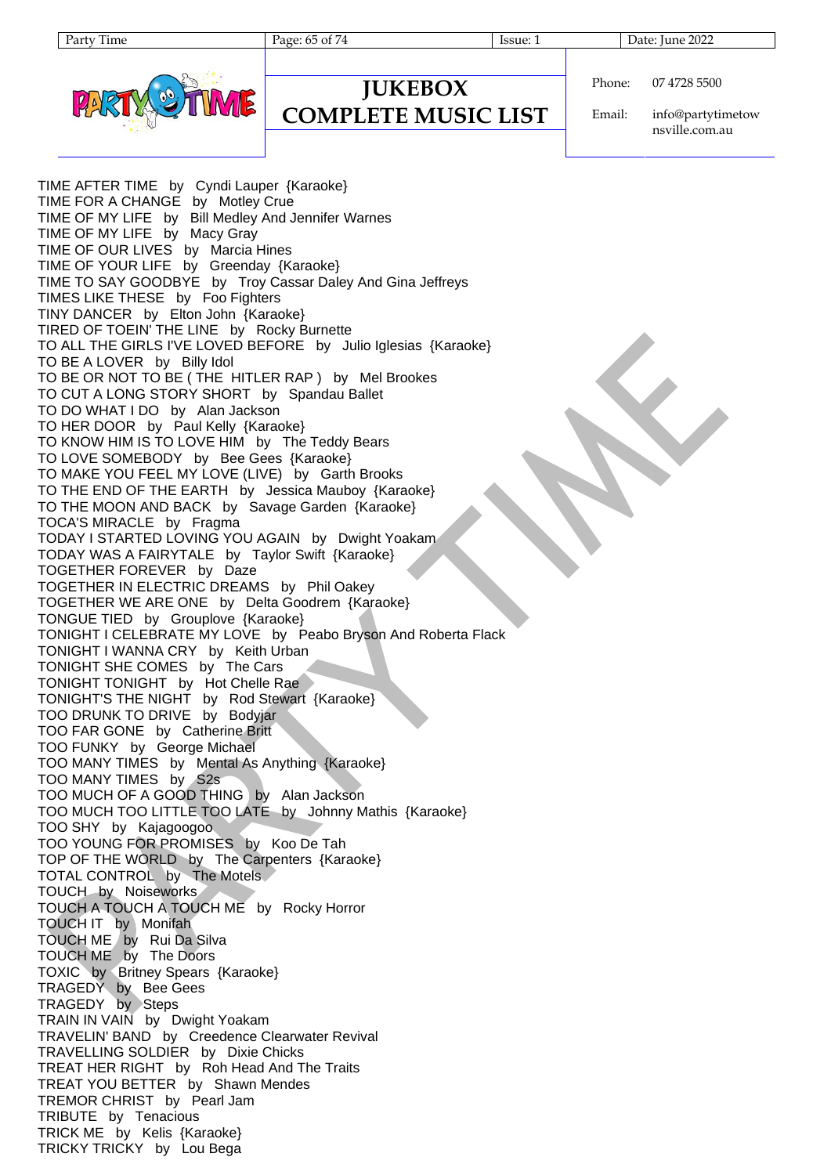Page: 65 of 74 Issue: 1 Issue: 1 Date: June 2022



### **JUKEBOX COMPLETE MUSIC LIST**

Phone: 07 4728 5500

Email: info@partytimetow nsville.com.au

TIME AFTER TIME by Cyndi Lauper {Karaoke} TIME FOR A CHANGE by Motley Crue TIME OF MY LIFE by Bill Medley And Jennifer Warnes TIME OF MY LIFE by Macy Gray TIME OF OUR LIVES by Marcia Hines TIME OF YOUR LIFE by Greenday {Karaoke} TIME TO SAY GOODBYE by Troy Cassar Daley And Gina Jeffreys TIMES LIKE THESE by Foo Fighters TINY DANCER by Elton John {Karaoke} TIRED OF TOEIN' THE LINE by Rocky Burnette TO ALL THE GIRLS I'VE LOVED BEFORE by Julio Iglesias {Karaoke} TO BE A LOVER by Billy Idol TO BE OR NOT TO BE ( THE HITLER RAP ) by Mel Brookes TO CUT A LONG STORY SHORT by Spandau Ballet TO DO WHAT I DO by Alan Jackson TO HER DOOR by Paul Kelly {Karaoke} TO KNOW HIM IS TO LOVE HIM by The Teddy Bears TO LOVE SOMEBODY by Bee Gees {Karaoke} TO MAKE YOU FEEL MY LOVE (LIVE) by Garth Brooks TO THE END OF THE EARTH by Jessica Mauboy {Karaoke} TO THE MOON AND BACK by Savage Garden {Karaoke} TOCA'S MIRACLE by Fragma TODAY I STARTED LOVING YOU AGAIN by Dwight Yoakam TODAY WAS A FAIRYTALE by Taylor Swift {Karaoke} TOGETHER FOREVER by Daze TOGETHER IN ELECTRIC DREAMS by Phil Oakey TOGETHER WE ARE ONE by Delta Goodrem {Karaoke} TONGUE TIED by Grouplove {Karaoke} TONIGHT I CELEBRATE MY LOVE by Peabo Bryson And Roberta Flack TONIGHT I WANNA CRY by Keith Urban TONIGHT SHE COMES by The Cars TONIGHT TONIGHT by Hot Chelle Rae TONIGHT'S THE NIGHT by Rod Stewart {Karaoke} TOO DRUNK TO DRIVE by Bodyjar TOO FAR GONE by Catherine Britt TOO FUNKY by George Michael TOO MANY TIMES by Mental As Anything {Karaoke} TOO MANY TIMES by S2s TOO MUCH OF A GOOD THING by Alan Jackson TOO MUCH TOO LITTLE TOO LATE by Johnny Mathis {Karaoke} TOO SHY by Kajagoogoo TOO YOUNG FOR PROMISES by Koo De Tah TOP OF THE WORLD by The Carpenters {Karaoke} TOTAL CONTROL by The Motels TOUCH by Noiseworks TOUCH A TOUCH A TOUCH ME by Rocky Horror TOUCH IT by Monifah TOUCH ME by Rui Da Silva TOUCH ME by The Doors TOXIC by Britney Spears {Karaoke} TRAGEDY by Bee Gees TRAGEDY by Steps TRAIN IN VAIN by Dwight Yoakam TRAVELIN' BAND by Creedence Clearwater Revival TRAVELLING SOLDIER by Dixie Chicks TREAT HER RIGHT by Roh Head And The Traits TREAT YOU BETTER by Shawn Mendes TREMOR CHRIST by Pearl Jam TRIBUTE by Tenacious TRICK ME by Kelis {Karaoke} TRICKY TRICKY by Lou Bega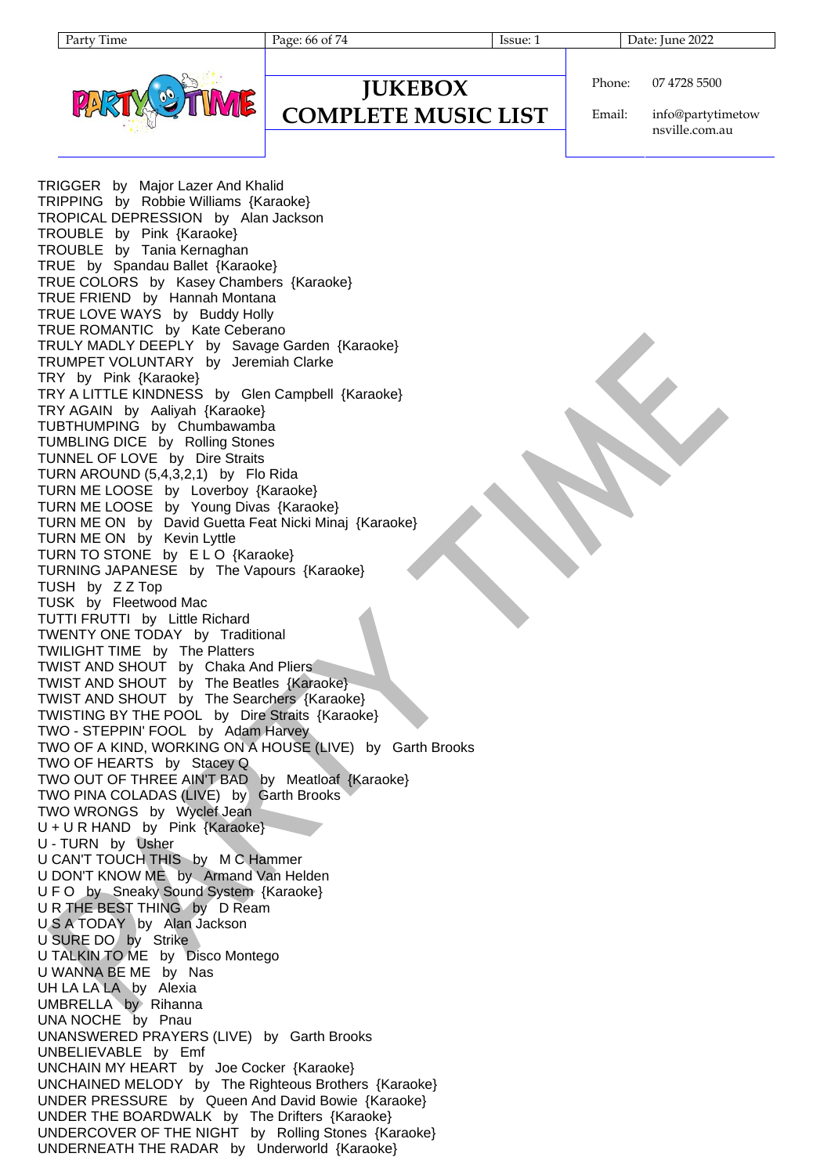Page: 66 of 74 Issue: 1 Date: June 2022



### **JUKEBOX COMPLETE MUSIC LIST**

Phone: 07 4728 5500

Email: info@partytimetow nsville.com.au

TRIGGER by Major Lazer And Khalid TRIPPING by Robbie Williams {Karaoke} TROPICAL DEPRESSION by Alan Jackson TROUBLE by Pink {Karaoke} TROUBLE by Tania Kernaghan TRUE by Spandau Ballet {Karaoke} TRUE COLORS by Kasey Chambers {Karaoke} TRUE FRIEND by Hannah Montana TRUE LOVE WAYS by Buddy Holly TRUE ROMANTIC by Kate Ceberano TRULY MADLY DEEPLY by Savage Garden {Karaoke} TRUMPET VOLUNTARY by Jeremiah Clarke TRY by Pink {Karaoke} TRY A LITTLE KINDNESS by Glen Campbell {Karaoke} TRY AGAIN by Aaliyah {Karaoke} TUBTHUMPING by Chumbawamba TUMBLING DICE by Rolling Stones TUNNEL OF LOVE by Dire Straits TURN AROUND (5,4,3,2,1) by Flo Rida TURN ME LOOSE by Loverboy {Karaoke} TURN ME LOOSE by Young Divas {Karaoke} TURN ME ON by David Guetta Feat Nicki Minaj {Karaoke} TURN ME ON by Kevin Lyttle TURN TO STONE by ELO {Karaoke} TURNING JAPANESE by The Vapours {Karaoke} TUSH by Z Z Top TUSK by Fleetwood Mac TUTTI FRUTTI by Little Richard TWENTY ONE TODAY by Traditional TWILIGHT TIME by The Platters TWIST AND SHOUT by Chaka And Pliers TWIST AND SHOUT by The Beatles {Karaoke} TWIST AND SHOUT by The Searchers {Karaoke} TWISTING BY THE POOL by Dire Straits {Karaoke} TWO - STEPPIN' FOOL by Adam Harvey TWO OF A KIND, WORKING ON A HOUSE (LIVE) by Garth Brooks TWO OF HEARTS by Stacey Q TWO OUT OF THREE AIN'T BAD by Meatloaf {Karaoke} TWO PINA COLADAS (LIVE) by Garth Brooks TWO WRONGS by Wyclef Jean U + U R HAND by Pink {Karaoke} U - TURN by Usher U CAN'T TOUCH THIS by M C Hammer U DON'T KNOW ME by Armand Van Helden U F O by Sneaky Sound System {Karaoke} U R THE BEST THING by D Ream U S A TODAY by Alan Jackson U SURE DO by Strike U TALKIN TO ME by Disco Montego U WANNA BE ME by Nas UH LA LA LA by Alexia UMBRELLA by Rihanna UNA NOCHE by Pnau UNANSWERED PRAYERS (LIVE) by Garth Brooks UNBELIEVABLE by Emf UNCHAIN MY HEART by Joe Cocker {Karaoke} UNCHAINED MELODY by The Righteous Brothers {Karaoke} UNDER PRESSURE by Queen And David Bowie {Karaoke} UNDER THE BOARDWALK by The Drifters {Karaoke} UNDERCOVER OF THE NIGHT by Rolling Stones {Karaoke} UNDERNEATH THE RADAR by Underworld {Karaoke}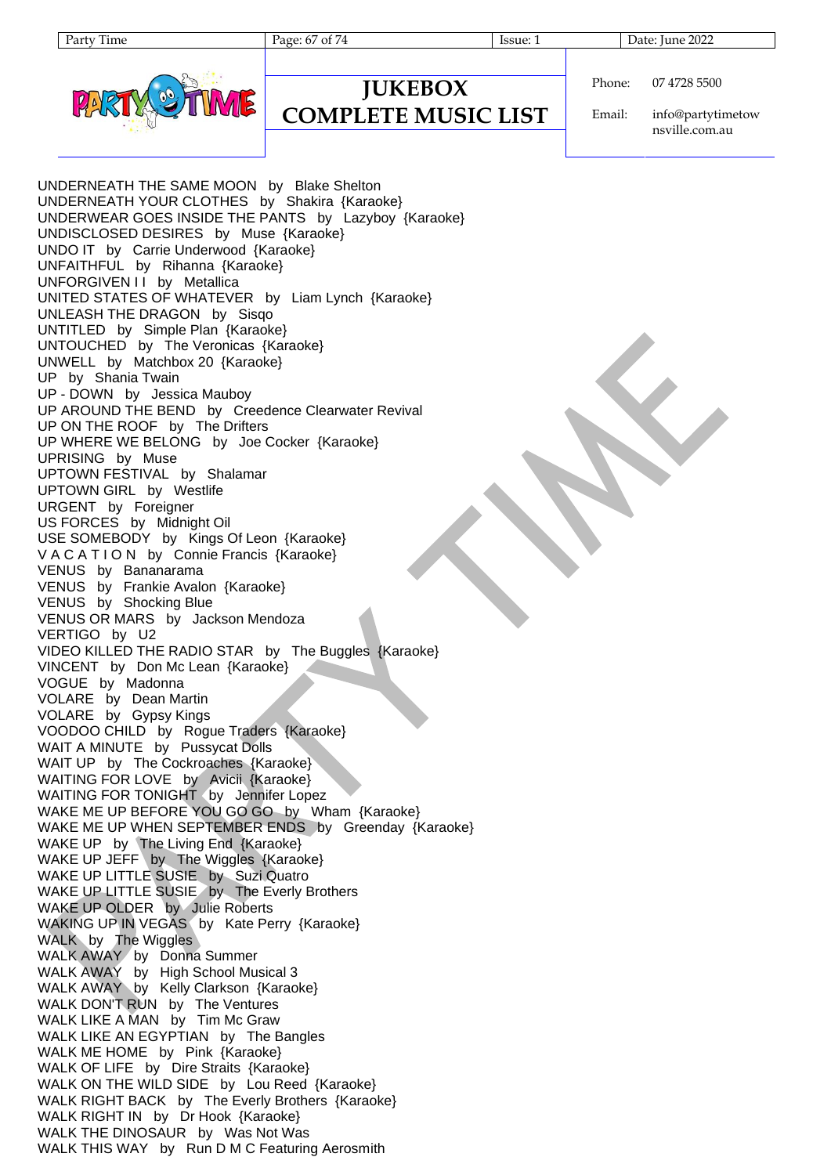Page: 67 of 74 Issue: 1 Date: June 2022



### **JUKEBOX COMPLETE MUSIC LIST**

Phone: 07 4728 5500

Email: info@partytimetow nsville.com.au

UNDERNEATH THE SAME MOON by Blake Shelton UNDERNEATH YOUR CLOTHES by Shakira {Karaoke} UNDERWEAR GOES INSIDE THE PANTS by Lazyboy {Karaoke} UNDISCLOSED DESIRES by Muse {Karaoke} UNDO IT by Carrie Underwood {Karaoke} UNFAITHFUL by Rihanna {Karaoke} UNFORGIVEN I I by Metallica UNITED STATES OF WHATEVER by Liam Lynch {Karaoke} UNLEASH THE DRAGON by Sisqo UNTITLED by Simple Plan {Karaoke} UNTOUCHED by The Veronicas {Karaoke} UNWELL by Matchbox 20 {Karaoke} UP by Shania Twain UP - DOWN by Jessica Mauboy UP AROUND THE BEND by Creedence Clearwater Revival UP ON THE ROOF by The Drifters UP WHERE WE BELONG by Joe Cocker {Karaoke} UPRISING by Muse UPTOWN FESTIVAL by Shalamar UPTOWN GIRL by Westlife URGENT by Foreigner US FORCES by Midnight Oil USE SOMEBODY by Kings Of Leon {Karaoke} V A C A T I O N by Connie Francis {Karaoke} VENUS by Bananarama VENUS by Frankie Avalon {Karaoke} VENUS by Shocking Blue VENUS OR MARS by Jackson Mendoza VERTIGO by U2 VIDEO KILLED THE RADIO STAR by The Buggles {Karaoke} VINCENT by Don Mc Lean {Karaoke} VOGUE by Madonna VOLARE by Dean Martin VOLARE by Gypsy Kings VOODOO CHILD by Rogue Traders {Karaoke} WAIT A MINUTE by Pussycat Dolls WAIT UP by The Cockroaches {Karaoke} WAITING FOR LOVE by Avicii {Karaoke} WAITING FOR TONIGHT by Jennifer Lopez WAKE ME UP BEFORE YOU GO GO by Wham {Karaoke} WAKE ME UP WHEN SEPTEMBER ENDS by Greenday {Karaoke} WAKE UP by The Living End {Karaoke} WAKE UP JEFF by The Wiggles {Karaoke} WAKE UP LITTLE SUSIE by Suzi Quatro WAKE UP LITTLE SUSIE by The Everly Brothers WAKE UP OLDER by Julie Roberts WAKING UP IN VEGAS by Kate Perry {Karaoke} WALK by The Wiggles WALK AWAY by Donna Summer WALK AWAY by High School Musical 3 WALK AWAY by Kelly Clarkson {Karaoke} WALK DON'T RUN by The Ventures WALK LIKE A MAN by Tim Mc Graw WALK LIKE AN EGYPTIAN by The Bangles WALK ME HOME by Pink {Karaoke} WALK OF LIFE by Dire Straits {Karaoke} WALK ON THE WILD SIDE by Lou Reed {Karaoke} WALK RIGHT BACK by The Everly Brothers {Karaoke} WALK RIGHT IN by Dr Hook {Karaoke} WALK THE DINOSAUR by Was Not Was WALK THIS WAY by Run D M C Featuring Aerosmith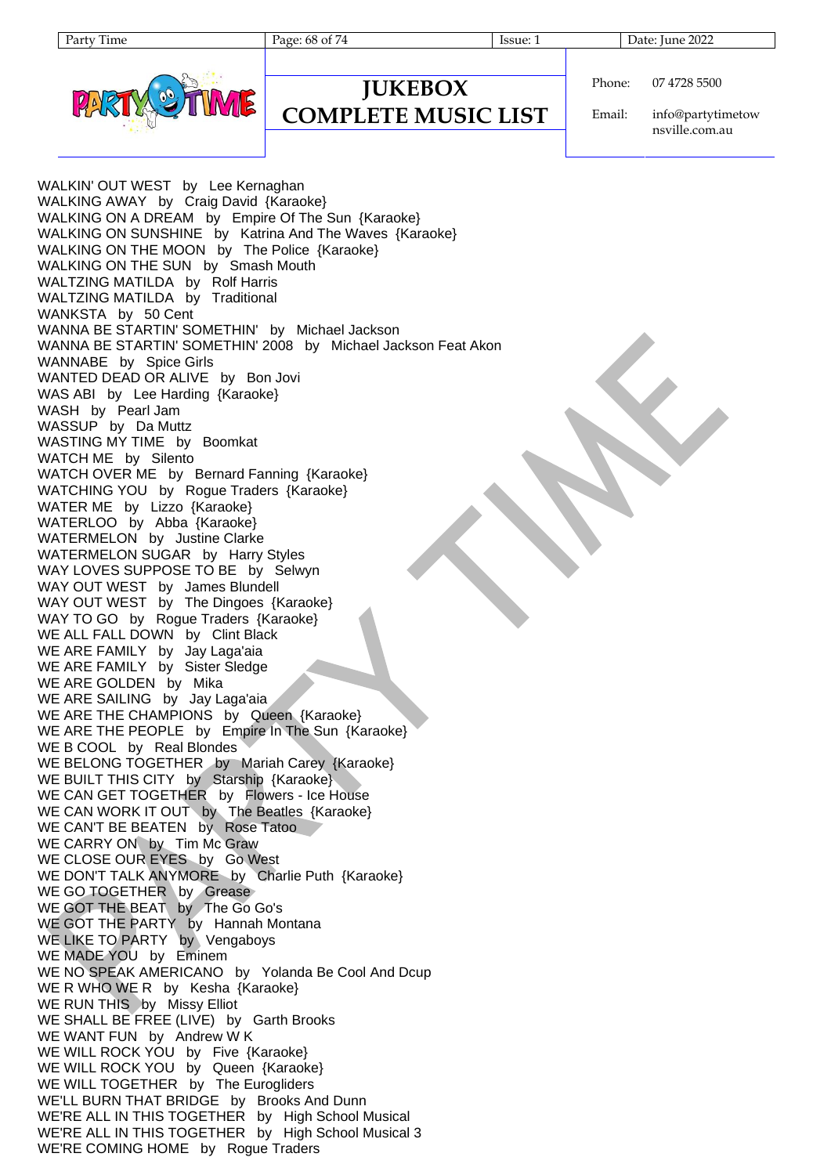Party Time Page: 68 of 74 Issue: 1 Date: June 2022



### **JUKEBOX COMPLETE MUSIC LIST**

Phone: 07 4728 5500

Email: info@partytimetow nsville.com.au

WALKIN' OUT WEST by Lee Kernaghan WALKING AWAY by Craig David {Karaoke} WALKING ON A DREAM by Empire Of The Sun {Karaoke} WALKING ON SUNSHINE by Katrina And The Waves {Karaoke} WALKING ON THE MOON by The Police {Karaoke} WALKING ON THE SUN by Smash Mouth WALTZING MATILDA by Rolf Harris WALTZING MATILDA by Traditional WANKSTA by 50 Cent WANNA BE STARTIN' SOMETHIN' by Michael Jackson WANNA BE STARTIN' SOMETHIN' 2008 by Michael Jackson Feat Akon WANNABE by Spice Girls WANTED DEAD OR ALIVE by Bon Jovi WAS ABI by Lee Harding {Karaoke} WASH by Pearl Jam WASSUP by Da Muttz WASTING MY TIME by Boomkat WATCH ME by Silento WATCH OVER ME by Bernard Fanning {Karaoke} WATCHING YOU by Rogue Traders {Karaoke} WATER ME by Lizzo {Karaoke} WATERLOO by Abba {Karaoke} WATERMELON by Justine Clarke WATERMELON SUGAR by Harry Styles WAY LOVES SUPPOSE TO BE by Selwyn WAY OUT WEST by James Blundell WAY OUT WEST by The Dingoes {Karaoke} WAY TO GO by Rogue Traders {Karaoke} WE ALL FALL DOWN by Clint Black WE ARE FAMILY by Jay Laga'aia WE ARE FAMILY by Sister Sledge WE ARE GOLDEN by Mika WE ARE SAILING by Jay Laga'aia WE ARE THE CHAMPIONS by Queen {Karaoke} WE ARE THE PEOPLE by Empire In The Sun {Karaoke} WE B COOL by Real Blondes WE BELONG TOGETHER by Mariah Carey {Karaoke} WE BUILT THIS CITY by Starship {Karaoke} WE CAN GET TOGETHER by Flowers - Ice House WE CAN WORK IT OUT by The Beatles {Karaoke} WE CAN'T BE BEATEN by Rose Tatoo WE CARRY ON by Tim Mc Graw WE CLOSE OUR EYES by Go West WE DON'T TALK ANYMORE by Charlie Puth {Karaoke} WE GO TOGETHER by Grease WE GOT THE BEAT by The Go Go's WE GOT THE PARTY by Hannah Montana WE LIKE TO PARTY by Vengaboys WE MADE YOU by Eminem WE NO SPEAK AMERICANO by Yolanda Be Cool And Dcup WE R WHO WE R by Kesha {Karaoke} WE RUN THIS by Missy Elliot WE SHALL BE FREE (LIVE) by Garth Brooks WE WANT FUN by Andrew W K WE WILL ROCK YOU by Five {Karaoke} WE WILL ROCK YOU by Queen {Karaoke} WE WILL TOGETHER by The Eurogliders WE'LL BURN THAT BRIDGE by Brooks And Dunn WE'RE ALL IN THIS TOGETHER by High School Musical WE'RE ALL IN THIS TOGETHER by High School Musical 3 WE'RE COMING HOME by Rogue Traders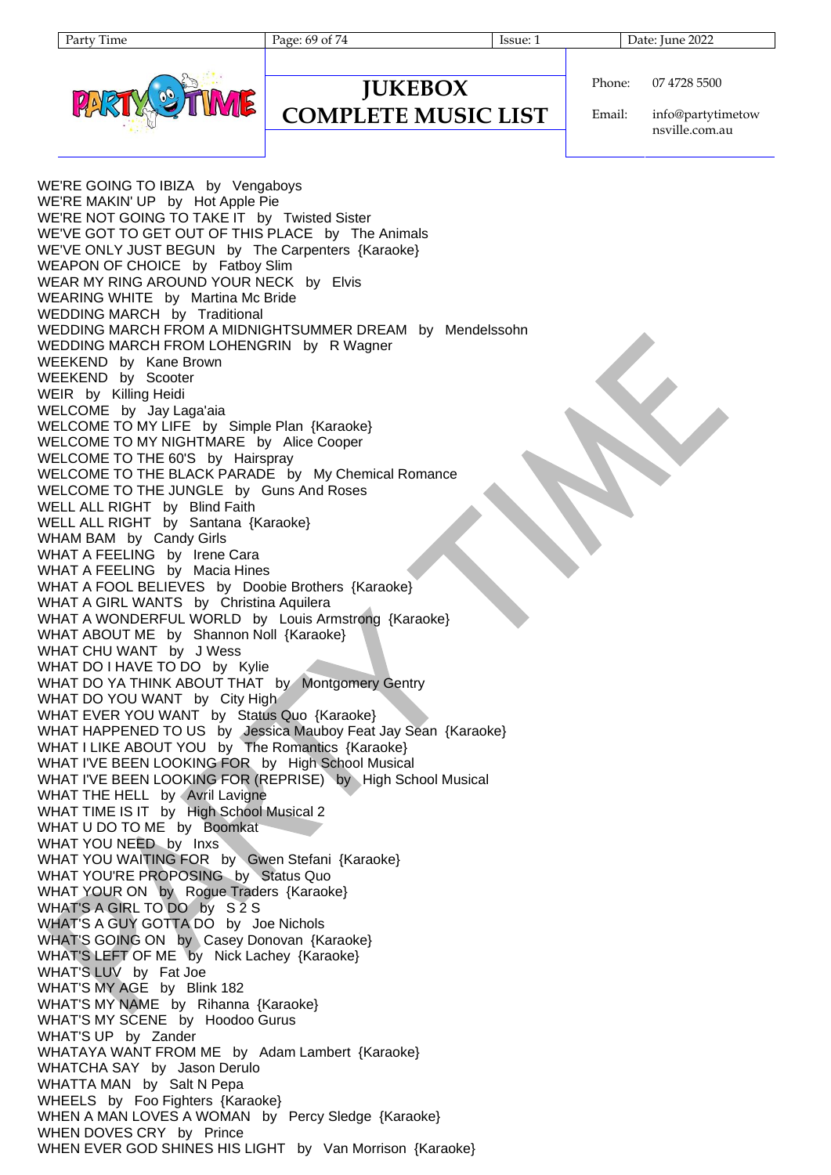Page: 69 of 74 Issue: 1 Date: June 2022



### **JUKEBOX COMPLETE MUSIC LIST**

Phone: 07 4728 5500

Email: info@partytimetow nsville.com.au

WE'RE GOING TO IBIZA by Vengaboys WE'RE MAKIN' UP by Hot Apple Pie WE'RE NOT GOING TO TAKE IT by Twisted Sister WE'VE GOT TO GET OUT OF THIS PLACE by The Animals WE'VE ONLY JUST BEGUN by The Carpenters {Karaoke} WEAPON OF CHOICE by Fatboy Slim WEAR MY RING AROUND YOUR NECK by Elvis WEARING WHITE by Martina Mc Bride WEDDING MARCH by Traditional WEDDING MARCH FROM A MIDNIGHTSUMMER DREAM by Mendelssohn WEDDING MARCH FROM LOHENGRIN by R Wagner WEEKEND by Kane Brown WEEKEND by Scooter WEIR by Killing Heidi WELCOME by Jay Laga'aia WELCOME TO MY LIFE by Simple Plan {Karaoke} WELCOME TO MY NIGHTMARE by Alice Cooper WELCOME TO THE 60'S by Hairspray WELCOME TO THE BLACK PARADE by My Chemical Romance WELCOME TO THE JUNGLE by Guns And Roses WELL ALL RIGHT by Blind Faith WELL ALL RIGHT by Santana {Karaoke} WHAM BAM by Candy Girls WHAT A FEELING by Irene Cara WHAT A FEELING by Macia Hines WHAT A FOOL BELIEVES by Doobie Brothers {Karaoke} WHAT A GIRL WANTS by Christina Aquilera WHAT A WONDERFUL WORLD by Louis Armstrong {Karaoke} WHAT ABOUT ME by Shannon Noll {Karaoke} WHAT CHU WANT by J Wess WHAT DO I HAVE TO DO by Kylie WHAT DO YA THINK ABOUT THAT by Montgomery Gentry WHAT DO YOU WANT by City High WHAT EVER YOU WANT by Status Quo {Karaoke} WHAT HAPPENED TO US by Jessica Mauboy Feat Jay Sean {Karaoke} WHAT I LIKE ABOUT YOU by The Romantics {Karaoke} WHAT I'VE BEEN LOOKING FOR by High School Musical WHAT I'VE BEEN LOOKING FOR (REPRISE) by High School Musical WHAT THE HELL by Avril Lavigne WHAT TIME IS IT by High School Musical 2 WHAT U DO TO ME by Boomkat WHAT YOU NEED by Inxs WHAT YOU WAITING FOR by Gwen Stefani {Karaoke} WHAT YOU'RE PROPOSING by Status Quo WHAT YOUR ON by Rogue Traders {Karaoke} WHAT'S A GIRL TO DO by S 2 S WHAT'S A GUY GOTTA DO by Joe Nichols WHAT'S GOING ON by Casey Donovan {Karaoke} WHAT'S LEFT OF ME by Nick Lachey {Karaoke} WHAT'S LUV by Fat Joe WHAT'S MY AGE by Blink 182 WHAT'S MY NAME by Rihanna {Karaoke} WHAT'S MY SCENE by Hoodoo Gurus WHAT'S UP by Zander WHATAYA WANT FROM ME by Adam Lambert {Karaoke} WHATCHA SAY by Jason Derulo WHATTA MAN by Salt N Pepa WHEELS by Foo Fighters {Karaoke} WHEN A MAN LOVES A WOMAN by Percy Sledge {Karaoke} WHEN DOVES CRY by Prince WHEN EVER GOD SHINES HIS LIGHT by Van Morrison {Karaoke}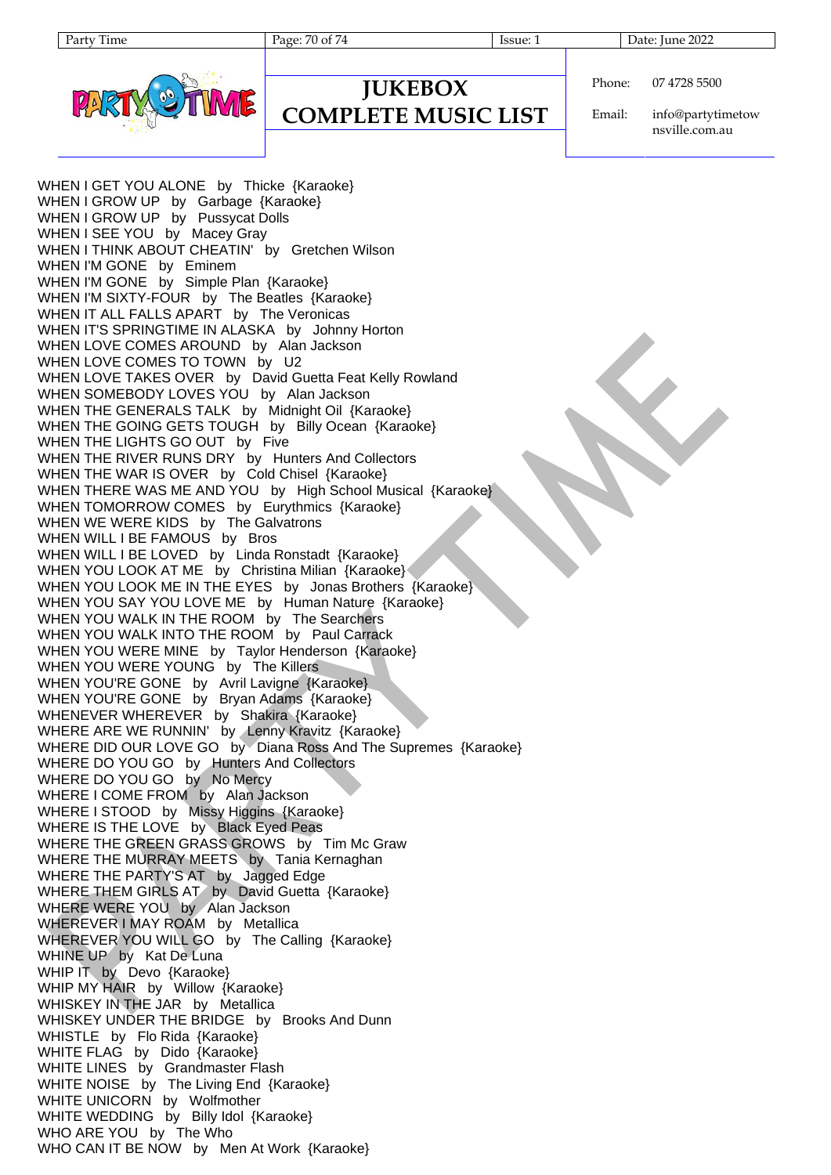

### **JUKEBOX COMPLETE MUSIC LIST**

Phone: 07 4728 5500

Email: info@partytimetow nsville.com.au

WHEN I GET YOU ALONE by Thicke {Karaoke} WHEN I GROW UP by Garbage {Karaoke} WHEN I GROW UP by Pussycat Dolls WHEN I SEE YOU by Macey Gray WHEN I THINK ABOUT CHEATIN' by Gretchen Wilson WHEN I'M GONE by Eminem WHEN I'M GONE by Simple Plan {Karaoke} WHEN I'M SIXTY-FOUR by The Beatles {Karaoke} WHEN IT ALL FALLS APART by The Veronicas WHEN IT'S SPRINGTIME IN ALASKA by Johnny Horton WHEN LOVE COMES AROUND by Alan Jackson WHEN LOVE COMES TO TOWN by U2 WHEN LOVE TAKES OVER by David Guetta Feat Kelly Rowland WHEN SOMEBODY LOVES YOU by Alan Jackson WHEN THE GENERALS TALK by Midnight Oil {Karaoke} WHEN THE GOING GETS TOUGH by Billy Ocean {Karaoke} WHEN THE LIGHTS GO OUT by Five WHEN THE RIVER RUNS DRY by Hunters And Collectors WHEN THE WAR IS OVER by Cold Chisel {Karaoke} WHEN THERE WAS ME AND YOU by High School Musical {Karaoke} WHEN TOMORROW COMES by Eurythmics {Karaoke} WHEN WE WERE KIDS by The Galvatrons WHEN WILL I BE FAMOUS by Bros WHEN WILL I BE LOVED by Linda Ronstadt {Karaoke} WHEN YOU LOOK AT ME by Christina Milian {Karaoke} WHEN YOU LOOK ME IN THE EYES by Jonas Brothers {Karaoke} WHEN YOU SAY YOU LOVE ME by Human Nature {Karaoke} WHEN YOU WALK IN THE ROOM by The Searchers WHEN YOU WALK INTO THE ROOM by Paul Carrack WHEN YOU WERE MINE by Taylor Henderson {Karaoke} WHEN YOU WERE YOUNG by The Killers WHEN YOU'RE GONE by Avril Lavigne {Karaoke} WHEN YOU'RE GONE by Bryan Adams {Karaoke} WHENEVER WHEREVER by Shakira {Karaoke} WHERE ARE WE RUNNIN' by Lenny Kravitz {Karaoke} WHERE DID OUR LOVE GO by Diana Ross And The Supremes {Karaoke} WHERE DO YOU GO by Hunters And Collectors WHERE DO YOU GO by No Mercy WHERE I COME FROM by Alan Jackson WHERE I STOOD by Missy Higgins {Karaoke} WHERE IS THE LOVE by Black Eyed Peas WHERE THE GREEN GRASS GROWS by Tim Mc Graw WHERE THE MURRAY MEETS by Tania Kernaghan WHERE THE PARTY'S AT by Jagged Edge WHERE THEM GIRLS AT by David Guetta {Karaoke} WHERE WERE YOU by Alan Jackson WHEREVER I MAY ROAM by Metallica WHEREVER YOU WILL GO by The Calling {Karaoke} WHINE UP by Kat De Luna WHIP IT by Devo {Karaoke} WHIP MY HAIR by Willow {Karaoke} WHISKEY IN THE JAR by Metallica WHISKEY UNDER THE BRIDGE by Brooks And Dunn WHISTLE by Flo Rida {Karaoke} WHITE FLAG by Dido {Karaoke} WHITE LINES by Grandmaster Flash WHITE NOISE by The Living End {Karaoke} WHITE UNICORN by Wolfmother WHITE WEDDING by Billy Idol {Karaoke} WHO ARE YOU by The Who WHO CAN IT BE NOW by Men At Work {Karaoke}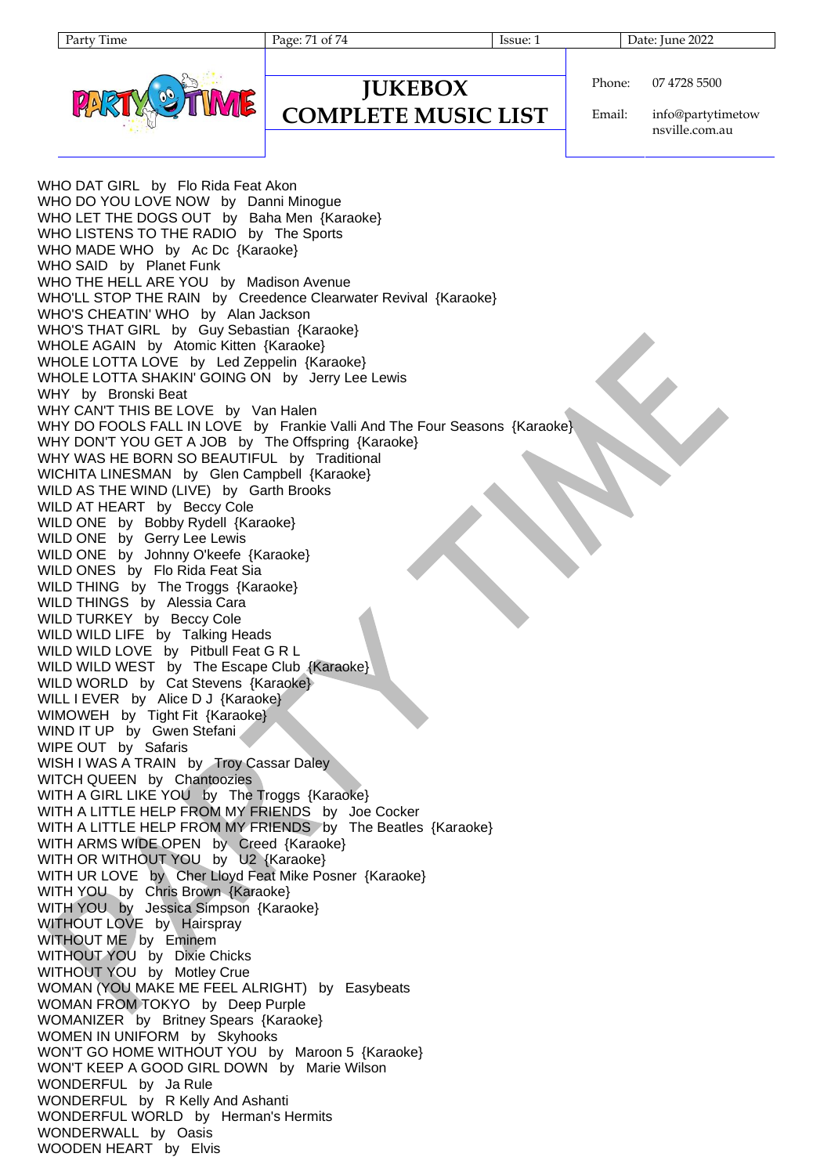Page: 71 of 74 Issue: 1 Issue: 1 Date: June 2022



### **JUKEBOX COMPLETE MUSIC LIST**

Phone: 07 4728 5500

Email: info@partytimetow nsville.com.au

WHO DAT GIRL by Flo Rida Feat Akon WHO DO YOU LOVE NOW by Danni Minogue WHO LET THE DOGS OUT by Baha Men {Karaoke} WHO LISTENS TO THE RADIO by The Sports WHO MADE WHO by Ac Dc {Karaoke} WHO SAID by Planet Funk WHO THE HELL ARE YOU by Madison Avenue WHO'LL STOP THE RAIN by Creedence Clearwater Revival {Karaoke} WHO'S CHEATIN' WHO by Alan Jackson WHO'S THAT GIRL by Guy Sebastian {Karaoke} WHOLE AGAIN by Atomic Kitten {Karaoke} WHOLE LOTTA LOVE by Led Zeppelin {Karaoke} WHOLE LOTTA SHAKIN' GOING ON by Jerry Lee Lewis WHY by Bronski Beat WHY CAN'T THIS BE LOVE by Van Halen WHY DO FOOLS FALL IN LOVE by Frankie Valli And The Four Seasons {Karaoke} WHY DON'T YOU GET A JOB by The Offspring {Karaoke} WHY WAS HE BORN SO BEAUTIFUL by Traditional WICHITA LINESMAN by Glen Campbell {Karaoke} WILD AS THE WIND (LIVE) by Garth Brooks WILD AT HEART by Beccy Cole WILD ONE by Bobby Rydell {Karaoke} WILD ONE by Gerry Lee Lewis WILD ONE by Johnny O'keefe {Karaoke} WILD ONES by Flo Rida Feat Sia WILD THING by The Troggs {Karaoke} WILD THINGS by Alessia Cara WILD TURKEY by Beccy Cole WILD WILD LIFE by Talking Heads WILD WILD LOVE by Pitbull Feat G R L WILD WILD WEST by The Escape Club {Karaoke} WILD WORLD by Cat Stevens {Karaoke} WILL I EVER by Alice D J {Karaoke} WIMOWEH by Tight Fit {Karaoke} WIND IT UP by Gwen Stefani WIPE OUT by Safaris WISH I WAS A TRAIN by Troy Cassar Daley WITCH QUEEN by Chantoozies WITH A GIRL LIKE YOU by The Troggs {Karaoke} WITH A LITTLE HELP FROM MY FRIENDS by Joe Cocker WITH A LITTLE HELP FROM MY FRIENDS by The Beatles {Karaoke} WITH ARMS WIDE OPEN by Creed {Karaoke} WITH OR WITHOUT YOU by U2 {Karaoke} WITH UR LOVE by Cher Lloyd Feat Mike Posner {Karaoke} WITH YOU by Chris Brown {Karaoke} WITH YOU by Jessica Simpson {Karaoke} WITHOUT LOVE by Hairspray WITHOUT ME by Eminem WITHOUT YOU by Dixie Chicks WITHOUT YOU by Motley Crue WOMAN (YOU MAKE ME FEEL ALRIGHT) by Easybeats WOMAN FROM TOKYO by Deep Purple WOMANIZER by Britney Spears {Karaoke} WOMEN IN UNIFORM by Skyhooks WON'T GO HOME WITHOUT YOU by Maroon 5 {Karaoke} WON'T KEEP A GOOD GIRL DOWN by Marie Wilson WONDERFUL by Ja Rule WONDERFUL by R Kelly And Ashanti WONDERFUL WORLD by Herman's Hermits WONDERWALL by Oasis WOODEN HEART by Elvis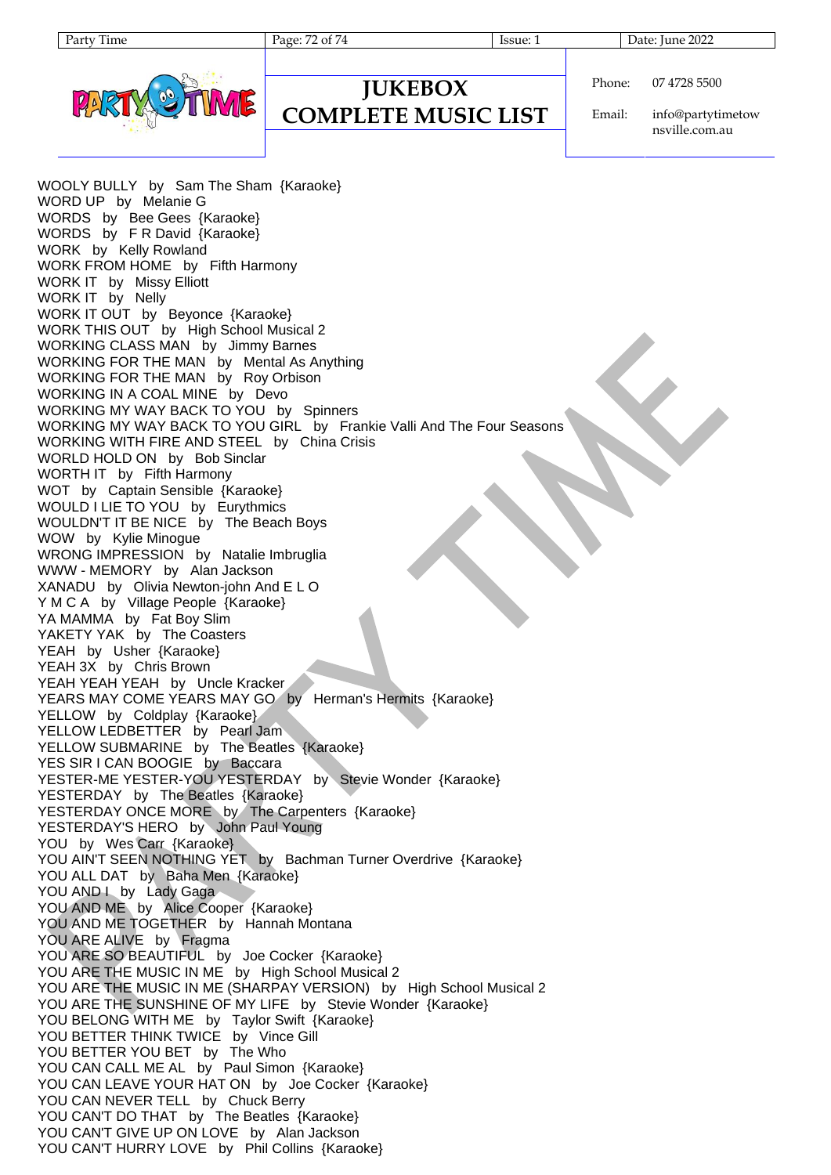Page: 72 of 74 Issue: 1 Issue: 1 Date: June 2022



### **JUKEBOX COMPLETE MUSIC LIST**

Phone: 07 4728 5500

Email: info@partytimetow nsville.com.au

WOOLY BULLY by Sam The Sham {Karaoke} WORD UP by Melanie G WORDS by Bee Gees {Karaoke} WORDS by F R David {Karaoke} WORK by Kelly Rowland WORK FROM HOME by Fifth Harmony WORK IT by Missy Elliott WORK IT by Nelly WORK IT OUT by Beyonce {Karaoke} WORK THIS OUT by High School Musical 2 WORKING CLASS MAN by Jimmy Barnes WORKING FOR THE MAN by Mental As Anything WORKING FOR THE MAN by Roy Orbison WORKING IN A COAL MINE by Devo WORKING MY WAY BACK TO YOU by Spinners WORKING MY WAY BACK TO YOU GIRL by Frankie Valli And The Four Seasons WORKING WITH FIRE AND STEEL by China Crisis WORLD HOLD ON by Bob Sinclar WORTH IT by Fifth Harmony WOT by Captain Sensible {Karaoke} WOULD I LIE TO YOU by Eurythmics WOULDN'T IT BE NICE by The Beach Boys WOW by Kylie Minogue WRONG IMPRESSION by Natalie Imbruglia WWW - MEMORY by Alan Jackson XANADU by Olivia Newton-john And E L O Y M C A by Village People {Karaoke} YA MAMMA by Fat Boy Slim YAKETY YAK by The Coasters YEAH by Usher {Karaoke} YEAH 3X by Chris Brown YEAH YEAH YEAH by Uncle Kracker YEARS MAY COME YEARS MAY GO by Herman's Hermits {Karaoke} YELLOW by Coldplay {Karaoke} YELLOW LEDBETTER by Pearl Jam YELLOW SUBMARINE by The Beatles {Karaoke} YES SIR I CAN BOOGIE by Baccara YESTER-ME YESTER-YOU YESTERDAY by Stevie Wonder {Karaoke} YESTERDAY by The Beatles {Karaoke} YESTERDAY ONCE MORE by The Carpenters {Karaoke} YESTERDAY'S HERO by John Paul Young YOU by Wes Carr {Karaoke} YOU AIN'T SEEN NOTHING YET by Bachman Turner Overdrive {Karaoke} YOU ALL DAT by Baha Men {Karaoke} YOU AND I by Lady Gaga YOU AND ME by Alice Cooper {Karaoke} YOU AND ME TOGETHER by Hannah Montana YOU ARE ALIVE by Fragma YOU ARE SO BEAUTIFUL by Joe Cocker {Karaoke} YOU ARE THE MUSIC IN ME by High School Musical 2 YOU ARE THE MUSIC IN ME (SHARPAY VERSION) by High School Musical 2 YOU ARE THE SUNSHINE OF MY LIFE by Stevie Wonder {Karaoke} YOU BELONG WITH ME by Taylor Swift {Karaoke} YOU BETTER THINK TWICE by Vince Gill YOU BETTER YOU BET by The Who YOU CAN CALL ME AL by Paul Simon {Karaoke} YOU CAN LEAVE YOUR HAT ON by Joe Cocker {Karaoke} YOU CAN NEVER TELL by Chuck Berry YOU CAN'T DO THAT by The Beatles {Karaoke} YOU CAN'T GIVE UP ON LOVE by Alan Jackson YOU CAN'T HURRY LOVE by Phil Collins {Karaoke}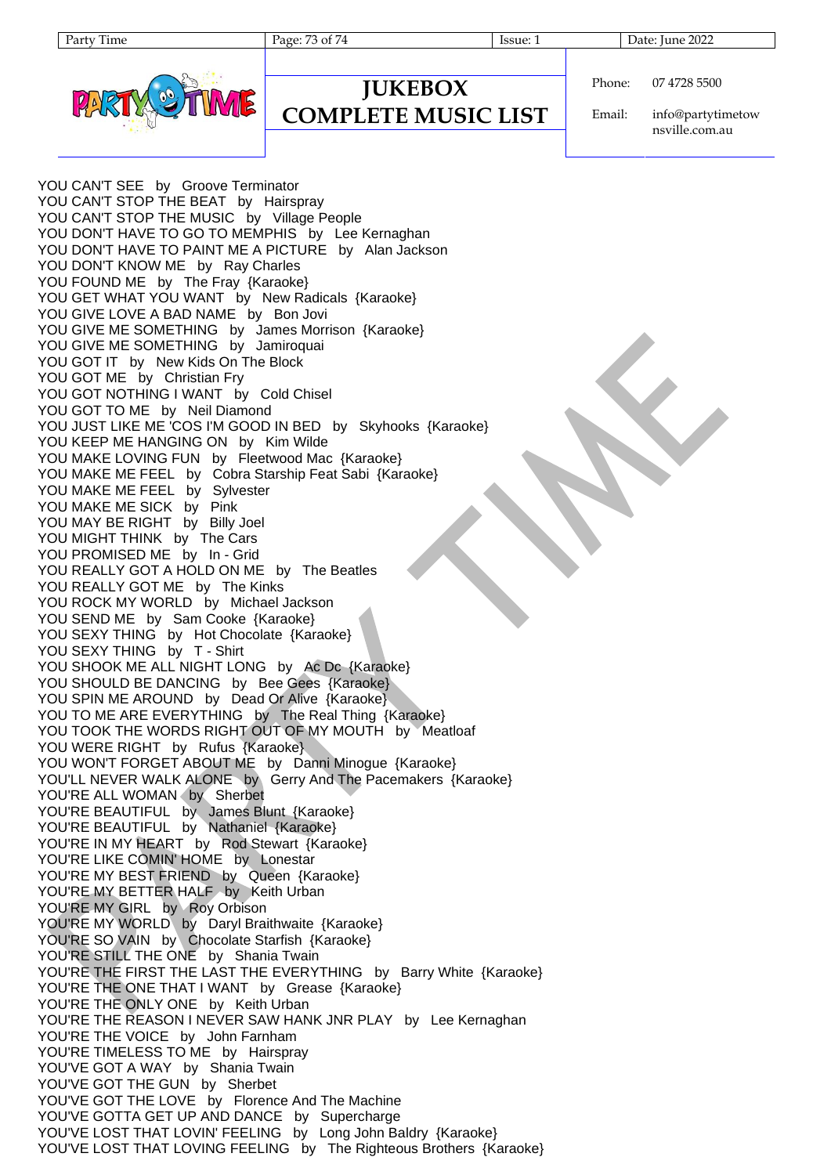Party Time Page: 73 of 74 Issue: 1 Date: June 2022



## **JUKEBOX COMPLETE MUSIC LIST**

Phone: 07 4728 5500

Email: info@partytimetow nsville.com.au

YOU CAN'T SEE by Groove Terminator YOU CAN'T STOP THE BEAT by Hairspray YOU CAN'T STOP THE MUSIC by Village People YOU DON'T HAVE TO GO TO MEMPHIS by Lee Kernaghan YOU DON'T HAVE TO PAINT ME A PICTURE by Alan Jackson YOU DON'T KNOW ME by Ray Charles YOU FOUND ME by The Fray {Karaoke} YOU GET WHAT YOU WANT by New Radicals {Karaoke} YOU GIVE LOVE A BAD NAME by Bon Jovi YOU GIVE ME SOMETHING by James Morrison {Karaoke} YOU GIVE ME SOMETHING by Jamiroquai YOU GOT IT by New Kids On The Block YOU GOT ME by Christian Fry YOU GOT NOTHING I WANT by Cold Chisel YOU GOT TO ME by Neil Diamond YOU JUST LIKE ME 'COS I'M GOOD IN BED by Skyhooks {Karaoke} YOU KEEP ME HANGING ON by Kim Wilde YOU MAKE LOVING FUN by Fleetwood Mac {Karaoke} YOU MAKE ME FEEL by Cobra Starship Feat Sabi {Karaoke} YOU MAKE ME FEEL by Sylvester YOU MAKE ME SICK by Pink YOU MAY BE RIGHT by Billy Joel YOU MIGHT THINK by The Cars YOU PROMISED ME by In - Grid YOU REALLY GOT A HOLD ON ME by The Beatles YOU REALLY GOT ME by The Kinks YOU ROCK MY WORLD by Michael Jackson YOU SEND ME by Sam Cooke {Karaoke} YOU SEXY THING by Hot Chocolate {Karaoke} YOU SEXY THING by T - Shirt YOU SHOOK ME ALL NIGHT LONG by Ac Dc {Karaoke} YOU SHOULD BE DANCING by Bee Gees {Karaoke} YOU SPIN ME AROUND by Dead Or Alive {Karaoke} YOU TO ME ARE EVERYTHING by The Real Thing {Karaoke} YOU TOOK THE WORDS RIGHT OUT OF MY MOUTH by Meatloaf YOU WERE RIGHT by Rufus {Karaoke} YOU WON'T FORGET ABOUT ME by Danni Minogue {Karaoke} YOU'LL NEVER WALK ALONE by Gerry And The Pacemakers {Karaoke} YOU'RE ALL WOMAN by Sherbet YOU'RE BEAUTIFUL by James Blunt {Karaoke} YOU'RE BEAUTIFUL by Nathaniel {Karaoke} YOU'RE IN MY HEART by Rod Stewart {Karaoke} YOU'RE LIKE COMIN' HOME by Lonestar YOU'RE MY BEST FRIEND by Queen {Karaoke} YOU'RE MY BETTER HALF by Keith Urban YOU'RE MY GIRL by Roy Orbison YOU'RE MY WORLD by Daryl Braithwaite {Karaoke} YOU'RE SO VAIN by Chocolate Starfish {Karaoke} YOU'RE STILL THE ONE by Shania Twain YOU'RE THE FIRST THE LAST THE EVERYTHING by Barry White {Karaoke} YOU'RE THE ONE THAT I WANT by Grease {Karaoke} YOU'RE THE ONLY ONE by Keith Urban YOU'RE THE REASON I NEVER SAW HANK JNR PLAY by Lee Kernaghan YOU'RE THE VOICE by John Farnham YOU'RE TIMELESS TO ME by Hairspray YOU'VE GOT A WAY by Shania Twain YOU'VE GOT THE GUN by Sherbet YOU'VE GOT THE LOVE by Florence And The Machine YOU'VE GOTTA GET UP AND DANCE by Supercharge YOU'VE LOST THAT LOVIN' FEELING by Long John Baldry {Karaoke} YOU'VE LOST THAT LOVING FEELING by The Righteous Brothers {Karaoke}